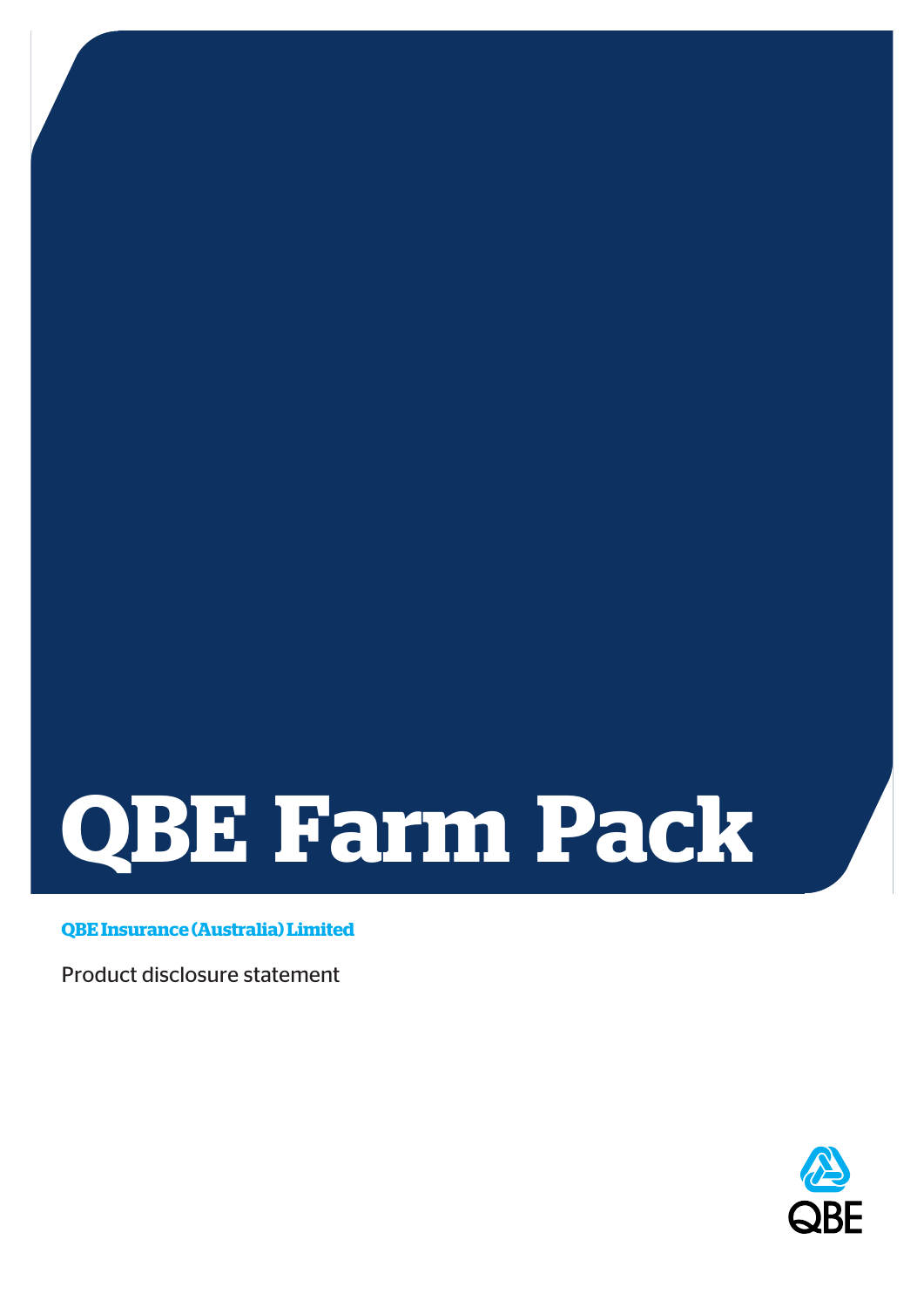# **QBE Farm Pack**

**QBE Insurance (Australia) Limited**

Product disclosure statement

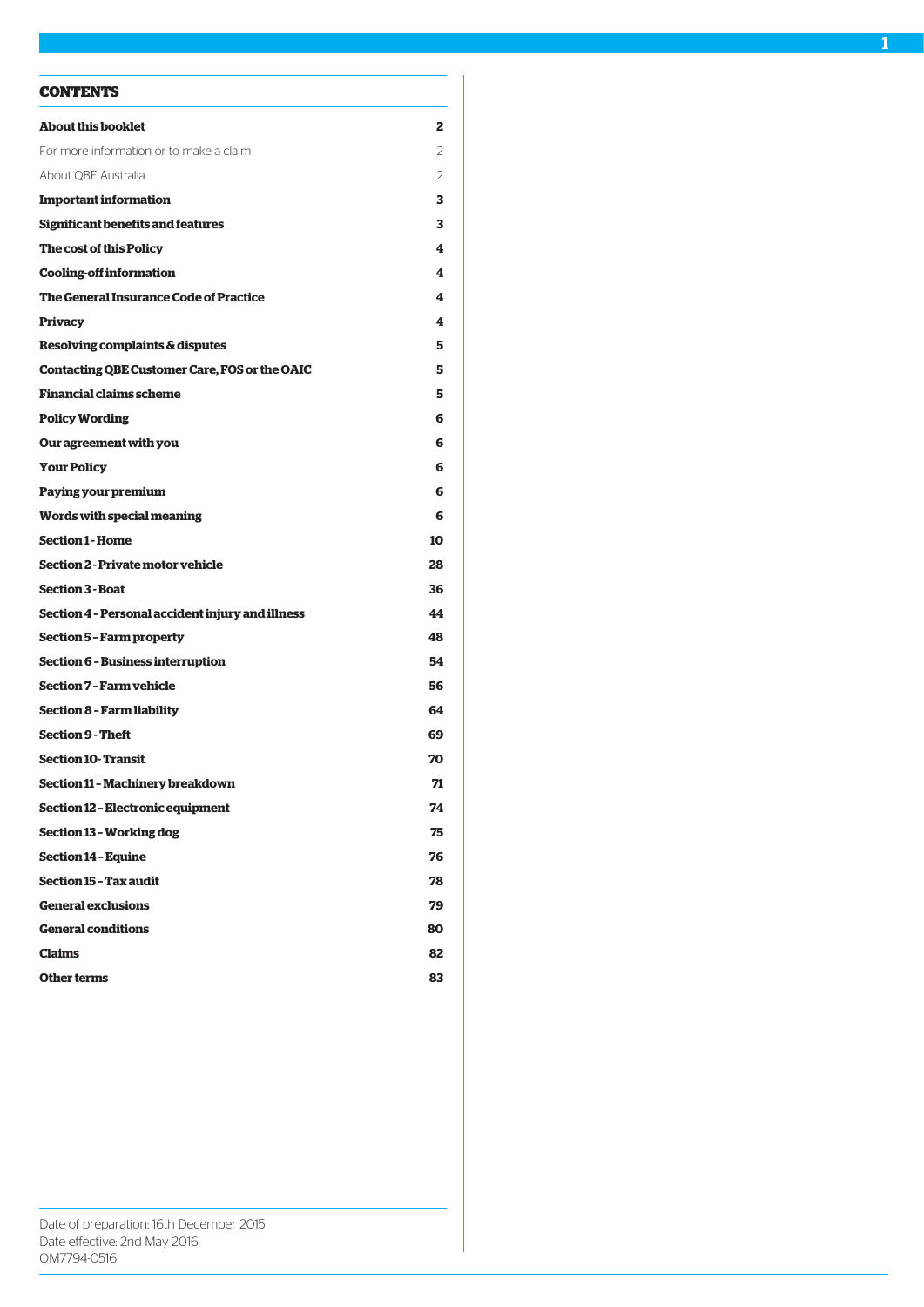# **CONTENTS**

| <b>About this booklet</b>                        | 2  |
|--------------------------------------------------|----|
| For more information or to make a claim          | 2  |
| About QBE Australia                              | 2  |
| <b>Important information</b>                     | з  |
| Significant benefits and features                | з  |
| The cost of this Policy                          | 4  |
| <b>Cooling-off information</b>                   | 4  |
| The General Insurance Code of Practice           | 4  |
| Privacy                                          | 4  |
| Resolving complaints & disputes                  | 5  |
| Contacting QBE Customer Care, FOS or the OAIC    | 5  |
| <b>Financial claims scheme</b>                   | 5  |
| <b>Policy Wording</b>                            | 6  |
| Our agreement with you                           | 6  |
| <b>Your Policy</b>                               | 6  |
| Paying your premium                              | 6  |
| Words with special meaning                       | 6  |
| <b>Section 1 - Home</b>                          | 10 |
| Section 2 - Private motor vehicle                | 28 |
| <b>Section 3 - Boat</b>                          | 36 |
| Section 4 - Personal accident injury and illness | 44 |
| Section 5 - Farm property                        | 48 |
| Section 6 - Business interruption                | 54 |
| Section 7 - Farm vehicle                         | 56 |
| Section 8 - Farm liability                       | 64 |
| <b>Section 9 - Theft</b>                         | 69 |
| <b>Section 10- Transit</b>                       | 70 |
| Section 11 - Machinery breakdown                 | 71 |
| Section 12 - Electronic equipment                | 74 |
| Section 13 - Working dog                         | 75 |
| <b>Section 14 - Equine</b>                       | 76 |
| <b>Section 15 - Tax audit</b>                    | 78 |
| <b>General exclusions</b>                        | 79 |
| <b>General conditions</b>                        | 80 |
| <b>Claims</b>                                    | 82 |
| Other terms                                      | 83 |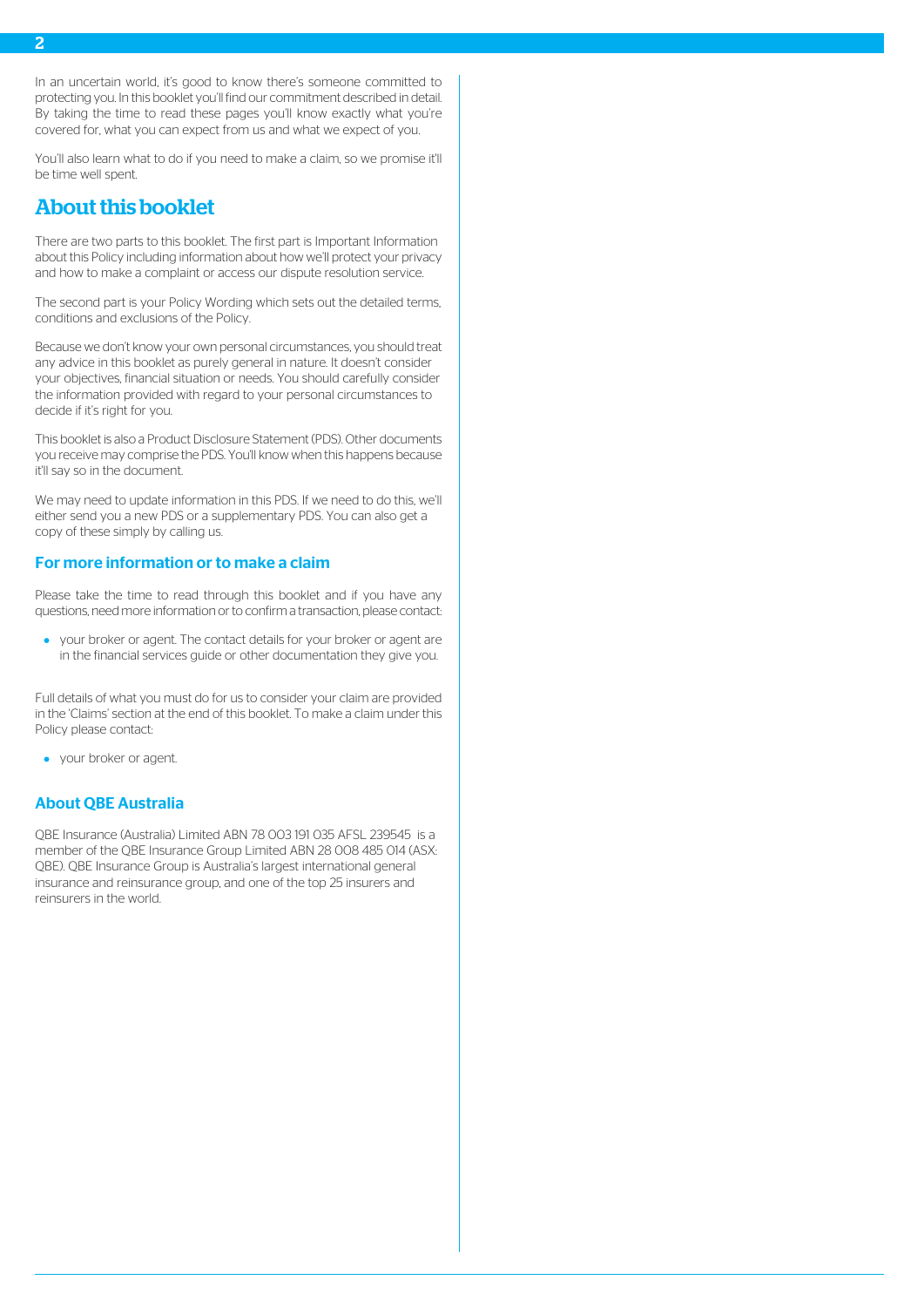In an uncertain world, it's good to know there's someone committed to protecting you. In this booklet you'll find our commitment described in detail. By taking the time to read these pages you'll know exactly what you're covered for, what you can expect from us and what we expect of you.

You'll also learn what to do if you need to make a claim, so we promise it'll be time well spent.

# <span id="page-2-0"></span>About this booklet

There are two parts to this booklet. The first part is Important Information about this Policy including information about how we'll protect your privacy and how to make a complaint or access our dispute resolution service.

The second part is your Policy Wording which sets out the detailed terms, conditions and exclusions of the Policy.

Because we don't know your own personal circumstances, you should treat any advice in this booklet as purely general in nature. It doesn't consider your objectives, financial situation or needs. You should carefully consider the information provided with regard to your personal circumstances to decide if it's right for you.

This booklet is also a Product Disclosure Statement (PDS). Other documents you receive may comprise the PDS. You'll know when this happens because it'll say so in the document.

<span id="page-2-1"></span>We may need to update information in this PDS. If we need to do this, we'll either send you a new PDS or a supplementary PDS. You can also get a copy of these simply by calling us.

# For more information or to make a claim

Please take the time to read through this booklet and if you have any questions, need more information or to confirm a transaction, please contact:

your broker or agent. The contact details for your broker or agent are in the financial services guide or other documentation they give you.

<span id="page-2-2"></span>Full details of what you must do for us to consider your claim are provided in the 'Claims' section at the end of this booklet. To make a claim under this Policy please contact:

• your broker or agent.

# About QBE Australia

QBE Insurance (Australia) Limited ABN 78 003 191 035 AFSL 239545 is a member of the QBE Insurance Group Limited ABN 28 008 485 014 (ASX: QBE). QBE Insurance Group is Australia's largest international general insurance and reinsurance group, and one of the top 25 insurers and reinsurers in the world.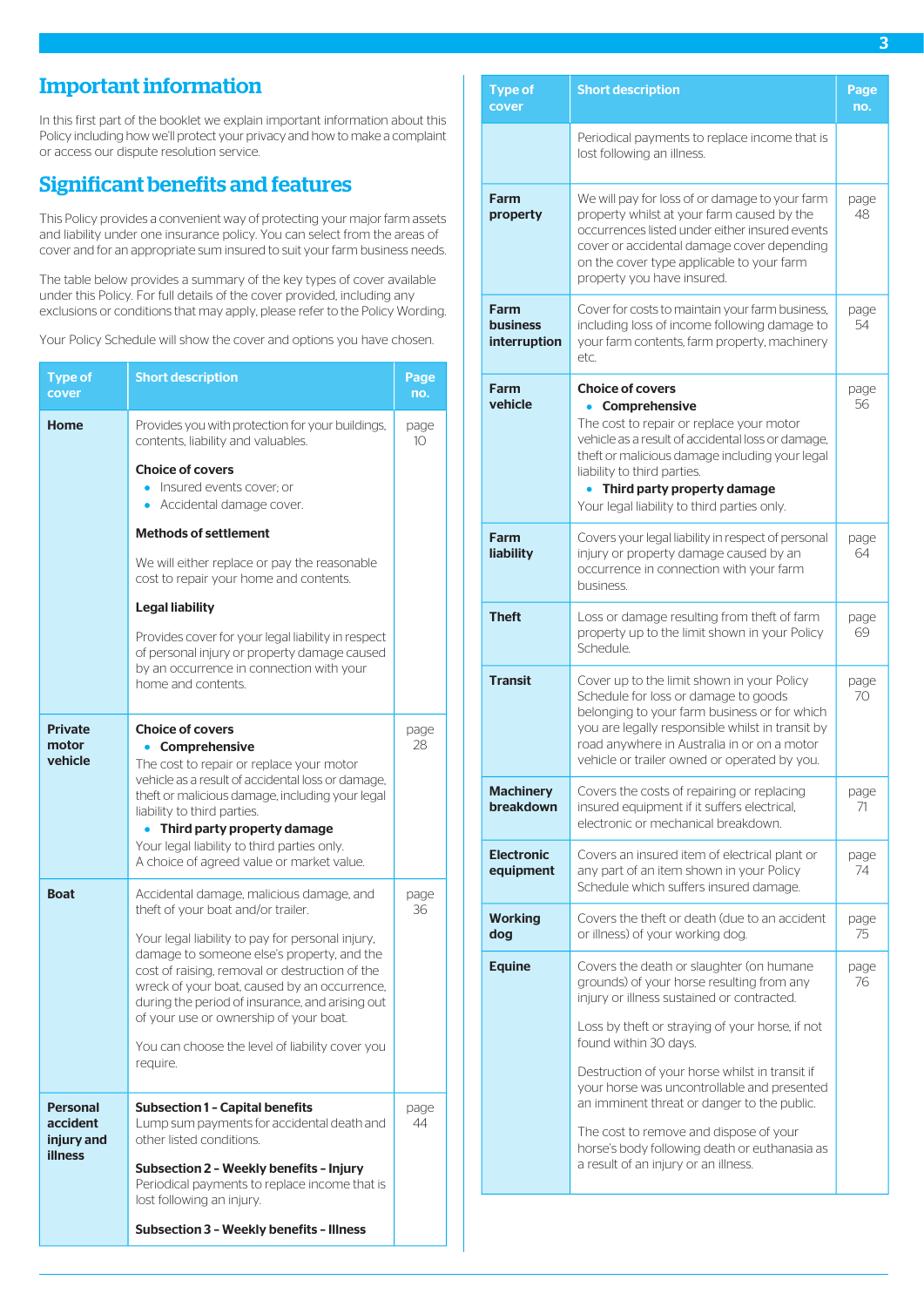# <span id="page-3-0"></span>Important information

In this first part of the booklet we explain important information about this Policy including how we'll protect your privacy and how to make a complaint or access our dispute resolution service.

# <span id="page-3-1"></span>Significant benefits and features

This Policy provides a convenient way of protecting your major farm assets and liability under one insurance policy. You can select from the areas of cover and for an appropriate sum insured to suit your farm business needs.

The table below provides a summary of the key types of cover available under this Policy. For full details of the cover provided, including any exclusions or conditions that may apply, please refer to the Policy Wording.

Your Policy Schedule will show the cover and options you have chosen.

| <b>Type of</b><br>cover                   | <b>Short description</b>                                                                                                                                                                                                                                                                      | Page<br>no. |
|-------------------------------------------|-----------------------------------------------------------------------------------------------------------------------------------------------------------------------------------------------------------------------------------------------------------------------------------------------|-------------|
| Home                                      | Provides you with protection for your buildings,<br>contents, liability and valuables.                                                                                                                                                                                                        | page<br>10  |
|                                           | <b>Choice of covers</b><br>Insured events cover; or<br>$\bullet$<br>Accidental damage cover.                                                                                                                                                                                                  |             |
|                                           | <b>Methods of settlement</b>                                                                                                                                                                                                                                                                  |             |
|                                           | We will either replace or pay the reasonable<br>cost to repair your home and contents.                                                                                                                                                                                                        |             |
|                                           | <b>Legal liability</b>                                                                                                                                                                                                                                                                        |             |
|                                           | Provides cover for your legal liability in respect<br>of personal injury or property damage caused<br>by an occurrence in connection with your<br>home and contents.                                                                                                                          |             |
| <b>Private</b><br>motor<br>vehicle        | <b>Choice of covers</b><br>Comprehensive<br>The cost to repair or replace your motor<br>vehicle as a result of accidental loss or damage,                                                                                                                                                     | page<br>28  |
|                                           | theft or malicious damage, including your legal<br>liability to third parties.                                                                                                                                                                                                                |             |
|                                           | Third party property damage<br>Your legal liability to third parties only.<br>A choice of agreed value or market value.                                                                                                                                                                       |             |
| <b>Boat</b>                               | Accidental damage, malicious damage, and<br>theft of your boat and/or trailer.                                                                                                                                                                                                                | page<br>36  |
|                                           | Your legal liability to pay for personal injury,<br>damage to someone else's property, and the<br>cost of raising, removal or destruction of the<br>wreck of your boat, caused by an occurrence,<br>during the period of insurance, and arising out<br>of your use or ownership of your boat. |             |
|                                           | You can choose the level of liability cover you<br>require.                                                                                                                                                                                                                                   |             |
| <b>Personal</b><br>accident<br>injury and | <b>Subsection 1 - Capital benefits</b><br>Lump sum payments for accidental death and<br>other listed conditions.                                                                                                                                                                              | page<br>44  |
| <b>illness</b>                            | Subsection 2 - Weekly benefits - Injury<br>Periodical payments to replace income that is<br>lost following an injury.                                                                                                                                                                         |             |
|                                           | <b>Subsection 3 - Weekly benefits - Illness</b>                                                                                                                                                                                                                                               |             |

| <b>Type of</b><br>cover                 | <b>Short description</b>                                                                                                                                                                                                                                                                                                                                                                                                                                                                           | Page<br>no. |
|-----------------------------------------|----------------------------------------------------------------------------------------------------------------------------------------------------------------------------------------------------------------------------------------------------------------------------------------------------------------------------------------------------------------------------------------------------------------------------------------------------------------------------------------------------|-------------|
|                                         | Periodical payments to replace income that is<br>lost following an illness.                                                                                                                                                                                                                                                                                                                                                                                                                        |             |
| Farm<br>property                        | We will pay for loss of or damage to your farm<br>property whilst at your farm caused by the<br>occurrences listed under either insured events<br>cover or accidental damage cover depending<br>on the cover type applicable to your farm<br>property you have insured.                                                                                                                                                                                                                            | page<br>48  |
| Farm<br><b>business</b><br>interruption | Cover for costs to maintain your farm business,<br>including loss of income following damage to<br>your farm contents, farm property, machinery<br>etc.                                                                                                                                                                                                                                                                                                                                            | page<br>54  |
| Farm<br>vehicle                         | <b>Choice of covers</b><br>Comprehensive<br>The cost to repair or replace your motor<br>vehicle as a result of accidental loss or damage,<br>theft or malicious damage including your legal<br>liability to third parties.<br>Third party property damage<br>Your legal liability to third parties only.                                                                                                                                                                                           | page<br>56  |
| Farm<br>liability                       | Covers your legal liability in respect of personal<br>injury or property damage caused by an<br>occurrence in connection with your farm<br>business.                                                                                                                                                                                                                                                                                                                                               | page<br>64  |
| <b>Theft</b>                            | Loss or damage resulting from theft of farm<br>property up to the limit shown in your Policy<br>Schedule.                                                                                                                                                                                                                                                                                                                                                                                          | page<br>69  |
| <b>Transit</b>                          | Cover up to the limit shown in your Policy<br>Schedule for loss or damage to goods<br>belonging to your farm business or for which<br>you are legally responsible whilst in transit by<br>road anywhere in Australia in or on a motor<br>vehicle or trailer owned or operated by you.                                                                                                                                                                                                              | page<br>70  |
| <b>Machinery</b><br>breakdown           | Covers the costs of repairing or replacing<br>insured equipment if it suffers electrical,<br>electronic or mechanical breakdown.                                                                                                                                                                                                                                                                                                                                                                   | page<br>71  |
| <b>Electronic</b><br>equipment          | Covers an insured item of electrical plant or<br>any part of an item shown in your Policy<br>Schedule which suffers insured damage.                                                                                                                                                                                                                                                                                                                                                                | page<br>74  |
| <b>Working</b><br>dog                   | Covers the theft or death (due to an accident<br>or illness) of your working dog.                                                                                                                                                                                                                                                                                                                                                                                                                  | page<br>75. |
| <b>Equine</b>                           | Covers the death or slaughter (on humane<br>grounds) of your horse resulting from any<br>injury or illness sustained or contracted.<br>Loss by theft or straying of your horse, if not<br>found within 30 days.<br>Destruction of your horse whilst in transit if<br>your horse was uncontrollable and presented<br>an imminent threat or danger to the public.<br>The cost to remove and dispose of your<br>horse's body following death or euthanasia as<br>a result of an injury or an illness. | page<br>76  |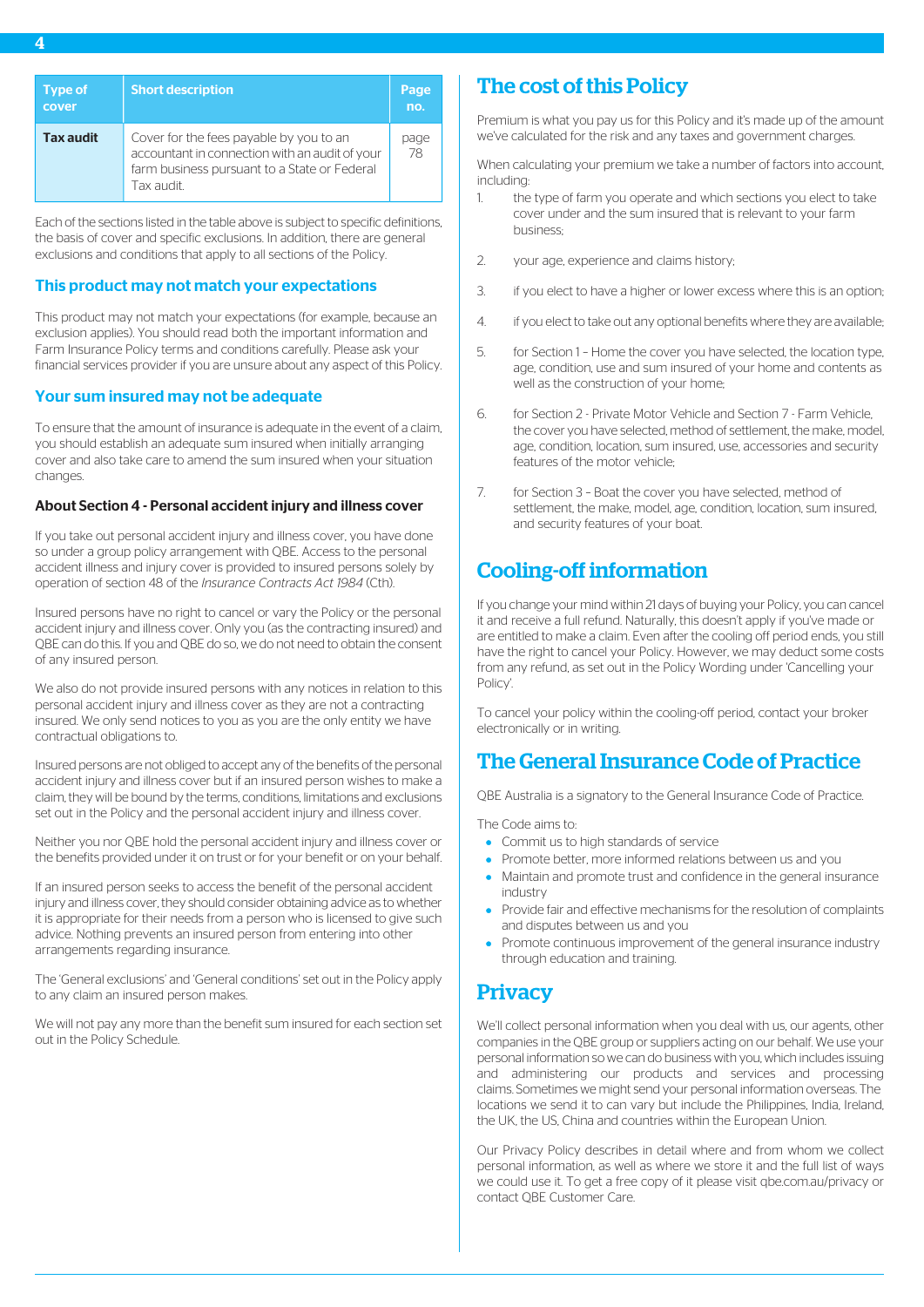Each of the sections listed in the table above is subject to specific definitions, the basis of cover and specific exclusions. In addition, there are general exclusions and conditions that apply to all sections of the Policy.

# This product may not match your expectations

This product may not match your expectations (for example, because an exclusion applies). You should read both the important information and Farm Insurance Policy terms and conditions carefully. Please ask your financial services provider if you are unsure about any aspect of this Policy.

# Your sum insured may not be adequate

To ensure that the amount of insurance is adequate in the event of a claim, you should establish an adequate sum insured when initially arranging cover and also take care to amend the sum insured when your situation changes.

# About Section 4 - Personal accident injury and illness cover

If you take out personal accident injury and illness cover, you have done so under a group policy arrangement with QBE. Access to the personal accident illness and injury cover is provided to insured persons solely by operation of section 48 of the *Insurance Contracts Act 1984* (Cth).

Insured persons have no right to cancel or vary the Policy or the personal accident injury and illness cover. Only you (as the contracting insured) and QBE can do this. If you and QBE do so, we do not need to obtain the consent of any insured person.

We also do not provide insured persons with any notices in relation to this personal accident injury and illness cover as they are not a contracting insured. We only send notices to you as you are the only entity we have contractual obligations to.

Insured persons are not obliged to accept any of the benefits of the personal accident injury and illness cover but if an insured person wishes to make a claim, they will be bound by the terms, conditions, limitations and exclusions set out in the Policy and the personal accident injury and illness cover.

Neither you nor QBE hold the personal accident injury and illness cover or the benefits provided under it on trust or for your benefit or on your behalf.

If an insured person seeks to access the benefit of the personal accident injury and illness cover, they should consider obtaining advice as to whether it is appropriate for their needs from a person who is licensed to give such advice. Nothing prevents an insured person from entering into other arrangements regarding insurance.

The 'General exclusions' and 'General conditions' set out in the Policy apply to any claim an insured person makes.

We will not pay any more than the benefit sum insured for each section set out in the Policy Schedule.

# <span id="page-4-0"></span>The cost of this Policy

Premium is what you pay us for this Policy and it's made up of the amount we've calculated for the risk and any taxes and government charges.

When calculating your premium we take a number of factors into account, including:

- 1. the type of farm you operate and which sections you elect to take cover under and the sum insured that is relevant to your farm business;
- 2. your age, experience and claims history;
- 3. if you elect to have a higher or lower excess where this is an option;
- 4. if you elect to take out any optional benefits where they are available;
- 5. for Section 1 Home the cover you have selected, the location type, age, condition, use and sum insured of your home and contents as well as the construction of your home;
- 6. for Section 2 Private Motor Vehicle and Section 7 Farm Vehicle, the cover you have selected, method of settlement, the make, model, age, condition, location, sum insured, use, accessories and security features of the motor vehicle;
- <span id="page-4-1"></span>7. for Section 3 – Boat the cover you have selected, method of settlement, the make, model, age, condition, location, sum insured, and security features of your boat.

# Cooling-off information

If you change your mind within 21 days of buying your Policy, you can cancel it and receive a full refund. Naturally, this doesn't apply if you've made or are entitled to make a claim. Even after the cooling off period ends, you still have the right to cancel your Policy. However, we may deduct some costs from any refund, as set out in the Policy Wording under 'Cancelling your Policy'.

<span id="page-4-2"></span>To cancel your policy within the cooling-off period, contact your broker electronically or in writing.

# The General Insurance Code of Practice

QBE Australia is a signatory to the General Insurance Code of Practice.

The Code aims to:

- Commit us to high standards of service
- **•** Promote better, more informed relations between us and you
- <span id="page-4-3"></span>Maintain and promote trust and confidence in the general insurance industry
- Provide fair and effective mechanisms for the resolution of complaints and disputes between us and you
- Promote continuous improvement of the general insurance industry through education and training.

# **Privacy**

We'll collect personal information when you deal with us, our agents, other companies in the QBE group or suppliers acting on our behalf. We use your personal information so we can do business with you, which includes issuing and administering our products and services and processing claims. Sometimes we might send your personal information overseas. The locations we send it to can vary but include the Philippines, India, Ireland, the UK, the US, China and countries within the European Union.

Our Privacy Policy describes in detail where and from whom we collect personal information, as well as where we store it and the full list of ways we could use it. To get a free copy of it please visit qbe.com.au/privacy or contact QBE Customer Care.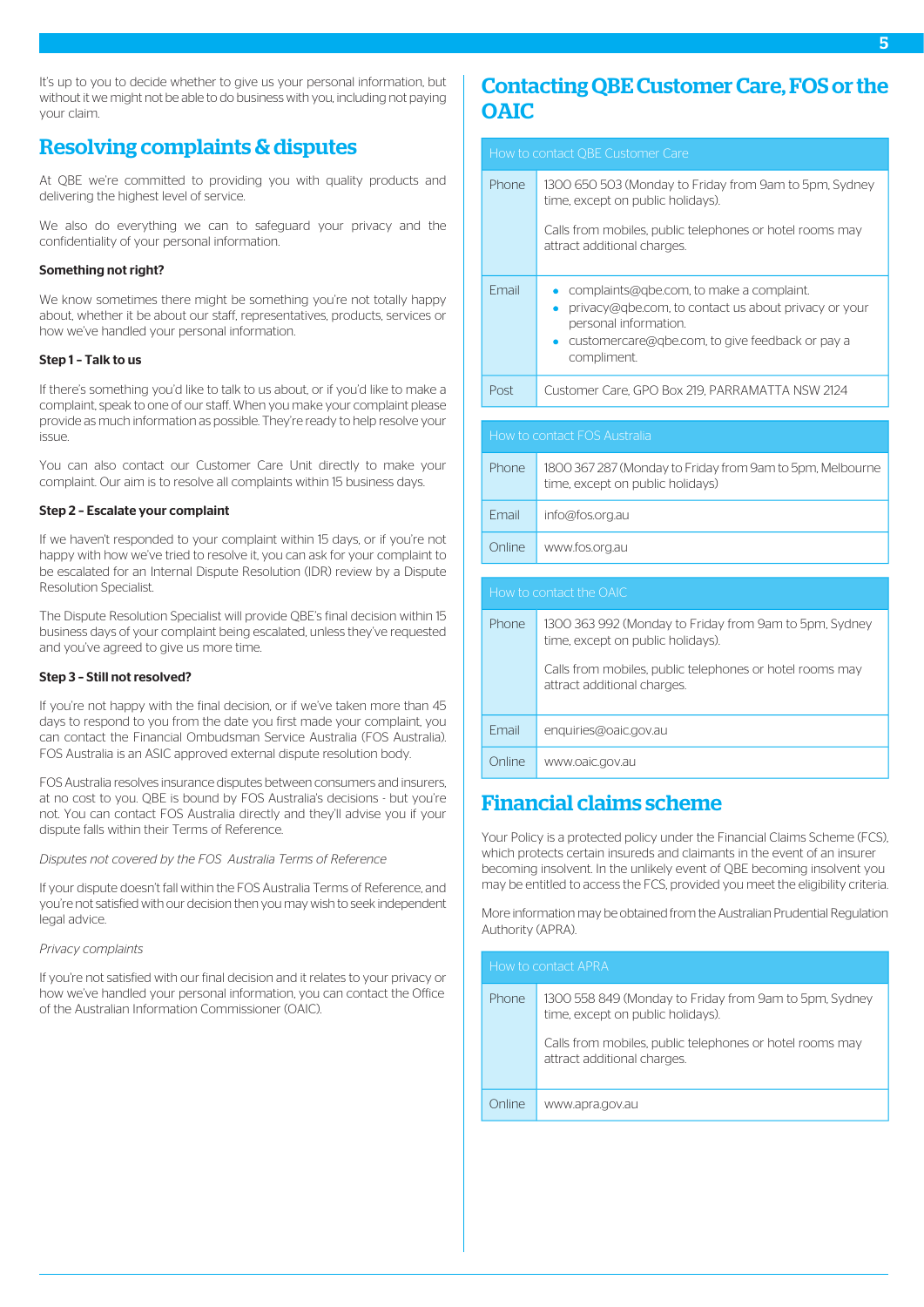It's up to you to decide whether to give us your personal information, but without it we might not be able to do business with you, including not paying your claim.

# <span id="page-5-0"></span>Resolving complaints & disputes

At QBE we're committed to providing you with quality products and delivering the highest level of service.

We also do everything we can to safeguard your privacy and the confidentiality of your personal information.

## Something not right?

We know sometimes there might be something you're not totally happy about, whether it be about our staff, representatives, products, services or how we've handled your personal information.

#### Step 1 – Talk to us

If there's something you'd like to talk to us about, or if you'd like to make a complaint, speak to one of our staff. When you make your complaint please provide as much information as possible. They're ready to help resolve your issue.

You can also contact our Customer Care Unit directly to make your complaint. Our aim is to resolve all complaints within 15 business days.

#### Step 2 – Escalate your complaint

If we haven't responded to your complaint within 15 days, or if you're not happy with how we've tried to resolve it, you can ask for your complaint to be escalated for an Internal Dispute Resolution (IDR) review by a Dispute Resolution Specialist.

The Dispute Resolution Specialist will provide QBE's final decision within 15 business days of your complaint being escalated, unless they've requested and you've agreed to give us more time.

# Step 3 – Still not resolved?

If you're not happy with the final decision, or if we've taken more than 45 days to respond to you from the date you first made your complaint, you can contact the Financial Ombudsman Service Australia (FOS Australia). FOS Australia is an ASIC approved external dispute resolution body.

FOS Australia resolves insurance disputes between consumers and insurers, at no cost to you. QBE is bound by FOS Australia's decisions - but you're not. You can contact FOS Australia directly and they'll advise you if your dispute falls within their Terms of Reference.

#### *Disputes not covered by the FOS Australia Terms of Reference*

If your dispute doesn't fall within the FOS Australia Terms of Reference, and you're not satisfied with our decision then you may wish to seek independent legal advice.

#### *Privacy complaints*

If you're not satisfied with our final decision and it relates to your privacy or how we've handled your personal information, you can contact the Office of the Australian Information Commissioner (OAIC).

# <span id="page-5-1"></span>Contacting QBE Customer Care, FOS or the OAIC

|              | How to contact QBE Customer Care                                                                                                                                                                 |
|--------------|--------------------------------------------------------------------------------------------------------------------------------------------------------------------------------------------------|
| Phone        | 1300 650 503 (Monday to Friday from 9am to 5pm, Sydney<br>time, except on public holidays).                                                                                                      |
|              | Calls from mobiles, public telephones or hotel rooms may<br>attract additional charges.                                                                                                          |
| Fmail        | complaints@gbe.com, to make a complaint.<br>۰<br>privacy@qbe.com, to contact us about privacy or your<br>personal information.<br>customercare@gbe.com, to give feedback or pay a<br>compliment. |
| Post         | Customer Care, GPO Box 219, PARRAMATTA NSW 2124                                                                                                                                                  |
|              |                                                                                                                                                                                                  |
|              | How to contact FOS Australia                                                                                                                                                                     |
| Phone        | 1800 367 287 (Monday to Friday from 9am to 5pm, Melbourne<br>time, except on public holidays)                                                                                                    |
| Fmail        | info@fos.org.au                                                                                                                                                                                  |
| Online       | www.fos.org.au                                                                                                                                                                                   |
|              |                                                                                                                                                                                                  |
|              | How to contact the OAIC                                                                                                                                                                          |
| <b>Phone</b> | 1300 363 992 (Monday to Friday from 9am to 5pm, Sydney<br>time, except on public holidays).                                                                                                      |
|              | Calls from mobiles, public telephones or hotel rooms may<br>attract additional charges.                                                                                                          |
| Fmail        | enquiries@oaic.gov.au                                                                                                                                                                            |
| Online       | www.oaic.gov.au                                                                                                                                                                                  |

# <span id="page-5-2"></span>Financial claims scheme

Your Policy is a protected policy under the Financial Claims Scheme (FCS), which protects certain insureds and claimants in the event of an insurer becoming insolvent. In the unlikely event of QBE becoming insolvent you may be entitled to access the FCS, provided you meet the eligibility criteria.

More information may be obtained from the Australian Prudential Regulation Authority (APRA).

| How to contact APRA |                                                                                             |
|---------------------|---------------------------------------------------------------------------------------------|
| <b>Phone</b>        | 1300 558 849 (Monday to Friday from 9am to 5pm, Sydney<br>time, except on public holidays). |
|                     | Calls from mobiles, public telephones or hotel rooms may<br>attract additional charges.     |
| Online              | www.apra.gov.au                                                                             |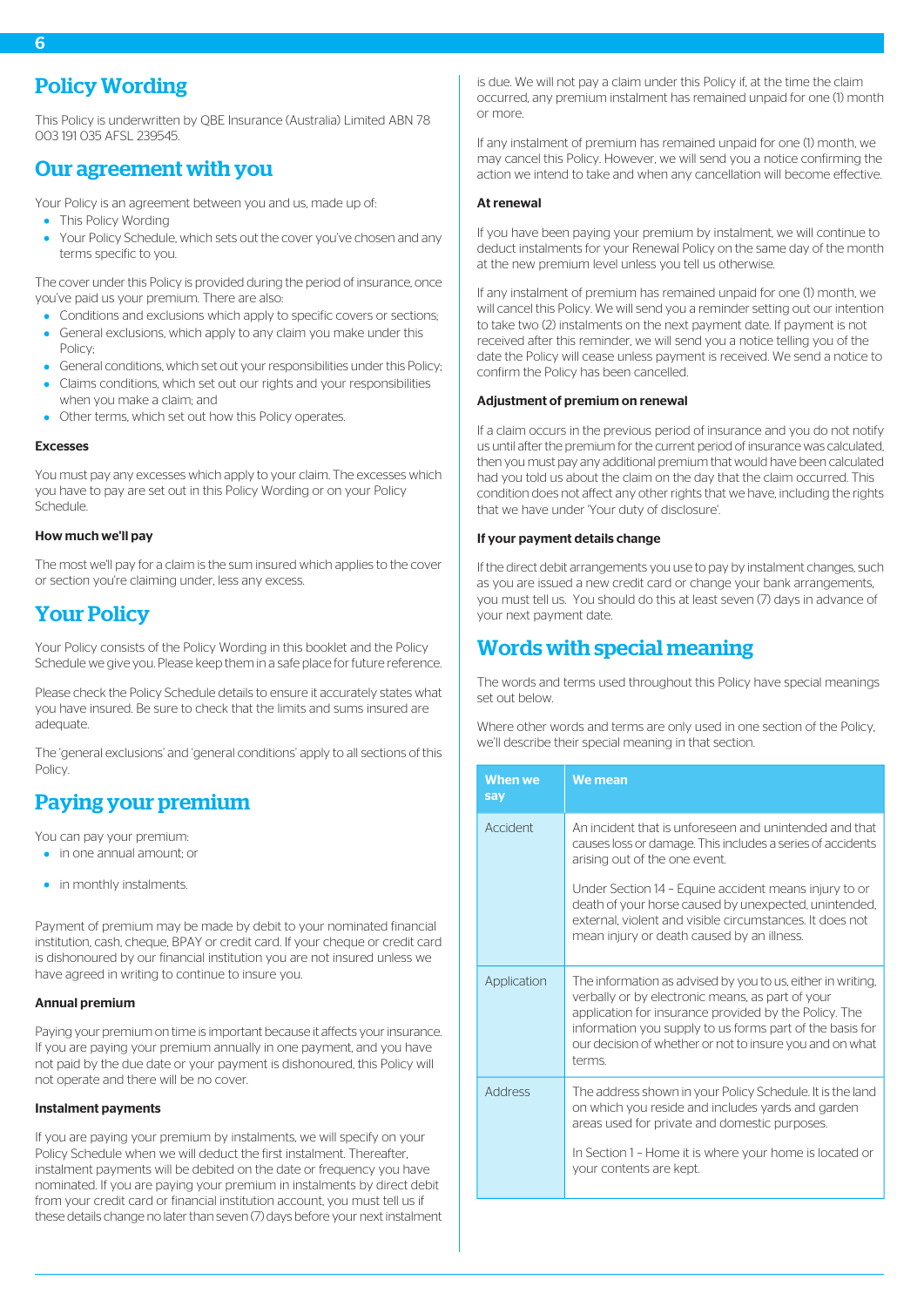<span id="page-6-0"></span>This Policy is underwritten by QBE Insurance (Australia) Limited ABN 78 003 191 035 AFSL 239545.

# <span id="page-6-1"></span>Our agreement with you

Your Policy is an agreement between you and us, made up of:

- This Policy Wording
- Your Policy Schedule, which sets out the cover you've chosen and any terms specific to you.

The cover under this Policy is provided during the period of insurance, once you've paid us your premium. There are also:

- Conditions and exclusions which apply to specific covers or sections;
- General exclusions, which apply to any claim you make under this Policy;
- General conditions, which set out your responsibilities under this Policy;
- Claims conditions, which set out our rights and your responsibilities when you make a claim; and
- Other terms, which set out how this Policy operates.

#### Excesses

You must pay any excesses which apply to your claim. The excesses which you have to pay are set out in this Policy Wording or on your Policy Schedule.

#### <span id="page-6-2"></span>How much we'll pay

The most we'll pay for a claim is the sum insured which applies to the cover or section you're claiming under, less any excess.

# Your Policy

Your Policy consists of the Policy Wording in this booklet and the Policy Schedule we give you. Please keep them in a safe place for future reference.

<span id="page-6-3"></span>Please check the Policy Schedule details to ensure it accurately states what you have insured. Be sure to check that the limits and sums insured are adequate.

The 'general exclusions' and 'general conditions' apply to all sections of this Policy.

# Paying your premium

You can pay your premium:

- in one annual amount; or
- in monthly instalments.

Payment of premium may be made by debit to your nominated financial institution, cash, cheque, BPAY or credit card. If your cheque or credit card is dishonoured by our financial institution you are not insured unless we have agreed in writing to continue to insure you.

#### Annual premium

Paying your premium on time is important because it affects your insurance. If you are paying your premium annually in one payment, and you have not paid by the due date or your payment is dishonoured, this Policy will not operate and there will be no cover.

#### Instalment payments

If you are paying your premium by instalments, we will specify on your Policy Schedule when we will deduct the first instalment. Thereafter, instalment payments will be debited on the date or frequency you have nominated. If you are paying your premium in instalments by direct debit from your credit card or financial institution account, you must tell us if these details change no later than seven (7) days before your next instalment

is due. We will not pay a claim under this Policy if, at the time the claim occurred, any premium instalment has remained unpaid for one (1) month or more.

If any instalment of premium has remained unpaid for one (1) month, we may cancel this Policy. However, we will send you a notice confirming the action we intend to take and when any cancellation will become effective.

#### At renewal

If you have been paying your premium by instalment, we will continue to deduct instalments for your Renewal Policy on the same day of the month at the new premium level unless you tell us otherwise.

If any instalment of premium has remained unpaid for one (1) month, we will cancel this Policy. We will send you a reminder setting out our intention to take two (2) instalments on the next payment date. If payment is not received after this reminder, we will send you a notice telling you of the date the Policy will cease unless payment is received. We send a notice to confirm the Policy has been cancelled.

#### Adjustment of premium on renewal

If a claim occurs in the previous period of insurance and you do not notify us until after the premium for the current period of insurance was calculated, then you must pay any additional premium that would have been calculated had you told us about the claim on the day that the claim occurred. This condition does not affect any other rights that we have, including the rights that we have under 'Your duty of disclosure'.

#### If your payment details change

<span id="page-6-4"></span>If the direct debit arrangements you use to pay by instalment changes, such as you are issued a new credit card or change your bank arrangements, you must tell us. You should do this at least seven (7) days in advance of your next payment date.

# Words with special meaning

The words and terms used throughout this Policy have special meanings set out below.

Where other words and terms are only used in one section of the Policy, we'll describe their special meaning in that section.

| <b>When we</b><br>say | We mean                                                                                                                                                                                                                                                                                                    |
|-----------------------|------------------------------------------------------------------------------------------------------------------------------------------------------------------------------------------------------------------------------------------------------------------------------------------------------------|
| Accident              | An incident that is unforeseen and unintended and that<br>causes loss or damage. This includes a series of accidents<br>arising out of the one event.                                                                                                                                                      |
|                       | Under Section 14 - Equine accident means injury to or<br>death of your horse caused by unexpected, unintended,<br>external, violent and visible circumstances. It does not<br>mean injury or death caused by an illness.                                                                                   |
| Application           | The information as advised by you to us, either in writing,<br>verbally or by electronic means, as part of your<br>application for insurance provided by the Policy. The<br>information you supply to us forms part of the basis for<br>our decision of whether or not to insure you and on what<br>terms. |
| <b>Address</b>        | The address shown in your Policy Schedule. It is the land<br>on which you reside and includes yards and garden<br>areas used for private and domestic purposes.<br>In Section 1 - Home it is where your home is located or<br>your contents are kept.                                                      |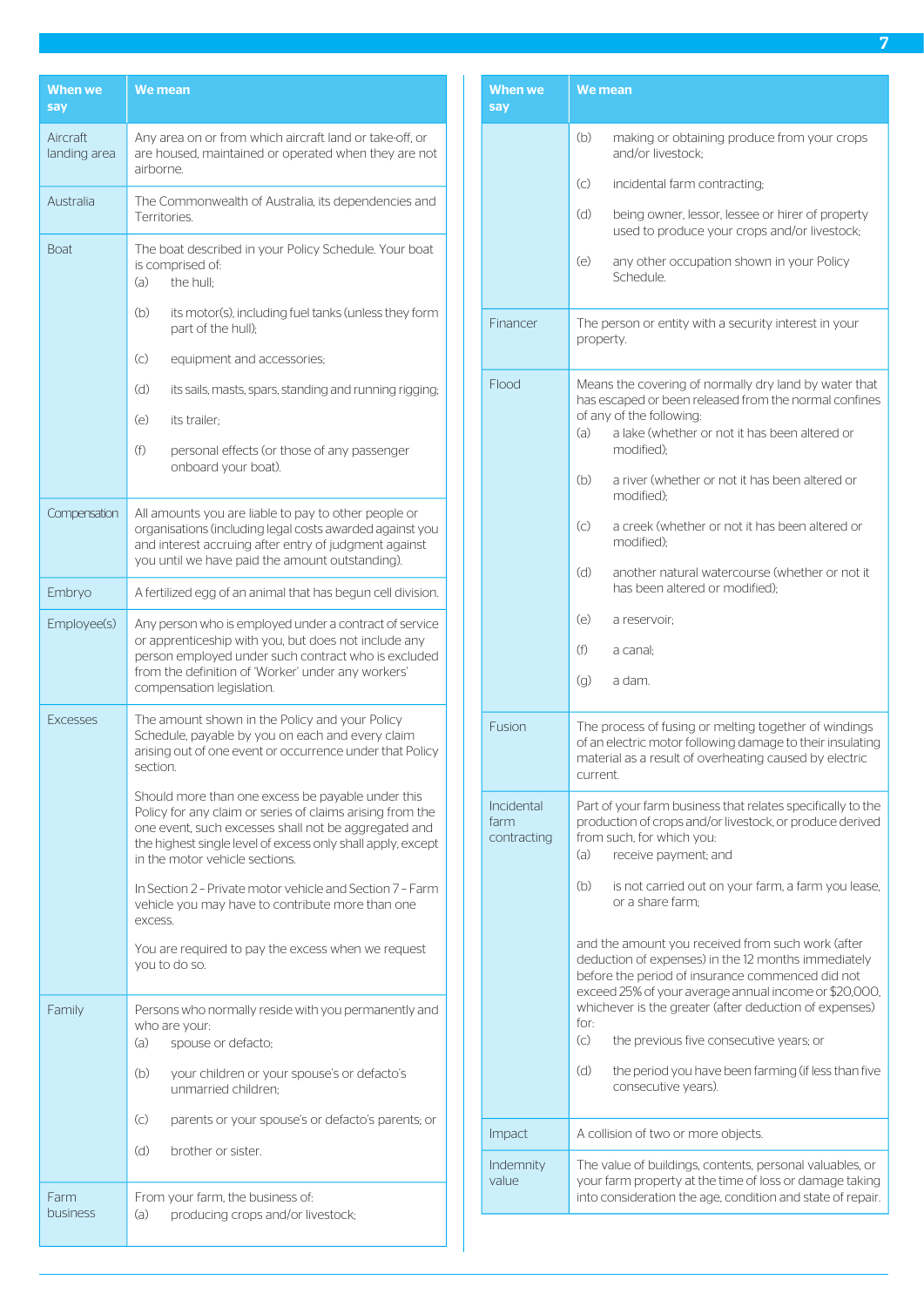| <b>When we</b><br>say    | We mean                                                                                                                                                                                                                                                                 |
|--------------------------|-------------------------------------------------------------------------------------------------------------------------------------------------------------------------------------------------------------------------------------------------------------------------|
| Aircraft<br>landing area | Any area on or from which aircraft land or take-off, or<br>are housed, maintained or operated when they are not<br>airborne.                                                                                                                                            |
| Australia                | The Commonwealth of Australia, its dependencies and<br>Territories.                                                                                                                                                                                                     |
| <b>Boat</b>              | The boat described in your Policy Schedule. Your boat<br>is comprised of:<br>(a)<br>the hull:                                                                                                                                                                           |
|                          | (b)<br>its motor(s), including fuel tanks (unless they form<br>part of the hull);                                                                                                                                                                                       |
|                          | (C)<br>equipment and accessories;                                                                                                                                                                                                                                       |
|                          | (d)<br>its sails, masts, spars, standing and running rigging;                                                                                                                                                                                                           |
|                          | (e)<br>its trailer;                                                                                                                                                                                                                                                     |
|                          | (f)<br>personal effects (or those of any passenger<br>onboard your boat).                                                                                                                                                                                               |
| Compensation             | All amounts you are liable to pay to other people or<br>organisations (including legal costs awarded against you<br>and interest accruing after entry of judgment against<br>you until we have paid the amount outstanding).                                            |
| Embryo                   | A fertilized egg of an animal that has begun cell division.                                                                                                                                                                                                             |
| Employee(s)              | Any person who is employed under a contract of service<br>or apprenticeship with you, but does not include any<br>person employed under such contract who is excluded<br>from the definition of 'Worker' under any workers'<br>compensation legislation.                |
| <b>Excesses</b>          | The amount shown in the Policy and your Policy<br>Schedule, payable by you on each and every claim<br>arising out of one event or occurrence under that Policy<br>section.                                                                                              |
|                          | Should more than one excess be payable under this<br>Policy for any claim or series of claims arising from the<br>one event, such excesses shall not be aggregated and<br>the highest single level of excess only shall apply, except<br>in the motor vehicle sections. |
|                          | In Section 2 - Private motor vehicle and Section 7 - Farm<br>vehicle you may have to contribute more than one<br>excess.                                                                                                                                                |
|                          | You are required to pay the excess when we request<br>vou to do so.                                                                                                                                                                                                     |
| Family                   | Persons who normally reside with you permanently and<br>who are your:<br>(a)<br>spouse or defacto;                                                                                                                                                                      |
|                          | (b)<br>your children or your spouse's or defacto's<br>unmarried children:                                                                                                                                                                                               |
|                          | (c)<br>parents or your spouse's or defacto's parents; or                                                                                                                                                                                                                |
|                          | (d)<br>brother or sister.                                                                                                                                                                                                                                               |
| Farm<br>business         | From your farm, the business of:<br>(a)<br>producing crops and/or livestock;                                                                                                                                                                                            |

| <b>When we</b><br>sav             | <b>We mean</b>                                                                                                                                                                                                                                                                                                                                                 |
|-----------------------------------|----------------------------------------------------------------------------------------------------------------------------------------------------------------------------------------------------------------------------------------------------------------------------------------------------------------------------------------------------------------|
|                                   | (b)<br>making or obtaining produce from your crops<br>and/or livestock:                                                                                                                                                                                                                                                                                        |
|                                   | $\left( \circ \right)$<br>incidental farm contracting;                                                                                                                                                                                                                                                                                                         |
|                                   | (d)<br>being owner, lessor, lessee or hirer of property<br>used to produce your crops and/or livestock;                                                                                                                                                                                                                                                        |
|                                   | (e)<br>any other occupation shown in your Policy<br>Schedule.                                                                                                                                                                                                                                                                                                  |
| Financer                          | The person or entity with a security interest in your<br>property.                                                                                                                                                                                                                                                                                             |
| Flood                             | Means the covering of normally dry land by water that<br>has escaped or been released from the normal confines<br>of any of the following:<br>(a)<br>a lake (whether or not it has been altered or<br>modified):                                                                                                                                               |
|                                   | a river (whether or not it has been altered or<br>(b)<br>modified):                                                                                                                                                                                                                                                                                            |
|                                   | $\left( c\right)$<br>a creek (whether or not it has been altered or<br>modified):                                                                                                                                                                                                                                                                              |
|                                   | (d)<br>another natural watercourse (whether or not it<br>has been altered or modified):                                                                                                                                                                                                                                                                        |
|                                   | (e)<br>a reservoir;                                                                                                                                                                                                                                                                                                                                            |
|                                   | (f)<br>a canal:                                                                                                                                                                                                                                                                                                                                                |
|                                   | (q)<br>a dam.                                                                                                                                                                                                                                                                                                                                                  |
| Fusion                            | The process of fusing or melting together of windings<br>of an electric motor following damage to their insulating<br>material as a result of overheating caused by electric<br>current.                                                                                                                                                                       |
| Incidental<br>farm<br>contracting | Part of your farm business that relates specifically to the<br>production of crops and/or livestock, or produce derived<br>from such, for which you:<br>(a)<br>receive payment; and                                                                                                                                                                            |
|                                   | (b)<br>is not carried out on your farm, a farm you lease,<br>or a share farm:                                                                                                                                                                                                                                                                                  |
|                                   | and the amount you received from such work (after<br>deduction of expenses) in the 12 months immediately<br>before the period of insurance commenced did not<br>exceed 25% of your average annual income or \$20,000,<br>whichever is the greater (after deduction of expenses)<br>for:<br>$\left( \subset \right)$<br>the previous five consecutive years; or |
|                                   | (d)<br>the period you have been farming (if less than five<br>consecutive years).                                                                                                                                                                                                                                                                              |
| Impact                            | A collision of two or more objects.                                                                                                                                                                                                                                                                                                                            |
| Indemnity<br>value                | The value of buildings, contents, personal valuables, or<br>your farm property at the time of loss or damage taking<br>into consideration the age, condition and state of repair.                                                                                                                                                                              |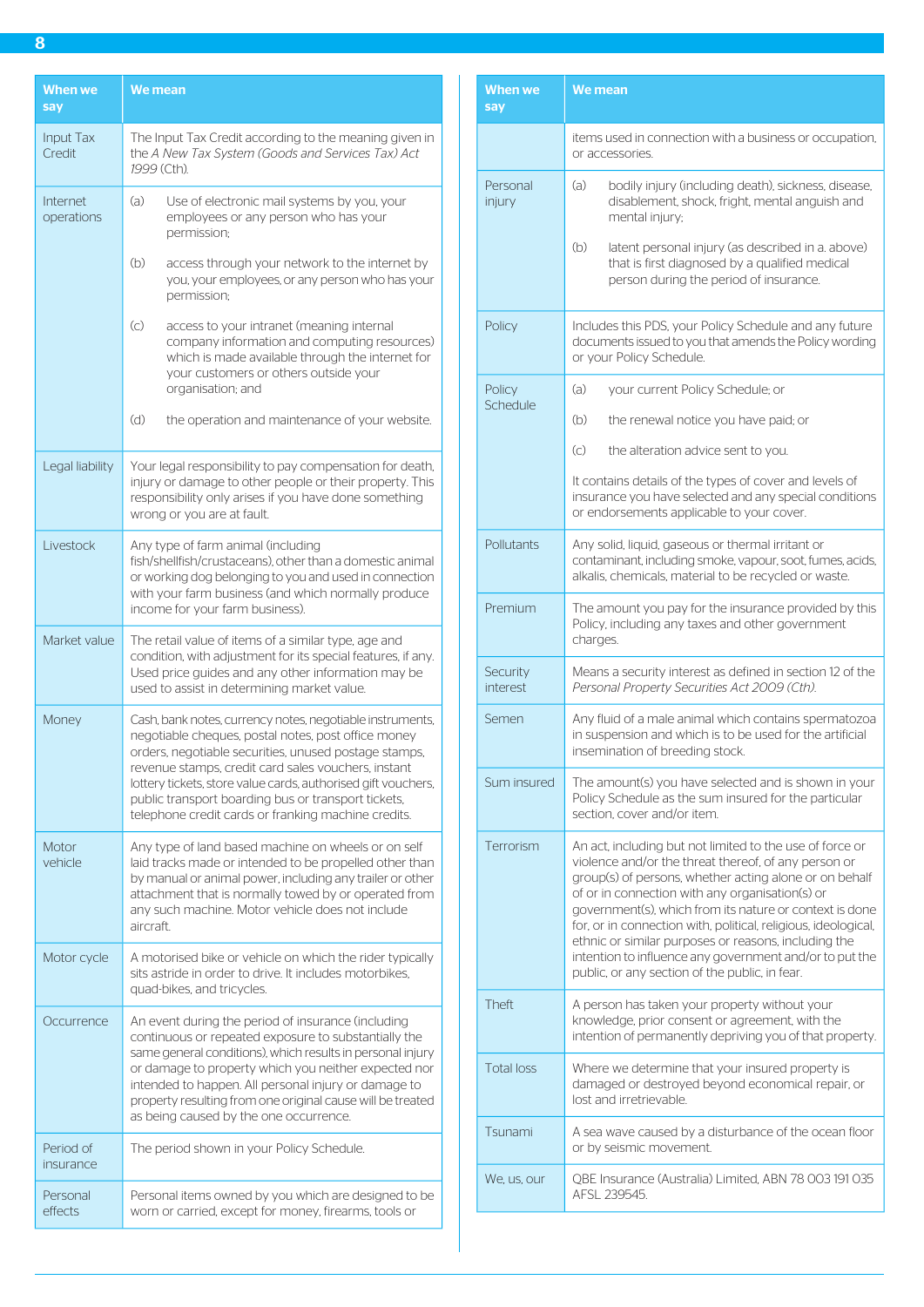| <b>When we</b><br>say  | <b>We mean</b>                                                                                                                                                                                                                                                                                                                                                                                                  |
|------------------------|-----------------------------------------------------------------------------------------------------------------------------------------------------------------------------------------------------------------------------------------------------------------------------------------------------------------------------------------------------------------------------------------------------------------|
| Input Tax<br>Credit    | The Input Tax Credit according to the meaning given in<br>the A New Tax System (Goods and Services Tax) Act<br>1999 (Cth).                                                                                                                                                                                                                                                                                      |
| Internet<br>operations | (a)<br>Use of electronic mail systems by you, your<br>employees or any person who has your<br>permission;                                                                                                                                                                                                                                                                                                       |
|                        | (b)<br>access through your network to the internet by<br>you, your employees, or any person who has your<br>permission;                                                                                                                                                                                                                                                                                         |
|                        | $\left( \circ \right)$<br>access to your intranet (meaning internal<br>company information and computing resources)<br>which is made available through the internet for<br>your customers or others outside your<br>organisation; and                                                                                                                                                                           |
|                        | (d)<br>the operation and maintenance of your website.                                                                                                                                                                                                                                                                                                                                                           |
| Legal liability        | Your legal responsibility to pay compensation for death,<br>injury or damage to other people or their property. This<br>responsibility only arises if you have done something<br>wrong or you are at fault.                                                                                                                                                                                                     |
| Livestock              | Any type of farm animal (including<br>fish/shellfish/crustaceans), other than a domestic animal<br>or working dog belonging to you and used in connection<br>with your farm business (and which normally produce<br>income for your farm business).                                                                                                                                                             |
| Market value           | The retail value of items of a similar type, age and<br>condition, with adjustment for its special features, if any.<br>Used price guides and any other information may be<br>used to assist in determining market value.                                                                                                                                                                                       |
| Money                  | Cash, bank notes, currency notes, negotiable instruments,<br>negotiable cheques, postal notes, post office money<br>orders, negotiable securities, unused postage stamps,<br>revenue stamps, credit card sales vouchers, instant<br>lottery tickets, store value cards, authorised gift vouchers,<br>public transport boarding bus or transport tickets,<br>telephone credit cards or franking machine credits. |
| Motor<br>vehicle       | Any type of land based machine on wheels or on self<br>laid tracks made or intended to be propelled other than<br>by manual or animal power, including any trailer or other<br>attachment that is normally towed by or operated from<br>any such machine. Motor vehicle does not include<br>aircraft.                                                                                                           |
| Motor cycle            | A motorised bike or vehicle on which the rider typically<br>sits astride in order to drive. It includes motorbikes,<br>quad-bikes, and tricycles.                                                                                                                                                                                                                                                               |
| Occurrence             | An event during the period of insurance (including<br>continuous or repeated exposure to substantially the<br>same general conditions), which results in personal injury<br>or damage to property which you neither expected nor<br>intended to happen. All personal injury or damage to<br>property resulting from one original cause will be treated<br>as being caused by the one occurrence.                |
| Period of<br>insurance | The period shown in your Policy Schedule.                                                                                                                                                                                                                                                                                                                                                                       |
| Personal<br>effects    | Personal items owned by you which are designed to be<br>worn or carried, except for money, firearms, tools or                                                                                                                                                                                                                                                                                                   |

| items used in connection with a business or occupation,<br>or accessories.<br>(a)<br>Personal<br>bodily injury (including death), sickness, disease,<br>disablement, shock, fright, mental anguish and<br>injury<br>mental injury;<br>(b)<br>latent personal injury (as described in a. above)<br>that is first diagnosed by a qualified medical<br>person during the period of insurance.<br>Includes this PDS, your Policy Schedule and any future<br>Policy<br>documents issued to you that amends the Policy wording<br>or your Policy Schedule.<br>(a)<br>Policy<br>your current Policy Schedule; or<br>Schedule<br>(b)<br>the renewal notice you have paid; or<br>$\left( \circ \right)$<br>the alteration advice sent to you.<br>It contains details of the types of cover and levels of<br>insurance you have selected and any special conditions<br>or endorsements applicable to your cover.<br>Pollutants<br>Any solid, liquid, gaseous or thermal irritant or<br>contaminant, including smoke, vapour, soot, fumes, acids,<br>alkalis, chemicals, material to be recycled or waste.<br>Premium<br>The amount you pay for the insurance provided by this<br>Policy, including any taxes and other government<br>charges.<br>Security<br>Means a security interest as defined in section 12 of the<br>interest<br>Personal Property Securities Act 2009 (Cth).<br>Any fluid of a male animal which contains spermatozoa<br>Semen<br>in suspension and which is to be used for the artificial<br>insemination of breeding stock.<br>Sum insured<br>The amount(s) you have selected and is shown in your<br>Policy Schedule as the sum insured for the particular<br>section, cover and/or item.<br>Terrorism<br>An act, including but not limited to the use of force or<br>violence and/or the threat thereof, of any person or<br>group(s) of persons, whether acting alone or on behalf<br>of or in connection with any organisation(s) or<br>government(s), which from its nature or context is done<br>for, or in connection with, political, religious, ideological,<br>ethnic or similar purposes or reasons, including the<br>intention to influence any government and/or to put the<br>public, or any section of the public, in fear.<br><b>Theft</b><br>A person has taken your property without your<br>knowledge, prior consent or agreement, with the<br>intention of permanently depriving you of that property.<br><b>Total loss</b><br>Where we determine that your insured property is<br>damaged or destroyed beyond economical repair, or<br>lost and irretrievable.<br>Tsunami<br>A sea wave caused by a disturbance of the ocean floor<br>or by seismic movement.<br>QBE Insurance (Australia) Limited, ABN 78 003 191 035<br>We, us, our<br>AFSL 239545. | When we<br>say | We mean |
|------------------------------------------------------------------------------------------------------------------------------------------------------------------------------------------------------------------------------------------------------------------------------------------------------------------------------------------------------------------------------------------------------------------------------------------------------------------------------------------------------------------------------------------------------------------------------------------------------------------------------------------------------------------------------------------------------------------------------------------------------------------------------------------------------------------------------------------------------------------------------------------------------------------------------------------------------------------------------------------------------------------------------------------------------------------------------------------------------------------------------------------------------------------------------------------------------------------------------------------------------------------------------------------------------------------------------------------------------------------------------------------------------------------------------------------------------------------------------------------------------------------------------------------------------------------------------------------------------------------------------------------------------------------------------------------------------------------------------------------------------------------------------------------------------------------------------------------------------------------------------------------------------------------------------------------------------------------------------------------------------------------------------------------------------------------------------------------------------------------------------------------------------------------------------------------------------------------------------------------------------------------------------------------------------------------------------------------------------------------------------------------------------------------------------------------------------------------------------------------------------------------------------------------------------------------------------------------------------------------------------------------------------------------------------------------------------------------------------------------------------------------------------------------|----------------|---------|
|                                                                                                                                                                                                                                                                                                                                                                                                                                                                                                                                                                                                                                                                                                                                                                                                                                                                                                                                                                                                                                                                                                                                                                                                                                                                                                                                                                                                                                                                                                                                                                                                                                                                                                                                                                                                                                                                                                                                                                                                                                                                                                                                                                                                                                                                                                                                                                                                                                                                                                                                                                                                                                                                                                                                                                                          |                |         |
|                                                                                                                                                                                                                                                                                                                                                                                                                                                                                                                                                                                                                                                                                                                                                                                                                                                                                                                                                                                                                                                                                                                                                                                                                                                                                                                                                                                                                                                                                                                                                                                                                                                                                                                                                                                                                                                                                                                                                                                                                                                                                                                                                                                                                                                                                                                                                                                                                                                                                                                                                                                                                                                                                                                                                                                          |                |         |
|                                                                                                                                                                                                                                                                                                                                                                                                                                                                                                                                                                                                                                                                                                                                                                                                                                                                                                                                                                                                                                                                                                                                                                                                                                                                                                                                                                                                                                                                                                                                                                                                                                                                                                                                                                                                                                                                                                                                                                                                                                                                                                                                                                                                                                                                                                                                                                                                                                                                                                                                                                                                                                                                                                                                                                                          |                |         |
|                                                                                                                                                                                                                                                                                                                                                                                                                                                                                                                                                                                                                                                                                                                                                                                                                                                                                                                                                                                                                                                                                                                                                                                                                                                                                                                                                                                                                                                                                                                                                                                                                                                                                                                                                                                                                                                                                                                                                                                                                                                                                                                                                                                                                                                                                                                                                                                                                                                                                                                                                                                                                                                                                                                                                                                          |                |         |
|                                                                                                                                                                                                                                                                                                                                                                                                                                                                                                                                                                                                                                                                                                                                                                                                                                                                                                                                                                                                                                                                                                                                                                                                                                                                                                                                                                                                                                                                                                                                                                                                                                                                                                                                                                                                                                                                                                                                                                                                                                                                                                                                                                                                                                                                                                                                                                                                                                                                                                                                                                                                                                                                                                                                                                                          |                |         |
|                                                                                                                                                                                                                                                                                                                                                                                                                                                                                                                                                                                                                                                                                                                                                                                                                                                                                                                                                                                                                                                                                                                                                                                                                                                                                                                                                                                                                                                                                                                                                                                                                                                                                                                                                                                                                                                                                                                                                                                                                                                                                                                                                                                                                                                                                                                                                                                                                                                                                                                                                                                                                                                                                                                                                                                          |                |         |
|                                                                                                                                                                                                                                                                                                                                                                                                                                                                                                                                                                                                                                                                                                                                                                                                                                                                                                                                                                                                                                                                                                                                                                                                                                                                                                                                                                                                                                                                                                                                                                                                                                                                                                                                                                                                                                                                                                                                                                                                                                                                                                                                                                                                                                                                                                                                                                                                                                                                                                                                                                                                                                                                                                                                                                                          |                |         |
|                                                                                                                                                                                                                                                                                                                                                                                                                                                                                                                                                                                                                                                                                                                                                                                                                                                                                                                                                                                                                                                                                                                                                                                                                                                                                                                                                                                                                                                                                                                                                                                                                                                                                                                                                                                                                                                                                                                                                                                                                                                                                                                                                                                                                                                                                                                                                                                                                                                                                                                                                                                                                                                                                                                                                                                          |                |         |
|                                                                                                                                                                                                                                                                                                                                                                                                                                                                                                                                                                                                                                                                                                                                                                                                                                                                                                                                                                                                                                                                                                                                                                                                                                                                                                                                                                                                                                                                                                                                                                                                                                                                                                                                                                                                                                                                                                                                                                                                                                                                                                                                                                                                                                                                                                                                                                                                                                                                                                                                                                                                                                                                                                                                                                                          |                |         |
|                                                                                                                                                                                                                                                                                                                                                                                                                                                                                                                                                                                                                                                                                                                                                                                                                                                                                                                                                                                                                                                                                                                                                                                                                                                                                                                                                                                                                                                                                                                                                                                                                                                                                                                                                                                                                                                                                                                                                                                                                                                                                                                                                                                                                                                                                                                                                                                                                                                                                                                                                                                                                                                                                                                                                                                          |                |         |
|                                                                                                                                                                                                                                                                                                                                                                                                                                                                                                                                                                                                                                                                                                                                                                                                                                                                                                                                                                                                                                                                                                                                                                                                                                                                                                                                                                                                                                                                                                                                                                                                                                                                                                                                                                                                                                                                                                                                                                                                                                                                                                                                                                                                                                                                                                                                                                                                                                                                                                                                                                                                                                                                                                                                                                                          |                |         |
|                                                                                                                                                                                                                                                                                                                                                                                                                                                                                                                                                                                                                                                                                                                                                                                                                                                                                                                                                                                                                                                                                                                                                                                                                                                                                                                                                                                                                                                                                                                                                                                                                                                                                                                                                                                                                                                                                                                                                                                                                                                                                                                                                                                                                                                                                                                                                                                                                                                                                                                                                                                                                                                                                                                                                                                          |                |         |
|                                                                                                                                                                                                                                                                                                                                                                                                                                                                                                                                                                                                                                                                                                                                                                                                                                                                                                                                                                                                                                                                                                                                                                                                                                                                                                                                                                                                                                                                                                                                                                                                                                                                                                                                                                                                                                                                                                                                                                                                                                                                                                                                                                                                                                                                                                                                                                                                                                                                                                                                                                                                                                                                                                                                                                                          |                |         |
|                                                                                                                                                                                                                                                                                                                                                                                                                                                                                                                                                                                                                                                                                                                                                                                                                                                                                                                                                                                                                                                                                                                                                                                                                                                                                                                                                                                                                                                                                                                                                                                                                                                                                                                                                                                                                                                                                                                                                                                                                                                                                                                                                                                                                                                                                                                                                                                                                                                                                                                                                                                                                                                                                                                                                                                          |                |         |
|                                                                                                                                                                                                                                                                                                                                                                                                                                                                                                                                                                                                                                                                                                                                                                                                                                                                                                                                                                                                                                                                                                                                                                                                                                                                                                                                                                                                                                                                                                                                                                                                                                                                                                                                                                                                                                                                                                                                                                                                                                                                                                                                                                                                                                                                                                                                                                                                                                                                                                                                                                                                                                                                                                                                                                                          |                |         |
|                                                                                                                                                                                                                                                                                                                                                                                                                                                                                                                                                                                                                                                                                                                                                                                                                                                                                                                                                                                                                                                                                                                                                                                                                                                                                                                                                                                                                                                                                                                                                                                                                                                                                                                                                                                                                                                                                                                                                                                                                                                                                                                                                                                                                                                                                                                                                                                                                                                                                                                                                                                                                                                                                                                                                                                          |                |         |
|                                                                                                                                                                                                                                                                                                                                                                                                                                                                                                                                                                                                                                                                                                                                                                                                                                                                                                                                                                                                                                                                                                                                                                                                                                                                                                                                                                                                                                                                                                                                                                                                                                                                                                                                                                                                                                                                                                                                                                                                                                                                                                                                                                                                                                                                                                                                                                                                                                                                                                                                                                                                                                                                                                                                                                                          |                |         |
|                                                                                                                                                                                                                                                                                                                                                                                                                                                                                                                                                                                                                                                                                                                                                                                                                                                                                                                                                                                                                                                                                                                                                                                                                                                                                                                                                                                                                                                                                                                                                                                                                                                                                                                                                                                                                                                                                                                                                                                                                                                                                                                                                                                                                                                                                                                                                                                                                                                                                                                                                                                                                                                                                                                                                                                          |                |         |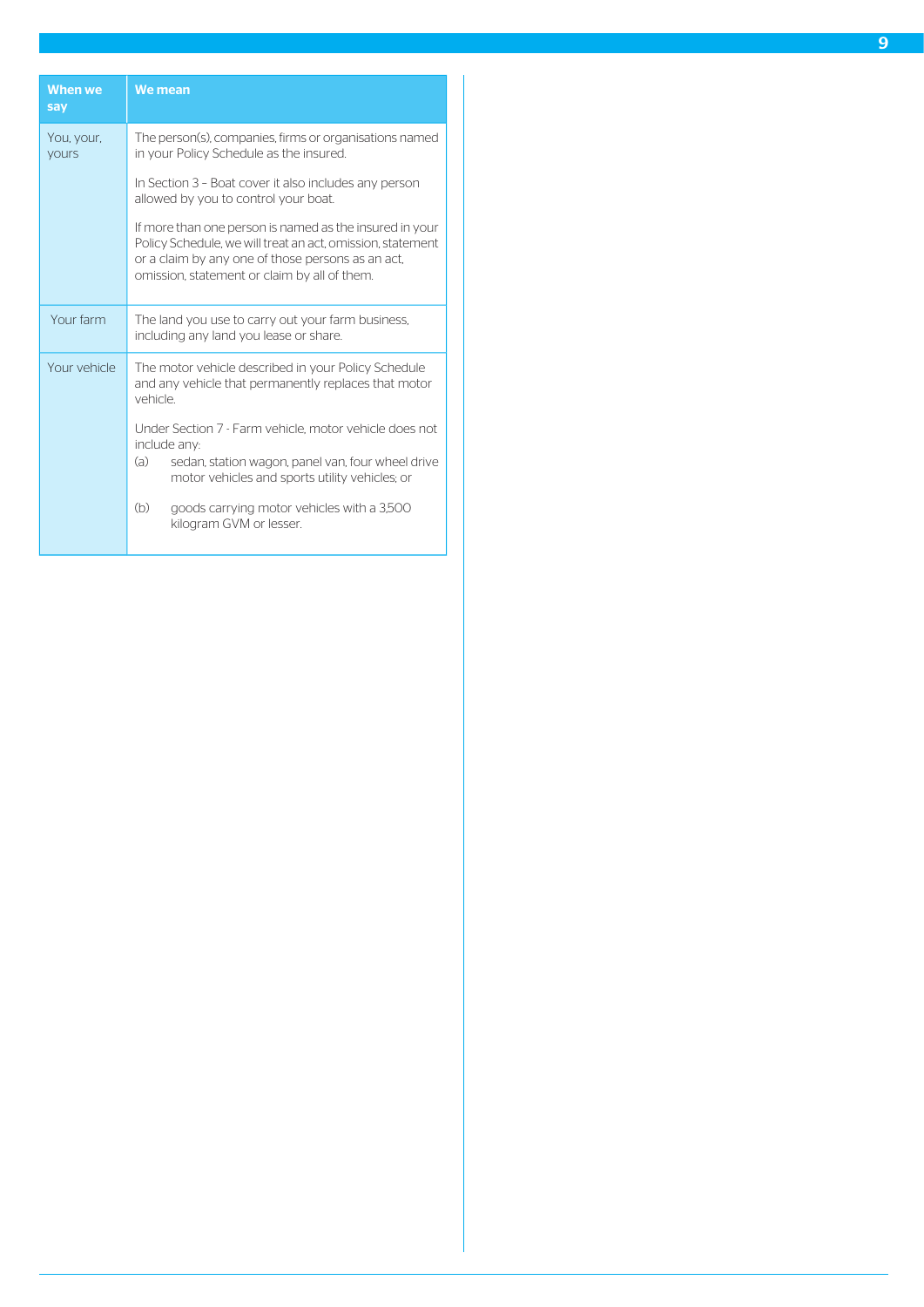| When we<br>say             | We mean                                                                                                                                                                                                                    |
|----------------------------|----------------------------------------------------------------------------------------------------------------------------------------------------------------------------------------------------------------------------|
| You, your,<br><b>yours</b> | The person(s), companies, firms or organisations named<br>in your Policy Schedule as the insured.                                                                                                                          |
|                            | In Section 3 - Boat cover it also includes any person<br>allowed by you to control your boat.                                                                                                                              |
|                            | If more than one person is named as the insured in your<br>Policy Schedule, we will treat an act, omission, statement<br>or a claim by any one of those persons as an act,<br>omission, statement or claim by all of them. |
| Your farm                  | The land you use to carry out your farm business,<br>including any land you lease or share.                                                                                                                                |
| Your vehicle               | The motor vehicle described in your Policy Schedule<br>and any vehicle that permanently replaces that motor<br>vehicle                                                                                                     |
|                            | Under Section 7 - Farm vehicle, motor vehicle does not<br>include any:<br>(a)<br>sedan, station wagon, panel van, four wheel drive<br>motor vehicles and sports utility vehicles; or                                       |
|                            | (b)<br>goods carrying motor vehicles with a 3,500<br>kilogram GVM or lesser.                                                                                                                                               |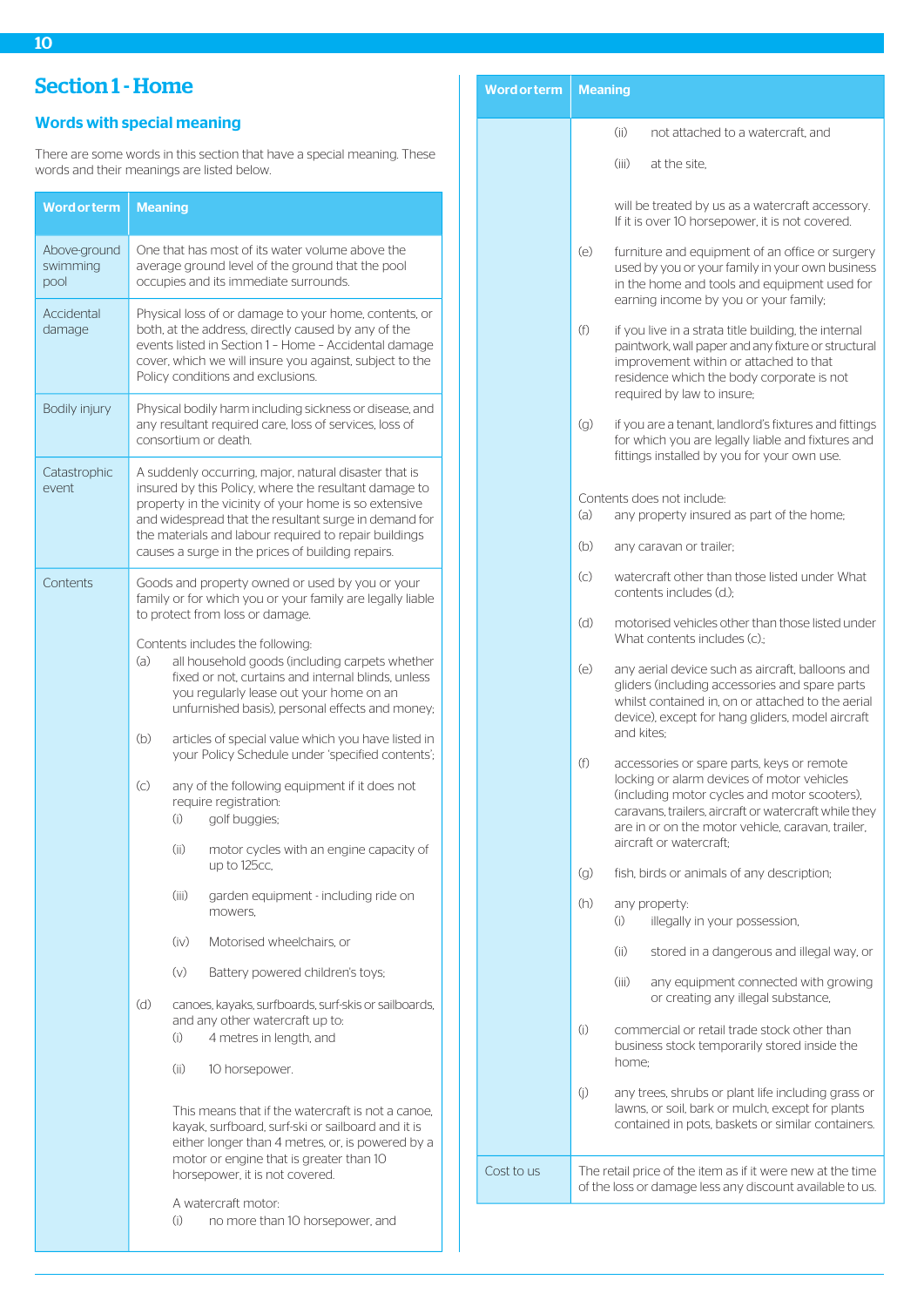# <span id="page-10-0"></span>Section 1 - Home

# <span id="page-10-1"></span>Words with special meaning

There are some words in this section that have a special meaning. These words and their meanings are listed below.

| <b>Word or term</b>              | <b>Meaning</b>                                                                                                                                                                                                                                                                                                                                 |                                                                                                                                                                                                                                        |                                                                                                                                                                                                                                         |  |
|----------------------------------|------------------------------------------------------------------------------------------------------------------------------------------------------------------------------------------------------------------------------------------------------------------------------------------------------------------------------------------------|----------------------------------------------------------------------------------------------------------------------------------------------------------------------------------------------------------------------------------------|-----------------------------------------------------------------------------------------------------------------------------------------------------------------------------------------------------------------------------------------|--|
| Above-ground<br>swimming<br>pool | One that has most of its water volume above the<br>average ground level of the ground that the pool<br>occupies and its immediate surrounds.                                                                                                                                                                                                   |                                                                                                                                                                                                                                        |                                                                                                                                                                                                                                         |  |
| Accidental<br>damage             | Physical loss of or damage to your home, contents, or<br>both, at the address, directly caused by any of the<br>events listed in Section 1 - Home - Accidental damage<br>cover, which we will insure you against, subject to the<br>Policy conditions and exclusions.                                                                          |                                                                                                                                                                                                                                        |                                                                                                                                                                                                                                         |  |
| Bodily injury                    | Physical bodily harm including sickness or disease, and<br>any resultant required care, loss of services, loss of<br>consortium or death.                                                                                                                                                                                                      |                                                                                                                                                                                                                                        |                                                                                                                                                                                                                                         |  |
| Catastrophic<br>event            | A suddenly occurring, major, natural disaster that is<br>insured by this Policy, where the resultant damage to<br>property in the vicinity of your home is so extensive<br>and widespread that the resultant surge in demand for<br>the materials and labour required to repair buildings<br>causes a surge in the prices of building repairs. |                                                                                                                                                                                                                                        |                                                                                                                                                                                                                                         |  |
| Contents                         | Goods and property owned or used by you or your<br>family or for which you or your family are legally liable<br>to protect from loss or damage.                                                                                                                                                                                                |                                                                                                                                                                                                                                        |                                                                                                                                                                                                                                         |  |
|                                  | (a)                                                                                                                                                                                                                                                                                                                                            | Contents includes the following:<br>all household goods (including carpets whether<br>fixed or not, curtains and internal blinds, unless<br>you regularly lease out your home on an<br>unfurnished basis), personal effects and money; |                                                                                                                                                                                                                                         |  |
|                                  | (b)                                                                                                                                                                                                                                                                                                                                            | articles of special value which you have listed in<br>your Policy Schedule under 'specified contents';                                                                                                                                 |                                                                                                                                                                                                                                         |  |
|                                  | $\left( \circ \right)$                                                                                                                                                                                                                                                                                                                         | any of the following equipment if it does not<br>require registration:<br>(i)<br>golf buggies;                                                                                                                                         |                                                                                                                                                                                                                                         |  |
|                                  |                                                                                                                                                                                                                                                                                                                                                | (ii)                                                                                                                                                                                                                                   | motor cycles with an engine capacity of<br>up to 125cc,                                                                                                                                                                                 |  |
|                                  |                                                                                                                                                                                                                                                                                                                                                | (iii)                                                                                                                                                                                                                                  | garden equipment - including ride on<br>mowers.                                                                                                                                                                                         |  |
|                                  |                                                                                                                                                                                                                                                                                                                                                | (iv)                                                                                                                                                                                                                                   | Motorised wheelchairs, or                                                                                                                                                                                                               |  |
|                                  |                                                                                                                                                                                                                                                                                                                                                | (v)                                                                                                                                                                                                                                    | Battery powered children's toys;                                                                                                                                                                                                        |  |
|                                  | (d)                                                                                                                                                                                                                                                                                                                                            | (i)                                                                                                                                                                                                                                    | canoes, kayaks, surfboards, surf-skis or sailboards,<br>and any other watercraft up to:<br>4 metres in length, and                                                                                                                      |  |
|                                  |                                                                                                                                                                                                                                                                                                                                                | (ii)                                                                                                                                                                                                                                   | 10 horsepower.                                                                                                                                                                                                                          |  |
|                                  |                                                                                                                                                                                                                                                                                                                                                |                                                                                                                                                                                                                                        | This means that if the watercraft is not a canoe,<br>kayak, surfboard, surf-ski or sailboard and it is<br>either longer than 4 metres, or, is powered by a<br>motor or engine that is greater than 10<br>horsepower, it is not covered. |  |
|                                  |                                                                                                                                                                                                                                                                                                                                                | (i)                                                                                                                                                                                                                                    | A watercraft motor:<br>no more than 10 horsepower, and                                                                                                                                                                                  |  |

| <b>Word or term</b> | <b>Meaning</b>                                                                                                                                                                                                                                                                           |
|---------------------|------------------------------------------------------------------------------------------------------------------------------------------------------------------------------------------------------------------------------------------------------------------------------------------|
|                     | (ii)<br>not attached to a watercraft, and                                                                                                                                                                                                                                                |
|                     | (iii)<br>at the site,                                                                                                                                                                                                                                                                    |
|                     | will be treated by us as a watercraft accessory.<br>If it is over 10 horsepower, it is not covered.                                                                                                                                                                                      |
|                     | (e)<br>furniture and equipment of an office or surgery<br>used by you or your family in your own business<br>in the home and tools and equipment used for<br>earning income by you or your family;                                                                                       |
|                     | (f)<br>if you live in a strata title building, the internal<br>paintwork, wall paper and any fixture or structural<br>improvement within or attached to that<br>residence which the body corporate is not<br>required by law to insure;                                                  |
|                     | (q)<br>if you are a tenant, landlord's fixtures and fittings<br>for which you are legally liable and fixtures and<br>fittings installed by you for your own use.                                                                                                                         |
|                     | Contents does not include:                                                                                                                                                                                                                                                               |
|                     | (a)<br>any property insured as part of the home;                                                                                                                                                                                                                                         |
|                     | (b)<br>any caravan or trailer;                                                                                                                                                                                                                                                           |
|                     | (C)<br>watercraft other than those listed under What<br>contents includes (d.):                                                                                                                                                                                                          |
|                     | (d)<br>motorised vehicles other than those listed under<br>What contents includes (c).                                                                                                                                                                                                   |
|                     | (e)<br>any aerial device such as aircraft, balloons and<br>gliders (including accessories and spare parts<br>whilst contained in, on or attached to the aerial<br>device), except for hang gliders, model aircraft<br>and kites:                                                         |
|                     | (f)<br>accessories or spare parts, keys or remote<br>locking or alarm devices of motor vehicles<br>(including motor cycles and motor scooters),<br>caravans, trailers, aircraft or watercraft while they<br>are in or on the motor vehicle, caravan, trailer,<br>aircraft or watercraft; |
|                     | (g)<br>fish, birds or animals of any description;                                                                                                                                                                                                                                        |
|                     | (h)<br>any property:<br>(i)<br>illegally in your possession,                                                                                                                                                                                                                             |
|                     | (ii)<br>stored in a dangerous and illegal way, or                                                                                                                                                                                                                                        |
|                     | (iii)<br>any equipment connected with growing<br>or creating any illegal substance,                                                                                                                                                                                                      |
|                     | (i)<br>commercial or retail trade stock other than<br>business stock temporarily stored inside the<br>home;                                                                                                                                                                              |
|                     | (j)<br>any trees, shrubs or plant life including grass or<br>lawns, or soil, bark or mulch, except for plants<br>contained in pots, baskets or similar containers.                                                                                                                       |
| Cost to us          | The retail price of the item as if it were new at the time<br>of the loss or damage less any discount available to us.                                                                                                                                                                   |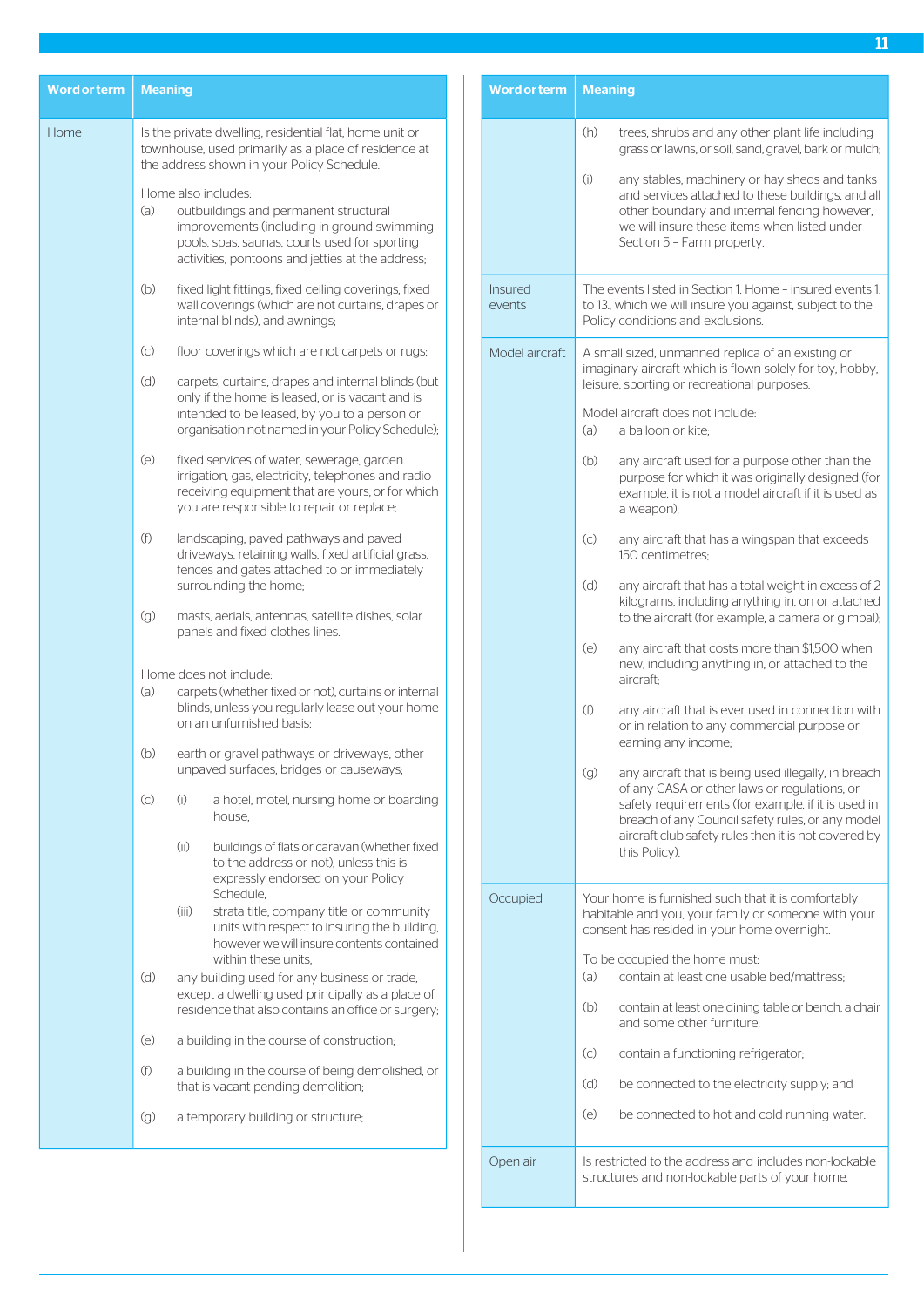| <b>Word or term</b> | <b>Meaning</b>                                                                                                                                                                                                         |  | Wol          |
|---------------------|------------------------------------------------------------------------------------------------------------------------------------------------------------------------------------------------------------------------|--|--------------|
| Home                | Is the private dwelling, residential flat, home unit or<br>townhouse, used primarily as a place of residence at<br>the address shown in your Policy Schedule.                                                          |  |              |
|                     | Home also includes:<br>(a)<br>outbuildings and permanent structural<br>improvements (including in-ground swimming<br>pools, spas, saunas, courts used for sporting<br>activities, pontoons and jetties at the address; |  |              |
|                     | (b)<br>fixed light fittings, fixed ceiling coverings, fixed<br>wall coverings (which are not curtains, drapes or<br>internal blinds), and awnings;                                                                     |  | Insu<br>ever |
|                     | $\left(\circ\right)$<br>floor coverings which are not carpets or rugs;                                                                                                                                                 |  | Moc          |
|                     | (d)<br>carpets, curtains, drapes and internal blinds (but<br>only if the home is leased, or is vacant and is<br>intended to be leased, by you to a person or<br>organisation not named in your Policy Schedule);       |  |              |
|                     | (e)<br>fixed services of water, sewerage, garden<br>irrigation, gas, electricity, telephones and radio<br>receiving equipment that are yours, or for which<br>you are responsible to repair or replace;                |  |              |
|                     | (f)<br>landscaping, paved pathways and paved<br>driveways, retaining walls, fixed artificial grass,<br>fences and gates attached to or immediately<br>surrounding the home;                                            |  |              |
|                     | (g)<br>masts, aerials, antennas, satellite dishes, solar<br>panels and fixed clothes lines.                                                                                                                            |  |              |
|                     | Home does not include:                                                                                                                                                                                                 |  |              |
|                     | (a)<br>carpets (whether fixed or not), curtains or internal<br>blinds, unless you regularly lease out your home<br>on an unfurnished basis:                                                                            |  |              |
|                     | (b)<br>earth or gravel pathways or driveways, other<br>unpaved surfaces, bridges or causeways;                                                                                                                         |  |              |
|                     | $\left( c\right)$<br>(i)<br>a hotel, motel, nursing home or boarding<br>house.                                                                                                                                         |  |              |
|                     | (ii)<br>buildings of flats or caravan (whether fixed<br>to the address or not), unless this is<br>expressly endorsed on your Policy<br>Schedule.                                                                       |  |              |
|                     | (iii)<br>strata title, company title or community<br>units with respect to insuring the building,<br>however we will insure contents contained<br>within these units.                                                  |  | Occ          |
|                     | (d)<br>any building used for any business or trade,<br>except a dwelling used principally as a place of<br>residence that also contains an office or surgery;                                                          |  |              |
|                     | (e)<br>a building in the course of construction;                                                                                                                                                                       |  |              |
|                     | (f)<br>a building in the course of being demolished, or<br>that is vacant pending demolition;                                                                                                                          |  |              |
|                     | (q)<br>a temporary building or structure;                                                                                                                                                                              |  |              |
|                     |                                                                                                                                                                                                                        |  | One          |

| <b>Word or term</b>      | <b>Meaning</b>                                                                                                                                                                                                                                                                                 |  |  |
|--------------------------|------------------------------------------------------------------------------------------------------------------------------------------------------------------------------------------------------------------------------------------------------------------------------------------------|--|--|
|                          | (h)<br>trees, shrubs and any other plant life including<br>grass or lawns, or soil, sand, gravel, bark or mulch;                                                                                                                                                                               |  |  |
|                          | (i)<br>any stables, machinery or hay sheds and tanks<br>and services attached to these buildings, and all<br>other boundary and internal fencing however,<br>we will insure these items when listed under<br>Section 5 - Farm property.                                                        |  |  |
| <b>Insured</b><br>events | The events listed in Section 1. Home - insured events 1.<br>to 13., which we will insure you against, subject to the<br>Policy conditions and exclusions.                                                                                                                                      |  |  |
| Model aircraft           | A small sized, unmanned replica of an existing or<br>imaginary aircraft which is flown solely for toy, hobby,<br>leisure, sporting or recreational purposes.                                                                                                                                   |  |  |
|                          | Model aircraft does not include:<br>(a)<br>a balloon or kite;                                                                                                                                                                                                                                  |  |  |
|                          | (b)<br>any aircraft used for a purpose other than the<br>purpose for which it was originally designed (for<br>example, it is not a model aircraft if it is used as<br>a weapon);                                                                                                               |  |  |
|                          | (c)<br>any aircraft that has a wingspan that exceeds<br>150 centimetres:                                                                                                                                                                                                                       |  |  |
|                          | (d)<br>any aircraft that has a total weight in excess of 2<br>kilograms, including anything in, on or attached<br>to the aircraft (for example, a camera or gimbal);                                                                                                                           |  |  |
|                          | (e)<br>any aircraft that costs more than \$1,500 when<br>new, including anything in, or attached to the<br>aircraft:                                                                                                                                                                           |  |  |
|                          | (f)<br>any aircraft that is ever used in connection with<br>or in relation to any commercial purpose or<br>earning any income;                                                                                                                                                                 |  |  |
|                          | (g)<br>any aircraft that is being used illegally, in breach<br>of any CASA or other laws or regulations, or<br>safety requirements (for example, if it is used in<br>breach of any Council safety rules, or any model<br>aircraft club safety rules then it is not covered by<br>this Policy). |  |  |
| Occupied                 | Your home is furnished such that it is comfortably<br>habitable and you, your family or someone with your<br>consent has resided in your home overnight.                                                                                                                                       |  |  |
|                          | To be occupied the home must:<br>(a)<br>contain at least one usable bed/mattress;                                                                                                                                                                                                              |  |  |
|                          | (b)<br>contain at least one dining table or bench, a chair<br>and some other furniture;                                                                                                                                                                                                        |  |  |
|                          | (c)<br>contain a functioning refrigerator;                                                                                                                                                                                                                                                     |  |  |
|                          | (d)<br>be connected to the electricity supply; and                                                                                                                                                                                                                                             |  |  |
|                          | (e)<br>be connected to hot and cold running water.                                                                                                                                                                                                                                             |  |  |
| Open air                 | Is restricted to the address and includes non-lockable<br>structures and non-lockable parts of your home.                                                                                                                                                                                      |  |  |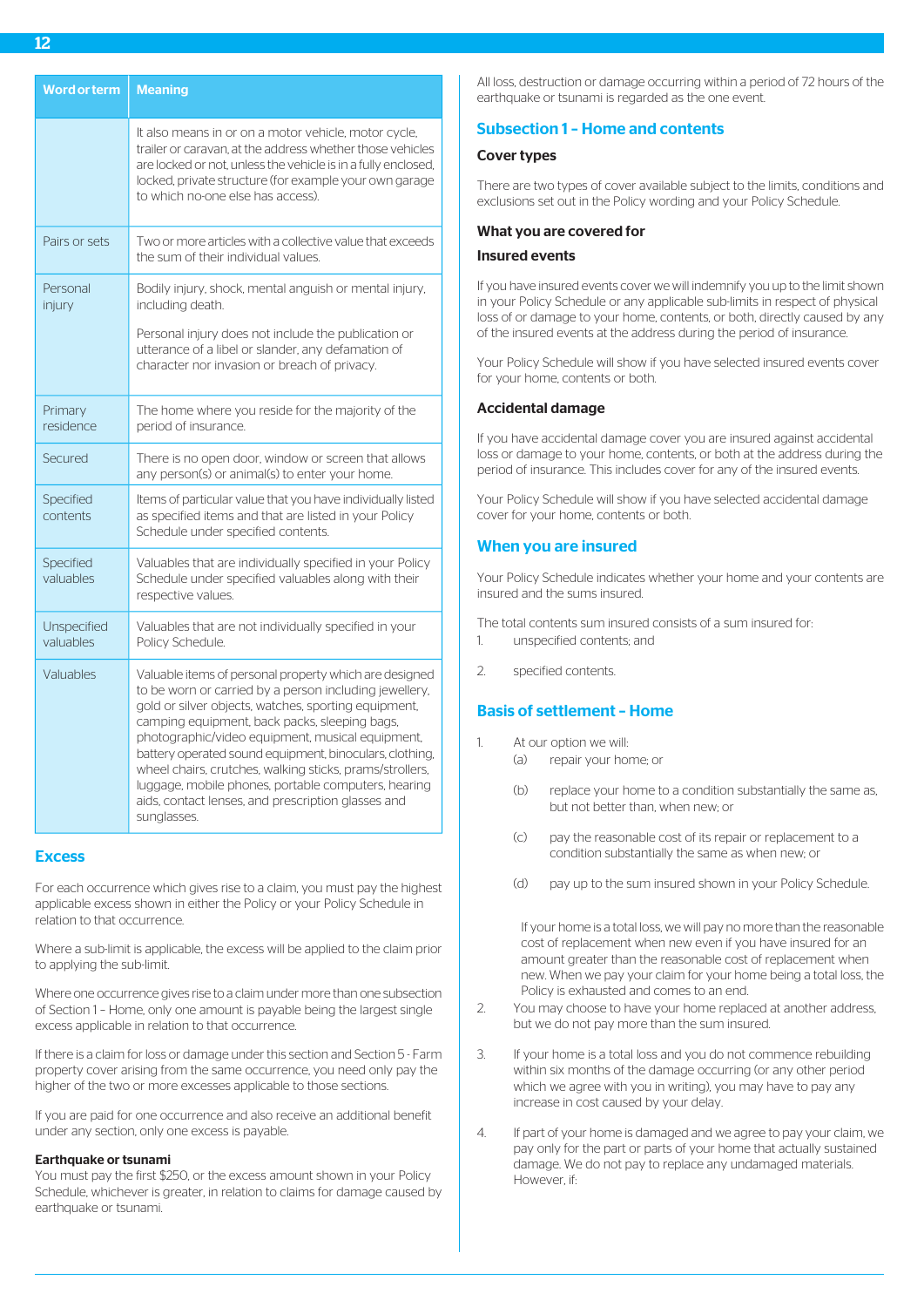| <b>Word or term</b>      | <b>Meaning</b>                                                                                                                                                                                                                                                                                                                                                                                                                                                                                                                   |
|--------------------------|----------------------------------------------------------------------------------------------------------------------------------------------------------------------------------------------------------------------------------------------------------------------------------------------------------------------------------------------------------------------------------------------------------------------------------------------------------------------------------------------------------------------------------|
|                          | It also means in or on a motor vehicle, motor cycle,<br>trailer or caravan, at the address whether those vehicles<br>are locked or not, unless the vehicle is in a fully enclosed,<br>locked, private structure (for example your own garage<br>to which no-one else has access).                                                                                                                                                                                                                                                |
| Pairs or sets            | Two or more articles with a collective value that exceeds<br>the sum of their individual values.                                                                                                                                                                                                                                                                                                                                                                                                                                 |
| Personal<br>injury       | Bodily injury, shock, mental anguish or mental injury,<br>including death.<br>Personal injury does not include the publication or<br>utterance of a libel or slander, any defamation of<br>character nor invasion or breach of privacy.                                                                                                                                                                                                                                                                                          |
| Primary<br>residence     | The home where you reside for the majority of the<br>period of insurance.                                                                                                                                                                                                                                                                                                                                                                                                                                                        |
| Secured                  | There is no open door, window or screen that allows<br>any person(s) or animal(s) to enter your home.                                                                                                                                                                                                                                                                                                                                                                                                                            |
| Specified<br>contents    | Items of particular value that you have individually listed<br>as specified items and that are listed in your Policy<br>Schedule under specified contents.                                                                                                                                                                                                                                                                                                                                                                       |
| Specified<br>valuables   | Valuables that are individually specified in your Policy<br>Schedule under specified valuables along with their<br>respective values.                                                                                                                                                                                                                                                                                                                                                                                            |
| Unspecified<br>valuables | Valuables that are not individually specified in your<br>Policy Schedule.                                                                                                                                                                                                                                                                                                                                                                                                                                                        |
| Valuables                | Valuable items of personal property which are designed<br>to be worn or carried by a person including jewellery,<br>gold or silver objects, watches, sporting equipment,<br>camping equipment, back packs, sleeping bags,<br>photographic/video equipment, musical equipment,<br>battery operated sound equipment, binoculars, clothing,<br>wheel chairs, crutches, walking sticks, prams/strollers,<br>luggage, mobile phones, portable computers, hearing<br>aids, contact lenses, and prescription glasses and<br>sunglasses. |

# **Excess**

For each occurrence which gives rise to a claim, you must pay the highest applicable excess shown in either the Policy or your Policy Schedule in relation to that occurrence.

Where a sub-limit is applicable, the excess will be applied to the claim prior to applying the sub-limit.

Where one occurrence gives rise to a claim under more than one subsection of Section 1 – Home, only one amount is payable being the largest single excess applicable in relation to that occurrence.

If there is a claim for loss or damage under this section and Section 5 - Farm property cover arising from the same occurrence, you need only pay the higher of the two or more excesses applicable to those sections.

If you are paid for one occurrence and also receive an additional benefit under any section, only one excess is payable.

#### Earthquake or tsunami

You must pay the first \$250, or the excess amount shown in your Policy Schedule, whichever is greater, in relation to claims for damage caused by earthquake or tsunami.

All loss, destruction or damage occurring within a period of 72 hours of the earthquake or tsunami is regarded as the one event.

# Subsection 1 – Home and contents

# Cover types

There are two types of cover available subject to the limits, conditions and exclusions set out in the Policy wording and your Policy Schedule.

#### What you are covered for

## Insured events

If you have insured events cover we will indemnify you up to the limit shown in your Policy Schedule or any applicable sub-limits in respect of physical loss of or damage to your home, contents, or both, directly caused by any of the insured events at the address during the period of insurance.

Your Policy Schedule will show if you have selected insured events cover for your home, contents or both.

#### Accidental damage

If you have accidental damage cover you are insured against accidental loss or damage to your home, contents, or both at the address during the period of insurance. This includes cover for any of the insured events.

Your Policy Schedule will show if you have selected accidental damage cover for your home, contents or both.

# When you are insured

Your Policy Schedule indicates whether your home and your contents are insured and the sums insured.

The total contents sum insured consists of a sum insured for:

- 1. unspecified contents; and
- 2. specified contents.

# Basis of settlement – Home

- 1 At our option we will
	- (a) repair your home; or
	- (b) replace your home to a condition substantially the same as, but not better than, when new; or
	- (c) pay the reasonable cost of its repair or replacement to a condition substantially the same as when new; or
	- (d) pay up to the sum insured shown in your Policy Schedule.

If your home is a total loss, we will pay no more than the reasonable cost of replacement when new even if you have insured for an amount greater than the reasonable cost of replacement when new. When we pay your claim for your home being a total loss, the Policy is exhausted and comes to an end.

- 2. You may choose to have your home replaced at another address, but we do not pay more than the sum insured.
- 3. If your home is a total loss and you do not commence rebuilding within six months of the damage occurring (or any other period which we agree with you in writing), you may have to pay any increase in cost caused by your delay.
- 4. If part of your home is damaged and we agree to pay your claim, we pay only for the part or parts of your home that actually sustained damage. We do not pay to replace any undamaged materials. However, if: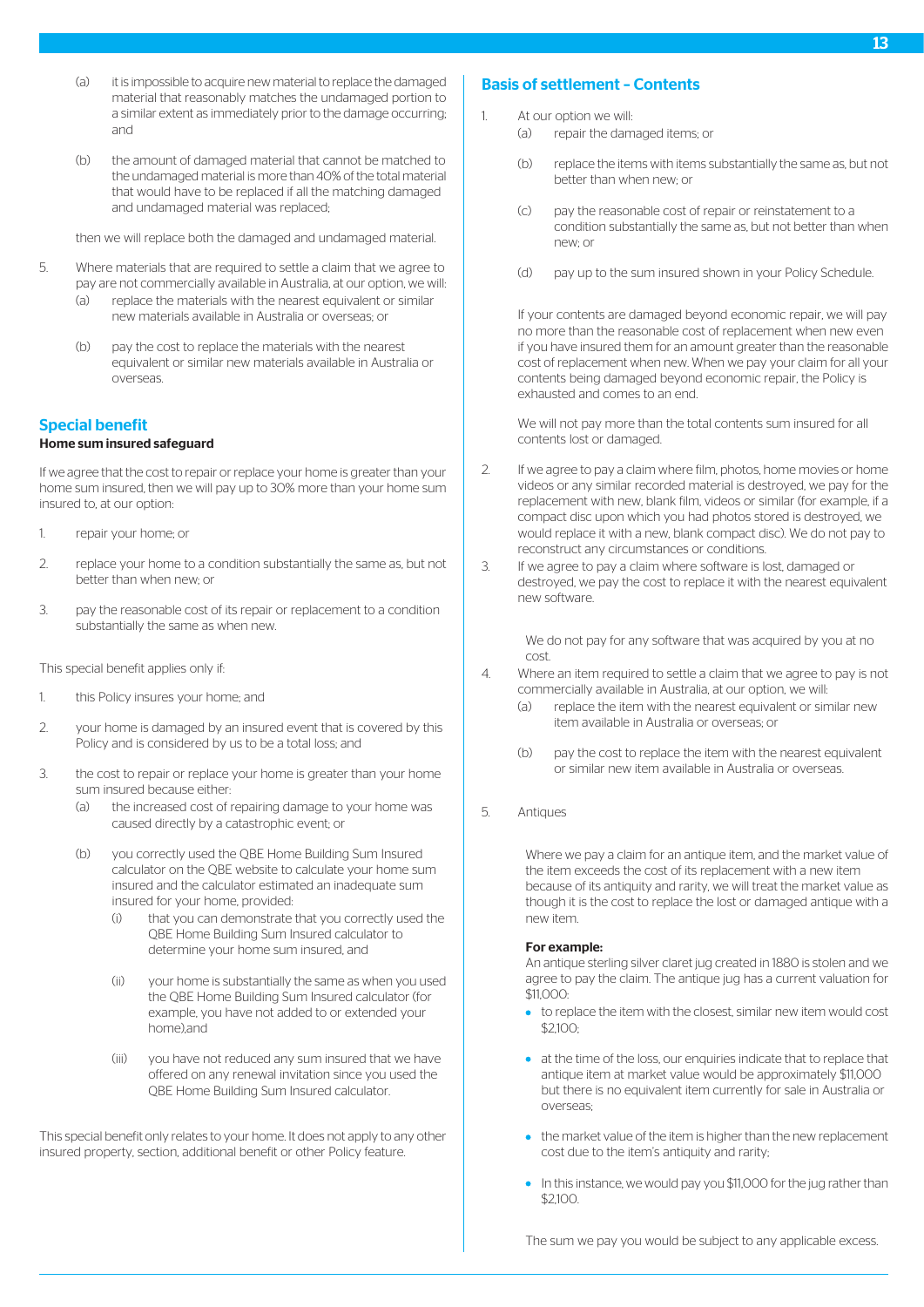- (a) it is impossible to acquire new material to replace the damaged material that reasonably matches the undamaged portion to a similar extent as immediately prior to the damage occurring; and
- (b) the amount of damaged material that cannot be matched to the undamaged material is more than 40% of the total material that would have to be replaced if all the matching damaged and undamaged material was replaced;

then we will replace both the damaged and undamaged material.

- 5. Where materials that are required to settle a claim that we agree to pay are not commercially available in Australia, at our option, we will:
	- (a) replace the materials with the nearest equivalent or similar new materials available in Australia or overseas; or
	- (b) pay the cost to replace the materials with the nearest equivalent or similar new materials available in Australia or overseas.

# Special benefit

#### Home sum insured safeguard

If we agree that the cost to repair or replace your home is greater than your home sum insured, then we will pay up to 30% more than your home sum insured to, at our option:

- 1. repair your home; or
- 2. replace your home to a condition substantially the same as, but not better than when new; or
- 3. pay the reasonable cost of its repair or replacement to a condition substantially the same as when new.

This special benefit applies only if:

- 1. this Policy insures your home; and
- 2. your home is damaged by an insured event that is covered by this Policy and is considered by us to be a total loss; and
- 3. the cost to repair or replace your home is greater than your home sum insured because either:
	- (a) the increased cost of repairing damage to your home was caused directly by a catastrophic event; or
	- (b) you correctly used the QBE Home Building Sum Insured calculator on the QBE website to calculate your home sum insured and the calculator estimated an inadequate sum insured for your home, provided:
		- (i) that you can demonstrate that you correctly used the QBE Home Building Sum Insured calculator to determine your home sum insured, and
		- (ii) your home is substantially the same as when you used the QBE Home Building Sum Insured calculator (for example, you have not added to or extended your home),and
		- (iii) you have not reduced any sum insured that we have offered on any renewal invitation since you used the QBE Home Building Sum Insured calculator.

This special benefit only relates to your home. It does not apply to any other insured property, section, additional benefit or other Policy feature.

# Basis of settlement – Contents

- 1. At our option we will:
	- (a) repair the damaged items; or
	- (b) replace the items with items substantially the same as, but not better than when new; or
	- (c) pay the reasonable cost of repair or reinstatement to a condition substantially the same as, but not better than when new; or
	- (d) pay up to the sum insured shown in your Policy Schedule.

If your contents are damaged beyond economic repair, we will pay no more than the reasonable cost of replacement when new even if you have insured them for an amount greater than the reasonable cost of replacement when new. When we pay your claim for all your contents being damaged beyond economic repair, the Policy is exhausted and comes to an end.

We will not pay more than the total contents sum insured for all contents lost or damaged.

- 2. If we agree to pay a claim where film, photos, home movies or home videos or any similar recorded material is destroyed, we pay for the replacement with new, blank film, videos or similar (for example, if a compact disc upon which you had photos stored is destroyed, we would replace it with a new, blank compact disc). We do not pay to reconstruct any circumstances or conditions.
- 3. If we agree to pay a claim where software is lost, damaged or destroyed, we pay the cost to replace it with the nearest equivalent new software.

We do not pay for any software that was acquired by you at no cost.

- 4. Where an item required to settle a claim that we agree to pay is not commercially available in Australia, at our option, we will:
	- (a) replace the item with the nearest equivalent or similar new item available in Australia or overseas; or
	- (b) pay the cost to replace the item with the nearest equivalent or similar new item available in Australia or overseas.
- 5. Antiques

Where we pay a claim for an antique item, and the market value of the item exceeds the cost of its replacement with a new item because of its antiquity and rarity, we will treat the market value as though it is the cost to replace the lost or damaged antique with a new item.

#### For example:

An antique sterling silver claret jug created in 1880 is stolen and we agree to pay the claim. The antique jug has a current valuation for \$11,000:

- to replace the item with the closest, similar new item would cost \$2,100;
- at the time of the loss, our enquiries indicate that to replace that antique item at market value would be approximately \$11,000 but there is no equivalent item currently for sale in Australia or overseas;
- the market value of the item is higher than the new replacement cost due to the item's antiquity and rarity;
- In this instance, we would pay you \$11,000 for the jug rather than \$2,100.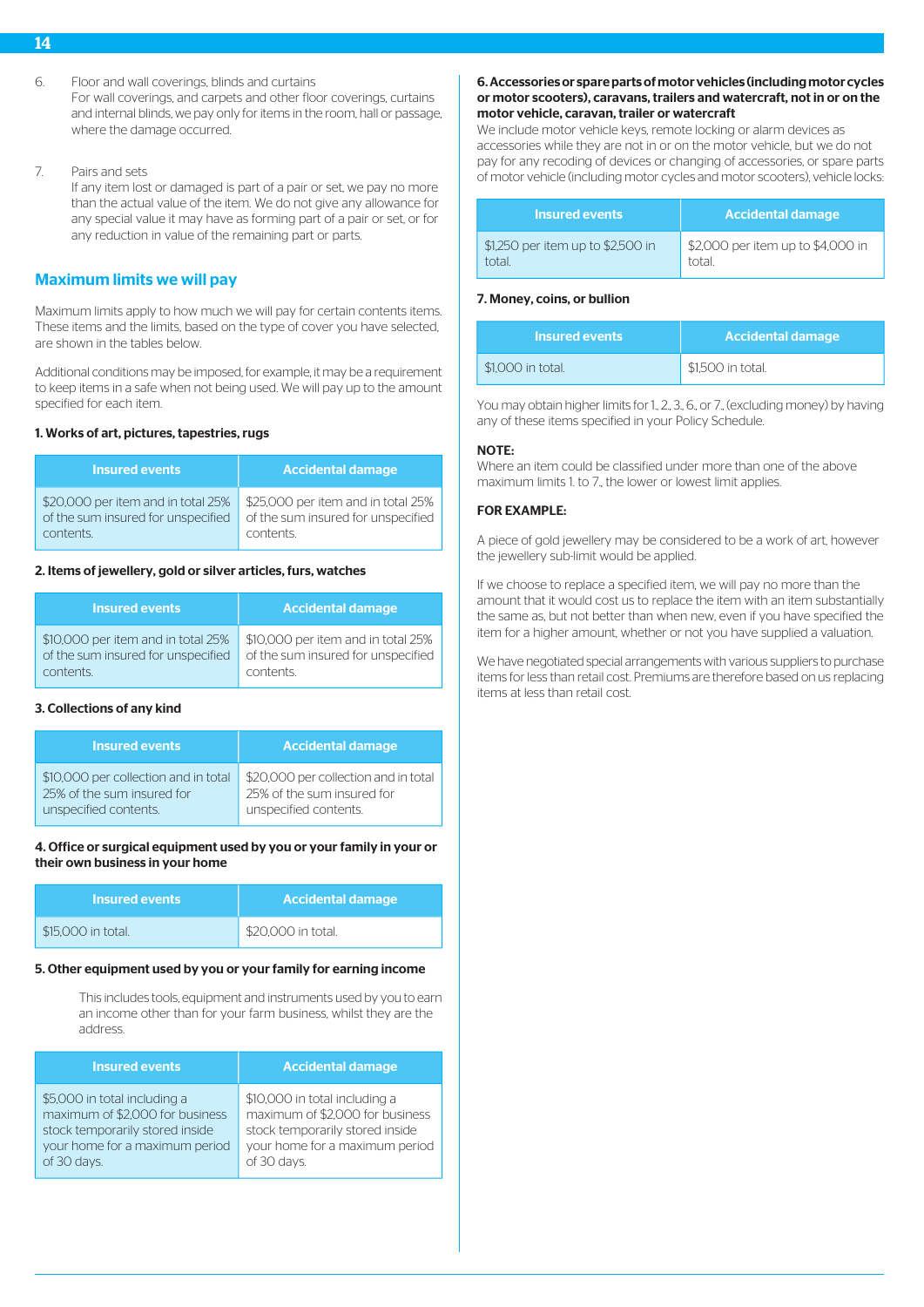- 14
- 6. Floor and wall coverings, blinds and curtains

For wall coverings, and carpets and other floor coverings, curtains and internal blinds, we pay only for items in the room, hall or passage, where the damage occurred.

7. Pairs and sets

If any item lost or damaged is part of a pair or set, we pay no more than the actual value of the item. We do not give any allowance for any special value it may have as forming part of a pair or set, or for any reduction in value of the remaining part or parts.

# Maximum limits we will pay

Maximum limits apply to how much we will pay for certain contents items. These items and the limits, based on the type of cover you have selected, are shown in the tables below.

Additional conditions may be imposed, for example, it may be a requirement to keep items in a safe when not being used. We will pay up to the amount specified for each item.

# 1. Works of art, pictures, tapestries, rugs

| <b>Insured events</b>              | <b>Accidental damage</b>           |
|------------------------------------|------------------------------------|
| \$20,000 per item and in total 25% | \$25,000 per item and in total 25% |
| of the sum insured for unspecified | of the sum insured for unspecified |
| contents.                          | contents.                          |

# 2. Items of jewellery, gold or silver articles, furs, watches

| <b>Insured events</b>              | <b>Accidental damage</b>           |
|------------------------------------|------------------------------------|
| \$10,000 per item and in total 25% | \$10,000 per item and in total 25% |
| of the sum insured for unspecified | of the sum insured for unspecified |
| contents.                          | contents                           |

#### 3. Collections of any kind

| Insured events                       | <b>Accidental damage</b>             |
|--------------------------------------|--------------------------------------|
| \$10,000 per collection and in total | \$20,000 per collection and in total |
| 25% of the sum insured for           | 25% of the sum insured for           |
| unspecified contents.                | unspecified contents.                |

#### 4. Office or surgical equipment used by you or your family in your or their own business in your home

| <b>Insured events</b> | <b>Accidental damage</b> |
|-----------------------|--------------------------|
| \$15,000 in total.    | \$20,000 in total.       |

#### 5. Other equipment used by you or your family for earning income

This includes tools, equipment and instruments used by you to earn an income other than for your farm business, whilst they are the address.

| <b>Insured events</b>           | <b>Accidental damage</b>        |
|---------------------------------|---------------------------------|
| \$5,000 in total including a    | \$10,000 in total including a   |
| maximum of \$2,000 for business | maximum of \$2,000 for business |
| stock temporarily stored inside | stock temporarily stored inside |
| your home for a maximum period  | your home for a maximum period  |
| of 30 days.                     | of 30 days.                     |

## 6. Accessories or spare parts of motor vehicles (including motor cycles or motor scooters), caravans, trailers and watercraft, not in or on the motor vehicle, caravan, trailer or watercraft

We include motor vehicle keys, remote locking or alarm devices as accessories while they are not in or on the motor vehicle, but we do not pay for any recoding of devices or changing of accessories, or spare parts of motor vehicle (including motor cycles and motor scooters), vehicle locks:

| <b>Insured events</b>             | <b>Accidental damage</b>          |
|-----------------------------------|-----------------------------------|
| \$1,250 per item up to \$2,500 in | \$2,000 per item up to \$4,000 in |
| total                             | total                             |

# 7. Money, coins, or bullion

| <b>Insured events</b> | <b>Accidental damage</b> |
|-----------------------|--------------------------|
| \$1,000 in total.     | \$1.500 in total.        |

You may obtain higher limits for 1., 2., 3., 6., or 7., (excluding money) by having any of these items specified in your Policy Schedule.

#### NOTE:

Where an item could be classified under more than one of the above maximum limits 1. to 7., the lower or lowest limit applies.

# FOR EXAMPLE:

A piece of gold jewellery may be considered to be a work of art, however the jewellery sub-limit would be applied.

If we choose to replace a specified item, we will pay no more than the amount that it would cost us to replace the item with an item substantially the same as, but not better than when new, even if you have specified the item for a higher amount, whether or not you have supplied a valuation.

We have negotiated special arrangements with various suppliers to purchase items for less than retail cost. Premiums are therefore based on us replacing items at less than retail cost.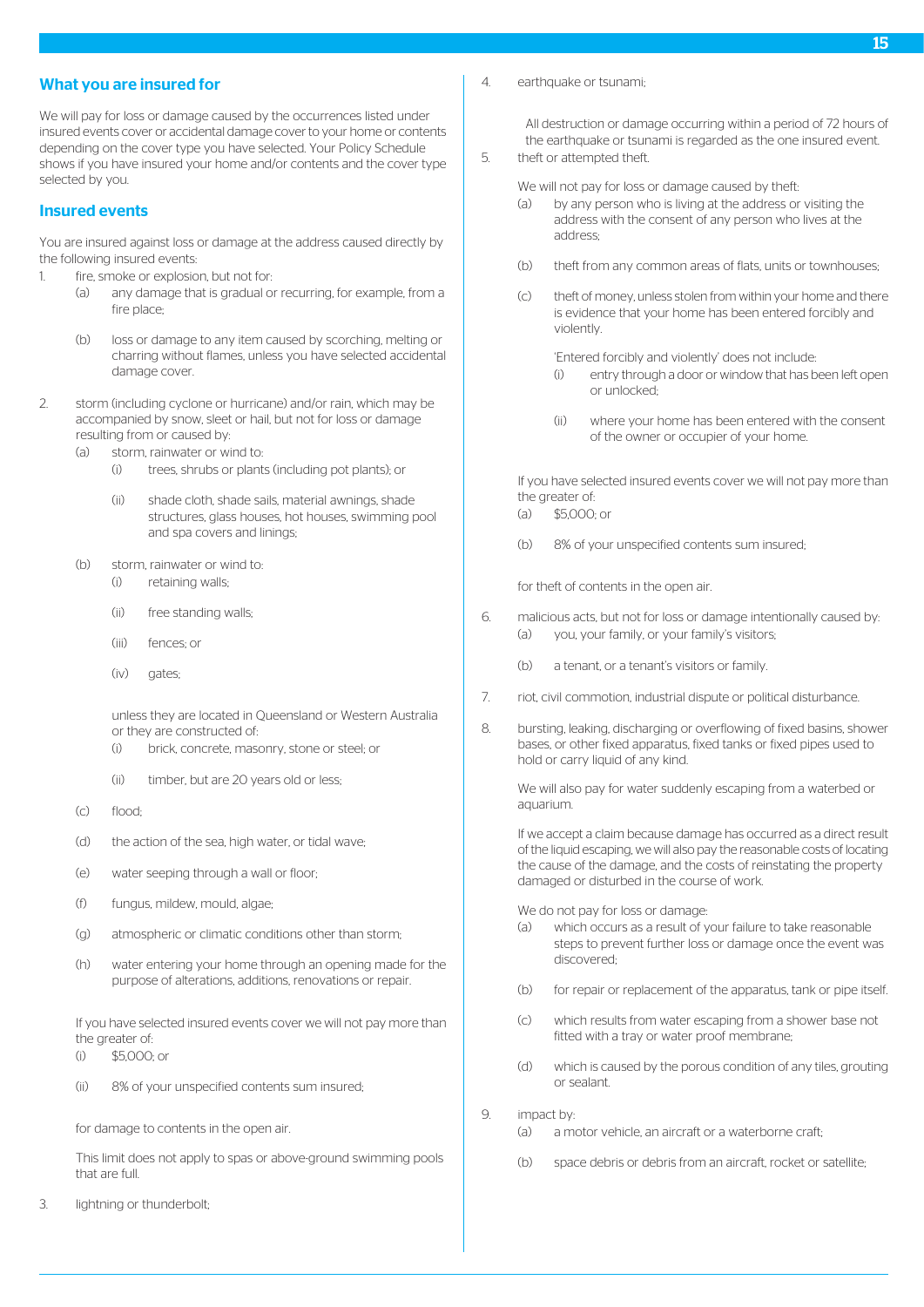## What you are insured for

We will pay for loss or damage caused by the occurrences listed under insured events cover or accidental damage cover to your home or contents depending on the cover type you have selected. Your Policy Schedule shows if you have insured your home and/or contents and the cover type selected by you.

# Insured events

You are insured against loss or damage at the address caused directly by the following insured events:

- 1. fire, smoke or explosion, but not for:
	- (a) any damage that is gradual or recurring, for example, from a fire place;
	- (b) loss or damage to any item caused by scorching, melting or charring without flames, unless you have selected accidental damage cover.
- 2. storm (including cyclone or hurricane) and/or rain, which may be accompanied by snow, sleet or hail, but not for loss or damage resulting from or caused by:
	- (a) storm, rainwater or wind to:
		- (i) trees, shrubs or plants (including pot plants); or
		- (ii) shade cloth, shade sails, material awnings, shade structures, glass houses, hot houses, swimming pool and spa covers and linings;
	- (b) storm, rainwater or wind to:
		- (i) retaining walls;
		- (ii) free standing walls;
		- (iii) fences; or
		- (iv) gates;

unless they are located in Queensland or Western Australia or they are constructed of:

- (i) brick, concrete, masonry, stone or steel; or
- (ii) timber, but are 20 years old or less;
- (c) flood;
- (d) the action of the sea, high water, or tidal wave;
- (e) water seeping through a wall or floor;
- (f) fungus, mildew, mould, algae;
- (g) atmospheric or climatic conditions other than storm;
- (h) water entering your home through an opening made for the purpose of alterations, additions, renovations or repair.

If you have selected insured events cover we will not pay more than the greater of

- (i) \$5,000; or
- (ii) 8% of your unspecified contents sum insured;

for damage to contents in the open air.

This limit does not apply to spas or above-ground swimming pools that are full.

3. lightning or thunderbolt;

4. earthquake or tsunami;

All destruction or damage occurring within a period of 72 hours of the earthquake or tsunami is regarded as the one insured event. 5. theft or attempted theft.

- We will not pay for loss or damage caused by theft:
- (a) by any person who is living at the address or visiting the address with the consent of any person who lives at the address;
- (b) theft from any common areas of flats, units or townhouses;
- (c) theft of money, unless stolen from within your home and there is evidence that your home has been entered forcibly and violently.

'Entered forcibly and violently' does not include:

- (i) entry through a door or window that has been left open or unlocked;
- (ii) where your home has been entered with the consent of the owner or occupier of your home.

If you have selected insured events cover we will not pay more than the greater of:

- $(a)$  \$5,000; or
- (b) 8% of your unspecified contents sum insured;

for theft of contents in the open air.

- 6. malicious acts, but not for loss or damage intentionally caused by: (a) you, your family, or your family's visitors;
	- (b) a tenant, or a tenant's visitors or family.
- 7. riot, civil commotion, industrial dispute or political disturbance.
- 8. bursting, leaking, discharging or overflowing of fixed basins, shower bases, or other fixed apparatus, fixed tanks or fixed pipes used to hold or carry liquid of any kind.

We will also pay for water suddenly escaping from a waterbed or aquarium.

If we accept a claim because damage has occurred as a direct result of the liquid escaping, we will also pay the reasonable costs of locating the cause of the damage, and the costs of reinstating the property damaged or disturbed in the course of work.

We do not pay for loss or damage:

- (a) which occurs as a result of your failure to take reasonable steps to prevent further loss or damage once the event was discovered;
- (b) for repair or replacement of the apparatus, tank or pipe itself.
- (c) which results from water escaping from a shower base not fitted with a tray or water proof membrane;
- (d) which is caused by the porous condition of any tiles, grouting or sealant.

9. **impact by** 

- (a) a motor vehicle, an aircraft or a waterborne craft;
- (b) space debris or debris from an aircraft, rocket or satellite;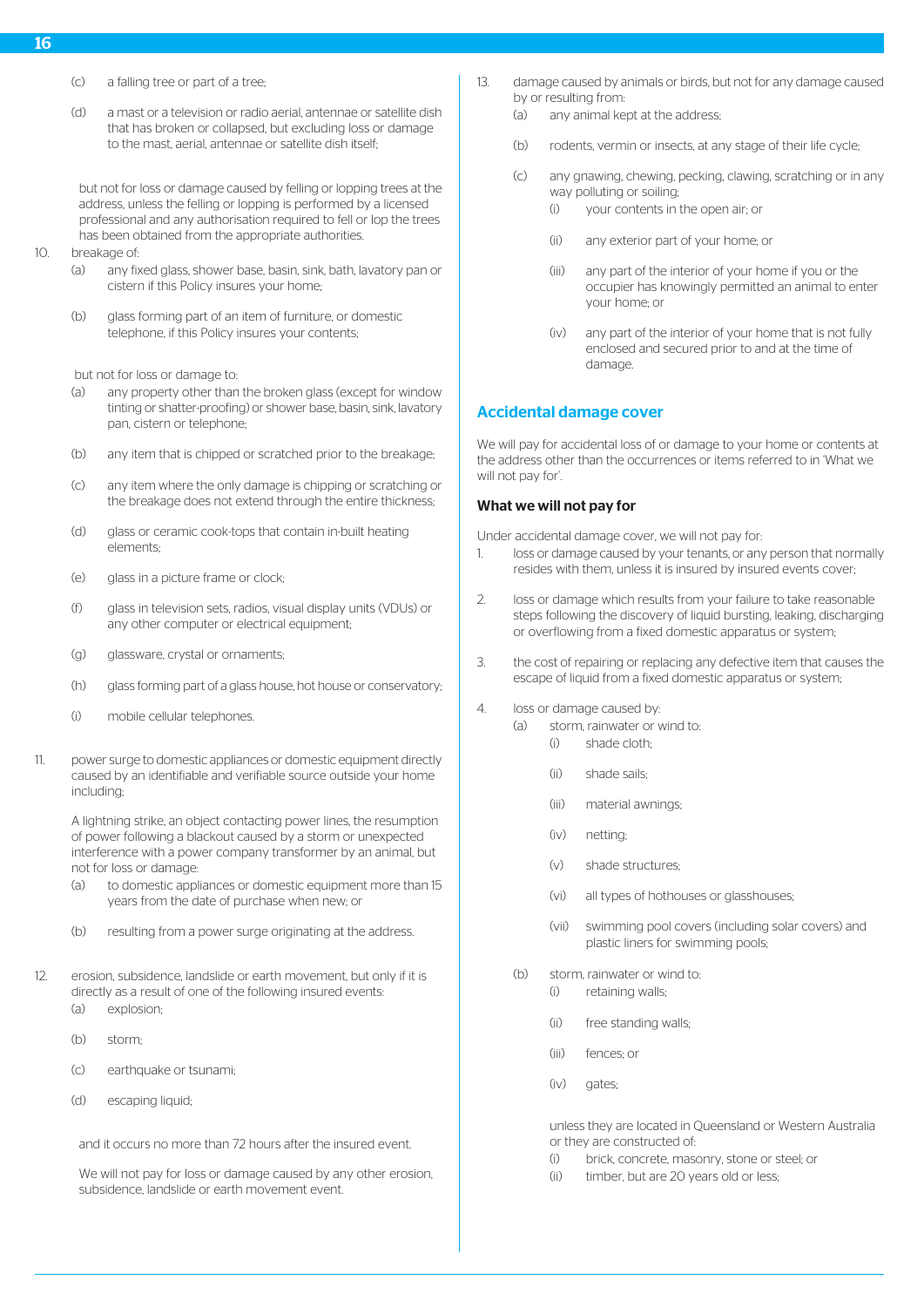- (c) a falling tree or part of a tree;
- (d) a mast or a television or radio aerial, antennae or satellite dish that has broken or collapsed, but excluding loss or damage to the mast, aerial, antennae or satellite dish itself;

but not for loss or damage caused by felling or lopping trees at the address, unless the felling or lopping is performed by a licensed professional and any authorisation required to fell or lop the trees has been obtained from the appropriate authorities.

- 10. breakage of:
	- (a) any fixed glass, shower base, basin, sink, bath, lavatory pan or cistern if this Policy insures your home;
	- (b) glass forming part of an item of furniture, or domestic telephone, if this Policy insures your contents;

but not for loss or damage to:

- (a) any property other than the broken glass (except for window tinting or shatter-proofing) or shower base, basin, sink, lavatory pan, cistern or telephone;
- (b) any item that is chipped or scratched prior to the breakage;
- (c) any item where the only damage is chipping or scratching or the breakage does not extend through the entire thickness;
- (d) glass or ceramic cook-tops that contain in-built heating elements;
- (e) glass in a picture frame or clock;
- (f) glass in television sets, radios, visual display units (VDUs) or any other computer or electrical equipment:
- (g) glassware, crystal or ornaments;
- (h) glass forming part of a glass house, hot house or conservatory;
- (i) mobile cellular telephones.
- 11. power surge to domestic appliances or domestic equipment directly caused by an identifiable and verifiable source outside your home including;

A lightning strike, an object contacting power lines, the resumption of power following a blackout caused by a storm or unexpected interference with a power company transformer by an animal, but not for loss or damage:

- (a) to domestic appliances or domestic equipment more than 15 years from the date of purchase when new; or
- (b) resulting from a power surge originating at the address.
- 12. erosion, subsidence, landslide or earth movement, but only if it is directly as a result of one of the following insured events: (a) explosion;
	- (b) storm;
	- (c) earthquake or tsunami;
	- (d) escaping liquid;

and it occurs no more than 72 hours after the insured event.

We will not pay for loss or damage caused by any other erosion, subsidence, landslide or earth movement event.

- 13. damage caused by animals or birds, but not for any damage caused by or resulting from:
	- (a) any animal kept at the address;
	- (b) rodents, vermin or insects, at any stage of their life cycle;
	- (c) any gnawing, chewing, pecking, clawing, scratching or in any way polluting or soiling;
		- (i) your contents in the open air; or
		- (ii) any exterior part of your home; or
		- (iii) any part of the interior of your home if you or the occupier has knowingly permitted an animal to enter your home; or
		- (iv) any part of the interior of your home that is not fully enclosed and secured prior to and at the time of damage.

#### Accidental damage cover

We will pay for accidental loss of or damage to your home or contents at the address other than the occurrences or items referred to in 'What we will not pay for'.

## What we will not pay for

Under accidental damage cover, we will not pay for:

- 1. loss or damage caused by your tenants, or any person that normally resides with them, unless it is insured by insured events cover;
- 2. loss or damage which results from your failure to take reasonable steps following the discovery of liquid bursting, leaking, discharging or overflowing from a fixed domestic apparatus or system;
- 3. the cost of repairing or replacing any defective item that causes the escape of liquid from a fixed domestic apparatus or system;
- 4. loss or damage caused by:
	- (a) storm, rainwater or wind to:
		- (i) shade cloth;
		- (ii) shade sails;
		- (iii) material awnings;
		- (iv) netting;
		- (v) shade structures;
		- (vi) all types of hothouses or glasshouses;
		- (vii) swimming pool covers (including solar covers) and plastic liners for swimming pools;
	- (b) storm, rainwater or wind to:
		- (i) retaining walls;
		- (ii) free standing walls;
		- (iii) fences; or
		- (iv) gates:

unless they are located in Queensland or Western Australia or they are constructed of:

- (i) brick, concrete, masonry, stone or steel; or
- (ii) timber, but are 20 years old or less;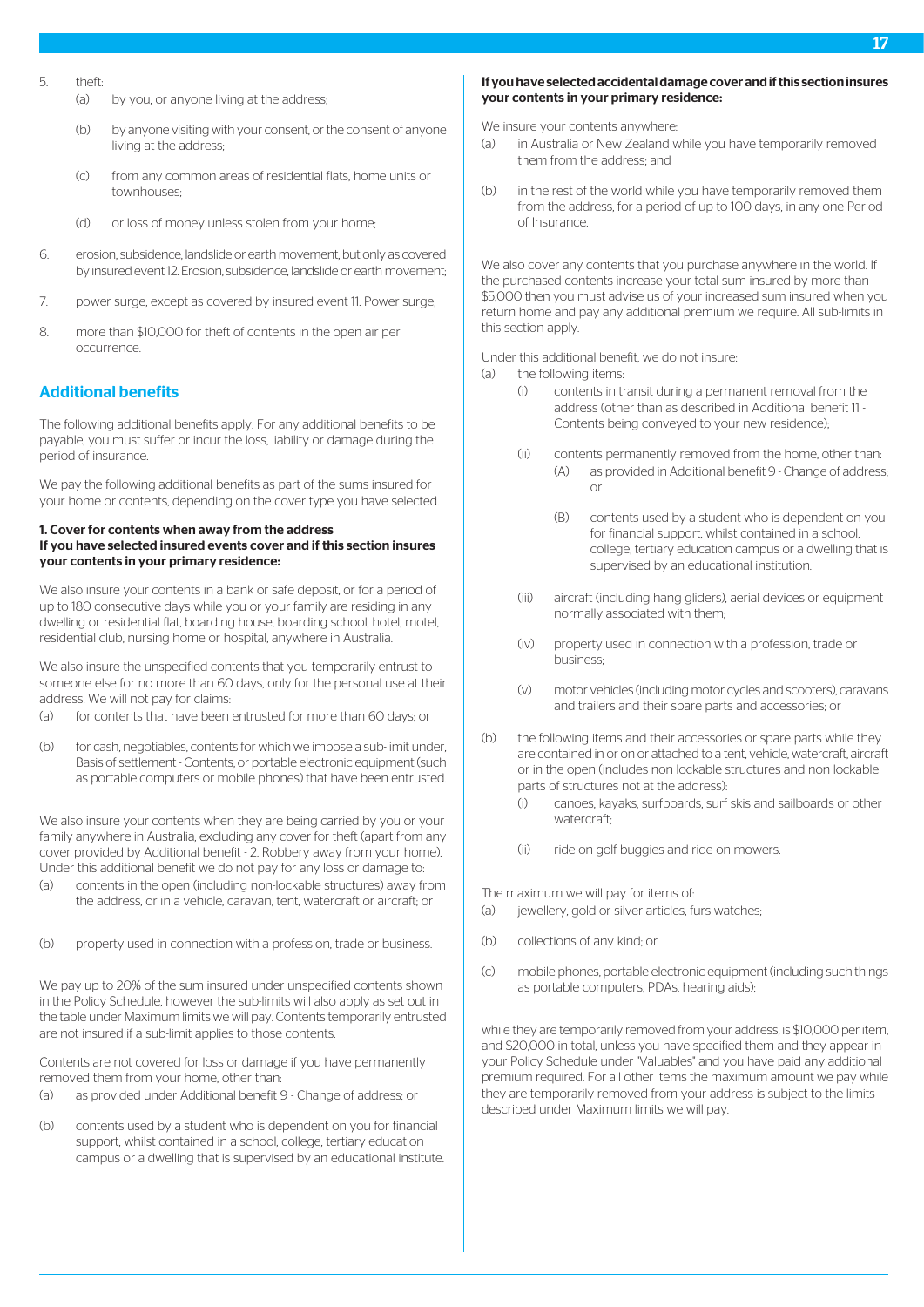- 5. theft:
	- (a) by you, or anyone living at the address;
	- (b) by anyone visiting with your consent, or the consent of anyone living at the address;
	- (c) from any common areas of residential flats, home units or townhouses<sup>;</sup>
	- (d) or loss of money unless stolen from your home;
- 6. erosion, subsidence, landslide or earth movement, but only as covered by insured event 12. Erosion, subsidence, landslide or earth movement;
- 7. power surge, except as covered by insured event 11. Power surge;
- 8. more than \$10,000 for theft of contents in the open air per occurrence.

# Additional benefits

The following additional benefits apply. For any additional benefits to be payable, you must suffer or incur the loss, liability or damage during the period of insurance.

We pay the following additional benefits as part of the sums insured for your home or contents, depending on the cover type you have selected.

#### 1. Cover for contents when away from the address If you have selected insured events cover and if this section insures your contents in your primary residence:

We also insure your contents in a bank or safe deposit, or for a period of up to 180 consecutive days while you or your family are residing in any dwelling or residential flat, boarding house, boarding school, hotel, motel, residential club, nursing home or hospital, anywhere in Australia.

We also insure the unspecified contents that you temporarily entrust to someone else for no more than 60 days, only for the personal use at their address. We will not pay for claims:

- (a) for contents that have been entrusted for more than 60 days; or
- (b) for cash, negotiables, contents for which we impose a sub-limit under, Basis of settlement - Contents, or portable electronic equipment (such as portable computers or mobile phones) that have been entrusted.

We also insure your contents when they are being carried by you or your family anywhere in Australia, excluding any cover for theft (apart from any cover provided by Additional benefit - 2. Robbery away from your home). Under this additional benefit we do not pay for any loss or damage to:

- (a) contents in the open (including non-lockable structures) away from the address, or in a vehicle, caravan, tent, watercraft or aircraft; or
- (b) property used in connection with a profession, trade or business.

We pay up to 20% of the sum insured under unspecified contents shown in the Policy Schedule, however the sub-limits will also apply as set out in the table under Maximum limits we will pay. Contents temporarily entrusted are not insured if a sub-limit applies to those contents.

Contents are not covered for loss or damage if you have permanently removed them from your home, other than:

- (a) as provided under Additional benefit 9 Change of address; or
- (b) contents used by a student who is dependent on you for financial support, whilst contained in a school, college, tertiary education campus or a dwelling that is supervised by an educational institute.

#### If you have selected accidental damage cover and if this section insures your contents in your primary residence:

We insure your contents anywhere:

- (a) in Australia or New Zealand while you have temporarily removed them from the address; and
- (b) in the rest of the world while you have temporarily removed them from the address, for a period of up to 100 days, in any one Period of Insurance.

We also cover any contents that you purchase anywhere in the world. If the purchased contents increase your total sum insured by more than \$5,000 then you must advise us of your increased sum insured when you return home and pay any additional premium we require. All sub-limits in this section apply.

Under this additional benefit, we do not insure:

- (a) the following items:
	- (i) contents in transit during a permanent removal from the address (other than as described in Additional benefit 11 - Contents being conveyed to your new residence);
	- (ii) contents permanently removed from the home, other than: (A) as provided in Additional benefit 9 - Change of address; or
		- (B) contents used by a student who is dependent on you for financial support, whilst contained in a school, college, tertiary education campus or a dwelling that is supervised by an educational institution.
	- (iii) aircraft (including hang gliders), aerial devices or equipment normally associated with them;
	- (iv) property used in connection with a profession, trade or business;
	- (v) motor vehicles (including motor cycles and scooters), caravans and trailers and their spare parts and accessories; or
- (b) the following items and their accessories or spare parts while they are contained in or on or attached to a tent, vehicle, watercraft, aircraft or in the open (includes non lockable structures and non lockable parts of structures not at the address):
	- (i) canoes, kayaks, surfboards, surf skis and sailboards or other watercraft·
	- (ii) ride on golf buggies and ride on mowers.

The maximum we will pay for items of:

- (a) iewellery, gold or silver articles, furs watches;
- (b) collections of any kind; or
- (c) mobile phones, portable electronic equipment (including such things as portable computers, PDAs, hearing aids);

while they are temporarily removed from your address, is \$10,000 per item, and \$20,000 in total, unless you have specified them and they appear in your Policy Schedule under "Valuables" and you have paid any additional premium required. For all other items the maximum amount we pay while they are temporarily removed from your address is subject to the limits described under Maximum limits we will pay.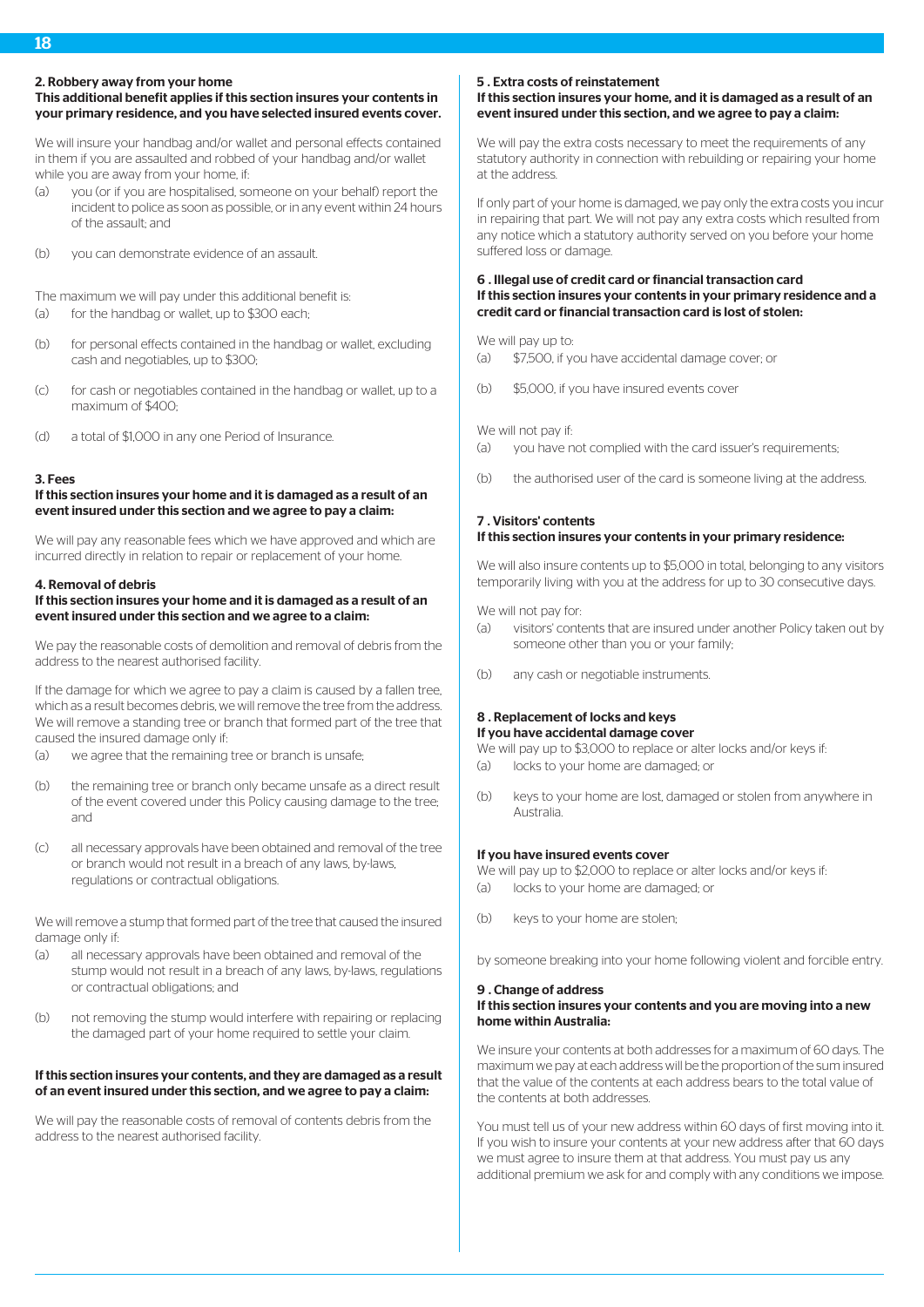#### 2. Robbery away from your home

# This additional benefit applies if this section insures your contents in your primary residence, and you have selected insured events cover.

We will insure your handbag and/or wallet and personal effects contained in them if you are assaulted and robbed of your handbag and/or wallet while you are away from your home, if:

- (a) you (or if you are hospitalised, someone on your behalf) report the incident to police as soon as possible, or in any event within 24 hours of the assault; and
- (b) you can demonstrate evidence of an assault.

The maximum we will pay under this additional benefit is:

- (a) for the handbag or wallet, up to \$300 each;
- (b) for personal effects contained in the handbag or wallet, excluding cash and negotiables, up to \$300;
- (c) for cash or negotiables contained in the handbag or wallet, up to a maximum of \$400;
- (d) a total of \$1,000 in any one Period of Insurance.

#### 3. Fees

#### If this section insures your home and it is damaged as a result of an event insured under this section and we agree to pay a claim:

We will pay any reasonable fees which we have approved and which are incurred directly in relation to repair or replacement of your home.

#### 4. Removal of debris

## If this section insures your home and it is damaged as a result of an event insured under this section and we agree to a claim:

We pay the reasonable costs of demolition and removal of debris from the address to the nearest authorised facility.

If the damage for which we agree to pay a claim is caused by a fallen tree, which as a result becomes debris, we will remove the tree from the address. We will remove a standing tree or branch that formed part of the tree that caused the insured damage only if:

- (a) we agree that the remaining tree or branch is unsafe;
- (b) the remaining tree or branch only became unsafe as a direct result of the event covered under this Policy causing damage to the tree; and
- (c) all necessary approvals have been obtained and removal of the tree or branch would not result in a breach of any laws, by-laws, regulations or contractual obligations.

We will remove a stump that formed part of the tree that caused the insured damage only if:

- (a) all necessary approvals have been obtained and removal of the stump would not result in a breach of any laws, by-laws, regulations or contractual obligations; and
- (b) not removing the stump would interfere with repairing or replacing the damaged part of your home required to settle your claim.

#### If this section insures your contents, and they are damaged as a result of an event insured under this section, and we agree to pay a claim:

We will pay the reasonable costs of removal of contents debris from the address to the nearest authorised facility.

# 5 . Extra costs of reinstatement

# If this section insures your home, and it is damaged as a result of an event insured under this section, and we agree to pay a claim:

We will pay the extra costs necessary to meet the requirements of any statutory authority in connection with rebuilding or repairing your home at the address.

If only part of your home is damaged, we pay only the extra costs you incur in repairing that part. We will not pay any extra costs which resulted from any notice which a statutory authority served on you before your home suffered loss or damage.

# 6 . Illegal use of credit card or financial transaction card If this section insures your contents in your primary residence and a credit card or financial transaction card is lost of stolen:

We will pay up to:

- (a) \$7,500, if you have accidental damage cover; or
- (b) \$5,000, if you have insured events cover

We will not pay if:

- (a) you have not complied with the card issuer's requirements;
- (b) the authorised user of the card is someone living at the address.

# 7 . Visitors' contents

# If this section insures your contents in your primary residence:

We will also insure contents up to \$5,000 in total, belonging to any visitors temporarily living with you at the address for up to 30 consecutive days.

We will not pay for-

- (a) visitors' contents that are insured under another Policy taken out by someone other than you or your family;
- (b) any cash or negotiable instruments.

#### 8 . Replacement of locks and keys If you have accidental damage cover

We will pay up to \$3,000 to replace or alter locks and/or keys if:

- (a) locks to your home are damaged; or
- (b) keys to your home are lost, damaged or stolen from anywhere in Australia.

## If you have insured events cover

We will pay up to \$2,000 to replace or alter locks and/or keys if: (a) locks to your home are damaged; or

(b) keys to your home are stolen;

by someone breaking into your home following violent and forcible entry.

#### 9 . Change of address If this section insures your contents and you are moving into a new home within Australia:

We insure your contents at both addresses for a maximum of 60 days. The maximum we pay at each address will be the proportion of the sum insured that the value of the contents at each address bears to the total value of the contents at both addresses.

You must tell us of your new address within 60 days of first moving into it. If you wish to insure your contents at your new address after that 60 days we must agree to insure them at that address. You must pay us any additional premium we ask for and comply with any conditions we impose.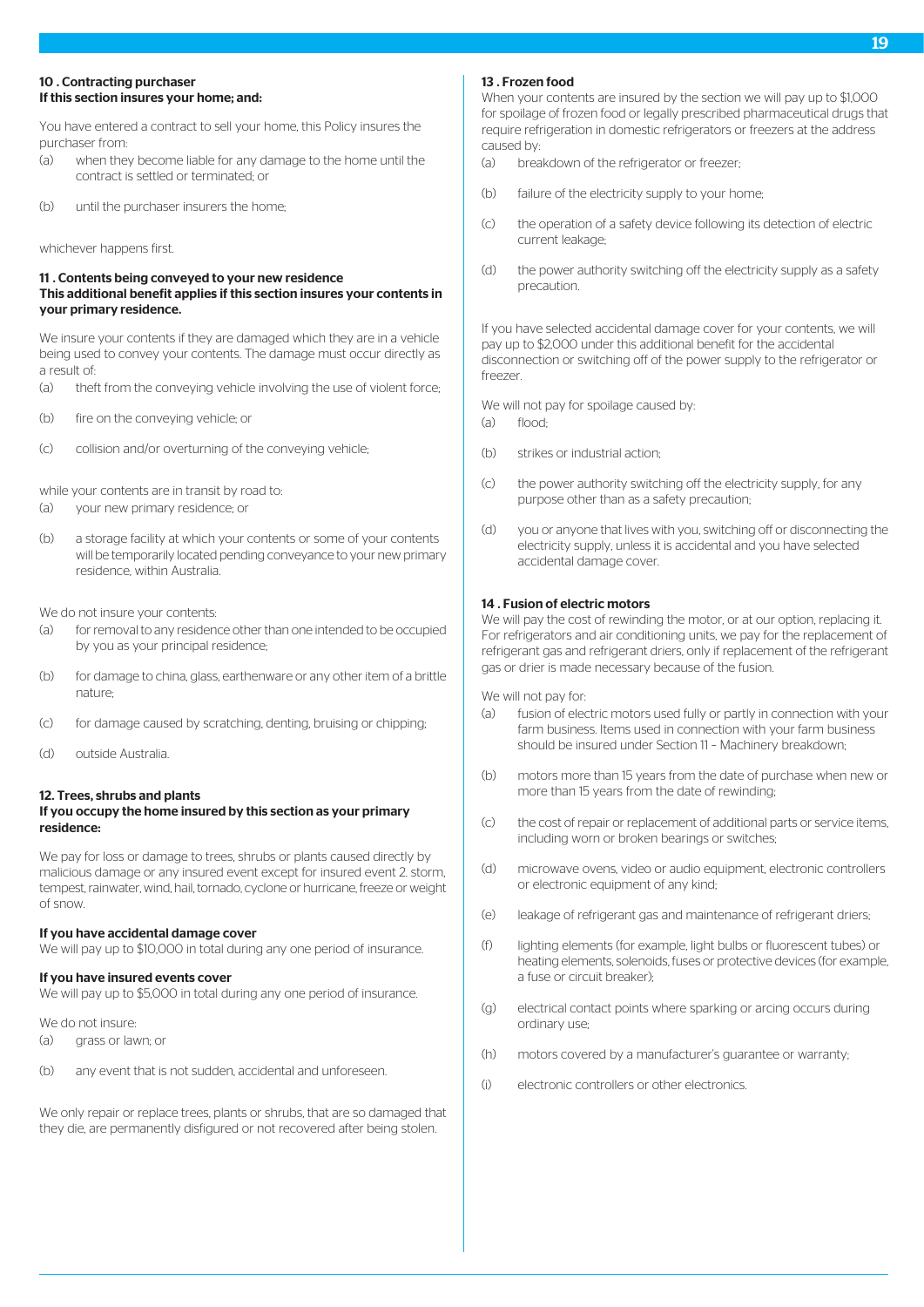## 10 . Contracting purchaser If this section insures your home; and:

You have entered a contract to sell your home, this Policy insures the purchaser from:

- (a) when they become liable for any damage to the home until the contract is settled or terminated; or
- (b) until the purchaser insurers the home;

whichever happens first.

#### 11 . Contents being conveyed to your new residence This additional benefit applies if this section insures your contents in your primary residence.

We insure your contents if they are damaged which they are in a vehicle being used to convey your contents. The damage must occur directly as a result of:

- (a) theft from the conveying vehicle involving the use of violent force;
- (b) fire on the conveying vehicle; or
- (c) collision and/or overturning of the conveying vehicle;

while your contents are in transit by road to:

- (a) your new primary residence; or
- (b) a storage facility at which your contents or some of your contents will be temporarily located pending conveyance to your new primary residence, within Australia.

We do not insure your contents:

- (a) for removal to any residence other than one intended to be occupied by you as your principal residence;
- (b) for damage to china, glass, earthenware or any other item of a brittle nature;
- (c) for damage caused by scratching, denting, bruising or chipping;
- (d) outside Australia.

#### 12. Trees, shrubs and plants If you occupy the home insured by this section as your primary residence:

We pay for loss or damage to trees, shrubs or plants caused directly by malicious damage or any insured event except for insured event 2. storm, tempest, rainwater, wind, hail, tornado, cyclone or hurricane, freeze or weight of snow.

#### If you have accidental damage cover

We will pay up to \$10,000 in total during any one period of insurance.

#### If you have insured events cover

We will pay up to \$5,000 in total during any one period of insurance.

We do not insure:

- (a) grass or lawn; or
- (b) any event that is not sudden, accidental and unforeseen.

We only repair or replace trees, plants or shrubs, that are so damaged that they die, are permanently disfigured or not recovered after being stolen.

#### 13 **Erozen food**

When your contents are insured by the section we will pay up to \$1,000 for spoilage of frozen food or legally prescribed pharmaceutical drugs that require refrigeration in domestic refrigerators or freezers at the address caused by:

- (a) breakdown of the refrigerator or freezer;
- (b) failure of the electricity supply to your home;
- (c) the operation of a safety device following its detection of electric current leakage;
- (d) the power authority switching off the electricity supply as a safety precaution.

If you have selected accidental damage cover for your contents, we will pay up to \$2,000 under this additional benefit for the accidental disconnection or switching off of the power supply to the refrigerator or freezer.

We will not pay for spoilage caused by:

- (a) flood;
- (b) strikes or industrial action;
- (c) the power authority switching off the electricity supply, for any purpose other than as a safety precaution;
- (d) you or anyone that lives with you, switching off or disconnecting the electricity supply, unless it is accidental and you have selected accidental damage cover.

#### 14 . Fusion of electric motors

We will pay the cost of rewinding the motor, or at our option, replacing it. For refrigerators and air conditioning units, we pay for the replacement of refrigerant gas and refrigerant driers, only if replacement of the refrigerant gas or drier is made necessary because of the fusion.

We will not pay for:

- (a) fusion of electric motors used fully or partly in connection with your farm business. Items used in connection with your farm business should be insured under Section 11 – Machinery breakdown;
- (b) motors more than 15 years from the date of purchase when new or more than 15 years from the date of rewinding;
- (c) the cost of repair or replacement of additional parts or service items, including worn or broken bearings or switches;
- (d) microwave ovens, video or audio equipment, electronic controllers or electronic equipment of any kind;
- (e) leakage of refrigerant gas and maintenance of refrigerant driers;
- (f) lighting elements (for example, light bulbs or fluorescent tubes) or heating elements, solenoids, fuses or protective devices (for example, a fuse or circuit breaker);
- (g) electrical contact points where sparking or arcing occurs during ordinary use;
- (h) motors covered by a manufacturer's guarantee or warranty;
- (i) electronic controllers or other electronics.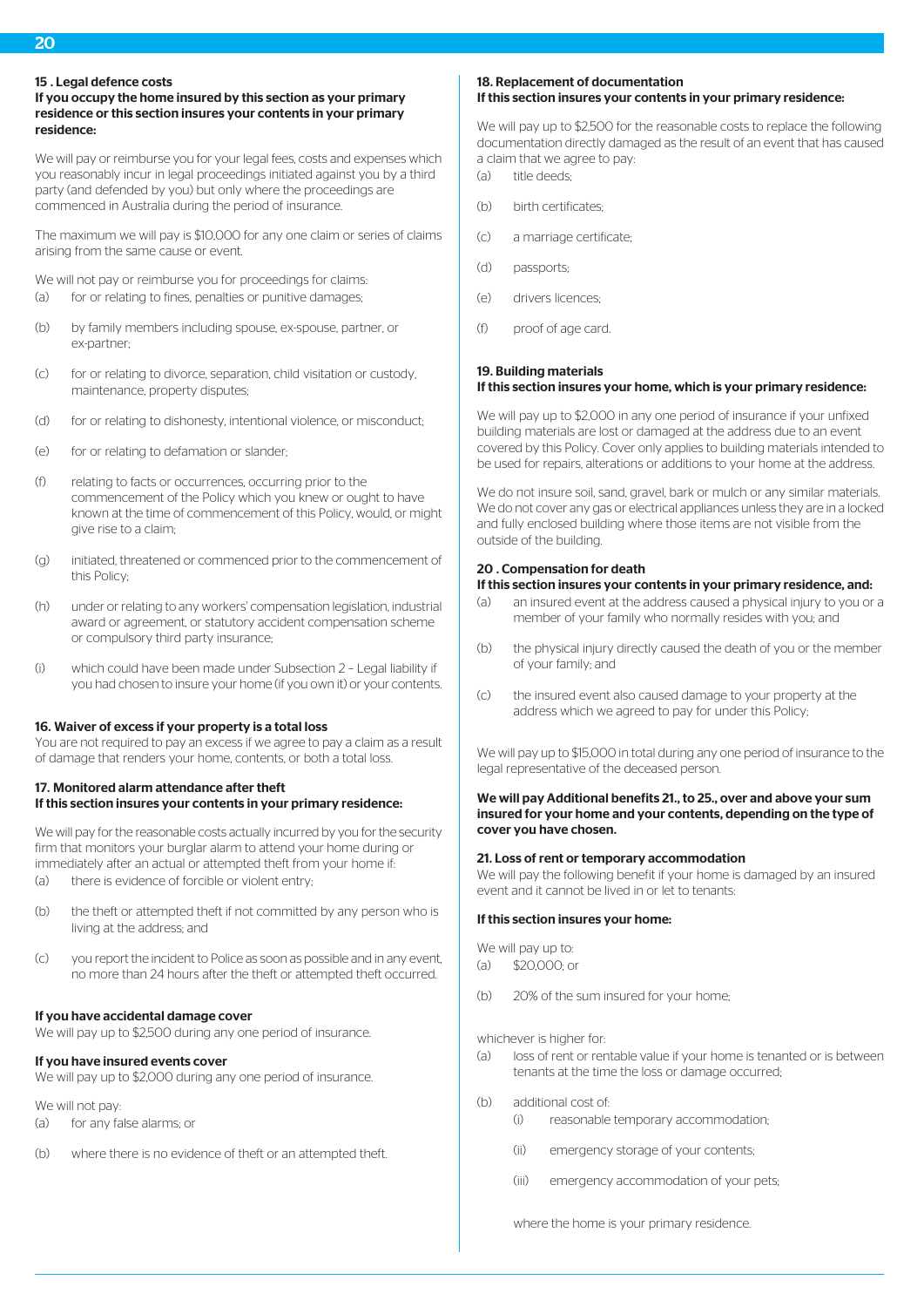20

#### 15 Legal defence costs

#### If you occupy the home insured by this section as your primary residence or this section insures your contents in your primary residence:

We will pay or reimburse you for your legal fees, costs and expenses which you reasonably incur in legal proceedings initiated against you by a third party (and defended by you) but only where the proceedings are commenced in Australia during the period of insurance.

The maximum we will pay is \$10,000 for any one claim or series of claims arising from the same cause or event.

We will not pay or reimburse you for proceedings for claims: (a) for or relating to fines, penalties or punitive damages;

- (b) by family members including spouse, ex-spouse, partner, or ex-partner;
- (c) for or relating to divorce, separation, child visitation or custody, maintenance, property disputes;
- (d) for or relating to dishonesty, intentional violence, or misconduct;
- (e) for or relating to defamation or slander;
- (f) relating to facts or occurrences, occurring prior to the commencement of the Policy which you knew or ought to have known at the time of commencement of this Policy, would, or might give rise to a claim;
- (g) initiated, threatened or commenced prior to the commencement of this Policy;
- (h) under or relating to any workers' compensation legislation, industrial award or agreement, or statutory accident compensation scheme or compulsory third party insurance;
- (i) which could have been made under Subsection 2 Legal liability if you had chosen to insure your home (if you own it) or your contents.

#### 16. Waiver of excess if your property is a total loss

You are not required to pay an excess if we agree to pay a claim as a result of damage that renders your home, contents, or both a total loss.

# 17. Monitored alarm attendance after theft If this section insures your contents in your primary residence:

We will pay for the reasonable costs actually incurred by you for the security firm that monitors your burglar alarm to attend your home during or immediately after an actual or attempted theft from your home if:

- (a) there is evidence of forcible or violent entry;
- (b) the theft or attempted theft if not committed by any person who is living at the address; and
- (c) you report the incident to Police as soon as possible and in any event, no more than 24 hours after the theft or attempted theft occurred.

#### If you have accidental damage cover

We will pay up to \$2,500 during any one period of insurance.

## If you have insured events cover

We will pay up to \$2,000 during any one period of insurance.

We will not pay:

- (a) for any false alarms; or
- (b) where there is no evidence of theft or an attempted theft.

# 18. Replacement of documentation If this section insures your contents in your primary residence:

We will pay up to \$2,500 for the reasonable costs to replace the following documentation directly damaged as the result of an event that has caused a claim that we agree to pay:

- (a) title deeds;
- (b) birth certificates
- (c) a marriage certificate;
- (d) passports;
- (e) drivers licences;
- (f) proof of age card.

## 19. Building materials If this section insures your home, which is your primary residence:

We will pay up to \$2,000 in any one period of insurance if your unfixed building materials are lost or damaged at the address due to an event covered by this Policy. Cover only applies to building materials intended to be used for repairs, alterations or additions to your home at the address.

We do not insure soil, sand, gravel, bark or mulch or any similar materials. We do not cover any gas or electrical appliances unless they are in a locked and fully enclosed building where those items are not visible from the outside of the building.

#### 20 . Compensation for death

# If this section insures your contents in your primary residence, and:

- (a) an insured event at the address caused a physical injury to you or a member of your family who normally resides with you; and
- (b) the physical injury directly caused the death of you or the member of your family; and
- (c) the insured event also caused damage to your property at the address which we agreed to pay for under this Policy;

We will pay up to \$15,000 in total during any one period of insurance to the legal representative of the deceased person.

#### We will pay Additional benefits 21., to 25., over and above your sum insured for your home and your contents, depending on the type of cover you have chosen.

#### 21. Loss of rent or temporary accommodation

We will pay the following benefit if your home is damaged by an insured event and it cannot be lived in or let to tenants:

#### If this section insures your home:

We will pay up to:

- $(a)$  \$20,000; or
- (b) 20% of the sum insured for your home;

#### whichever is higher for-

- (a) loss of rent or rentable value if your home is tenanted or is between tenants at the time the loss or damage occurred;
- (b) additional cost of:
	- (i) reasonable temporary accommodation;
	- (ii) emergency storage of your contents;
	- (iii) emergency accommodation of your pets;

where the home is your primary residence.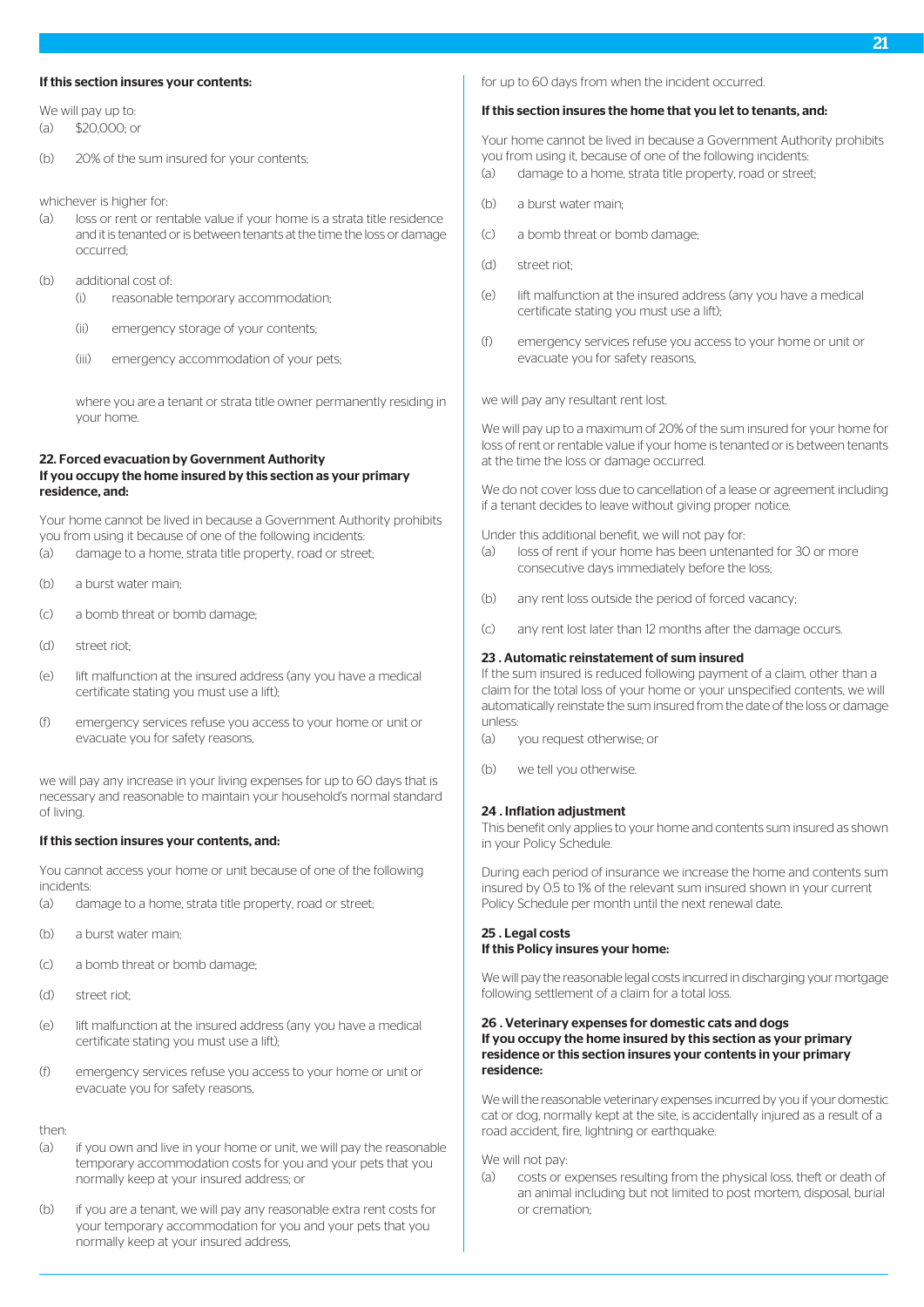#### If this section insures your contents:

- We will nay up to: (a) \$20,000; or
- (b) 20% of the sum insured for your contents;

whichever is higher for-

- (a) loss or rent or rentable value if your home is a strata title residence and it is tenanted or is between tenants at the time the loss or damage occurred;
- (b) additional cost of:
	- (i) reasonable temporary accommodation;
	- (ii) emergency storage of your contents;
	- (iii) emergency accommodation of your pets;

where you are a tenant or strata title owner permanently residing in your home.

#### 22. Forced evacuation by Government Authority If you occupy the home insured by this section as your primary residence, and:

Your home cannot be lived in because a Government Authority prohibits you from using it because of one of the following incidents:

- (a) damage to a home, strata title property, road or street;
- (b) a burst water main;
- (c) a bomb threat or bomb damage;
- (d) street riot;
- (e) lift malfunction at the insured address (any you have a medical certificate stating you must use a lift);
- (f) emergency services refuse you access to your home or unit or evacuate you for safety reasons,

we will pay any increase in your living expenses for up to 60 days that is necessary and reasonable to maintain your household's normal standard of living.

#### If this section insures your contents, and:

You cannot access your home or unit because of one of the following incidents:

- (a) damage to a home, strata title property, road or street;
- (b) a burst water main;
- (c) a bomb threat or bomb damage;
- (d) street riot;
- (e) lift malfunction at the insured address (any you have a medical certificate stating you must use a lift);
- (f) emergency services refuse you access to your home or unit or evacuate you for safety reasons,

then:

- (a) if you own and live in your home or unit, we will pay the reasonable temporary accommodation costs for you and your pets that you normally keep at your insured address; or
- (b) if you are a tenant, we will pay any reasonable extra rent costs for your temporary accommodation for you and your pets that you normally keep at your insured address,

for up to 60 days from when the incident occurred.

#### If this section insures the home that you let to tenants, and:

Your home cannot be lived in because a Government Authority prohibits you from using it, because of one of the following incidents:

- (a) damage to a home, strata title property, road or street;
- (b) a burst water main;
- (c) a bomb threat or bomb damage;
- (d) street riot;
- (e) lift malfunction at the insured address (any you have a medical certificate stating you must use a lift);
- (f) emergency services refuse you access to your home or unit or evacuate you for safety reasons,

we will pay any resultant rent lost.

We will pay up to a maximum of 20% of the sum insured for your home for loss of rent or rentable value if your home is tenanted or is between tenants at the time the loss or damage occurred.

We do not cover loss due to cancellation of a lease or agreement including if a tenant decides to leave without giving proper notice.

Under this additional benefit, we will not pay for:

- (a) loss of rent if your home has been untenanted for 30 or more consecutive days immediately before the loss;
- (b) any rent loss outside the period of forced vacancy;
- (c) any rent lost later than 12 months after the damage occurs.

#### 23 . Automatic reinstatement of sum insured

If the sum insured is reduced following payment of a claim, other than a claim for the total loss of your home or your unspecified contents, we will automatically reinstate the sum insured from the date of the loss or damage unless:

- (a) you request otherwise; or
- (b) we tell you otherwise.

#### 24 . Inflation adjustment

This benefit only applies to your home and contents sum insured as shown in your Policy Schedule.

During each period of insurance we increase the home and contents sum insured by 0.5 to 1% of the relevant sum insured shown in your current Policy Schedule per month until the next renewal date.

#### 25 . Legal costs If this Policy insures your home:

We will pay the reasonable legal costs incurred in discharging your mortgage following settlement of a claim for a total loss.

#### 26 . Veterinary expenses for domestic cats and dogs If you occupy the home insured by this section as your primary residence or this section insures your contents in your primary residence:

We will the reasonable veterinary expenses incurred by you if your domestic cat or dog, normally kept at the site, is accidentally injured as a result of a road accident, fire, lightning or earthquake.

We will not pay:

(a) costs or expenses resulting from the physical loss, theft or death of an animal including but not limited to post mortem, disposal, burial or cremation;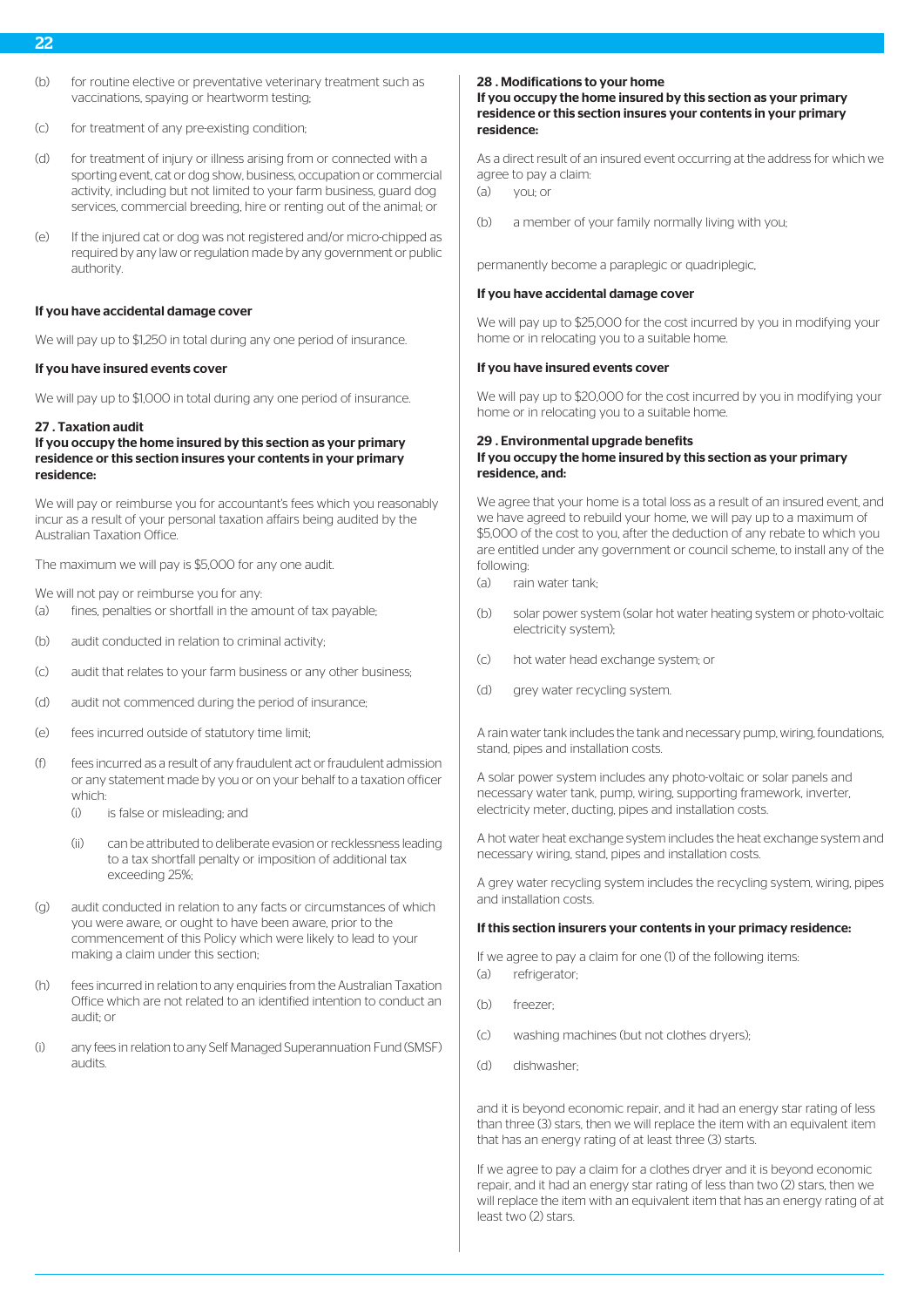- (b) for routine elective or preventative veterinary treatment such as vaccinations, spaying or heartworm testing;
- (c) for treatment of any pre-existing condition;
- (d) for treatment of injury or illness arising from or connected with a sporting event, cat or dog show, business, occupation or commercial activity, including but not limited to your farm business, guard dog services, commercial breeding, hire or renting out of the animal; or
- (e) If the injured cat or dog was not registered and/or micro-chipped as required by any law or regulation made by any government or public authority.

#### If you have accidental damage cover

We will pay up to \$1,250 in total during any one period of insurance.

#### If you have insured events cover

We will pay up to \$1,000 in total during any one period of insurance.

#### 27 . Taxation audit

#### If you occupy the home insured by this section as your primary residence or this section insures your contents in your primary residence:

We will pay or reimburse you for accountant's fees which you reasonably incur as a result of your personal taxation affairs being audited by the Australian Taxation Office.

The maximum we will pay is \$5,000 for any one audit.

We will not pay or reimburse you for any:

- (a) fines, penalties or shortfall in the amount of tax payable;
- (b) audit conducted in relation to criminal activity;
- (c) audit that relates to your farm business or any other business;
- (d) audit not commenced during the period of insurance;
- (e) fees incurred outside of statutory time limit;
- (f) fees incurred as a result of any fraudulent act or fraudulent admission or any statement made by you or on your behalf to a taxation officer which:
	- (i) is false or misleading; and
	- (ii) can be attributed to deliberate evasion or recklessness leading to a tax shortfall penalty or imposition of additional tax exceeding 25%;
- (g) audit conducted in relation to any facts or circumstances of which you were aware, or ought to have been aware, prior to the commencement of this Policy which were likely to lead to your making a claim under this section;
- (h) fees incurred in relation to any enquiries from the Australian Taxation Office which are not related to an identified intention to conduct an audit; or
- (i) any fees in relation to any Self Managed Superannuation Fund (SMSF) audits.

#### 28 . Modifications to your home

#### If you occupy the home insured by this section as your primary residence or this section insures your contents in your primary residence:

As a direct result of an insured event occurring at the address for which we agree to pay a claim:

(a) you; or

(b) a member of your family normally living with you;

permanently become a paraplegic or quadriplegic,

#### If you have accidental damage cover

We will pay up to \$25,000 for the cost incurred by you in modifying your home or in relocating you to a suitable home.

#### If you have insured events cover

We will pay up to \$20,000 for the cost incurred by you in modifying your home or in relocating you to a suitable home.

#### 29 . Environmental upgrade benefits If you occupy the home insured by this section as your primary residence, and:

We agree that your home is a total loss as a result of an insured event, and we have agreed to rebuild your home, we will pay up to a maximum of \$5,000 of the cost to you, after the deduction of any rebate to which you are entitled under any government or council scheme, to install any of the following:

- (a) rain water tank;
- (b) solar power system (solar hot water heating system or photo-voltaic electricity system);
- (c) hot water head exchange system; or
- (d) grey water recycling system.

A rain water tank includes the tank and necessary pump, wiring, foundations, stand, pipes and installation costs.

A solar power system includes any photo-voltaic or solar panels and necessary water tank, pump, wiring, supporting framework, inverter, electricity meter, ducting, pipes and installation costs.

A hot water heat exchange system includes the heat exchange system and necessary wiring, stand, pipes and installation costs.

A grey water recycling system includes the recycling system, wiring, pipes and installation costs.

#### If this section insurers your contents in your primacy residence:

If we agree to pay a claim for one (1) of the following items: (a) refrigerator;

- (b) freezer;
- (c) washing machines (but not clothes dryers);
- (d) dishwasher;

and it is beyond economic repair, and it had an energy star rating of less than three (3) stars, then we will replace the item with an equivalent item that has an energy rating of at least three (3) starts.

If we agree to pay a claim for a clothes dryer and it is beyond economic repair, and it had an energy star rating of less than two (2) stars, then we will replace the item with an equivalent item that has an energy rating of at least two (2) stars.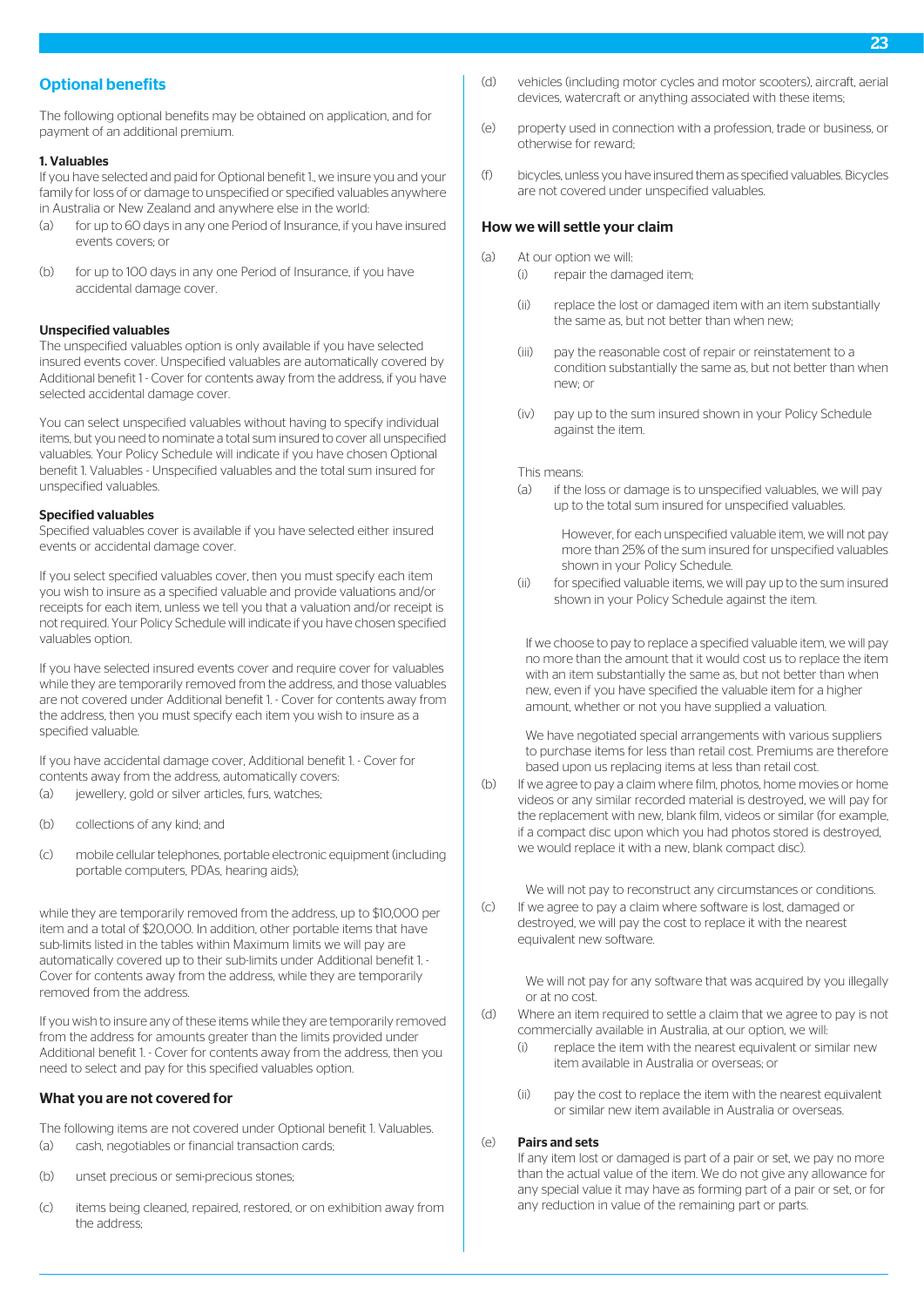# Optional benefits

The following optional benefits may be obtained on application, and for payment of an additional premium.

#### 1. Valuables

If you have selected and paid for Optional benefit 1., we insure you and your family for loss of or damage to unspecified or specified valuables anywhere in Australia or New Zealand and anywhere else in the world:

- (a) for up to 60 days in any one Period of Insurance, if you have insured events covers; or
- (b) for up to 100 days in any one Period of Insurance, if you have accidental damage cover.

#### Unspecified valuables

The unspecified valuables option is only available if you have selected insured events cover. Unspecified valuables are automatically covered by Additional benefit 1 - Cover for contents away from the address, if you have selected accidental damage cover.

You can select unspecified valuables without having to specify individual items, but you need to nominate a total sum insured to cover all unspecified valuables. Your Policy Schedule will indicate if you have chosen Optional benefit 1. Valuables - Unspecified valuables and the total sum insured for unspecified valuables.

#### Specified valuables

Specified valuables cover is available if you have selected either insured events or accidental damage cover.

If you select specified valuables cover, then you must specify each item you wish to insure as a specified valuable and provide valuations and/or receipts for each item, unless we tell you that a valuation and/or receipt is not required. Your Policy Schedule will indicate if you have chosen specified valuables option.

If you have selected insured events cover and require cover for valuables while they are temporarily removed from the address, and those valuables are not covered under Additional benefit 1. - Cover for contents away from the address, then you must specify each item you wish to insure as a specified valuable.

If you have accidental damage cover, Additional benefit 1. - Cover for contents away from the address, automatically covers:

- (a) iewellery, gold or silver articles, furs, watches;
- (b) collections of any kind; and
- (c) mobile cellular telephones, portable electronic equipment (including portable computers, PDAs, hearing aids);

while they are temporarily removed from the address, up to \$10,000 per item and a total of \$20,000. In addition, other portable items that have sub-limits listed in the tables within Maximum limits we will pay are automatically covered up to their sub-limits under Additional benefit 1. - Cover for contents away from the address, while they are temporarily removed from the address.

If you wish to insure any of these items while they are temporarily removed from the address for amounts greater than the limits provided under Additional benefit 1. - Cover for contents away from the address, then you need to select and pay for this specified valuables option.

#### What you are not covered for

The following items are not covered under Optional benefit 1. Valuables. (a) cash, negotiables or financial transaction cards;

- (b) unset precious or semi-precious stones;
- (c) items being cleaned, repaired, restored, or on exhibition away from the address;
- (d) vehicles (including motor cycles and motor scooters), aircraft, aerial devices, watercraft or anything associated with these items;
- (e) property used in connection with a profession, trade or business, or otherwise for reward;
- (f) bicycles, unless you have insured them as specified valuables. Bicycles are not covered under unspecified valuables.

#### How we will settle your claim

- (a) At our option we will:
	- (i) repair the damaged item;
	- (ii) replace the lost or damaged item with an item substantially the same as, but not better than when new;
	- (iii) pay the reasonable cost of repair or reinstatement to a condition substantially the same as, but not better than when new; or
	- (iv) pay up to the sum insured shown in your Policy Schedule against the item.

#### This means:

(a) if the loss or damage is to unspecified valuables, we will pay up to the total sum insured for unspecified valuables.

However, for each unspecified valuable item, we will not pay more than 25% of the sum insured for unspecified valuables shown in your Policy Schedule.

(ii) for specified valuable items, we will pay up to the sum insured shown in your Policy Schedule against the item.

If we choose to pay to replace a specified valuable item, we will pay no more than the amount that it would cost us to replace the item with an item substantially the same as, but not better than when new, even if you have specified the valuable item for a higher amount, whether or not you have supplied a valuation.

We have negotiated special arrangements with various suppliers to purchase items for less than retail cost. Premiums are therefore based upon us replacing items at less than retail cost.

(b) If we agree to pay a claim where film, photos, home movies or home videos or any similar recorded material is destroyed, we will pay for the replacement with new, blank film, videos or similar (for example, if a compact disc upon which you had photos stored is destroyed, we would replace it with a new, blank compact disc).

We will not pay to reconstruct any circumstances or conditions.

(c) If we agree to pay a claim where software is lost, damaged or destroyed, we will pay the cost to replace it with the nearest equivalent new software.

> We will not pay for any software that was acquired by you illegally or at no cost.

- (d) Where an item required to settle a claim that we agree to pay is not commercially available in Australia, at our option, we will:
	- (i) replace the item with the nearest equivalent or similar new item available in Australia or overseas; or
	- (ii) pay the cost to replace the item with the nearest equivalent or similar new item available in Australia or overseas.

#### (e) Pairs and sets

If any item lost or damaged is part of a pair or set, we pay no more than the actual value of the item. We do not give any allowance for any special value it may have as forming part of a pair or set, or for any reduction in value of the remaining part or parts.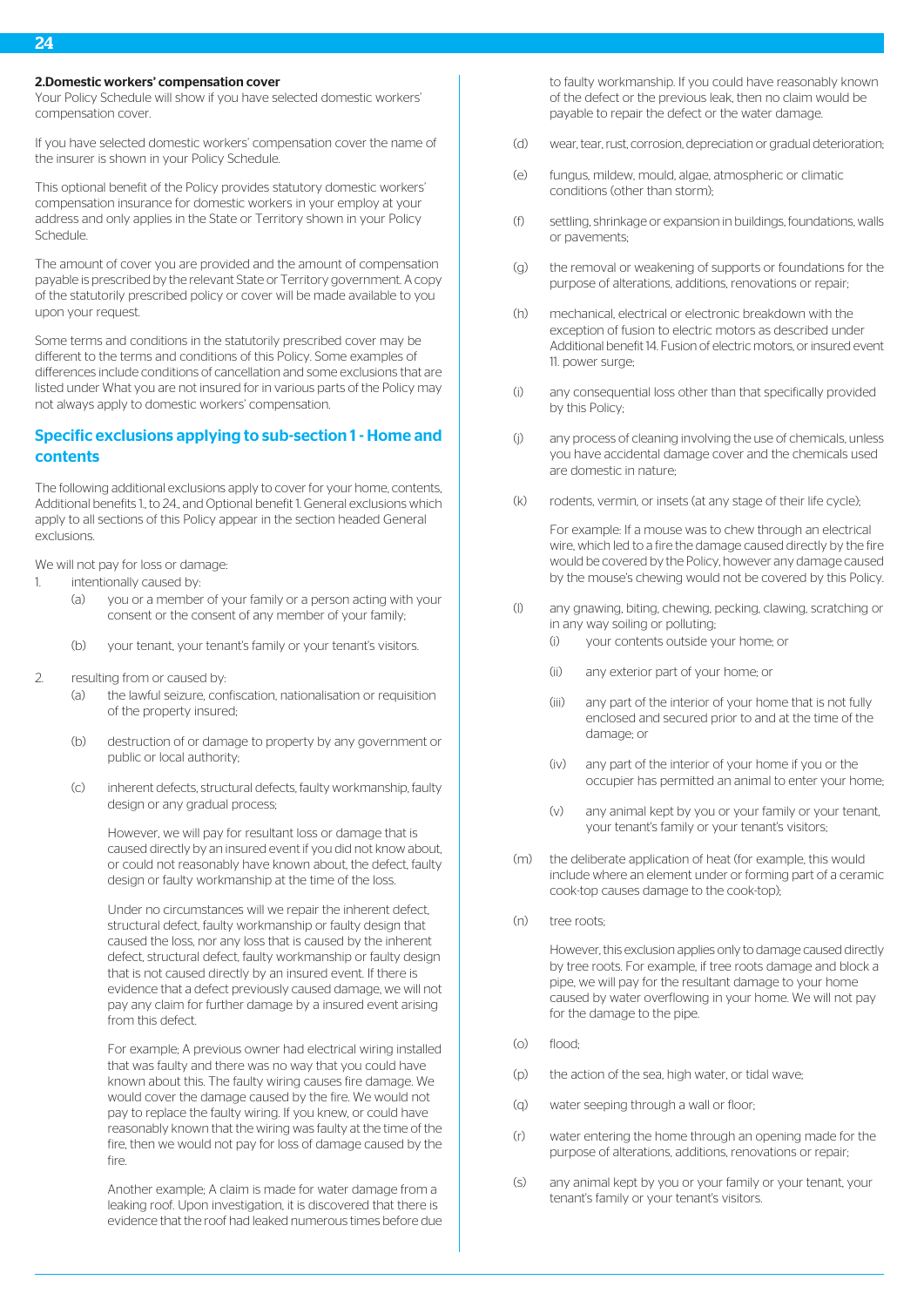#### 2.Domestic workers' compensation cover

Your Policy Schedule will show if you have selected domestic workers' compensation cover.

If you have selected domestic workers' compensation cover the name of the insurer is shown in your Policy Schedule.

This optional benefit of the Policy provides statutory domestic workers' compensation insurance for domestic workers in your employ at your address and only applies in the State or Territory shown in your Policy Schedule.

The amount of cover you are provided and the amount of compensation payable is prescribed by the relevant State or Territory government. A copy of the statutorily prescribed policy or cover will be made available to you upon your request.

Some terms and conditions in the statutorily prescribed cover may be different to the terms and conditions of this Policy. Some examples of differences include conditions of cancellation and some exclusions that are listed under What you are not insured for in various parts of the Policy may not always apply to domestic workers' compensation.

# Specific exclusions applying to sub-section 1 - Home and contents

The following additional exclusions apply to cover for your home, contents, Additional benefits 1., to 24., and Optional benefit 1. General exclusions which apply to all sections of this Policy appear in the section headed General exclusions.

We will not pay for loss or damage:

- 1. intentionally caused by:
	- (a) you or a member of your family or a person acting with your consent or the consent of any member of your family;
	- (b) your tenant, your tenant's family or your tenant's visitors.
- 2. resulting from or caused by:
	- (a) the lawful seizure, confiscation, nationalisation or requisition of the property insured;
	- (b) destruction of or damage to property by any government or public or local authority;
	- (c) inherent defects, structural defects, faulty workmanship, faulty design or any gradual process;

However, we will pay for resultant loss or damage that is caused directly by an insured event if you did not know about, or could not reasonably have known about, the defect, faulty design or faulty workmanship at the time of the loss.

Under no circumstances will we repair the inherent defect, structural defect, faulty workmanship or faulty design that caused the loss, nor any loss that is caused by the inherent defect, structural defect, faulty workmanship or faulty design that is not caused directly by an insured event. If there is evidence that a defect previously caused damage, we will not pay any claim for further damage by a insured event arising from this defect.

For example; A previous owner had electrical wiring installed that was faulty and there was no way that you could have known about this. The faulty wiring causes fire damage. We would cover the damage caused by the fire. We would not pay to replace the faulty wiring. If you knew, or could have reasonably known that the wiring was faulty at the time of the fire, then we would not pay for loss of damage caused by the fire.

Another example; A claim is made for water damage from a leaking roof. Upon investigation, it is discovered that there is evidence that the roof had leaked numerous times before due to faulty workmanship. If you could have reasonably known of the defect or the previous leak, then no claim would be payable to repair the defect or the water damage.

- (d) wear, tear, rust, corrosion, depreciation or gradual deterioration;
- (e) fungus, mildew, mould, algae, atmospheric or climatic conditions (other than storm);
- (f) settling, shrinkage or expansion in buildings, foundations, walls or pavements;
- (g) the removal or weakening of supports or foundations for the purpose of alterations, additions, renovations or repair;
- (h) mechanical, electrical or electronic breakdown with the exception of fusion to electric motors as described under Additional benefit 14. Fusion of electric motors, or insured event 11. power surge;
- (i) any consequential loss other than that specifically provided by this Policy;
- (j) any process of cleaning involving the use of chemicals, unless you have accidental damage cover and the chemicals used are domestic in nature;
- (k) rodents, vermin, or insets (at any stage of their life cycle);

For example: If a mouse was to chew through an electrical wire, which led to a fire the damage caused directly by the fire would be covered by the Policy, however any damage caused by the mouse's chewing would not be covered by this Policy.

- (l) any gnawing, biting, chewing, pecking, clawing, scratching or in any way soiling or polluting;
	- (i) your contents outside your home; or
	- (ii) any exterior part of your home; or
	- (iii) any part of the interior of your home that is not fully enclosed and secured prior to and at the time of the damage; or
	- (iv) any part of the interior of your home if you or the occupier has permitted an animal to enter your home;
	- (v) any animal kept by you or your family or your tenant, your tenant's family or your tenant's visitors;
- (m) the deliberate application of heat (for example, this would include where an element under or forming part of a ceramic cook-top causes damage to the cook-top);
- (n) tree roots;

However, this exclusion applies only to damage caused directly by tree roots. For example, if tree roots damage and block a pipe, we will pay for the resultant damage to your home caused by water overflowing in your home. We will not pay for the damage to the pipe.

- $(n)$  flood:
- (p) the action of the sea, high water, or tidal wave;
- (q) water seeping through a wall or floor;
- (r) water entering the home through an opening made for the purpose of alterations, additions, renovations or repair;
- (s) any animal kept by you or your family or your tenant, your tenant's family or your tenant's visitors.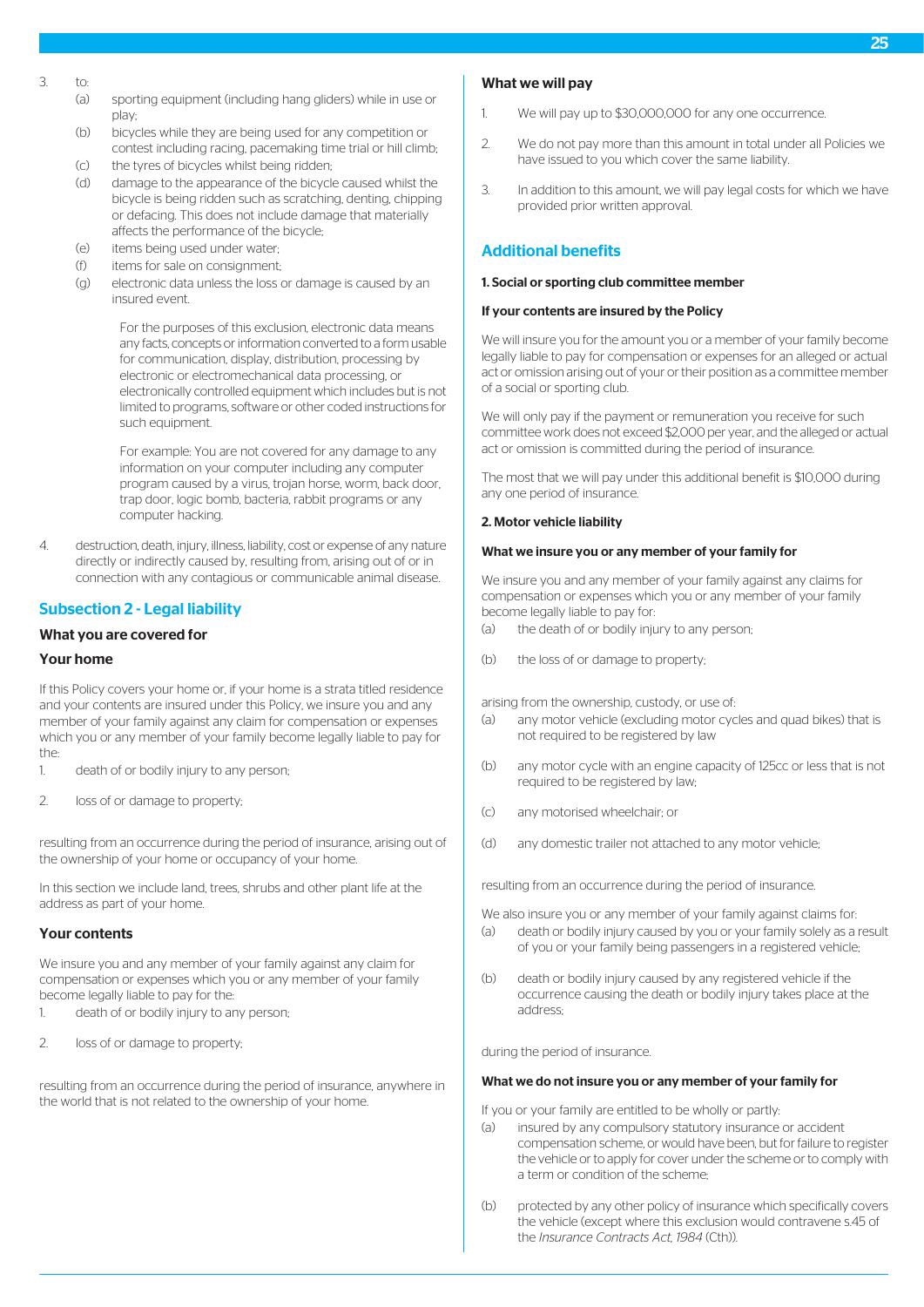- $3 + 6$ 
	- (a) sporting equipment (including hang gliders) while in use or play;
	- (b) bicycles while they are being used for any competition or contest including racing, pacemaking time trial or hill climb;
	- (c) the tyres of bicycles whilst being ridden;
	- (d) damage to the appearance of the bicycle caused whilst the bicycle is being ridden such as scratching, denting, chipping or defacing. This does not include damage that materially affects the performance of the bicycle;
	- (e) items being used under water;
	- (f) items for sale on consignment;
	- (g) electronic data unless the loss or damage is caused by an insured event.

For the purposes of this exclusion, electronic data means any facts, concepts or information converted to a form usable for communication, display, distribution, processing by electronic or electromechanical data processing, or electronically controlled equipment which includes but is not limited to programs, software or other coded instructions for such equipment.

For example: You are not covered for any damage to any information on your computer including any computer program caused by a virus, trojan horse, worm, back door, trap door, logic bomb, bacteria, rabbit programs or any computer hacking.

4. destruction, death, injury, illness, liability, cost or expense of any nature directly or indirectly caused by, resulting from, arising out of or in connection with any contagious or communicable animal disease.

# Subsection 2 - Legal liability

#### What you are covered for

## Your home

If this Policy covers your home or, if your home is a strata titled residence and your contents are insured under this Policy, we insure you and any member of your family against any claim for compensation or expenses which you or any member of your family become legally liable to pay for the:

- 1. death of or bodily injury to any person;
- 2. loss of or damage to property;

resulting from an occurrence during the period of insurance, arising out of the ownership of your home or occupancy of your home.

In this section we include land, trees, shrubs and other plant life at the address as part of your home.

#### Your contents

We insure you and any member of your family against any claim for compensation or expenses which you or any member of your family become legally liable to pay for the:

- 1. death of or bodily injury to any person;
- 2. loss of or damage to property;

resulting from an occurrence during the period of insurance, anywhere in the world that is not related to the ownership of your home.

# What we will pay

- 1. We will pay up to \$30,000,000 for any one occurrence.
- 2. We do not pay more than this amount in total under all Policies we have issued to you which cover the same liability.
- 3. In addition to this amount, we will pay legal costs for which we have provided prior written approval.

# Additional benefits

#### 1. Social or sporting club committee member

#### If your contents are insured by the Policy

We will insure you for the amount you or a member of your family become legally liable to pay for compensation or expenses for an alleged or actual act or omission arising out of your or their position as a committee member of a social or sporting club.

We will only pay if the payment or remuneration you receive for such committee work does not exceed \$2,000 per year, and the alleged or actual act or omission is committed during the period of insurance.

The most that we will pay under this additional benefit is \$10,000 during any one period of insurance.

#### 2. Motor vehicle liability

#### What we insure you or any member of your family for

We insure you and any member of your family against any claims for compensation or expenses which you or any member of your family become legally liable to pay for:

- (a) the death of or bodily injury to any person;
- (b) the loss of or damage to property;

arising from the ownership, custody, or use of:

- (a) any motor vehicle (excluding motor cycles and quad bikes) that is not required to be registered by law
- (b) any motor cycle with an engine capacity of 125cc or less that is not required to be registered by law;
- (c) any motorised wheelchair; or
- (d) any domestic trailer not attached to any motor vehicle;

resulting from an occurrence during the period of insurance.

We also insure you or any member of your family against claims for:

- (a) death or bodily injury caused by you or your family solely as a result of you or your family being passengers in a registered vehicle;
- (b) death or bodily injury caused by any registered vehicle if the occurrence causing the death or bodily injury takes place at the address;

during the period of insurance.

#### What we do not insure you or any member of your family for

If you or your family are entitled to be wholly or partly:

- (a) insured by any compulsory statutory insurance or accident compensation scheme, or would have been, but for failure to register the vehicle or to apply for cover under the scheme or to comply with a term or condition of the scheme;
- (b) protected by any other policy of insurance which specifically covers the vehicle (except where this exclusion would contravene s.45 of the *Insurance Contracts Act, 1984* (Cth)).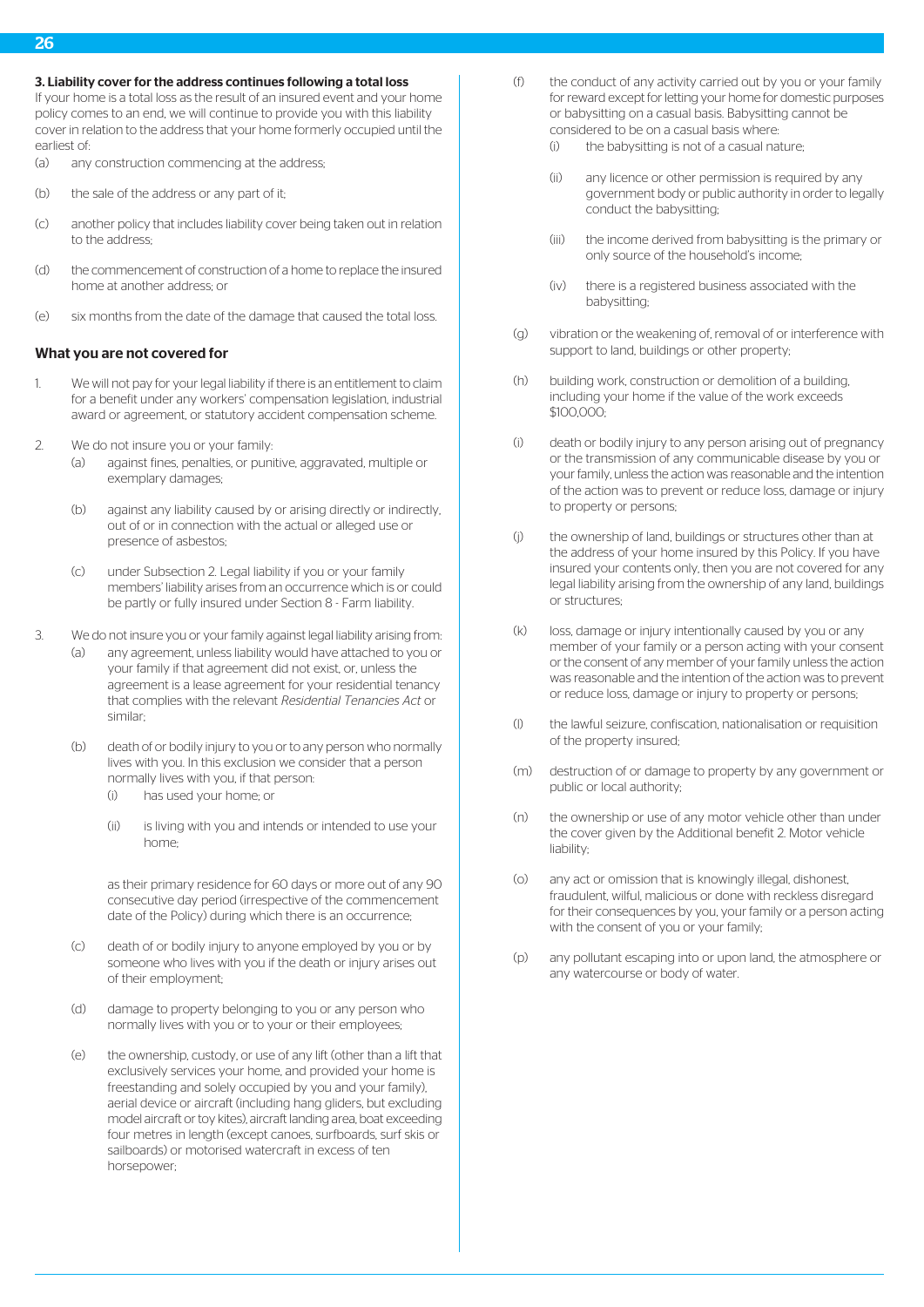#### 3. Liability cover for the address continues following a total loss

If your home is a total loss as the result of an insured event and your home policy comes to an end, we will continue to provide you with this liability cover in relation to the address that your home formerly occupied until the earliest of:

- (a) any construction commencing at the address;
- (b) the sale of the address or any part of it;
- (c) another policy that includes liability cover being taken out in relation to the address;
- (d) the commencement of construction of a home to replace the insured home at another address; or
- (e) six months from the date of the damage that caused the total loss.

#### What you are not covered for

- 1. We will not pay for your legal liability if there is an entitlement to claim for a benefit under any workers' compensation legislation, industrial award or agreement, or statutory accident compensation scheme.
- 2. We do not insure you or your family:
	- (a) against fines, penalties, or punitive, aggravated, multiple or exemplary damages;
	- (b) against any liability caused by or arising directly or indirectly, out of or in connection with the actual or alleged use or presence of asbestos;
	- (c) under Subsection 2. Legal liability if you or your family members' liability arises from an occurrence which is or could be partly or fully insured under Section 8 - Farm liability.
- 3. We do not insure you or your family against legal liability arising from:
	- (a) any agreement, unless liability would have attached to you or your family if that agreement did not exist, or, unless the agreement is a lease agreement for your residential tenancy that complies with the relevant *Residential Tenancies Act* or similar;
		- (b) death of or bodily injury to you or to any person who normally lives with you. In this exclusion we consider that a person normally lives with you, if that person:
			- (i) has used your home; or
			- (ii) is living with you and intends or intended to use your home;

as their primary residence for 60 days or more out of any 90 consecutive day period (irrespective of the commencement date of the Policy) during which there is an occurrence;

- (c) death of or bodily injury to anyone employed by you or by someone who lives with you if the death or injury arises out of their employment;
- (d) damage to property belonging to you or any person who normally lives with you or to your or their employees;
- (e) the ownership, custody, or use of any lift (other than a lift that exclusively services your home, and provided your home is freestanding and solely occupied by you and your family), aerial device or aircraft (including hang gliders, but excluding model aircraft or toy kites), aircraft landing area, boat exceeding four metres in length (except canoes, surfboards, surf skis or sailboards) or motorised watercraft in excess of ten horsepower;
- (f) the conduct of any activity carried out by you or your family for reward except for letting your home for domestic purposes or babysitting on a casual basis. Babysitting cannot be considered to be on a casual basis where:
	- (i) the babysitting is not of a casual nature;
	- (ii) any licence or other permission is required by any government body or public authority in order to legally conduct the babysitting;
	- (iii) the income derived from babysitting is the primary or only source of the household's income;
	- (iv) there is a registered business associated with the babysitting;
- (g) vibration or the weakening of, removal of or interference with support to land, buildings or other property;
- (h) building work, construction or demolition of a building, including your home if the value of the work exceeds \$100,000;
- (i) death or bodily injury to any person arising out of pregnancy or the transmission of any communicable disease by you or your family, unless the action was reasonable and the intention of the action was to prevent or reduce loss, damage or injury to property or persons;
- (j) the ownership of land, buildings or structures other than at the address of your home insured by this Policy. If you have insured your contents only, then you are not covered for any legal liability arising from the ownership of any land, buildings or structures;
- (k) loss, damage or injury intentionally caused by you or any member of your family or a person acting with your consent or the consent of any member of your family unless the action was reasonable and the intention of the action was to prevent or reduce loss, damage or injury to property or persons;
- (l) the lawful seizure, confiscation, nationalisation or requisition of the property insured;
- (m) destruction of or damage to property by any government or public or local authority;
- (n) the ownership or use of any motor vehicle other than under the cover given by the Additional benefit 2. Motor vehicle liability;
- (o) any act or omission that is knowingly illegal, dishonest, fraudulent, wilful, malicious or done with reckless disregard for their consequences by you, your family or a person acting with the consent of you or your family;
- (p) any pollutant escaping into or upon land, the atmosphere or any watercourse or body of water.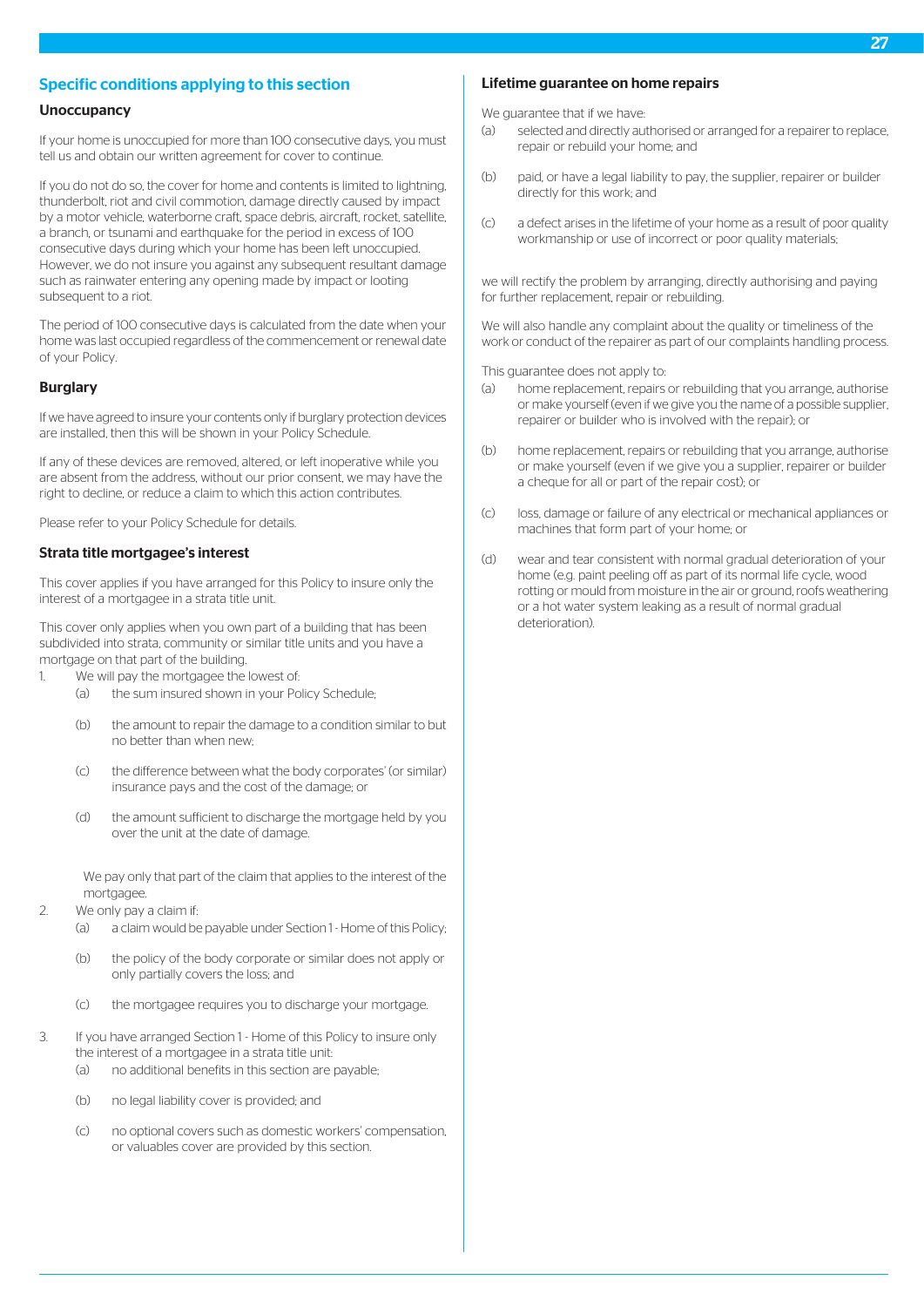# Specific conditions applying to this section

# **Unoccupancy**

If your home is unoccupied for more than 100 consecutive days, you must tell us and obtain our written agreement for cover to continue.

If you do not do so, the cover for home and contents is limited to lightning, thunderbolt, riot and civil commotion, damage directly caused by impact by a motor vehicle, waterborne craft, space debris, aircraft, rocket, satellite, a branch, or tsunami and earthquake for the period in excess of 100 consecutive days during which your home has been left unoccupied. However, we do not insure you against any subsequent resultant damage such as rainwater entering any opening made by impact or looting subsequent to a riot.

The period of 100 consecutive days is calculated from the date when your home was last occupied regardless of the commencement or renewal date of your Policy.

#### Burglary

If we have agreed to insure your contents only if burglary protection devices are installed, then this will be shown in your Policy Schedule.

If any of these devices are removed, altered, or left inoperative while you are absent from the address, without our prior consent, we may have the right to decline, or reduce a claim to which this action contributes.

Please refer to your Policy Schedule for details.

#### Strata title mortgagee's interest

This cover applies if you have arranged for this Policy to insure only the interest of a mortgagee in a strata title unit.

This cover only applies when you own part of a building that has been subdivided into strata, community or similar title units and you have a mortgage on that part of the building.

- 1. We will nay the mortgagee the lowest of
	- (a) the sum insured shown in your Policy Schedule;
	- (b) the amount to repair the damage to a condition similar to but no better than when new;
	- (c) the difference between what the body corporates' (or similar) insurance pays and the cost of the damage; or
	- (d) the amount sufficient to discharge the mortgage held by you over the unit at the date of damage.

We pay only that part of the claim that applies to the interest of the mortgagee

- 2. We only pay a claim if:
	- (a) a claim would be payable under Section 1 Home of this Policy;
	- (b) the policy of the body corporate or similar does not apply or only partially covers the loss; and
	- (c) the mortgagee requires you to discharge your mortgage.
- 3. If you have arranged Section 1 Home of this Policy to insure only the interest of a mortgagee in a strata title unit:
	- (a) no additional benefits in this section are payable;
	- (b) no legal liability cover is provided; and
	- (c) no optional covers such as domestic workers' compensation, or valuables cover are provided by this section.

## Lifetime guarantee on home repairs

We quarantee that if we have:

- (a) selected and directly authorised or arranged for a repairer to replace, repair or rebuild your home; and
- (b) paid, or have a legal liability to pay, the supplier, repairer or builder directly for this work; and
- (c) a defect arises in the lifetime of your home as a result of poor quality workmanship or use of incorrect or poor quality materials;

we will rectify the problem by arranging, directly authorising and paying for further replacement, repair or rebuilding.

We will also handle any complaint about the quality or timeliness of the work or conduct of the repairer as part of our complaints handling process.

This guarantee does not apply to:

- (a) home replacement, repairs or rebuilding that you arrange, authorise or make yourself (even if we give you the name of a possible supplier, repairer or builder who is involved with the repair); or
- (b) home replacement, repairs or rebuilding that you arrange, authorise or make yourself (even if we give you a supplier, repairer or builder a cheque for all or part of the repair cost); or
- (c) loss, damage or failure of any electrical or mechanical appliances or machines that form part of your home; or
- (d) wear and tear consistent with normal gradual deterioration of your home (e.g. paint peeling off as part of its normal life cycle, wood rotting or mould from moisture in the air or ground, roofs weathering or a hot water system leaking as a result of normal gradual deterioration).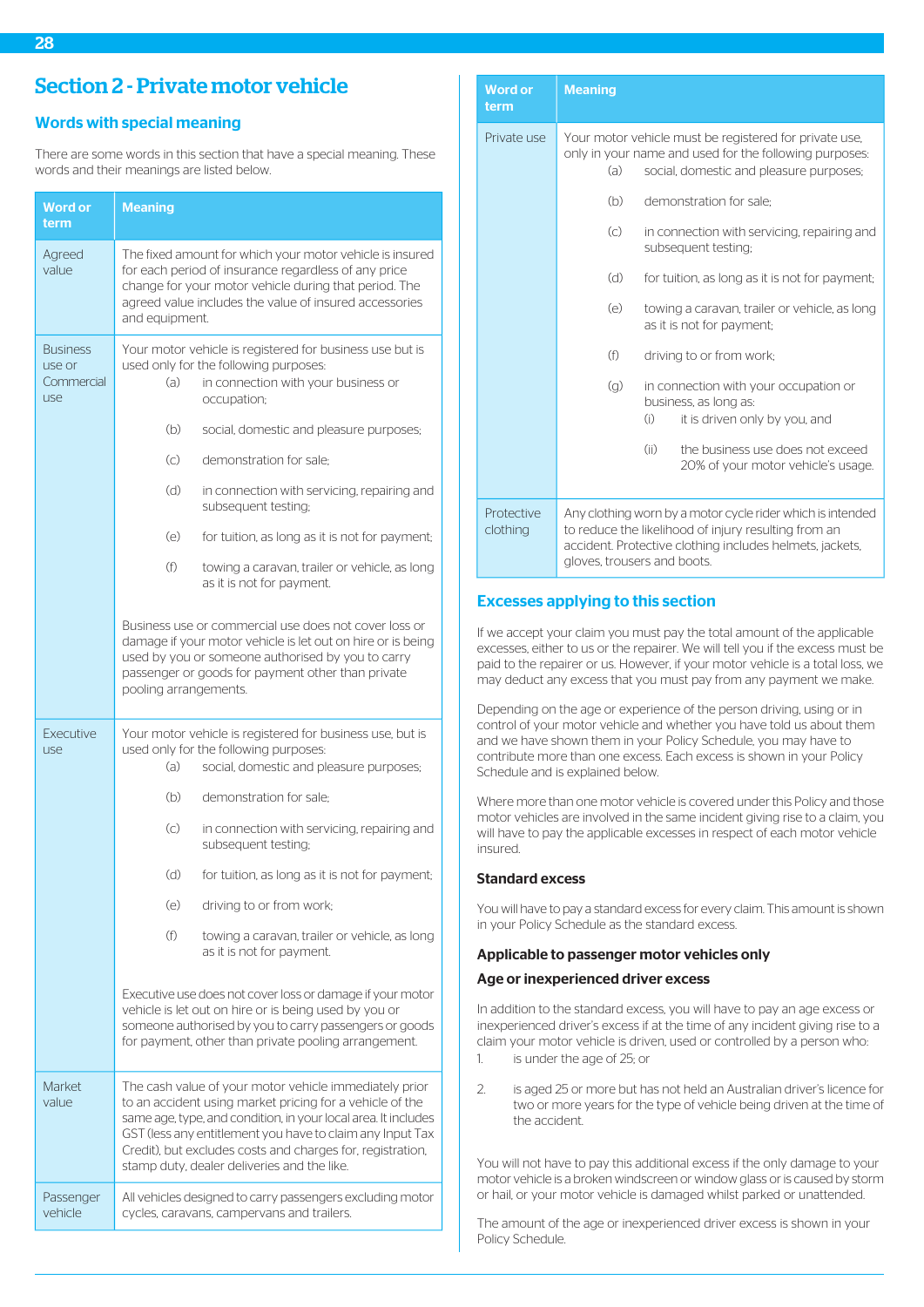# <span id="page-28-1"></span><span id="page-28-0"></span>Words with special meaning

There are some words in this section that have a special meaning. These words and their meanings are listed below.

| Word or<br>term                                | <b>Meaning</b>                                                                                                                                                                                                                                                                                                                                                 |
|------------------------------------------------|----------------------------------------------------------------------------------------------------------------------------------------------------------------------------------------------------------------------------------------------------------------------------------------------------------------------------------------------------------------|
| Agreed<br>value                                | The fixed amount for which your motor vehicle is insured<br>for each period of insurance regardless of any price<br>change for your motor vehicle during that period. The<br>agreed value includes the value of insured accessories<br>and equipment.                                                                                                          |
| <b>Business</b><br>use or<br>Commercial<br>use | Your motor vehicle is registered for business use but is<br>used only for the following purposes:<br>(a)<br>in connection with your business or<br>occupation;                                                                                                                                                                                                 |
|                                                | (b)<br>social, domestic and pleasure purposes;                                                                                                                                                                                                                                                                                                                 |
|                                                | $\left( \circ \right)$<br>demonstration for sale:                                                                                                                                                                                                                                                                                                              |
|                                                | (d)<br>in connection with servicing, repairing and<br>subsequent testing;                                                                                                                                                                                                                                                                                      |
|                                                | $(\ominus)$<br>for tuition, as long as it is not for payment;                                                                                                                                                                                                                                                                                                  |
|                                                | (f)<br>towing a caravan, trailer or vehicle, as long<br>as it is not for payment.                                                                                                                                                                                                                                                                              |
|                                                | Business use or commercial use does not cover loss or<br>damage if your motor vehicle is let out on hire or is being<br>used by you or someone authorised by you to carry<br>passenger or goods for payment other than private<br>pooling arrangements.                                                                                                        |
| Executive<br>use                               | Your motor vehicle is registered for business use, but is<br>used only for the following purposes:<br>(a)<br>social, domestic and pleasure purposes;                                                                                                                                                                                                           |
|                                                | (b)<br>demonstration for sale:                                                                                                                                                                                                                                                                                                                                 |
|                                                | $\left( \circ \right)$<br>in connection with servicing, repairing and<br>subsequent testing;                                                                                                                                                                                                                                                                   |
|                                                | (d)<br>for tuition, as long as it is not for payment;                                                                                                                                                                                                                                                                                                          |
|                                                | (e)<br>driving to or from work;                                                                                                                                                                                                                                                                                                                                |
|                                                | (f)<br>towing a caravan, trailer or vehicle, as long<br>as it is not for payment.                                                                                                                                                                                                                                                                              |
|                                                | Executive use does not cover loss or damage if your motor<br>vehicle is let out on hire or is being used by you or<br>someone authorised by you to carry passengers or goods<br>for payment, other than private pooling arrangement.                                                                                                                           |
| Market<br>value                                | The cash value of your motor vehicle immediately prior<br>to an accident using market pricing for a vehicle of the<br>same age, type, and condition, in your local area. It includes<br>GST (less any entitlement you have to claim any Input Tax<br>Credit), but excludes costs and charges for, registration,<br>stamp duty, dealer deliveries and the like. |
| Passenger<br>vehicle                           | All vehicles designed to carry passengers excluding motor<br>cycles, caravans, campervans and trailers.                                                                                                                                                                                                                                                        |

| <b>Word or</b><br>term        | <b>Meaning</b>                                                                                                                                                                                                |
|-------------------------------|---------------------------------------------------------------------------------------------------------------------------------------------------------------------------------------------------------------|
| Private use                   | Your motor vehicle must be registered for private use,<br>only in your name and used for the following purposes:<br>(a)<br>social, domestic and pleasure purposes;                                            |
|                               | (b)<br>demonstration for sale:                                                                                                                                                                                |
|                               | $\left( \circ \right)$<br>in connection with servicing, repairing and<br>subsequent testing;                                                                                                                  |
|                               | (d)<br>for tuition, as long as it is not for payment;                                                                                                                                                         |
|                               | (e)<br>towing a caravan, trailer or vehicle, as long<br>as it is not for payment;                                                                                                                             |
|                               | (f)<br>driving to or from work;                                                                                                                                                                               |
|                               | $\left( q\right)$<br>in connection with your occupation or<br>business, as long as:<br>(i)<br>it is driven only by you, and                                                                                   |
|                               | (ii)<br>the business use does not exceed<br>20% of your motor vehicle's usage.                                                                                                                                |
| <b>Protective</b><br>clothing | Any clothing worn by a motor cycle rider which is intended<br>to reduce the likelihood of injury resulting from an<br>accident. Protective clothing includes helmets, jackets,<br>gloves, trousers and boots. |

# Excesses applying to this section

If we accept your claim you must pay the total amount of the applicable excesses, either to us or the repairer. We will tell you if the excess must be paid to the repairer or us. However, if your motor vehicle is a total loss, we may deduct any excess that you must pay from any payment we make.

Depending on the age or experience of the person driving, using or in control of your motor vehicle and whether you have told us about them and we have shown them in your Policy Schedule, you may have to contribute more than one excess. Each excess is shown in your Policy Schedule and is explained below.

Where more than one motor vehicle is covered under this Policy and those motor vehicles are involved in the same incident giving rise to a claim, you will have to pay the applicable excesses in respect of each motor vehicle insured.

# Standard excess

You will have to pay a standard excess for every claim. This amount is shown in your Policy Schedule as the standard excess.

# Applicable to passenger motor vehicles only

#### Age or inexperienced driver excess

In addition to the standard excess, you will have to pay an age excess or inexperienced driver's excess if at the time of any incident giving rise to a claim your motor vehicle is driven, used or controlled by a person who: 1. is under the age of 25; or

- 
- 2. is aged 25 or more but has not held an Australian driver's licence for two or more years for the type of vehicle being driven at the time of the accident.

You will not have to pay this additional excess if the only damage to your motor vehicle is a broken windscreen or window glass or is caused by storm or hail, or your motor vehicle is damaged whilst parked or unattended.

The amount of the age or inexperienced driver excess is shown in your Policy Schedule.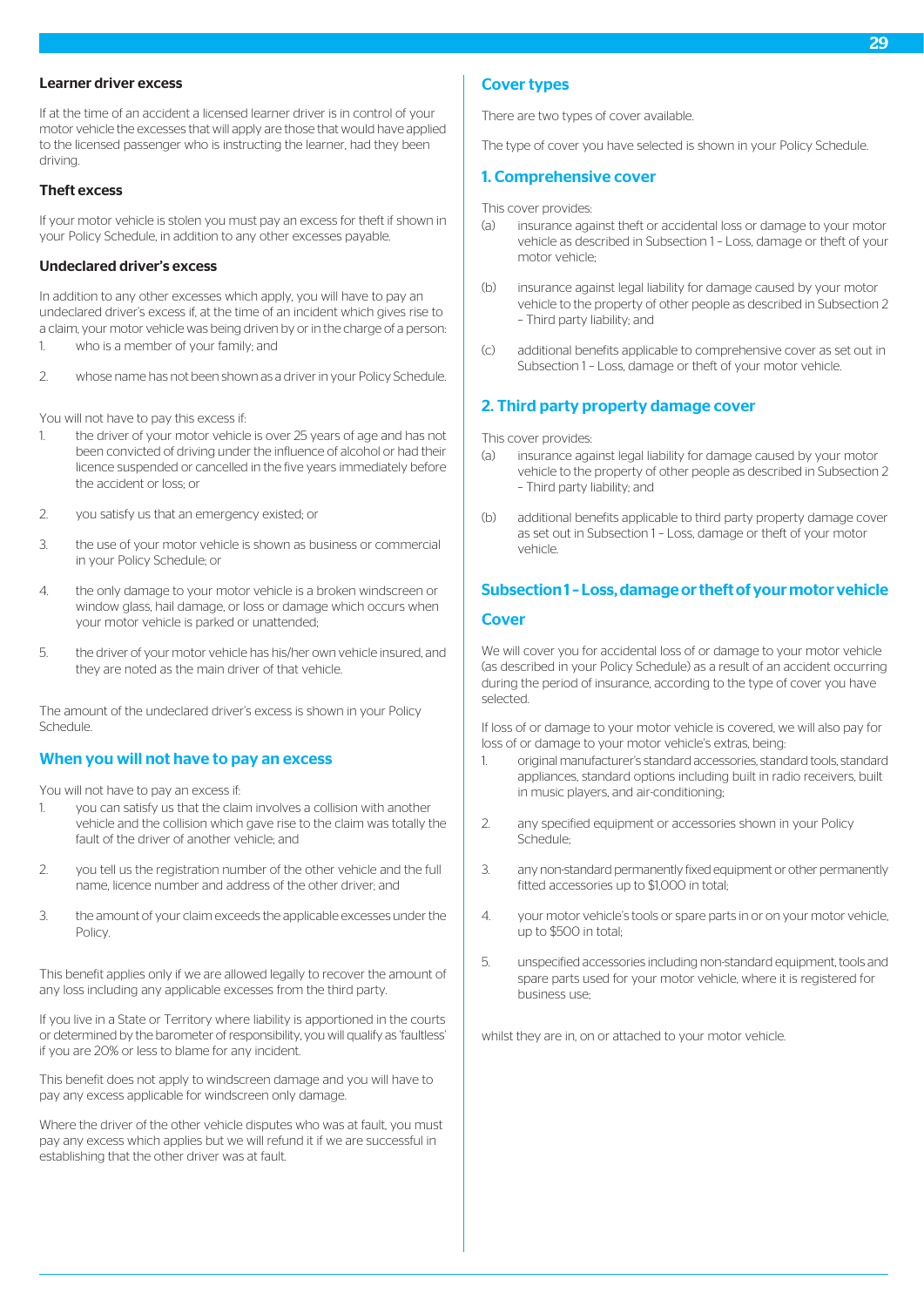## Learner driver excess

If at the time of an accident a licensed learner driver is in control of your motor vehicle the excesses that will apply are those that would have applied to the licensed passenger who is instructing the learner, had they been driving.

#### Theft excess

If your motor vehicle is stolen you must pay an excess for theft if shown in your Policy Schedule, in addition to any other excesses payable.

#### Undeclared driver's excess

In addition to any other excesses which apply, you will have to pay an undeclared driver's excess if, at the time of an incident which gives rise to a claim, your motor vehicle was being driven by or in the charge of a person:

- 1. who is a member of your family; and
- 2. whose name has not been shown as a driver in your Policy Schedule.

You will not have to pay this excess if:

- 1. the driver of your motor vehicle is over 25 years of age and has not been convicted of driving under the influence of alcohol or had their licence suspended or cancelled in the five years immediately before the accident or loss; or
- 2. you satisfy us that an emergency existed; or
- 3. the use of your motor vehicle is shown as business or commercial in your Policy Schedule; or
- 4. the only damage to your motor vehicle is a broken windscreen or window glass, hail damage, or loss or damage which occurs when your motor vehicle is parked or unattended;
- 5. the driver of your motor vehicle has his/her own vehicle insured, and they are noted as the main driver of that vehicle.

The amount of the undeclared driver's excess is shown in your Policy Schedule.

# When you will not have to pay an excess

You will not have to pay an excess if:

- 1. you can satisfy us that the claim involves a collision with another vehicle and the collision which gave rise to the claim was totally the fault of the driver of another vehicle; and
- 2. you tell us the registration number of the other vehicle and the full name, licence number and address of the other driver; and
- 3. the amount of your claim exceeds the applicable excesses under the Policy.

This benefit applies only if we are allowed legally to recover the amount of any loss including any applicable excesses from the third party.

If you live in a State or Territory where liability is apportioned in the courts or determined by the barometer of responsibility, you will qualify as 'faultless' if you are 20% or less to blame for any incident.

This benefit does not apply to windscreen damage and you will have to pay any excess applicable for windscreen only damage.

Where the driver of the other vehicle disputes who was at fault, you must pay any excess which applies but we will refund it if we are successful in establishing that the other driver was at fault.

# Cover types

There are two types of cover available.

The type of cover you have selected is shown in your Policy Schedule.

#### 1. Comprehensive cover

This cover provides:

- (a) insurance against theft or accidental loss or damage to your motor vehicle as described in Subsection 1 – Loss, damage or theft of your motor vehicle;
- (b) insurance against legal liability for damage caused by your motor vehicle to the property of other people as described in Subsection 2 – Third party liability; and
- (c) additional benefits applicable to comprehensive cover as set out in Subsection 1 – Loss, damage or theft of your motor vehicle.

# 2. Third party property damage cover

This cover provides:

- (a) insurance against legal liability for damage caused by your motor vehicle to the property of other people as described in Subsection 2 – Third party liability; and
- (b) additional benefits applicable to third party property damage cover as set out in Subsection 1 – Loss, damage or theft of your motor vehicle.

# Subsection 1 – Loss, damage or theft of your motor vehicle **Cover**

We will cover you for accidental loss of or damage to your motor vehicle (as described in your Policy Schedule) as a result of an accident occurring during the period of insurance, according to the type of cover you have selected.

If loss of or damage to your motor vehicle is covered, we will also pay for loss of or damage to your motor vehicle's extras, being:

- 1. original manufacturer's standard accessories, standard tools, standard appliances, standard options including built in radio receivers, built in music players, and air-conditioning;
- 2. any specified equipment or accessories shown in your Policy Schedule;
- 3. any non-standard permanently fixed equipment or other permanently fitted accessories up to \$1,000 in total;
- 4. your motor vehicle's tools or spare parts in or on your motor vehicle, up to \$500 in total;
- 5. unspecified accessories including non-standard equipment, tools and spare parts used for your motor vehicle, where it is registered for business use;

whilst they are in, on or attached to your motor vehicle.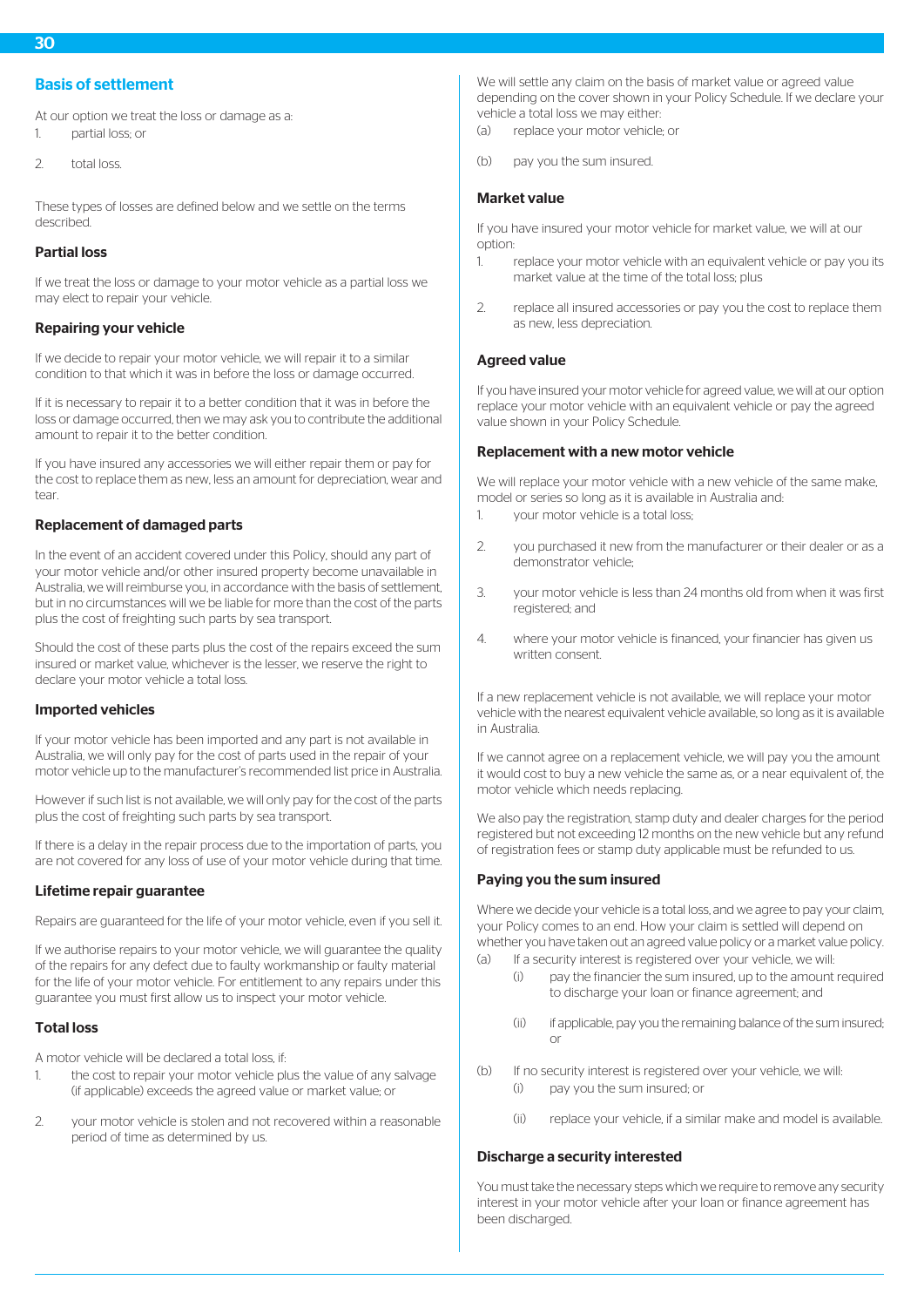# Basis of settlement

At our option we treat the loss or damage as a: 1. partial loss; or

2. total loss.

These types of losses are defined below and we settle on the terms described.

## Partial loss

If we treat the loss or damage to your motor vehicle as a partial loss we may elect to repair your vehicle.

# Repairing your vehicle

If we decide to repair your motor vehicle, we will repair it to a similar condition to that which it was in before the loss or damage occurred.

If it is necessary to repair it to a better condition that it was in before the loss or damage occurred, then we may ask you to contribute the additional amount to repair it to the better condition.

If you have insured any accessories we will either repair them or pay for the cost to replace them as new, less an amount for depreciation, wear and tear.

# Replacement of damaged parts

In the event of an accident covered under this Policy, should any part of your motor vehicle and/or other insured property become unavailable in Australia, we will reimburse you, in accordance with the basis of settlement, but in no circumstances will we be liable for more than the cost of the parts plus the cost of freighting such parts by sea transport.

Should the cost of these parts plus the cost of the repairs exceed the sum insured or market value, whichever is the lesser, we reserve the right to declare your motor vehicle a total loss.

#### Imported vehicles

If your motor vehicle has been imported and any part is not available in Australia, we will only pay for the cost of parts used in the repair of your motor vehicle up to the manufacturer's recommended list price in Australia.

However if such list is not available, we will only pay for the cost of the parts plus the cost of freighting such parts by sea transport.

If there is a delay in the repair process due to the importation of parts, you are not covered for any loss of use of your motor vehicle during that time.

#### Lifetime repair guarantee

Repairs are guaranteed for the life of your motor vehicle, even if you sell it.

If we authorise repairs to your motor vehicle, we will guarantee the quality of the repairs for any defect due to faulty workmanship or faulty material for the life of your motor vehicle. For entitlement to any repairs under this guarantee you must first allow us to inspect your motor vehicle.

#### Total loss

A motor vehicle will be declared a total loss, if:

- 1. the cost to repair your motor vehicle plus the value of any salvage (if applicable) exceeds the agreed value or market value; or
- 2. your motor vehicle is stolen and not recovered within a reasonable period of time as determined by us.

We will settle any claim on the basis of market value or agreed value depending on the cover shown in your Policy Schedule. If we declare your vehicle a total loss we may either:

- (a) replace your motor vehicle; or
- (b) pay you the sum insured.

## Market value

If you have insured your motor vehicle for market value, we will at our option:

- 1. replace your motor vehicle with an equivalent vehicle or pay you its market value at the time of the total loss; plus
- 2. replace all insured accessories or pay you the cost to replace them as new, less depreciation.

#### Agreed value

If you have insured your motor vehicle for agreed value, we will at our option replace your motor vehicle with an equivalent vehicle or pay the agreed value shown in your Policy Schedule.

#### Replacement with a new motor vehicle

We will replace your motor vehicle with a new vehicle of the same make. model or series so long as it is available in Australia and:

- 1. your motor vehicle is a total loss;
- 2. you purchased it new from the manufacturer or their dealer or as a demonstrator vehicle;
- 3. your motor vehicle is less than 24 months old from when it was first registered; and
- 4. where your motor vehicle is financed, your financier has given us written consent.

If a new replacement vehicle is not available, we will replace your motor vehicle with the nearest equivalent vehicle available, so long as it is available in Australia.

If we cannot agree on a replacement vehicle, we will pay you the amount it would cost to buy a new vehicle the same as, or a near equivalent of, the motor vehicle which needs replacing.

We also pay the registration, stamp duty and dealer charges for the period registered but not exceeding 12 months on the new vehicle but any refund of registration fees or stamp duty applicable must be refunded to us.

# Paying you the sum insured

Where we decide your vehicle is a total loss, and we agree to pay your claim, your Policy comes to an end. How your claim is settled will depend on whether you have taken out an agreed value policy or a market value policy.

- (a) If a security interest is registered over your vehicle, we will:
	- (i) pay the financier the sum insured, up to the amount required to discharge your loan or finance agreement; and
	- (ii) if applicable, pay you the remaining balance of the sum insured; or
- (b) If no security interest is registered over your vehicle, we will: (i) pay you the sum insured; or
	- (ii) replace your vehicle, if a similar make and model is available.

#### Discharge a security interested

You must take the necessary steps which we require to remove any security interest in your motor vehicle after your loan or finance agreement has been discharged.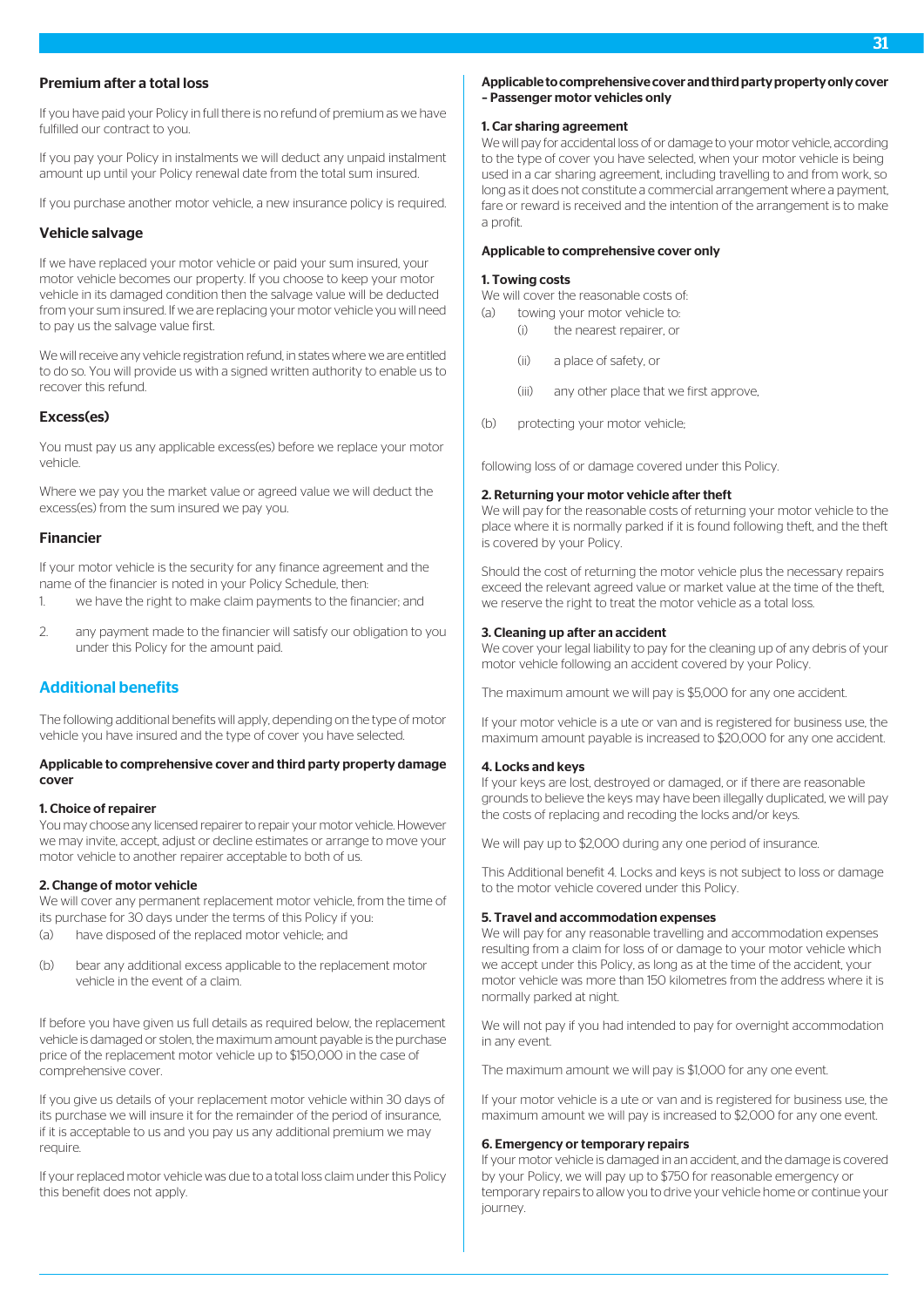## Premium after a total loss

If you have paid your Policy in full there is no refund of premium as we have fulfilled our contract to you.

If you pay your Policy in instalments we will deduct any unpaid instalment amount up until your Policy renewal date from the total sum insured.

If you purchase another motor vehicle, a new insurance policy is required.

# Vehicle salvage

If we have replaced your motor vehicle or paid your sum insured, your motor vehicle becomes our property. If you choose to keep your motor vehicle in its damaged condition then the salvage value will be deducted from your sum insured. If we are replacing your motor vehicle you will need to pay us the salvage value first.

We will receive any vehicle registration refund, in states where we are entitled to do so. You will provide us with a signed written authority to enable us to recover this refund.

#### Excess(es)

You must pay us any applicable excess(es) before we replace your motor vehicle.

Where we pay you the market value or agreed value we will deduct the excess(es) from the sum insured we pay you.

# Financier

If your motor vehicle is the security for any finance agreement and the name of the financier is noted in your Policy Schedule, then:

- 1. we have the right to make claim payments to the financier; and
- 2. any payment made to the financier will satisfy our obligation to you under this Policy for the amount paid.

# Additional benefits

The following additional benefits will apply, depending on the type of motor vehicle you have insured and the type of cover you have selected.

#### Applicable to comprehensive cover and third party property damage cover

#### 1. Choice of repairer

You may choose any licensed repairer to repair your motor vehicle. However we may invite, accept, adjust or decline estimates or arrange to move your motor vehicle to another repairer acceptable to both of us.

#### 2. Change of motor vehicle

We will cover any permanent replacement motor vehicle, from the time of its purchase for 30 days under the terms of this Policy if you:

- (a) have disposed of the replaced motor vehicle; and
- (b) bear any additional excess applicable to the replacement motor vehicle in the event of a claim.

If before you have given us full details as required below, the replacement vehicle is damaged or stolen, the maximum amount payable is the purchase price of the replacement motor vehicle up to \$150,000 in the case of comprehensive cover.

If you give us details of your replacement motor vehicle within 30 days of its purchase we will insure it for the remainder of the period of insurance, if it is acceptable to us and you pay us any additional premium we may require.

If your replaced motor vehicle was due to a total loss claim under this Policy this benefit does not apply.

#### Applicable to comprehensive cover and third party property only cover – Passenger motor vehicles only

#### 1. Car sharing agreement

We will pay for accidental loss of or damage to your motor vehicle, according to the type of cover you have selected, when your motor vehicle is being used in a car sharing agreement, including travelling to and from work, so long as it does not constitute a commercial arrangement where a payment, fare or reward is received and the intention of the arrangement is to make a profit.

#### Applicable to comprehensive cover only

#### 1. Towing costs

We will cover the reasonable costs of:

- (a) towing your motor vehicle to:
	- (i) the nearest repairer, or
	- (ii) a place of safety, or
	- (iii) any other place that we first approve,
- (b) protecting your motor vehicle;

following loss of or damage covered under this Policy.

#### 2. Returning your motor vehicle after theft

We will pay for the reasonable costs of returning your motor vehicle to the place where it is normally parked if it is found following theft, and the theft is covered by your Policy.

Should the cost of returning the motor vehicle plus the necessary repairs exceed the relevant agreed value or market value at the time of the theft, we reserve the right to treat the motor vehicle as a total loss.

#### 3. Cleaning up after an accident

We cover your legal liability to pay for the cleaning up of any debris of your motor vehicle following an accident covered by your Policy.

The maximum amount we will pay is \$5,000 for any one accident.

If your motor vehicle is a ute or van and is registered for business use, the maximum amount payable is increased to \$20,000 for any one accident.

#### 4. Locks and keys

If your keys are lost, destroyed or damaged, or if there are reasonable grounds to believe the keys may have been illegally duplicated, we will pay the costs of replacing and recoding the locks and/or keys.

We will pay up to \$2,000 during any one period of insurance.

This Additional benefit 4. Locks and keys is not subject to loss or damage to the motor vehicle covered under this Policy.

#### 5. Travel and accommodation expenses

We will pay for any reasonable travelling and accommodation expenses resulting from a claim for loss of or damage to your motor vehicle which we accept under this Policy, as long as at the time of the accident, your motor vehicle was more than 150 kilometres from the address where it is normally parked at night.

We will not pay if you had intended to pay for overnight accommodation in any event.

The maximum amount we will pay is \$1,000 for any one event.

If your motor vehicle is a ute or van and is registered for business use, the maximum amount we will pay is increased to \$2,000 for any one event.

#### 6. Emergency or temporary repairs

If your motor vehicle is damaged in an accident, and the damage is covered by your Policy, we will pay up to \$750 for reasonable emergency or temporary repairs to allow you to drive your vehicle home or continue your journey.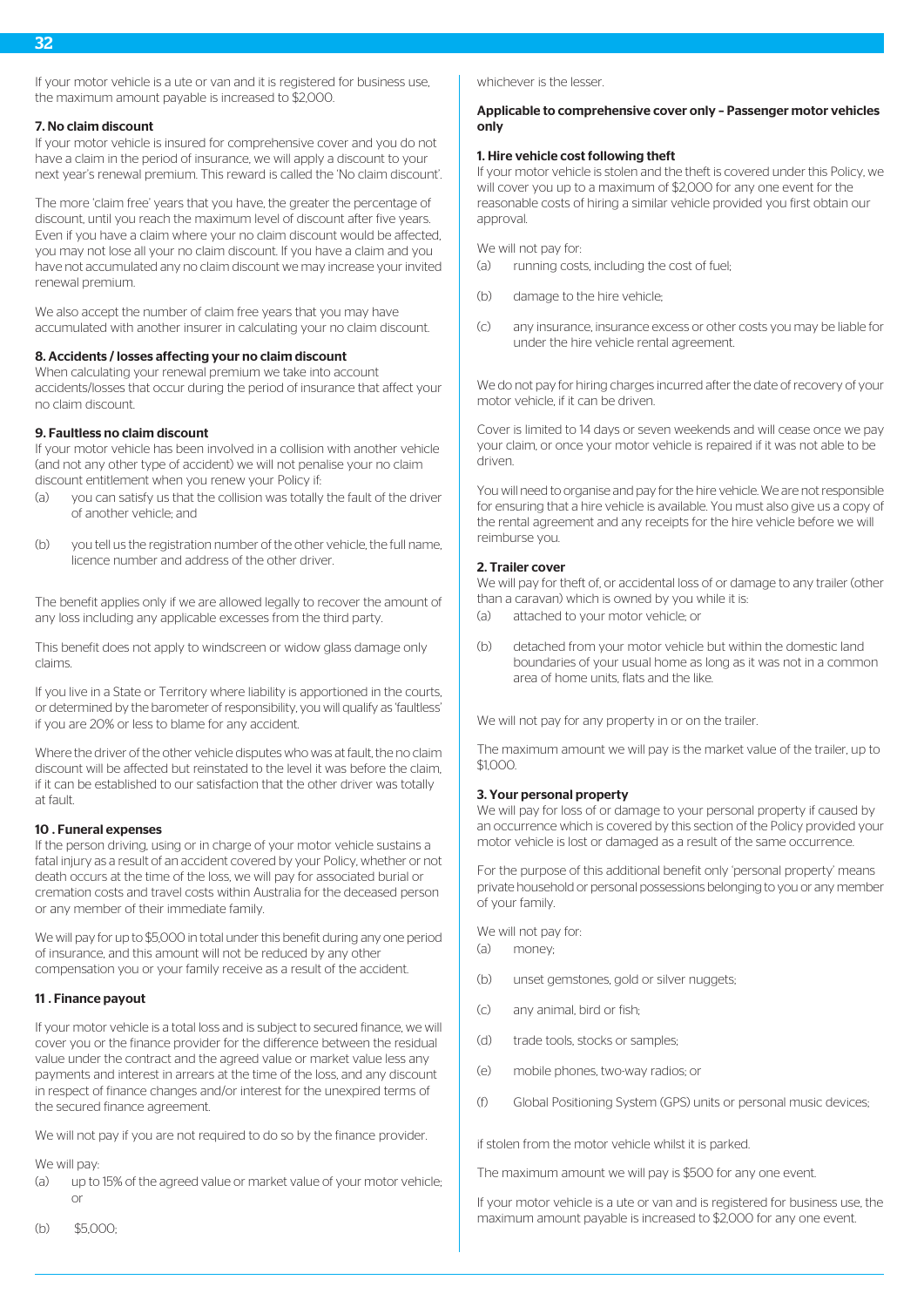If your motor vehicle is a ute or van and it is registered for business use, the maximum amount payable is increased to \$2,000.

#### 7. No claim discount

If your motor vehicle is insured for comprehensive cover and you do not have a claim in the period of insurance, we will apply a discount to your next year's renewal premium. This reward is called the 'No claim discount'.

The more 'claim free' years that you have, the greater the percentage of discount, until you reach the maximum level of discount after five years. Even if you have a claim where your no claim discount would be affected, you may not lose all your no claim discount. If you have a claim and you have not accumulated any no claim discount we may increase your invited renewal premium.

We also accept the number of claim free years that you may have accumulated with another insurer in calculating your no claim discount.

#### 8. Accidents / losses affecting your no claim discount

When calculating your renewal premium we take into account accidents/losses that occur during the period of insurance that affect your no claim discount.

# 9. Faultless no claim discount

If your motor vehicle has been involved in a collision with another vehicle (and not any other type of accident) we will not penalise your no claim discount entitlement when you renew your Policy if:

- (a) you can satisfy us that the collision was totally the fault of the driver of another vehicle; and
- (b) you tell us the registration number of the other vehicle, the full name, licence number and address of the other driver.

The benefit applies only if we are allowed legally to recover the amount of any loss including any applicable excesses from the third party.

This benefit does not apply to windscreen or widow glass damage only claims.

If you live in a State or Territory where liability is apportioned in the courts, or determined by the barometer of responsibility, you will qualify as 'faultless' if you are 20% or less to blame for any accident.

Where the driver of the other vehicle disputes who was at fault, the no claim discount will be affected but reinstated to the level it was before the claim, if it can be established to our satisfaction that the other driver was totally at fault.

#### 10 . Funeral expenses

If the person driving, using or in charge of your motor vehicle sustains a fatal injury as a result of an accident covered by your Policy, whether or not death occurs at the time of the loss, we will pay for associated burial or cremation costs and travel costs within Australia for the deceased person or any member of their immediate family.

We will pay for up to \$5,000 in total under this benefit during any one period of insurance, and this amount will not be reduced by any other compensation you or your family receive as a result of the accident.

#### 11 . Finance payout

If your motor vehicle is a total loss and is subject to secured finance, we will cover you or the finance provider for the difference between the residual value under the contract and the agreed value or market value less any payments and interest in arrears at the time of the loss, and any discount in respect of finance changes and/or interest for the unexpired terms of the secured finance agreement.

We will not pay if you are not required to do so by the finance provider.

#### We will pay:

(a) up to 15% of the agreed value or market value of your motor vehicle; or

whichever is the lesser.

#### Applicable to comprehensive cover only – Passenger motor vehicles only

#### 1. Hire vehicle cost following theft

If your motor vehicle is stolen and the theft is covered under this Policy, we will cover you up to a maximum of \$2,000 for any one event for the reasonable costs of hiring a similar vehicle provided you first obtain our approval.

We will not pay for:

- (a) running costs, including the cost of fuel;
- (b) damage to the hire vehicle;
- (c) any insurance, insurance excess or other costs you may be liable for under the hire vehicle rental agreement.

We do not pay for hiring charges incurred after the date of recovery of your motor vehicle, if it can be driven.

Cover is limited to 14 days or seven weekends and will cease once we pay your claim, or once your motor vehicle is repaired if it was not able to be driven.

You will need to organise and pay for the hire vehicle. We are not responsible for ensuring that a hire vehicle is available. You must also give us a copy of the rental agreement and any receipts for the hire vehicle before we will reimburse you.

#### 2. Trailer cover

We will pay for theft of, or accidental loss of or damage to any trailer (other than a caravan) which is owned by you while it is:

- (a) attached to your motor vehicle; or
- (b) detached from your motor vehicle but within the domestic land boundaries of your usual home as long as it was not in a common area of home units, flats and the like.

We will not pay for any property in or on the trailer.

The maximum amount we will pay is the market value of the trailer, up to \$1,000.

#### 3. Your personal property

We will pay for loss of or damage to your personal property if caused by an occurrence which is covered by this section of the Policy provided your motor vehicle is lost or damaged as a result of the same occurrence.

For the purpose of this additional benefit only 'personal property' means private household or personal possessions belonging to you or any member of your family.

We will not pay for: (a) money;

- 
- (b) unset gemstones, gold or silver nuggets;
- (c) any animal, bird or fish;
- (d) trade tools, stocks or samples;
- (e) mobile phones, two-way radios; or
- (f) Global Positioning System (GPS) units or personal music devices;

if stolen from the motor vehicle whilst it is parked.

The maximum amount we will pay is \$500 for any one event.

If your motor vehicle is a ute or van and is registered for business use, the maximum amount payable is increased to \$2,000 for any one event.

(b) \$5,000;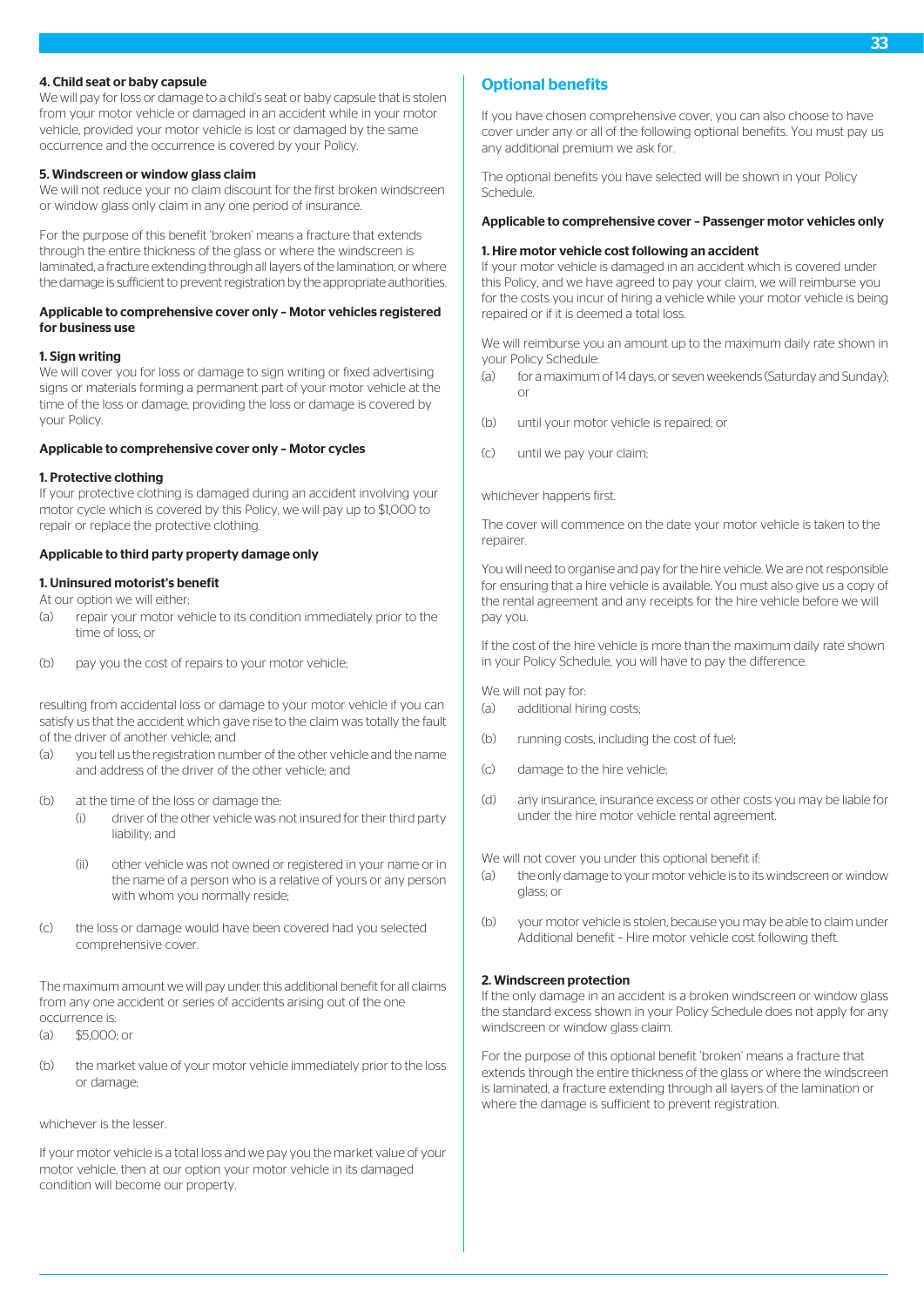#### 4. Child seat or baby capsule

We will pay for loss or damage to a child's seat or baby capsule that is stolen from your motor vehicle or damaged in an accident while in your motor vehicle, provided your motor vehicle is lost or damaged by the same occurrence and the occurrence is covered by your Policy.

#### 5. Windscreen or window glass claim

We will not reduce your no claim discount for the first broken windscreen or window glass only claim in any one period of insurance.

For the purpose of this benefit 'broken' means a fracture that extends through the entire thickness of the glass or where the windscreen is laminated, a fracture extending through all layers of the lamination, or where the damage is sufficient to prevent registration by the appropriate authorities.

#### Applicable to comprehensive cover only – Motor vehicles registered for business use

#### 1. Sign writing

We will cover you for loss or damage to sign writing or fixed advertising signs or materials forming a permanent part of your motor vehicle at the time of the loss or damage, providing the loss or damage is covered by your Policy.

#### Applicable to comprehensive cover only – Motor cycles

#### 1. Protective clothing

If your protective clothing is damaged during an accident involving your motor cycle which is covered by this Policy, we will pay up to \$1,000 to repair or replace the protective clothing.

#### Applicable to third party property damage only

#### 1. Uninsured motorist's benefit

At our option we will either:

- (a) repair your motor vehicle to its condition immediately prior to the time of loss; or
- (b) pay you the cost of repairs to your motor vehicle;

resulting from accidental loss or damage to your motor vehicle if you can satisfy us that the accident which gave rise to the claim was totally the fault of the driver of another vehicle; and

- (a) you tell us the registration number of the other vehicle and the name and address of the driver of the other vehicle; and
- (b) at the time of the loss or damage the:
	- (i) driver of the other vehicle was not insured for their third party liability; and
	- (ii) other vehicle was not owned or registered in your name or in the name of a person who is a relative of yours or any person with whom you normally reside;
- (c) the loss or damage would have been covered had you selected comprehensive cover.

The maximum amount we will pay under this additional benefit for all claims from any one accident or series of accidents arising out of the one occurrence is:

 $( a )$  \$5,000; or

(b) the market value of your motor vehicle immediately prior to the loss or damage;

whichever is the lesser.

If your motor vehicle is a total loss and we pay you the market value of your motor vehicle, then at our option your motor vehicle in its damaged condition will become our property.

# Optional benefits

If you have chosen comprehensive cover, you can also choose to have cover under any or all of the following optional benefits. You must pay us any additional premium we ask for.

The optional benefits you have selected will be shown in your Policy Schedule.

## Applicable to comprehensive cover – Passenger motor vehicles only

#### 1. Hire motor vehicle cost following an accident

If your motor vehicle is damaged in an accident which is covered under this Policy, and we have agreed to pay your claim, we will reimburse you for the costs you incur of hiring a vehicle while your motor vehicle is being repaired or if it is deemed a total loss.

We will reimburse you an amount up to the maximum daily rate shown in your Policy Schedule:

- (a) for a maximum of 14 days, or seven weekends (Saturday and Sunday); or
- (b) until your motor vehicle is repaired; or
- (c) until we pay your claim;

#### whichever happens first.

The cover will commence on the date your motor vehicle is taken to the repairer.

You will need to organise and pay for the hire vehicle. We are not responsible for ensuring that a hire vehicle is available. You must also give us a copy of the rental agreement and any receipts for the hire vehicle before we will pay you.

If the cost of the hire vehicle is more than the maximum daily rate shown in your Policy Schedule, you will have to pay the difference.

We will not pay for:

- (a) additional hiring costs;
- (b) running costs, including the cost of fuel;
- (c) damage to the hire vehicle;
- (d) any insurance, insurance excess or other costs you may be liable for under the hire motor vehicle rental agreement.

We will not cover you under this optional benefit if:

- (a) the only damage to your motor vehicle is to its windscreen or window glass; or
- (b) your motor vehicle is stolen, because you may be able to claim under Additional benefit – Hire motor vehicle cost following theft.

#### 2. Windscreen protection

If the only damage in an accident is a broken windscreen or window glass the standard excess shown in your Policy Schedule does not apply for any windscreen or window glass claim.

For the purpose of this optional benefit 'broken' means a fracture that extends through the entire thickness of the glass or where the windscreen is laminated, a fracture extending through all layers of the lamination or where the damage is sufficient to prevent registration.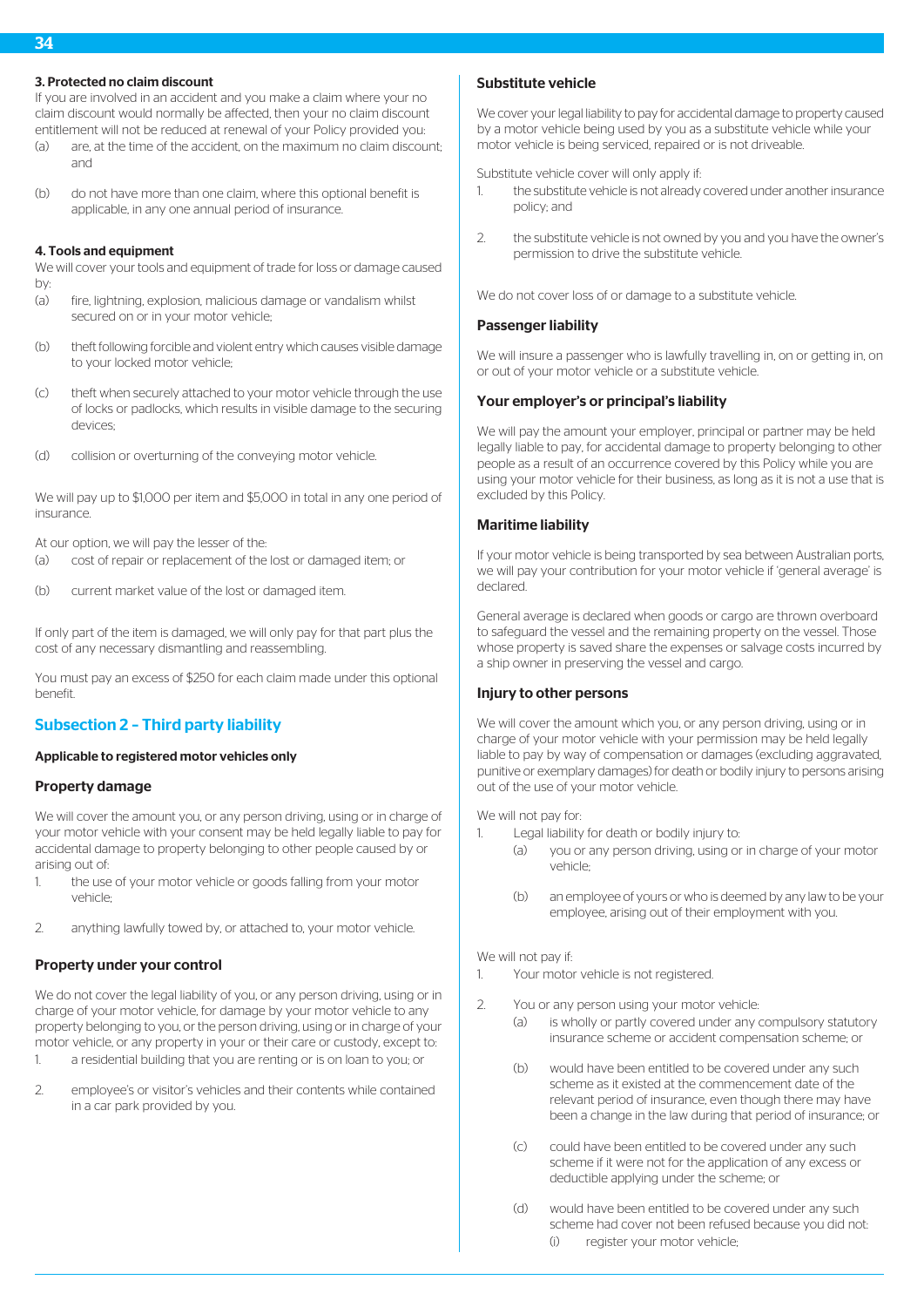# 3. Protected no claim discount

If you are involved in an accident and you make a claim where your no claim discount would normally be affected, then your no claim discount entitlement will not be reduced at renewal of your Policy provided you:

- (a) are, at the time of the accident, on the maximum no claim discount; and
- (b) do not have more than one claim, where this optional benefit is applicable, in any one annual period of insurance.

## 4. Tools and equipment

We will cover your tools and equipment of trade for loss or damage caused by:

- (a) fire, lightning, explosion, malicious damage or vandalism whilst secured on or in your motor vehicle;
- (b) theft following forcible and violent entry which causes visible damage to your locked motor vehicle;
- (c) theft when securely attached to your motor vehicle through the use of locks or padlocks, which results in visible damage to the securing devices;
- (d) collision or overturning of the conveying motor vehicle.

We will pay up to \$1,000 per item and \$5,000 in total in any one period of insurance.

At our option, we will pay the lesser of the:

- (a) cost of repair or replacement of the lost or damaged item; or
- (b) current market value of the lost or damaged item.

If only part of the item is damaged, we will only pay for that part plus the cost of any necessary dismantling and reassembling.

You must pay an excess of \$250 for each claim made under this optional benefit.

# Subsection 2 – Third party liability

#### Applicable to registered motor vehicles only

#### Property damage

We will cover the amount you, or any person driving, using or in charge of your motor vehicle with your consent may be held legally liable to pay for accidental damage to property belonging to other people caused by or arising out of:

- 1. the use of your motor vehicle or goods falling from your motor vehicle;
- 2. anything lawfully towed by, or attached to, your motor vehicle.

# Property under your control

We do not cover the legal liability of you, or any person driving, using or in charge of your motor vehicle, for damage by your motor vehicle to any property belonging to you, or the person driving, using or in charge of your motor vehicle, or any property in your or their care or custody, except to:

- 1. a residential building that you are renting or is on loan to you; or
- 2. employee's or visitor's vehicles and their contents while contained in a car park provided by you.

# Substitute vehicle

We cover your legal liability to pay for accidental damage to property caused by a motor vehicle being used by you as a substitute vehicle while your motor vehicle is being serviced, repaired or is not driveable.

Substitute vehicle cover will only apply if:

- 1. the substitute vehicle is not already covered under another insurance policy; and
- 2. the substitute vehicle is not owned by you and you have the owner's permission to drive the substitute vehicle.

We do not cover loss of or damage to a substitute vehicle.

#### Passenger liability

We will insure a passenger who is lawfully travelling in, on or getting in, on or out of your motor vehicle or a substitute vehicle.

## Your employer's or principal's liability

We will pay the amount your employer, principal or partner may be held legally liable to pay, for accidental damage to property belonging to other people as a result of an occurrence covered by this Policy while you are using your motor vehicle for their business, as long as it is not a use that is excluded by this Policy.

# Maritime liability

If your motor vehicle is being transported by sea between Australian ports, we will pay your contribution for your motor vehicle if 'general average' is declared.

General average is declared when goods or cargo are thrown overboard to safeguard the vessel and the remaining property on the vessel. Those whose property is saved share the expenses or salvage costs incurred by a ship owner in preserving the vessel and cargo.

#### Injury to other persons

We will cover the amount which you, or any person driving, using or in charge of your motor vehicle with your permission may be held legally liable to pay by way of compensation or damages (excluding aggravated, punitive or exemplary damages) for death or bodily injury to persons arising out of the use of your motor vehicle.

We will not pay for:

- 1. Legal liability for death or bodily injury to:
	- (a) you or any person driving, using or in charge of your motor vehicle;
	- (b) an employee of yours or who is deemed by any law to be your employee, arising out of their employment with you.

#### We will not pay if:

1. Your motor vehicle is not registered.

- 2. You or any person using your motor vehicle:
	- (a) is wholly or partly covered under any compulsory statutory insurance scheme or accident compensation scheme; or
	- (b) would have been entitled to be covered under any such scheme as it existed at the commencement date of the relevant period of insurance, even though there may have been a change in the law during that period of insurance; or
	- (c) could have been entitled to be covered under any such scheme if it were not for the application of any excess or deductible applying under the scheme; or
	- (d) would have been entitled to be covered under any such scheme had cover not been refused because you did not: (i) register your motor vehicle;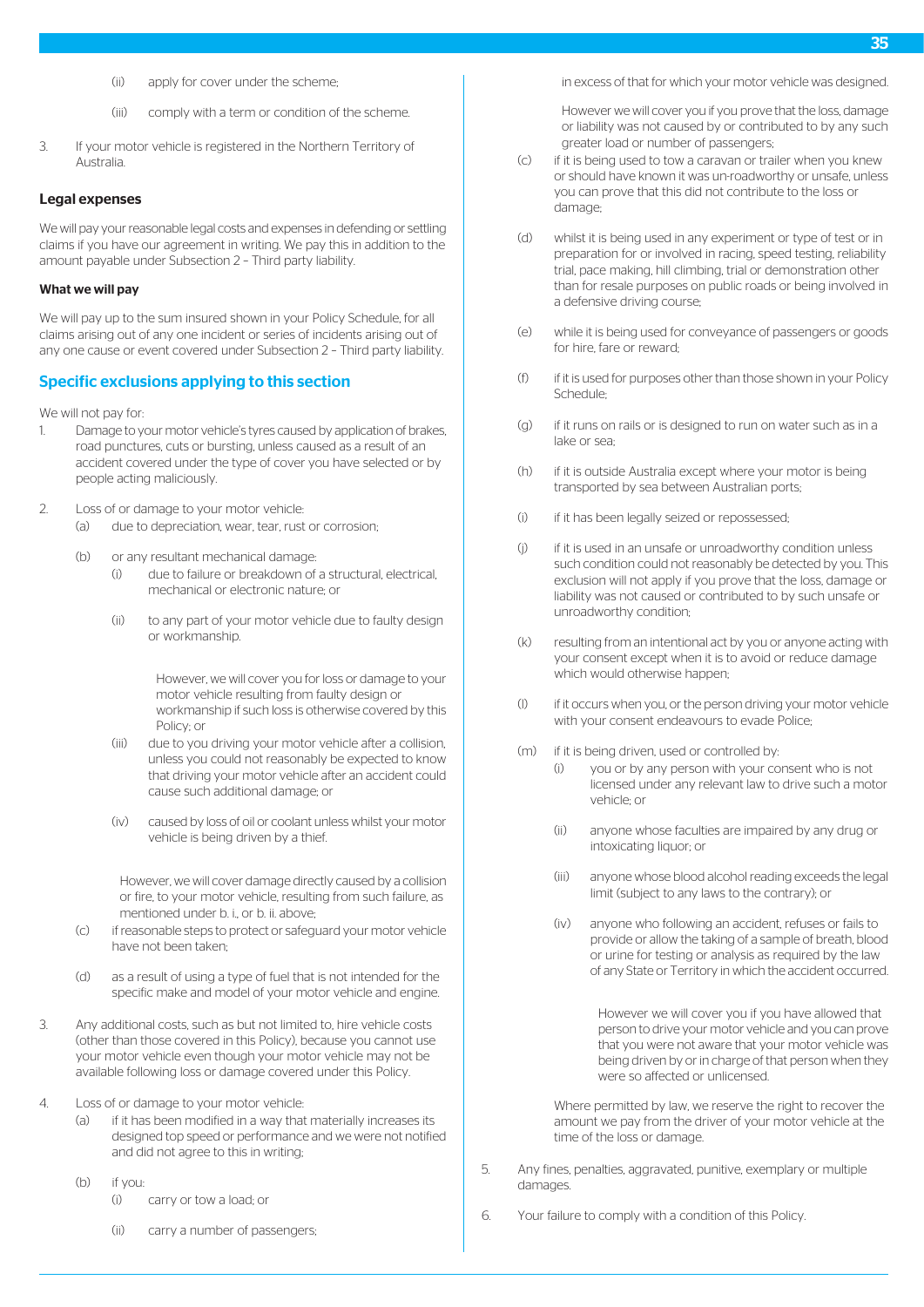- (ii) apply for cover under the scheme;
- (iii) comply with a term or condition of the scheme.
- 3. If your motor vehicle is registered in the Northern Territory of Australia.

## Legal expenses

We will pay your reasonable legal costs and expenses in defending or settling claims if you have our agreement in writing. We pay this in addition to the amount payable under Subsection 2 – Third party liability.

#### What we will pay

We will pay up to the sum insured shown in your Policy Schedule, for all claims arising out of any one incident or series of incidents arising out of any one cause or event covered under Subsection 2 – Third party liability.

# Specific exclusions applying to this section

We will not pay for:

- 1. Damage to your motor vehicle's tyres caused by application of brakes, road punctures, cuts or bursting, unless caused as a result of an accident covered under the type of cover you have selected or by people acting maliciously.
- 2. Loss of or damage to your motor vehicle:
	- (a) due to depreciation, wear, tear, rust or corrosion;
	- (b) or any resultant mechanical damage:
		- (i) due to failure or breakdown of a structural, electrical, mechanical or electronic nature; or
		- (ii) to any part of your motor vehicle due to faulty design or workmanship.

However, we will cover you for loss or damage to your motor vehicle resulting from faulty design or workmanship if such loss is otherwise covered by this Policy; or

- (iii) due to you driving your motor vehicle after a collision, unless you could not reasonably be expected to know that driving your motor vehicle after an accident could cause such additional damage; or
- (iv) caused by loss of oil or coolant unless whilst your motor vehicle is being driven by a thief.

However, we will cover damage directly caused by a collision or fire, to your motor vehicle, resulting from such failure, as mentioned under b. i., or b. ii. above;

- (c) if reasonable steps to protect or safeguard your motor vehicle have not been taken;
- (d) as a result of using a type of fuel that is not intended for the specific make and model of your motor vehicle and engine.
- 3. Any additional costs, such as but not limited to, hire vehicle costs (other than those covered in this Policy), because you cannot use your motor vehicle even though your motor vehicle may not be available following loss or damage covered under this Policy.
- 4. Loss of or damage to your motor vehicle:
	- (a) if it has been modified in a way that materially increases its designed top speed or performance and we were not notified and did not agree to this in writing;
	- (b) if you:
		- (i) carry or tow a load; or
		- (ii) carry a number of passengers;

in excess of that for which your motor vehicle was designed.

However we will cover you if you prove that the loss, damage or liability was not caused by or contributed to by any such greater load or number of passengers;

- (c) if it is being used to tow a caravan or trailer when you knew or should have known it was un-roadworthy or unsafe, unless you can prove that this did not contribute to the loss or damage;
- (d) whilst it is being used in any experiment or type of test or in preparation for or involved in racing, speed testing, reliability trial, pace making, hill climbing, trial or demonstration other than for resale purposes on public roads or being involved in a defensive driving course;
- (e) while it is being used for conveyance of passengers or goods for hire, fare or reward;
- (f) if it is used for purposes other than those shown in your Policy Schedule;
- (g) if it runs on rails or is designed to run on water such as in a lake or sea;
- (h) if it is outside Australia except where your motor is being transported by sea between Australian ports;
- (i) if it has been legally seized or repossessed;
- (j) if it is used in an unsafe or unroadworthy condition unless such condition could not reasonably be detected by you. This exclusion will not apply if you prove that the loss, damage or liability was not caused or contributed to by such unsafe or unroadworthy condition;
- (k) resulting from an intentional act by you or anyone acting with your consent except when it is to avoid or reduce damage which would otherwise happen;
- (l) if it occurs when you, or the person driving your motor vehicle with your consent endeavours to evade Police;
- (m) if it is being driven, used or controlled by:
	- (i) you or by any person with your consent who is not licensed under any relevant law to drive such a motor vehicle; or
	- (ii) anyone whose faculties are impaired by any drug or intoxicating liquor; or
	- (iii) anyone whose blood alcohol reading exceeds the legal limit (subject to any laws to the contrary); or
	- (iv) anyone who following an accident, refuses or fails to provide or allow the taking of a sample of breath, blood or urine for testing or analysis as required by the law of any State or Territory in which the accident occurred.

However we will cover you if you have allowed that person to drive your motor vehicle and you can prove that you were not aware that your motor vehicle was being driven by or in charge of that person when they were so affected or unlicensed.

Where permitted by law, we reserve the right to recover the amount we pay from the driver of your motor vehicle at the time of the loss or damage.

- 5. Any fines, penalties, aggravated, punitive, exemplary or multiple damages.
- 6. Your failure to comply with a condition of this Policy.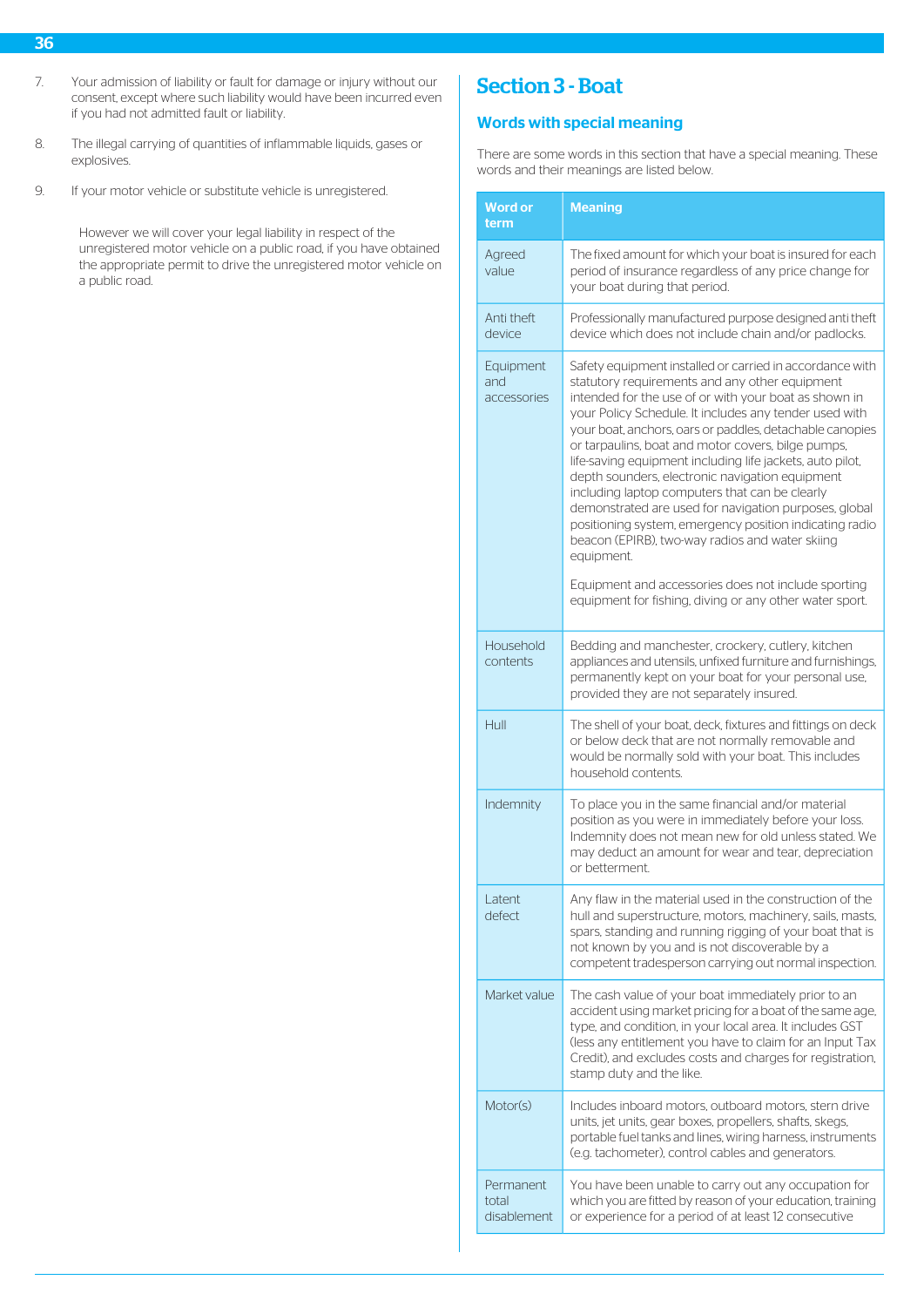- 36
- 7. Your admission of liability or fault for damage or injury without our consent, except where such liability would have been incurred even if you had not admitted fault or liability.
- 8. The illegal carrying of quantities of inflammable liquids, gases or explosives.
- 9. If your motor vehicle or substitute vehicle is unregistered.

However we will cover your legal liability in respect of the unregistered motor vehicle on a public road, if you have obtained the appropriate permit to drive the unregistered motor vehicle on a public road.

# Section 3 - Boat

# Words with special meaning

There are some words in this section that have a special meaning. These words and their meanings are listed below.

| <b>Word or</b><br>term            | <b>Meaning</b>                                                                                                                                                                                                                                                                                                                                                                                                                                                                                                                                                                                                                                                                                                                                                                                                           |
|-----------------------------------|--------------------------------------------------------------------------------------------------------------------------------------------------------------------------------------------------------------------------------------------------------------------------------------------------------------------------------------------------------------------------------------------------------------------------------------------------------------------------------------------------------------------------------------------------------------------------------------------------------------------------------------------------------------------------------------------------------------------------------------------------------------------------------------------------------------------------|
| Agreed<br>value                   | The fixed amount for which your boat is insured for each<br>period of insurance regardless of any price change for<br>your boat during that period.                                                                                                                                                                                                                                                                                                                                                                                                                                                                                                                                                                                                                                                                      |
| Anti theft<br>device              | Professionally manufactured purpose designed anti theft<br>device which does not include chain and/or padlocks.                                                                                                                                                                                                                                                                                                                                                                                                                                                                                                                                                                                                                                                                                                          |
| Equipment<br>and<br>accessories   | Safety equipment installed or carried in accordance with<br>statutory requirements and any other equipment<br>intended for the use of or with your boat as shown in<br>your Policy Schedule. It includes any tender used with<br>your boat, anchors, oars or paddles, detachable canopies<br>or tarpaulins, boat and motor covers, bilge pumps,<br>life-saving equipment including life jackets, auto pilot,<br>depth sounders, electronic navigation equipment<br>including laptop computers that can be clearly<br>demonstrated are used for navigation purposes, global<br>positioning system, emergency position indicating radio<br>beacon (EPIRB), two-way radios and water skiing<br>equipment.<br>Equipment and accessories does not include sporting<br>equipment for fishing, diving or any other water sport. |
| Household<br>contents             | Bedding and manchester, crockery, cutlery, kitchen<br>appliances and utensils, unfixed furniture and furnishings,<br>permanently kept on your boat for your personal use,<br>provided they are not separately insured.                                                                                                                                                                                                                                                                                                                                                                                                                                                                                                                                                                                                   |
| Hull                              | The shell of your boat, deck, fixtures and fittings on deck<br>or below deck that are not normally removable and<br>would be normally sold with your boat. This includes<br>household contents.                                                                                                                                                                                                                                                                                                                                                                                                                                                                                                                                                                                                                          |
| Indemnity                         | To place you in the same financial and/or material<br>position as you were in immediately before your loss.<br>Indemnity does not mean new for old unless stated. We<br>may deduct an amount for wear and tear, depreciation<br>or betterment.                                                                                                                                                                                                                                                                                                                                                                                                                                                                                                                                                                           |
| Latent<br>defect                  | Any flaw in the material used in the construction of the<br>hull and superstructure, motors, machinery, sails, masts,<br>spars, standing and running rigging of your boat that is<br>not known by you and is not discoverable by a<br>competent tradesperson carrying out normal inspection.                                                                                                                                                                                                                                                                                                                                                                                                                                                                                                                             |
| Market value                      | The cash value of your boat immediately prior to an<br>accident using market pricing for a boat of the same age,<br>type, and condition, in your local area. It includes GST<br>(less any entitlement you have to claim for an Input Tax<br>Credit), and excludes costs and charges for registration,<br>stamp duty and the like.                                                                                                                                                                                                                                                                                                                                                                                                                                                                                        |
| Motor(s)                          | Includes inboard motors, outboard motors, stern drive<br>units, jet units, gear boxes, propellers, shafts, skegs,<br>portable fuel tanks and lines, wiring harness, instruments<br>(e.g. tachometer), control cables and generators.                                                                                                                                                                                                                                                                                                                                                                                                                                                                                                                                                                                     |
| Permanent<br>total<br>disablement | You have been unable to carry out any occupation for<br>which you are fitted by reason of your education, training<br>or experience for a period of at least 12 consecutive                                                                                                                                                                                                                                                                                                                                                                                                                                                                                                                                                                                                                                              |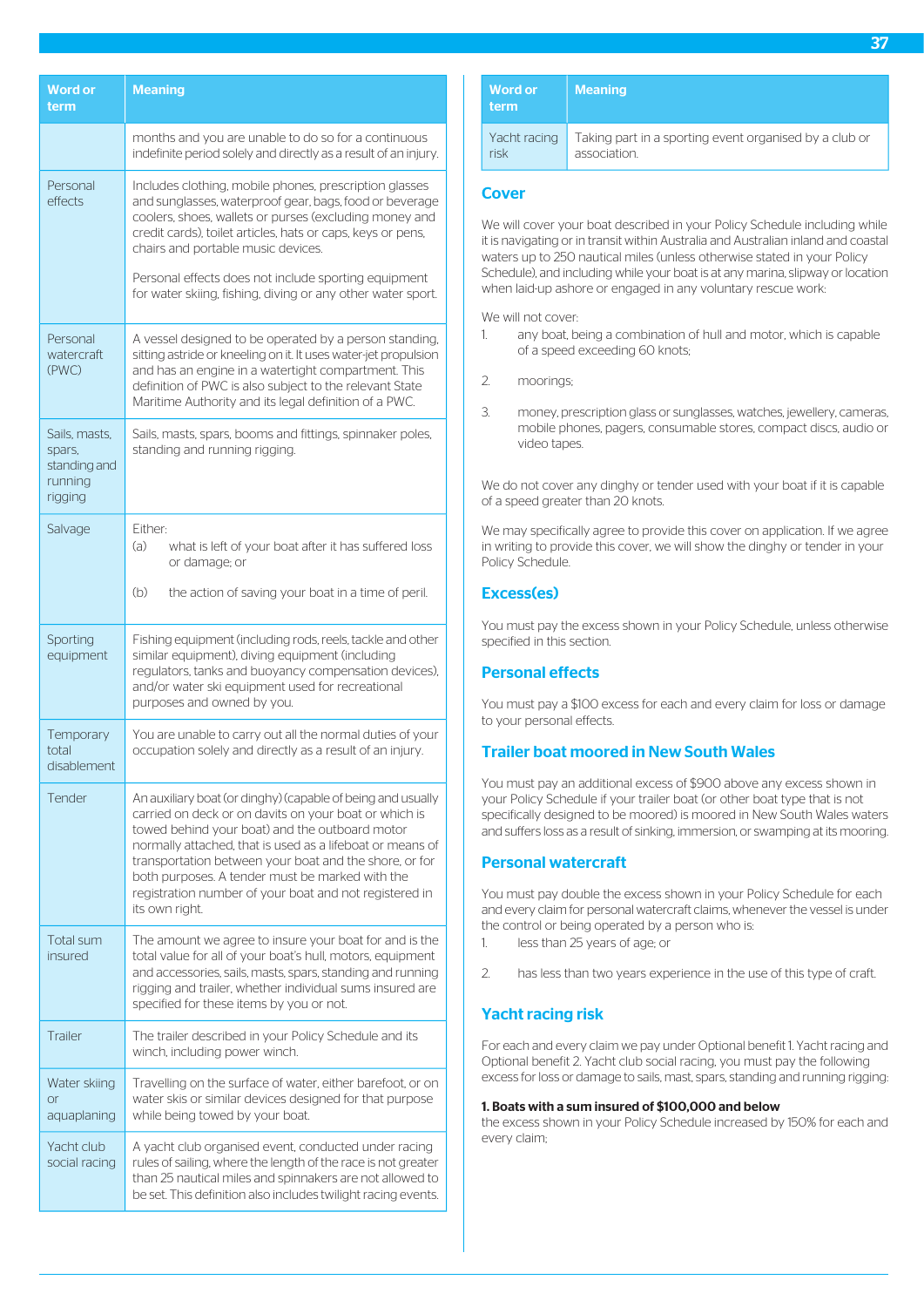| <b>Word or</b><br>term                                        | <b>Meaning</b>                                                                                                                                                                                                                                                                                                                                                                                                               |
|---------------------------------------------------------------|------------------------------------------------------------------------------------------------------------------------------------------------------------------------------------------------------------------------------------------------------------------------------------------------------------------------------------------------------------------------------------------------------------------------------|
|                                                               | months and you are unable to do so for a continuous<br>indefinite period solely and directly as a result of an injury.                                                                                                                                                                                                                                                                                                       |
| Personal<br>effects                                           | Includes clothing, mobile phones, prescription glasses<br>and sunglasses, waterproof gear, bags, food or beverage<br>coolers, shoes, wallets or purses (excluding money and<br>credit cards), toilet articles, hats or caps, keys or pens,<br>chairs and portable music devices.                                                                                                                                             |
|                                                               | Personal effects does not include sporting equipment<br>for water skiing, fishing, diving or any other water sport.                                                                                                                                                                                                                                                                                                          |
| Personal<br>watercraft<br>(PWC)                               | A vessel designed to be operated by a person standing,<br>sitting astride or kneeling on it. It uses water-jet propulsion<br>and has an engine in a watertight compartment. This<br>definition of PWC is also subject to the relevant State<br>Maritime Authority and its legal definition of a PWC.                                                                                                                         |
| Sails, masts,<br>spars,<br>standing and<br>running<br>rigging | Sails, masts, spars, booms and fittings, spinnaker poles,<br>standing and running rigging.                                                                                                                                                                                                                                                                                                                                   |
| Salvage                                                       | Either:<br>(a)<br>what is left of your boat after it has suffered loss<br>or damage; or                                                                                                                                                                                                                                                                                                                                      |
|                                                               | (b)<br>the action of saving your boat in a time of peril.                                                                                                                                                                                                                                                                                                                                                                    |
| Sporting<br>equipment                                         | Fishing equipment (including rods, reels, tackle and other<br>similar equipment), diving equipment (including<br>regulators, tanks and buoyancy compensation devices),<br>and/or water ski equipment used for recreational<br>purposes and owned by you.                                                                                                                                                                     |
| Temporary<br>total<br>disablement                             | You are unable to carry out all the normal duties of your<br>occupation solely and directly as a result of an injury.                                                                                                                                                                                                                                                                                                        |
| Tender                                                        | An auxiliary boat (or dinghy) (capable of being and usually<br>carried on deck or on davits on your boat or which is<br>towed behind your boat) and the outboard motor<br>normally attached, that is used as a lifeboat or means of<br>transportation between your boat and the shore, or for<br>both purposes. A tender must be marked with the<br>registration number of your boat and not registered in<br>its own right. |
| Total sum<br>insured                                          | The amount we agree to insure your boat for and is the<br>total value for all of your boat's hull, motors, equipment<br>and accessories, sails, masts, spars, standing and running<br>rigging and trailer, whether individual sums insured are<br>specified for these items by you or not.                                                                                                                                   |
| Trailer                                                       | The trailer described in your Policy Schedule and its<br>winch, including power winch.                                                                                                                                                                                                                                                                                                                                       |
| Water skiing<br><b>or</b><br>aquaplaning                      | Travelling on the surface of water, either barefoot, or on<br>water skis or similar devices designed for that purpose<br>while being towed by your boat.                                                                                                                                                                                                                                                                     |
| Yacht club<br>social racing                                   | A yacht club organised event, conducted under racing<br>rules of sailing, where the length of the race is not greater<br>than 25 nautical miles and spinnakers are not allowed to<br>be set. This definition also includes twilight racing events.                                                                                                                                                                           |

| <b>Word or</b><br>term | <b>Meaning</b>                                         |
|------------------------|--------------------------------------------------------|
| Yacht racing           | Taking part in a sporting event organised by a club or |
| risk                   | association.                                           |

# **Cover**

We will cover your boat described in your Policy Schedule including while it is navigating or in transit within Australia and Australian inland and coastal waters up to 250 nautical miles (unless otherwise stated in your Policy Schedule), and including while your boat is at any marina, slipway or location when laid-up ashore or engaged in any voluntary rescue work:

We will not cover:

- 1. any boat, being a combination of hull and motor, which is capable of a speed exceeding 60 knots;
- 2. moorings;
- 3. money, prescription glass or sunglasses, watches, jewellery, cameras, mobile phones, pagers, consumable stores, compact discs, audio or video tapes.

We do not cover any dinghy or tender used with your boat if it is capable of a speed greater than 20 knots.

We may specifically agree to provide this cover on application. If we agree in writing to provide this cover, we will show the dinghy or tender in your Policy Schedule.

# Excess(es)

You must pay the excess shown in your Policy Schedule, unless otherwise specified in this section.

# Personal effects

You must pay a \$100 excess for each and every claim for loss or damage to your personal effects.

# Trailer boat moored in New South Wales

You must pay an additional excess of \$900 above any excess shown in your Policy Schedule if your trailer boat (or other boat type that is not specifically designed to be moored) is moored in New South Wales waters and suffers loss as a result of sinking, immersion, or swamping at its mooring.

# Personal watercraft

You must pay double the excess shown in your Policy Schedule for each and every claim for personal watercraft claims, whenever the vessel is under the control or being operated by a person who is:

- 1. less than 25 years of age; or
- 2. has less than two years experience in the use of this type of craft.

# Yacht racing risk

For each and every claim we pay under Optional benefit 1. Yacht racing and Optional benefit 2. Yacht club social racing, you must pay the following excess for loss or damage to sails, mast, spars, standing and running rigging:

#### 1. Boats with a sum insured of \$100,000 and below

the excess shown in your Policy Schedule increased by 150% for each and every claim;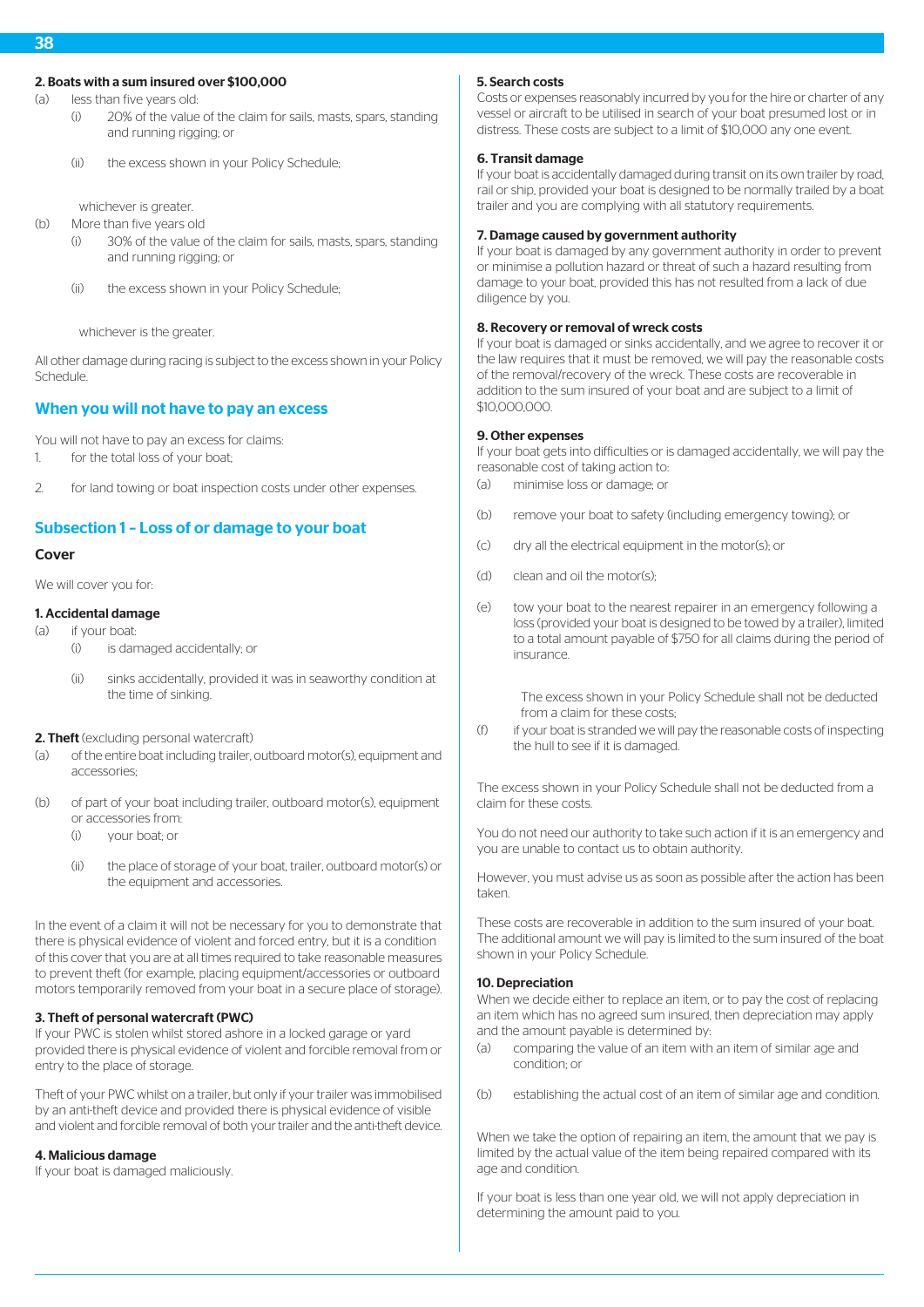# 2. Boats with a sum insured over \$100,000

(a) less than five years old:

- (i) 20% of the value of the claim for sails, masts, spars, standing and running rigging; or
- (ii) the excess shown in your Policy Schedule;

whichever is greater.

(b) More than five years old

- (i) 30% of the value of the claim for sails, masts, spars, standing and running rigging; or
- (ii) the excess shown in your Policy Schedule;

whichever is the greater.

All other damage during racing is subject to the excess shown in your Policy Schedule.

# When you will not have to pay an excess

You will not have to pay an excess for claims: 1. for the total loss of your boat;

2. for land towing or boat inspection costs under other expenses.

# Subsection 1 – Loss of or damage to your boat

# Cover

We will cover you for:

# 1. Accidental damage

- (a) if your boat:
	- (i) is damaged accidentally; or
	- (ii) sinks accidentally, provided it was in seaworthy condition at the time of sinking.

# 2. Theft (excluding personal watercraft)

- (a) of the entire boat including trailer, outboard motor(s), equipment and accessories;
- (b) of part of your boat including trailer, outboard motor(s), equipment or accessories from:
	- (i) your boat; or
	- (ii) the place of storage of your boat, trailer, outboard motor(s) or the equipment and accessories.

In the event of a claim it will not be necessary for you to demonstrate that there is physical evidence of violent and forced entry, but it is a condition of this cover that you are at all times required to take reasonable measures to prevent theft (for example, placing equipment/accessories or outboard motors temporarily removed from your boat in a secure place of storage).

# 3. Theft of personal watercraft (PWC)

If your PWC is stolen whilst stored ashore in a locked garage or yard provided there is physical evidence of violent and forcible removal from or entry to the place of storage.

Theft of your PWC whilst on a trailer, but only if your trailer was immobilised by an anti-theft device and provided there is physical evidence of visible and violent and forcible removal of both your trailer and the anti-theft device.

# 4. Malicious damage

If your boat is damaged maliciously.

# 5. Search costs

Costs or expenses reasonably incurred by you for the hire or charter of any vessel or aircraft to be utilised in search of your boat presumed lost or in distress. These costs are subject to a limit of \$10,000 any one event.

# 6. Transit damage

If your boat is accidentally damaged during transit on its own trailer by road, rail or ship, provided your boat is designed to be normally trailed by a boat trailer and you are complying with all statutory requirements.

# 7. Damage caused by government authority

If your boat is damaged by any government authority in order to prevent or minimise a pollution hazard or threat of such a hazard resulting from damage to your boat, provided this has not resulted from a lack of due diligence by you.

# 8. Recovery or removal of wreck costs

If your boat is damaged or sinks accidentally, and we agree to recover it or the law requires that it must be removed, we will pay the reasonable costs of the removal/recovery of the wreck. These costs are recoverable in addition to the sum insured of your boat and are subject to a limit of \$10,000,000.

# 9. Other expenses

If your boat gets into difficulties or is damaged accidentally, we will pay the reasonable cost of taking action to:

- (a) minimise loss or damage; or
- (b) remove your boat to safety (including emergency towing); or
- (c) dry all the electrical equipment in the motor(s); or
- (d) clean and oil the motor(s);
- (e) tow your boat to the nearest repairer in an emergency following a loss (provided your boat is designed to be towed by a trailer), limited to a total amount payable of \$750 for all claims during the period of insurance.

The excess shown in your Policy Schedule shall not be deducted from a claim for these costs:

(f) if your boat is stranded we will pay the reasonable costs of inspecting the hull to see if it is damaged.

The excess shown in your Policy Schedule shall not be deducted from a claim for these costs.

You do not need our authority to take such action if it is an emergency and you are unable to contact us to obtain authority.

However, you must advise us as soon as possible after the action has been taken.

These costs are recoverable in addition to the sum insured of your boat. The additional amount we will pay is limited to the sum insured of the boat shown in your Policy Schedule.

# 10. Depreciation

When we decide either to replace an item, or to pay the cost of replacing an item which has no agreed sum insured, then depreciation may apply and the amount payable is determined by:

- (a) comparing the value of an item with an item of similar age and condition; or
- (b) establishing the actual cost of an item of similar age and condition.

When we take the option of repairing an item, the amount that we pay is limited by the actual value of the item being repaired compared with its age and condition.

If your boat is less than one year old, we will not apply depreciation in determining the amount paid to you.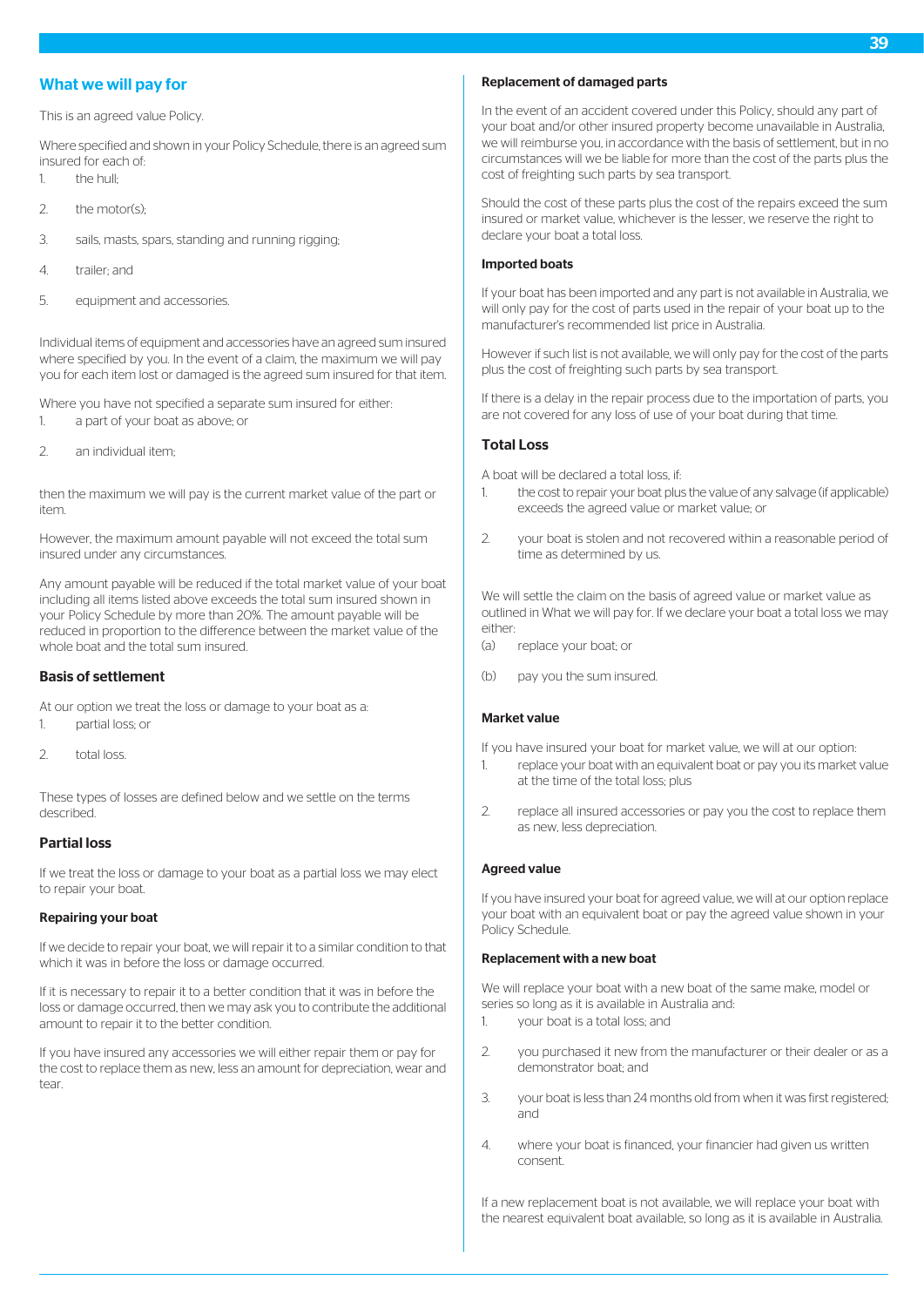# What we will pay for

This is an agreed value Policy.

Where specified and shown in your Policy Schedule, there is an agreed sum insured for each of:

- 1. the hull;
- $2$  the motor(s):
- 3. sails, masts, spars, standing and running rigging;
- 4. trailer; and
- 5. equipment and accessories.

Individual items of equipment and accessories have an agreed sum insured where specified by you. In the event of a claim, the maximum we will pay you for each item lost or damaged is the agreed sum insured for that item.

Where you have not specified a separate sum insured for either:

- 1. a part of your boat as above; or
- 2. an individual item;

then the maximum we will pay is the current market value of the part or item.

However, the maximum amount payable will not exceed the total sum insured under any circumstances.

Any amount payable will be reduced if the total market value of your boat including all items listed above exceeds the total sum insured shown in your Policy Schedule by more than 20%. The amount payable will be reduced in proportion to the difference between the market value of the whole boat and the total sum insured.

# Basis of settlement

At our option we treat the loss or damage to your boat as a: 1. partial loss; or

2. total loss.

These types of losses are defined below and we settle on the terms described.

# Partial loss

If we treat the loss or damage to your boat as a partial loss we may elect to repair your boat.

# Repairing your boat

If we decide to repair your boat, we will repair it to a similar condition to that which it was in before the loss or damage occurred.

If it is necessary to repair it to a better condition that it was in before the loss or damage occurred, then we may ask you to contribute the additional amount to repair it to the better condition.

If you have insured any accessories we will either repair them or pay for the cost to replace them as new, less an amount for depreciation, wear and tear.

# Replacement of damaged parts

In the event of an accident covered under this Policy, should any part of your boat and/or other insured property become unavailable in Australia, we will reimburse you, in accordance with the basis of settlement, but in no circumstances will we be liable for more than the cost of the parts plus the cost of freighting such parts by sea transport.

Should the cost of these parts plus the cost of the repairs exceed the sum insured or market value, whichever is the lesser, we reserve the right to declare your boat a total loss.

### Imported boats

If your boat has been imported and any part is not available in Australia, we will only pay for the cost of parts used in the repair of your boat up to the manufacturer's recommended list price in Australia.

However if such list is not available, we will only pay for the cost of the parts plus the cost of freighting such parts by sea transport.

If there is a delay in the repair process due to the importation of parts, you are not covered for any loss of use of your boat during that time.

# Total Loss

A boat will be declared a total loss, if:

- 1. the cost to repair your boat plus the value of any salvage (if applicable) exceeds the agreed value or market value; or
- 2. your boat is stolen and not recovered within a reasonable period of time as determined by us.

We will settle the claim on the basis of agreed value or market value as outlined in What we will pay for. If we declare your boat a total loss we may either:

- (a) replace your boat; or
- (b) pay you the sum insured.

# Market value

If you have insured your boat for market value, we will at our option: 1. replace your boat with an equivalent boat or pay you its market value at the time of the total loss; plus

2. replace all insured accessories or pay you the cost to replace them as new, less depreciation.

# Agreed value

If you have insured your boat for agreed value, we will at our option replace your boat with an equivalent boat or pay the agreed value shown in your Policy Schedule.

#### Replacement with a new boat

We will replace your boat with a new boat of the same make, model or series so long as it is available in Australia and:

- 1. your boat is a total loss; and
- 2. you purchased it new from the manufacturer or their dealer or as a demonstrator boat; and
- 3. vour boat is less than 24 months old from when it was first registered; and
- 4. where your boat is financed, your financier had given us written consent.

If a new replacement boat is not available, we will replace your boat with the nearest equivalent boat available, so long as it is available in Australia.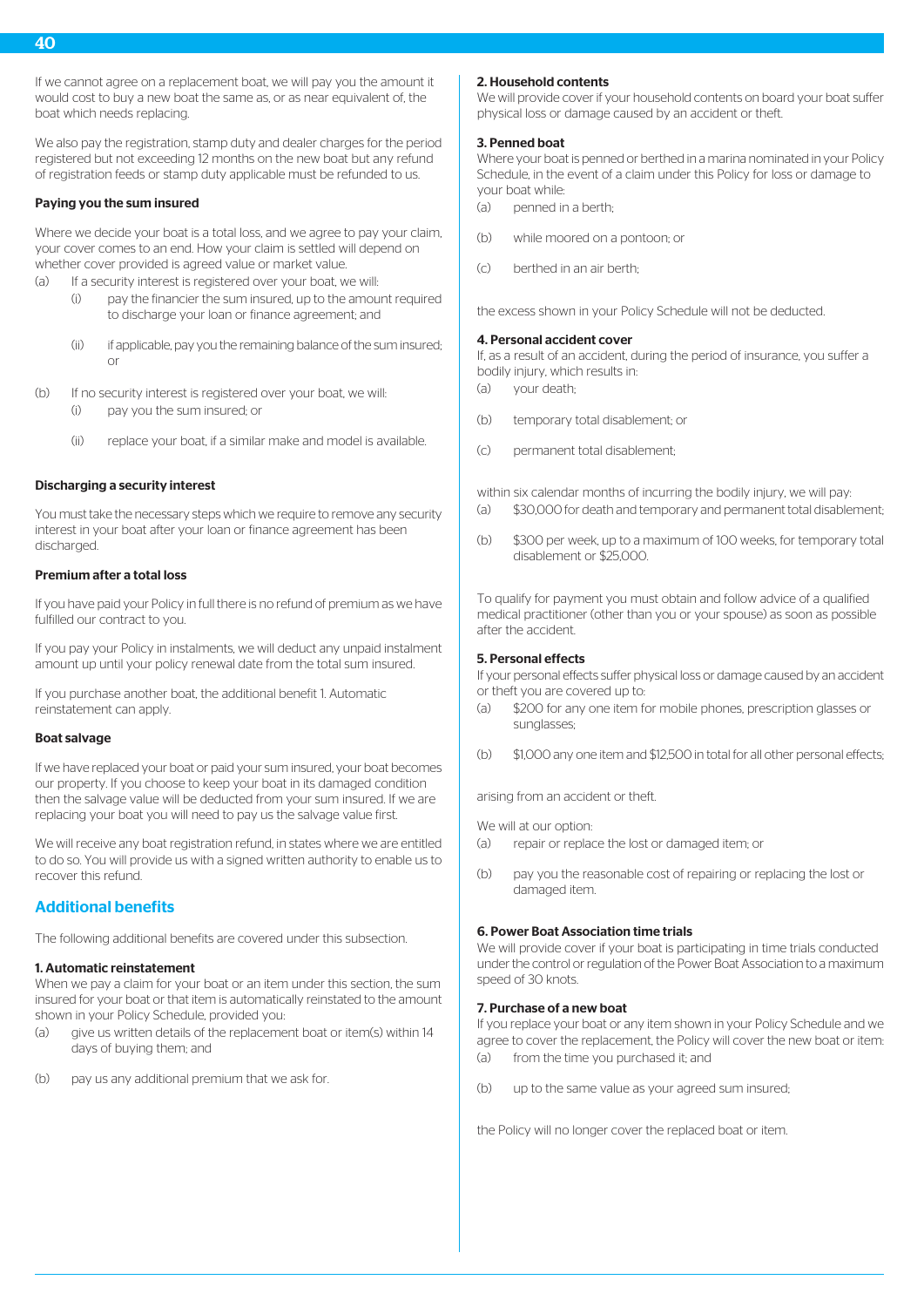If we cannot agree on a replacement boat, we will pay you the amount it would cost to buy a new boat the same as, or as near equivalent of, the boat which needs replacing.

We also pay the registration, stamp duty and dealer charges for the period registered but not exceeding 12 months on the new boat but any refund of registration feeds or stamp duty applicable must be refunded to us.

#### Paying you the sum insured

Where we decide your boat is a total loss, and we agree to pay your claim, your cover comes to an end. How your claim is settled will depend on whether cover provided is agreed value or market value.

(a) If a security interest is registered over your boat, we will:

- (i) pay the financier the sum insured, up to the amount required to discharge your loan or finance agreement; and
- (ii) if applicable, pay you the remaining balance of the sum insured; or
- (b) If no security interest is registered over your boat, we will:
	- (i) pay you the sum insured; or
	- (ii) replace your boat, if a similar make and model is available.

### Discharging a security interest

You must take the necessary steps which we require to remove any security interest in your boat after your loan or finance agreement has been discharged.

### Premium after a total loss

If you have paid your Policy in full there is no refund of premium as we have fulfilled our contract to you.

If you pay your Policy in instalments, we will deduct any unpaid instalment amount up until your policy renewal date from the total sum insured.

If you purchase another boat, the additional benefit 1. Automatic reinstatement can apply.

#### Boat salvage

If we have replaced your boat or paid your sum insured, your boat becomes our property. If you choose to keep your boat in its damaged condition then the salvage value will be deducted from your sum insured. If we are replacing your boat you will need to pay us the salvage value first.

We will receive any boat registration refund, in states where we are entitled to do so. You will provide us with a signed written authority to enable us to recover this refund.

# Additional benefits

The following additional benefits are covered under this subsection.

#### 1. Automatic reinstatement

When we pay a claim for your boat or an item under this section, the sum insured for your boat or that item is automatically reinstated to the amount shown in your Policy Schedule, provided you:

- (a) give us written details of the replacement boat or item(s) within 14 days of buying them; and
- (b) pay us any additional premium that we ask for.

#### 2. Household contents

We will provide cover if your household contents on board your boat suffer physical loss or damage caused by an accident or theft.

### 3. Penned boat

Where your boat is penned or berthed in a marina nominated in your Policy Schedule, in the event of a claim under this Policy for loss or damage to your boat while:

- $(a)$  penned in a berth
- (b) while moored on a pontoon; or
- $(c)$  berthed in an air berth-

the excess shown in your Policy Schedule will not be deducted.

#### 4. Personal accident cover

If, as a result of an accident, during the period of insurance, you suffer a bodily injury, which results in:

- (a) your death;
- (b) temporary total disablement; or
- (c) permanent total disablement;

within six calendar months of incurring the bodily injury, we will pay: (a) \$30,000 for death and temporary and permanent total disablement;

(b) \$300 per week, up to a maximum of 100 weeks, for temporary total disablement or \$25,000.

To qualify for payment you must obtain and follow advice of a qualified medical practitioner (other than you or your spouse) as soon as possible after the accident.

# 5. Personal effects

If your personal effects suffer physical loss or damage caused by an accident or theft you are covered up to:

- (a) \$200 for any one item for mobile phones, prescription glasses or sunglasses;
- (b) \$1,000 any one item and \$12,500 in total for all other personal effects;

arising from an accident or theft.

We will at our option:

- (a) repair or replace the lost or damaged item; or
- (b) pay you the reasonable cost of repairing or replacing the lost or damaged item.

#### 6. Power Boat Association time trials

We will provide cover if your boat is participating in time trials conducted under the control or regulation of the Power Boat Association to a maximum speed of 30 knots.

### 7. Purchase of a new boat

If you replace your boat or any item shown in your Policy Schedule and we agree to cover the replacement, the Policy will cover the new boat or item: (a) from the time you purchased it; and

(b) up to the same value as your agreed sum insured;

the Policy will no longer cover the replaced boat or item.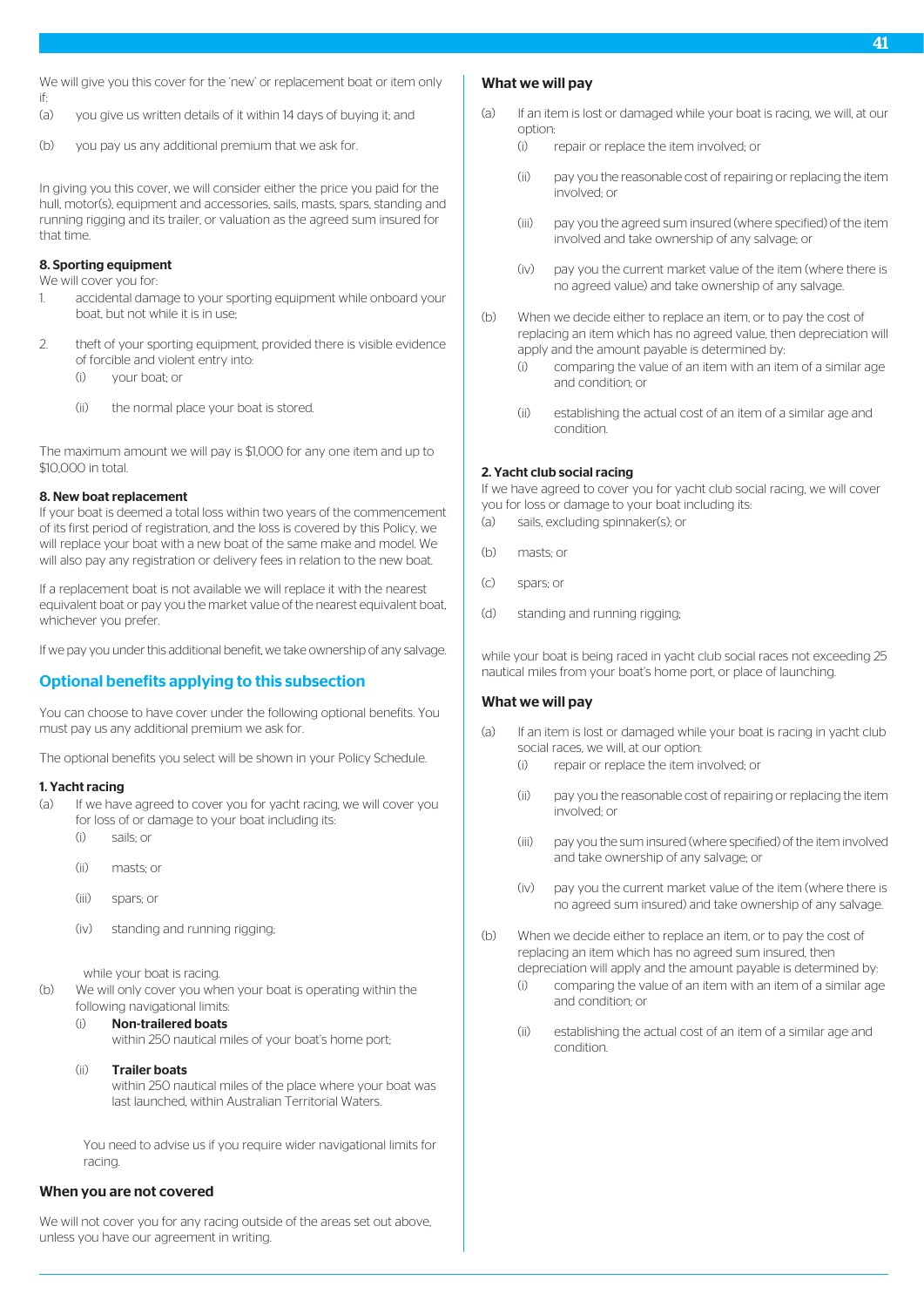- (a) you give us written details of it within 14 days of buying it; and
- (b) you pay us any additional premium that we ask for.

In giving you this cover, we will consider either the price you paid for the hull, motor(s), equipment and accessories, sails, masts, spars, standing and running rigging and its trailer, or valuation as the agreed sum insured for that time.

# 8. Sporting equipment

We will cover you for:

- 1. accidental damage to your sporting equipment while onboard your boat, but not while it is in use;
- 2. theft of your sporting equipment, provided there is visible evidence of forcible and violent entry into:
	- (i) your boat; or
	- (ii) the normal place your boat is stored.

The maximum amount we will pay is \$1,000 for any one item and up to \$10,000 in total.

### 8. New boat replacement

If your boat is deemed a total loss within two years of the commencement of its first period of registration, and the loss is covered by this Policy, we will replace your boat with a new boat of the same make and model. We will also pay any registration or delivery fees in relation to the new boat.

If a replacement boat is not available we will replace it with the nearest equivalent boat or pay you the market value of the nearest equivalent boat, whichever you prefer.

If we pay you under this additional benefit, we take ownership of any salvage.

# Optional benefits applying to this subsection

You can choose to have cover under the following optional benefits. You must pay us any additional premium we ask for.

The optional benefits you select will be shown in your Policy Schedule.

#### 1. Yacht racing

- (a) If we have agreed to cover you for yacht racing, we will cover you for loss of or damage to your boat including its: (i) sails; or
	-
	- (ii) masts; or
	- (iii) spars; or
	- (iv) standing and running rigging;

#### while your boat is racing.

(b) We will only cover you when your boat is operating within the following navigational limits:

#### (i) Non-trailered boats

within 250 nautical miles of your boat's home port;

(ii) Trailer boats

within 250 nautical miles of the place where your boat was last launched, within Australian Territorial Waters.

You need to advise us if you require wider navigational limits for racing.

# When you are not covered

We will not cover you for any racing outside of the areas set out above. unless you have our agreement in writing.

# What we will pay

- (a) If an item is lost or damaged while your boat is racing, we will, at our option:
	- (i) repair or replace the item involved; or
	- (ii) pay you the reasonable cost of repairing or replacing the item involved; or
	- (iii) pay you the agreed sum insured (where specified) of the item involved and take ownership of any salvage; or
	- (iv) pay you the current market value of the item (where there is no agreed value) and take ownership of any salvage.
- (b) When we decide either to replace an item, or to pay the cost of replacing an item which has no agreed value, then depreciation will apply and the amount payable is determined by:
	- (i) comparing the value of an item with an item of a similar age and condition; or
	- (ii) establishing the actual cost of an item of a similar age and condition.

# 2. Yacht club social racing

If we have agreed to cover you for yacht club social racing, we will cover you for loss or damage to your boat including its:

- (a) sails, excluding spinnaker(s); or
- (b) masts; or
- (c) spars; or
- (d) standing and running rigging;

while your boat is being raced in yacht club social races not exceeding 25 nautical miles from your boat's home port, or place of launching.

# What we will pay

- (a) If an item is lost or damaged while your boat is racing in yacht club social races, we will, at our option:
	- (i) repair or replace the item involved; or
	- (ii) pay you the reasonable cost of repairing or replacing the item involved; or
	- (iii) pay you the sum insured (where specified) of the item involved and take ownership of any salvage; or
	- (iv) pay you the current market value of the item (where there is no agreed sum insured) and take ownership of any salvage.
- (b) When we decide either to replace an item, or to pay the cost of replacing an item which has no agreed sum insured, then depreciation will apply and the amount payable is determined by:
	- (i) comparing the value of an item with an item of a similar age and condition; or
	- (ii) establishing the actual cost of an item of a similar age and condition.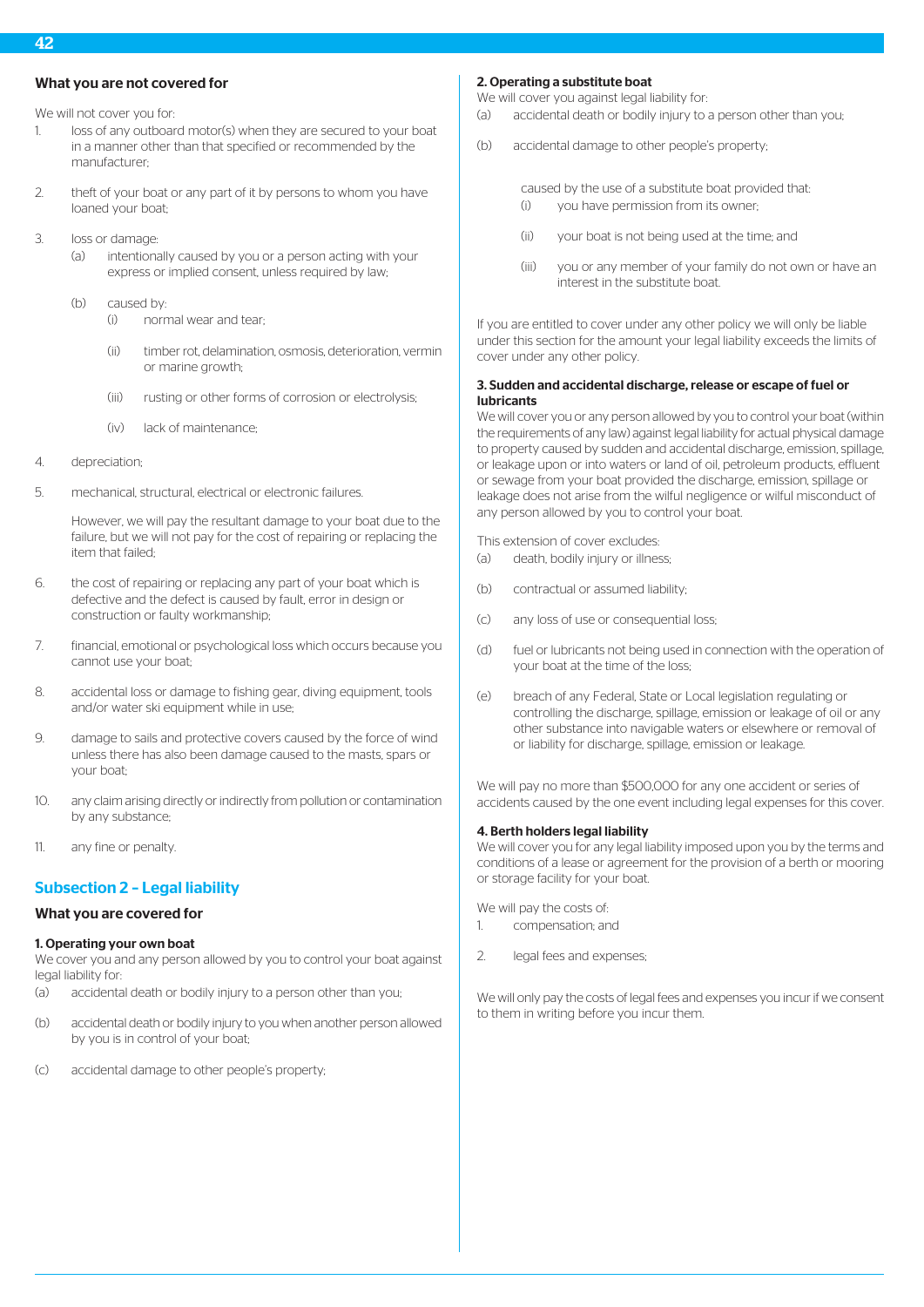# What you are not covered for

We will not cover you for:

- 1. loss of any outboard motor(s) when they are secured to your boat in a manner other than that specified or recommended by the manufacturer;
- 2. theft of your boat or any part of it by persons to whom you have loaned your boat;
- 3. loss or damage:
	- (a) intentionally caused by you or a person acting with your express or implied consent, unless required by law;
	- (b) caused by:
		- (i) normal wear and tear;
		- (ii) timber rot, delamination, osmosis, deterioration, vermin or marine growth;
		- (iii) rusting or other forms of corrosion or electrolysis;
		- (iv) lack of maintenance;
- 4. depreciation;
- 5. mechanical, structural, electrical or electronic failures.

However, we will pay the resultant damage to your boat due to the failure, but we will not pay for the cost of repairing or replacing the item that failed;

- 6. the cost of repairing or replacing any part of your boat which is defective and the defect is caused by fault, error in design or construction or faulty workmanship;
- 7. financial, emotional or psychological loss which occurs because you cannot use your boat;
- 8. accidental loss or damage to fishing gear, diving equipment, tools and/or water ski equipment while in use:
- 9. damage to sails and protective covers caused by the force of wind unless there has also been damage caused to the masts, spars or your boat;
- 10. any claim arising directly or indirectly from pollution or contamination by any substance;
- 11. any fine or penalty.

# Subsection 2 – Legal liability

# What you are covered for

#### 1. Operating your own boat

We cover you and any person allowed by you to control your boat against legal liability for:

- (a) accidental death or bodily injury to a person other than you;
- (b) accidental death or bodily injury to you when another person allowed by you is in control of your boat;
- (c) accidental damage to other people's property;

### 2. Operating a substitute boat

We will cover you against legal liability for:

- (a) accidental death or bodily injury to a person other than you;
- (b) accidental damage to other people's property;

caused by the use of a substitute boat provided that: (i) you have permission from its owner;

- (ii) your boat is not being used at the time; and
- (iii) you or any member of your family do not own or have an interest in the substitute boat.

If you are entitled to cover under any other policy we will only be liable under this section for the amount your legal liability exceeds the limits of cover under any other policy.

# 3. Sudden and accidental discharge, release or escape of fuel or lubricants

We will cover you or any person allowed by you to control your boat (within the requirements of any law) against legal liability for actual physical damage to property caused by sudden and accidental discharge, emission, spillage, or leakage upon or into waters or land of oil, petroleum products, effluent or sewage from your boat provided the discharge, emission, spillage or leakage does not arise from the wilful negligence or wilful misconduct of any person allowed by you to control your boat.

This extension of cover excludes:

- (a) death, bodily injury or illness;
- (b) contractual or assumed liability;
- (c) any loss of use or consequential loss;
- (d) fuel or lubricants not being used in connection with the operation of your boat at the time of the loss;
- (e) breach of any Federal, State or Local legislation regulating or controlling the discharge, spillage, emission or leakage of oil or any other substance into navigable waters or elsewhere or removal of or liability for discharge, spillage, emission or leakage.

We will pay no more than \$500,000 for any one accident or series of accidents caused by the one event including legal expenses for this cover.

# 4. Berth holders legal liability

We will cover you for any legal liability imposed upon you by the terms and conditions of a lease or agreement for the provision of a berth or mooring or storage facility for your boat.

We will pay the costs of:

- 1. compensation; and
- 2. legal fees and expenses;

We will only pay the costs of legal fees and expenses you incur if we consent to them in writing before you incur them.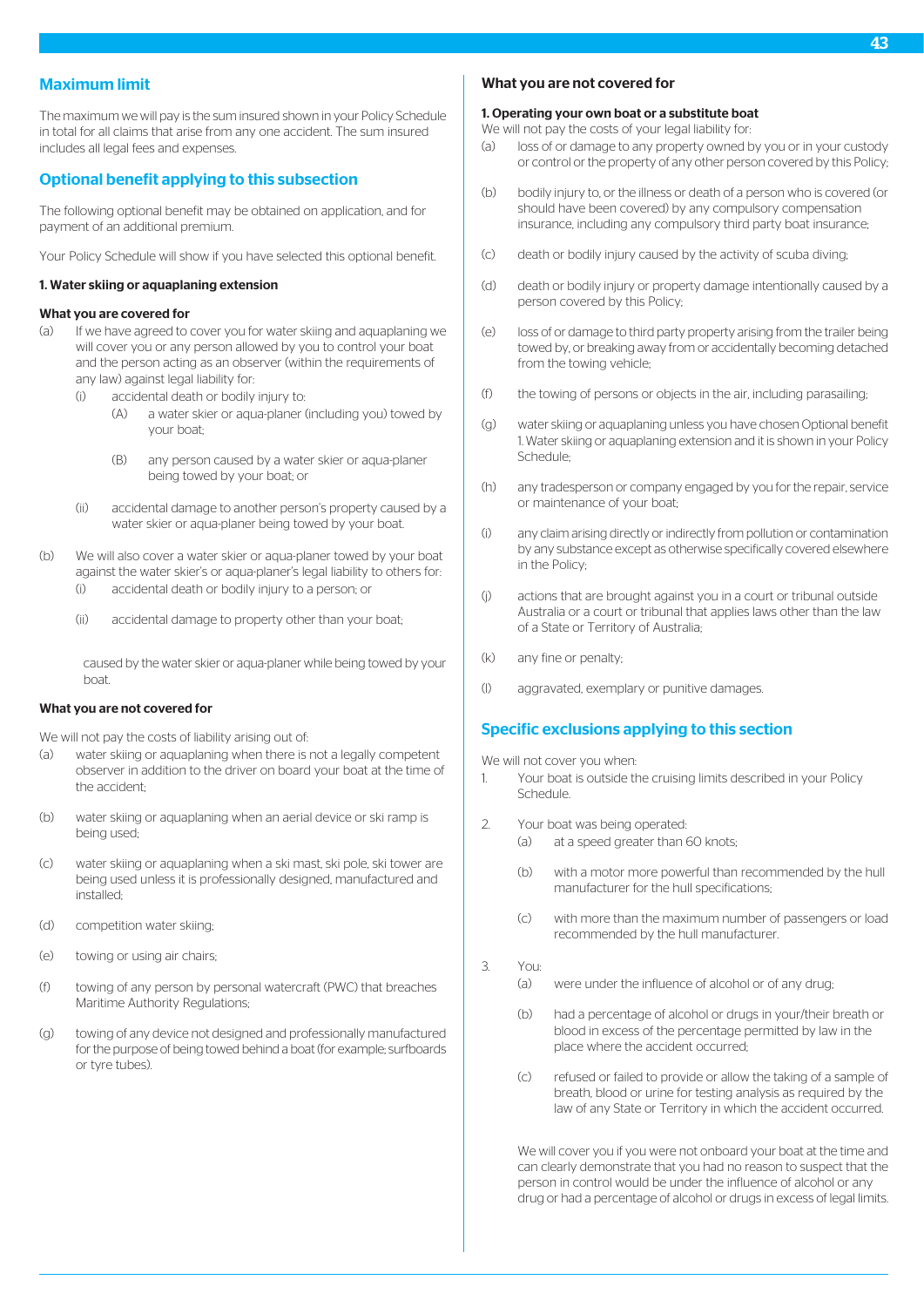# Maximum limit

The maximum we will pay is the sum insured shown in your Policy Schedule in total for all claims that arise from any one accident. The sum insured includes all legal fees and expenses.

# Optional benefit applying to this subsection

The following optional benefit may be obtained on application, and for payment of an additional premium.

Your Policy Schedule will show if you have selected this optional benefit.

### 1. Water skiing or aquaplaning extension

### What you are covered for

- (a) If we have agreed to cover you for water skiing and aquaplaning we will cover you or any person allowed by you to control your boat and the person acting as an observer (within the requirements of any law) against legal liability for:
	- (i) accidental death or bodily injury to:
		- (A) a water skier or aqua-planer (including you) towed by your boat;
		- (B) any person caused by a water skier or aqua-planer being towed by your boat; or
	- (ii) accidental damage to another person's property caused by a water skier or aqua-planer being towed by your boat.
- (b) We will also cover a water skier or aqua-planer towed by your boat against the water skier's or agua-planer's legal liability to others for-(i) accidental death or bodily injury to a person; or
	- (ii) accidental damage to property other than your boat;

caused by the water skier or aqua-planer while being towed by your boat.

# What you are not covered for

We will not pay the costs of liability arising out of:

- (a) water skiing or aquaplaning when there is not a legally competent observer in addition to the driver on board your boat at the time of the accident;
- (b) water skiing or aquaplaning when an aerial device or ski ramp is being used;
- (c) water skiing or aquaplaning when a ski mast, ski pole, ski tower are being used unless it is professionally designed, manufactured and installed;
- (d) competition water skiing;
- (e) towing or using air chairs;
- (f) towing of any person by personal watercraft (PWC) that breaches Maritime Authority Regulations;
- (g) towing of any device not designed and professionally manufactured for the purpose of being towed behind a boat (for example; surfboards or tyre tubes).

# What you are not covered for

### 1. Operating your own boat or a substitute boat

We will not pay the costs of your legal liability for:

- (a) loss of or damage to any property owned by you or in your custody or control or the property of any other person covered by this Policy;
- (b) bodily injury to, or the illness or death of a person who is covered (or should have been covered) by any compulsory compensation insurance, including any compulsory third party boat insurance;
- (c) death or bodily injury caused by the activity of scuba diving;
- (d) death or bodily injury or property damage intentionally caused by a person covered by this Policy;
- (e) loss of or damage to third party property arising from the trailer being towed by, or breaking away from or accidentally becoming detached from the towing vehicle;
- (f) the towing of persons or objects in the air, including parasailing;
- (g) water skiing or aquaplaning unless you have chosen Optional benefit 1. Water skiing or aquaplaning extension and it is shown in your Policy Schedule;
- (h) any tradesperson or company engaged by you for the repair, service or maintenance of your boat;
- (i) any claim arising directly or indirectly from pollution or contamination by any substance except as otherwise specifically covered elsewhere in the Policy;
- (j) actions that are brought against you in a court or tribunal outside Australia or a court or tribunal that applies laws other than the law of a State or Territory of Australia;
- (k) any fine or penalty;
- (l) aggravated, exemplary or punitive damages.

# Specific exclusions applying to this section

We will not cover you when-

- 1. Your boat is outside the cruising limits described in your Policy Schedule.
- 2. Your boat was being operated:
	- (a) at a speed greater than 60 knots;
	- (b) with a motor more powerful than recommended by the hull manufacturer for the hull specifications;
	- (c) with more than the maximum number of passengers or load recommended by the hull manufacturer.
- 3. You:
	- (a) were under the influence of alcohol or of any drug;
	- (b) had a percentage of alcohol or drugs in your/their breath or blood in excess of the percentage permitted by law in the place where the accident occurred;
	- (c) refused or failed to provide or allow the taking of a sample of breath, blood or urine for testing analysis as required by the law of any State or Territory in which the accident occurred.

We will cover you if you were not onboard your boat at the time and can clearly demonstrate that you had no reason to suspect that the person in control would be under the influence of alcohol or any drug or had a percentage of alcohol or drugs in excess of legal limits.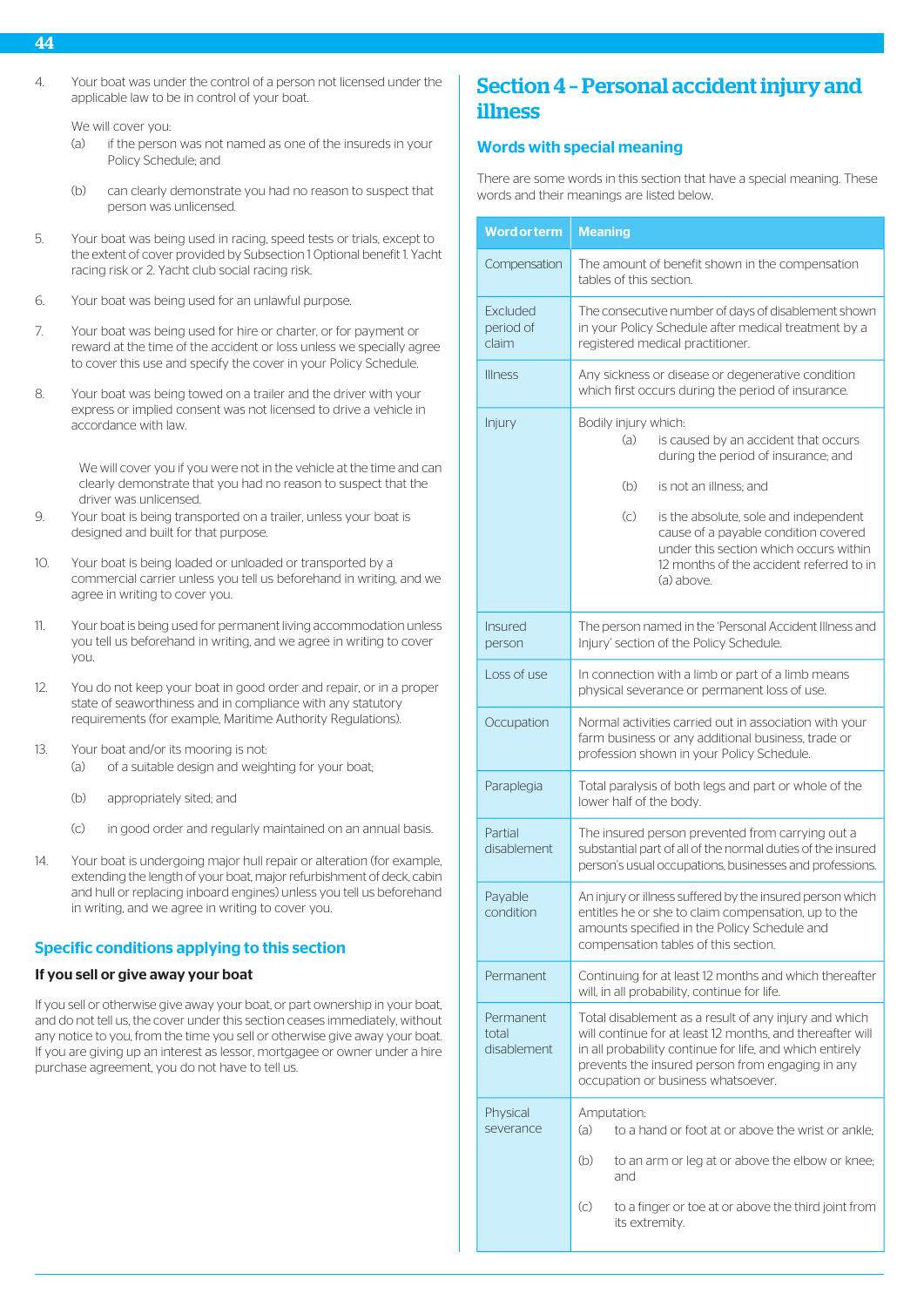4. Your boat was under the control of a person not licensed under the applicable law to be in control of your boat.

We will cover you:

- (a) if the person was not named as one of the insureds in your Policy Schedule; and
- (b) can clearly demonstrate you had no reason to suspect that person was unlicensed.
- 5. Your boat was being used in racing, speed tests or trials, except to the extent of cover provided by Subsection 1 Optional benefit 1. Yacht racing risk or 2. Yacht club social racing risk.
- 6. Your boat was being used for an unlawful purpose.
- 7. Your boat was being used for hire or charter, or for payment or reward at the time of the accident or loss unless we specially agree to cover this use and specify the cover in your Policy Schedule.
- 8. Your boat was being towed on a trailer and the driver with your express or implied consent was not licensed to drive a vehicle in accordance with law.

We will cover you if you were not in the vehicle at the time and can clearly demonstrate that you had no reason to suspect that the driver was unlicensed.

- 9. Your boat is being transported on a trailer, unless your boat is designed and built for that purpose.
- 10. Your boat is being loaded or unloaded or transported by a commercial carrier unless you tell us beforehand in writing, and we agree in writing to cover you.
- 11. Your boat is being used for permanent living accommodation unless you tell us beforehand in writing, and we agree in writing to cover you.
- 12. You do not keep your boat in good order and repair, or in a proper state of seaworthiness and in compliance with any statutory requirements (for example, Maritime Authority Regulations).
- 13. Your boat and/or its mooring is not:
	- (a) of a suitable design and weighting for your boat;
	- (b) appropriately sited; and
	- (c) in good order and regularly maintained on an annual basis.
- 14. Your boat is undergoing major hull repair or alteration (for example, extending the length of your boat, major refurbishment of deck, cabin and hull or replacing inboard engines) unless you tell us beforehand in writing, and we agree in writing to cover you.

# Specific conditions applying to this section

# If you sell or give away your boat

If you sell or otherwise give away your boat, or part ownership in your boat, and do not tell us, the cover under this section ceases immediately, without any notice to you, from the time you sell or otherwise give away your boat. If you are giving up an interest as lessor, mortgagee or owner under a hire purchase agreement, you do not have to tell us.

# Section 4 – Personal accident injury and illness

# Words with special meaning

There are some words in this section that have a special meaning. These words and their meanings are listed below.

| <b>Word or term</b>               | <b>Meaning</b>                                                                                                                                                                                                                                                           |  |
|-----------------------------------|--------------------------------------------------------------------------------------------------------------------------------------------------------------------------------------------------------------------------------------------------------------------------|--|
| Compensation                      | The amount of benefit shown in the compensation<br>tables of this section.                                                                                                                                                                                               |  |
| Excluded<br>period of<br>claim    | The consecutive number of days of disablement shown<br>in your Policy Schedule after medical treatment by a<br>registered medical practitioner.                                                                                                                          |  |
| <b>Illness</b>                    | Any sickness or disease or degenerative condition<br>which first occurs during the period of insurance.                                                                                                                                                                  |  |
| Injury                            | Bodily injury which:<br>(a)<br>is caused by an accident that occurs<br>during the period of insurance; and                                                                                                                                                               |  |
|                                   | (b)<br>is not an illness; and                                                                                                                                                                                                                                            |  |
|                                   | $\left(\circ\right)$<br>is the absolute, sole and independent<br>cause of a payable condition covered<br>under this section which occurs within<br>12 months of the accident referred to in<br>(a) above.                                                                |  |
| Insured<br>person                 | The person named in the 'Personal Accident Illness and<br>Injury' section of the Policy Schedule.                                                                                                                                                                        |  |
| Loss of use                       | In connection with a limb or part of a limb means<br>physical severance or permanent loss of use.                                                                                                                                                                        |  |
| Occupation                        | Normal activities carried out in association with your<br>farm business or any additional business, trade or<br>profession shown in your Policy Schedule.                                                                                                                |  |
| Paraplegia                        | Total paralysis of both legs and part or whole of the<br>lower half of the body.                                                                                                                                                                                         |  |
| Partial<br>disablement            | The insured person prevented from carrying out a<br>substantial part of all of the normal duties of the insured<br>person's usual occupations, businesses and professions.                                                                                               |  |
| Payable<br>condition              | An injury or illness suffered by the insured person which<br>entitles he or she to claim compensation, up to the<br>amounts specified in the Policy Schedule and<br>compensation tables of this section.                                                                 |  |
| Permanent                         | Continuing for at least 12 months and which thereafter<br>will, in all probability, continue for life.                                                                                                                                                                   |  |
| Permanent<br>total<br>disablement | Total disablement as a result of any injury and which<br>will continue for at least 12 months, and thereafter will<br>in all probability continue for life, and which entirely<br>prevents the insured person from engaging in any<br>occupation or business whatsoever. |  |
| Physical<br>severance             | Amputation:<br>(a)<br>to a hand or foot at or above the wrist or ankle;                                                                                                                                                                                                  |  |
|                                   | (b)<br>to an arm or leg at or above the elbow or knee;<br>and                                                                                                                                                                                                            |  |
|                                   | (c)<br>to a finger or toe at or above the third joint from<br>its extremity.                                                                                                                                                                                             |  |

# 44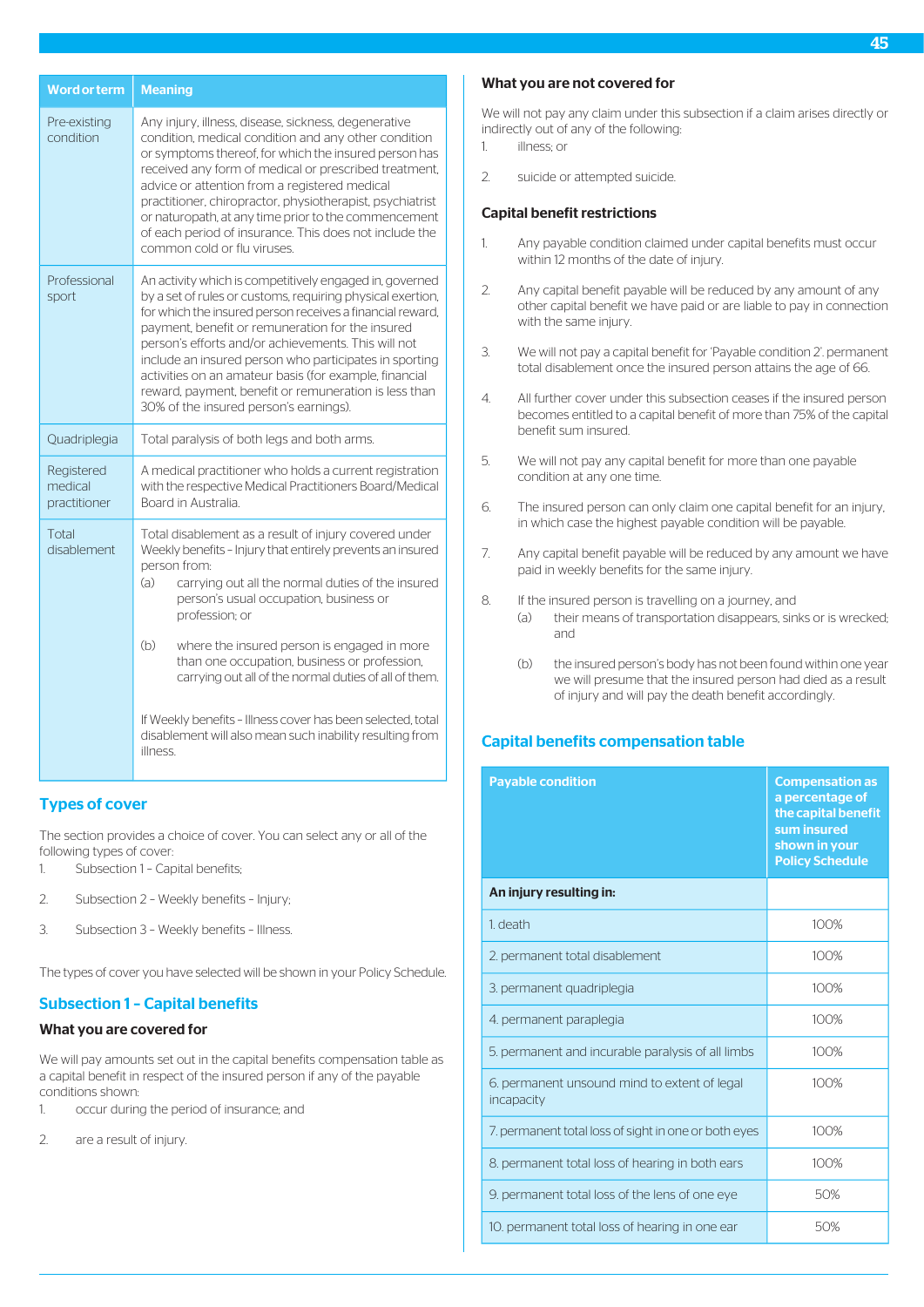| <b>Word or term</b>                   | <b>Meaning</b>                                                                                                                                                                                                                                                                                                                                                                                                                                                                                                                                                    |
|---------------------------------------|-------------------------------------------------------------------------------------------------------------------------------------------------------------------------------------------------------------------------------------------------------------------------------------------------------------------------------------------------------------------------------------------------------------------------------------------------------------------------------------------------------------------------------------------------------------------|
| Pre-existing<br>condition             | Any injury, illness, disease, sickness, degenerative<br>condition, medical condition and any other condition<br>or symptoms thereof, for which the insured person has<br>received any form of medical or prescribed treatment,<br>advice or attention from a registered medical<br>practitioner, chiropractor, physiotherapist, psychiatrist<br>or naturopath, at any time prior to the commencement<br>of each period of insurance. This does not include the<br>common cold or flu viruses                                                                      |
| Professional<br>sport                 | An activity which is competitively engaged in, governed<br>by a set of rules or customs, requiring physical exertion,<br>for which the insured person receives a financial reward,<br>payment, benefit or remuneration for the insured<br>person's efforts and/or achievements. This will not<br>include an insured person who participates in sporting<br>activities on an amateur basis (for example, financial<br>reward, payment, benefit or remuneration is less than<br>30% of the insured person's earnings).                                              |
| Quadriplegia                          | Total paralysis of both legs and both arms.                                                                                                                                                                                                                                                                                                                                                                                                                                                                                                                       |
| Registered<br>medical<br>practitioner | A medical practitioner who holds a current registration<br>with the respective Medical Practitioners Board/Medical<br>Board in Australia.                                                                                                                                                                                                                                                                                                                                                                                                                         |
| Total<br>disablement                  | Total disablement as a result of injury covered under<br>Weekly benefits - Injury that entirely prevents an insured<br>person from:<br>(a)<br>carrying out all the normal duties of the insured<br>person's usual occupation, business or<br>profession; or<br>(b)<br>where the insured person is engaged in more<br>than one occupation, business or profession,<br>carrying out all of the normal duties of all of them.<br>If Weekly benefits - Illness cover has been selected, total<br>disablement will also mean such inability resulting from<br>illness. |

# Types of cover

The section provides a choice of cover. You can select any or all of the following types of cover:

- 1. Subsection 1 Capital benefits;
- 2. Subsection 2 Weekly benefits Injury;
- 3. Subsection 3 Weekly benefits Illness.

The types of cover you have selected will be shown in your Policy Schedule.

# Subsection 1 – Capital benefits

# What you are covered for

We will pay amounts set out in the capital benefits compensation table as a capital benefit in respect of the insured person if any of the payable conditions shown:

- 1. occur during the period of insurance; and
- 2. are a result of injury.

# What you are not covered for

We will not pay any claim under this subsection if a claim arises directly or indirectly out of any of the following:

- 1. illness; or
- 2. suicide or attempted suicide.

# Capital benefit restrictions

- 1. Any payable condition claimed under capital benefits must occur within 12 months of the date of injury.
- 2. Any capital benefit payable will be reduced by any amount of any other capital benefit we have paid or are liable to pay in connection with the same injury.
- 3. We will not pay a capital benefit for 'Payable condition 2'. permanent total disablement once the insured person attains the age of 66.
- 4. All further cover under this subsection ceases if the insured person becomes entitled to a capital benefit of more than 75% of the capital benefit sum insured.
- 5. We will not pay any capital benefit for more than one payable condition at any one time.
- 6. The insured person can only claim one capital benefit for an injury, in which case the highest payable condition will be payable.
- 7. Any capital benefit payable will be reduced by any amount we have paid in weekly benefits for the same injury.
- 8. If the insured person is travelling on a journey, and
	- (a) their means of transportation disappears, sinks or is wrecked; and
		- (b) the insured person's body has not been found within one year we will presume that the insured person had died as a result of injury and will pay the death benefit accordingly.

# Capital benefits compensation table

| <b>Payable condition</b>                                   | <b>Compensation as</b><br>a percentage of<br>the capital benefit<br>sum insured<br>shown in your<br><b>Policy Schedule</b> |
|------------------------------------------------------------|----------------------------------------------------------------------------------------------------------------------------|
| An injury resulting in:                                    |                                                                                                                            |
| 1. death                                                   | 100%                                                                                                                       |
| 2. permanent total disablement                             | 100%                                                                                                                       |
| 3. permanent quadriplegia                                  | 100%                                                                                                                       |
| 4. permanent paraplegia                                    | 100%                                                                                                                       |
| 5. permanent and incurable paralysis of all limbs          | 100%                                                                                                                       |
| 6. permanent unsound mind to extent of legal<br>incapacity | 100%                                                                                                                       |
| 7. permanent total loss of sight in one or both eyes       | 100%                                                                                                                       |
| 8. permanent total loss of hearing in both ears            | 100%                                                                                                                       |
| 9. permanent total loss of the lens of one eye             | 50%                                                                                                                        |
| 10. permanent total loss of hearing in one ear             | 50%                                                                                                                        |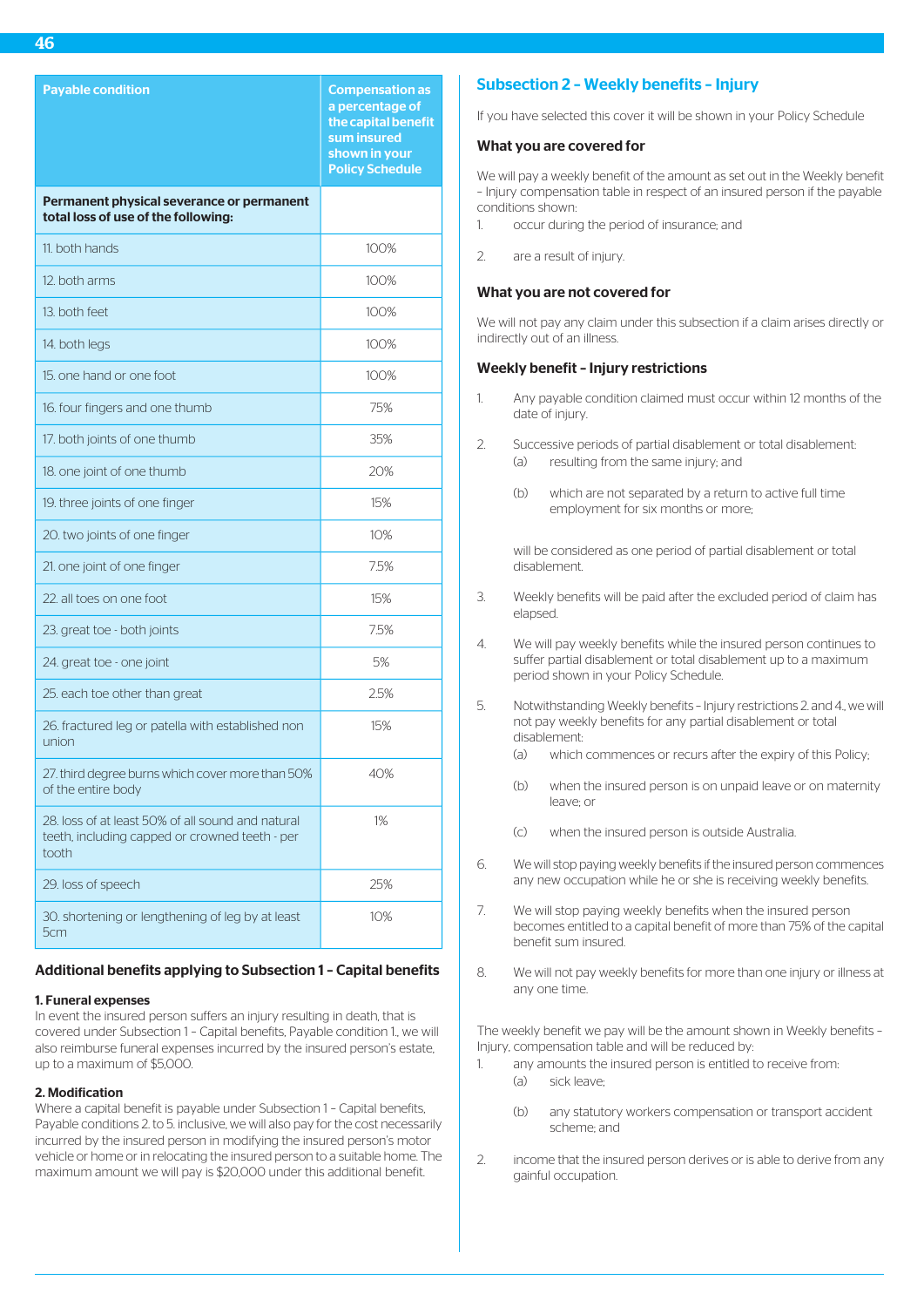| <b>Payable condition</b>                                                                                     | <b>Compensation as</b><br>a percentage of<br>the capital benefit<br>sum insured<br>shown in your<br><b>Policy Schedule</b> |
|--------------------------------------------------------------------------------------------------------------|----------------------------------------------------------------------------------------------------------------------------|
| Permanent physical severance or permanent<br>total loss of use of the following:                             |                                                                                                                            |
| 11. both hands                                                                                               | 100%                                                                                                                       |
| 12. both arms                                                                                                | 100%                                                                                                                       |
| 13. both feet                                                                                                | 100%                                                                                                                       |
| 14. both legs                                                                                                | 100%                                                                                                                       |
| 15, one hand or one foot                                                                                     | 100%                                                                                                                       |
| 16. four fingers and one thumb                                                                               | 75%                                                                                                                        |
| 17. both joints of one thumb                                                                                 | 35%                                                                                                                        |
| 18. one joint of one thumb                                                                                   | 20%                                                                                                                        |
| 19. three joints of one finger                                                                               | 15%                                                                                                                        |
| 20. two joints of one finger                                                                                 | 10%                                                                                                                        |
| 21. one joint of one finger                                                                                  | 7.5%                                                                                                                       |
| 22, all toes on one foot                                                                                     | 15%                                                                                                                        |
| 23. great toe - both joints                                                                                  | 7.5%                                                                                                                       |
| 24. great toe - one joint                                                                                    | 5%                                                                                                                         |
| 25. each toe other than great                                                                                | 2.5%                                                                                                                       |
| 26. fractured leg or patella with established non<br>union                                                   | 15%                                                                                                                        |
| 27. third degree burns which cover more than 50%<br>of the entire body                                       | 40%                                                                                                                        |
| 28. loss of at least 50% of all sound and natural<br>teeth, including capped or crowned teeth - per<br>tooth | 1%                                                                                                                         |
| 29. loss of speech                                                                                           | 25%                                                                                                                        |
| 30. shortening or lengthening of leg by at least<br>5cm                                                      | 10%                                                                                                                        |

# Additional benefits applying to Subsection 1 – Capital benefits

#### 1. Funeral expenses

In event the insured person suffers an injury resulting in death, that is covered under Subsection 1 – Capital benefits, Payable condition 1., we will also reimburse funeral expenses incurred by the insured person's estate, up to a maximum of \$5,000.

#### 2. Modification

Where a capital benefit is payable under Subsection 1 – Capital benefits, Payable conditions 2. to 5. inclusive, we will also pay for the cost necessarily incurred by the insured person in modifying the insured person's motor vehicle or home or in relocating the insured person to a suitable home. The maximum amount we will pay is \$20,000 under this additional benefit.

# Subsection 2 – Weekly benefits – Injury

If you have selected this cover it will be shown in your Policy Schedule

#### What you are covered for

We will pay a weekly benefit of the amount as set out in the Weekly benefit – Injury compensation table in respect of an insured person if the payable conditions shown:

- occur during the period of insurance; and
- 2. are a result of injury.

#### What you are not covered for

We will not pay any claim under this subsection if a claim arises directly or indirectly out of an illness.

#### Weekly benefit – Injury restrictions

- 1. Any payable condition claimed must occur within 12 months of the date of injury.
- 2. Successive periods of partial disablement or total disablement: (a) resulting from the same injury; and
	- (b) which are not separated by a return to active full time employment for six months or more;

will be considered as one period of partial disablement or total disablement.

- 3. Weekly benefits will be paid after the excluded period of claim has elapsed.
- 4. We will pay weekly benefits while the insured person continues to suffer partial disablement or total disablement up to a maximum period shown in your Policy Schedule.
- 5. Notwithstanding Weekly benefits Injury restrictions 2. and 4., we will not pay weekly benefits for any partial disablement or total disablement:
	- (a) which commences or recurs after the expiry of this Policy;
	- (b) when the insured person is on unpaid leave or on maternity leave; or
	- (c) when the insured person is outside Australia.
- 6. We will stop paying weekly benefits if the insured person commences any new occupation while he or she is receiving weekly benefits.
- 7. We will stop paying weekly benefits when the insured person becomes entitled to a capital benefit of more than 75% of the capital benefit sum insured.
- 8. We will not pay weekly benefits for more than one injury or illness at any one time.

The weekly benefit we pay will be the amount shown in Weekly benefits – Injury, compensation table and will be reduced by:

- 1. any amounts the insured person is entitled to receive from: (a) sick leave;
	- (b) any statutory workers compensation or transport accident scheme; and
- 2. income that the insured person derives or is able to derive from any gainful occupation.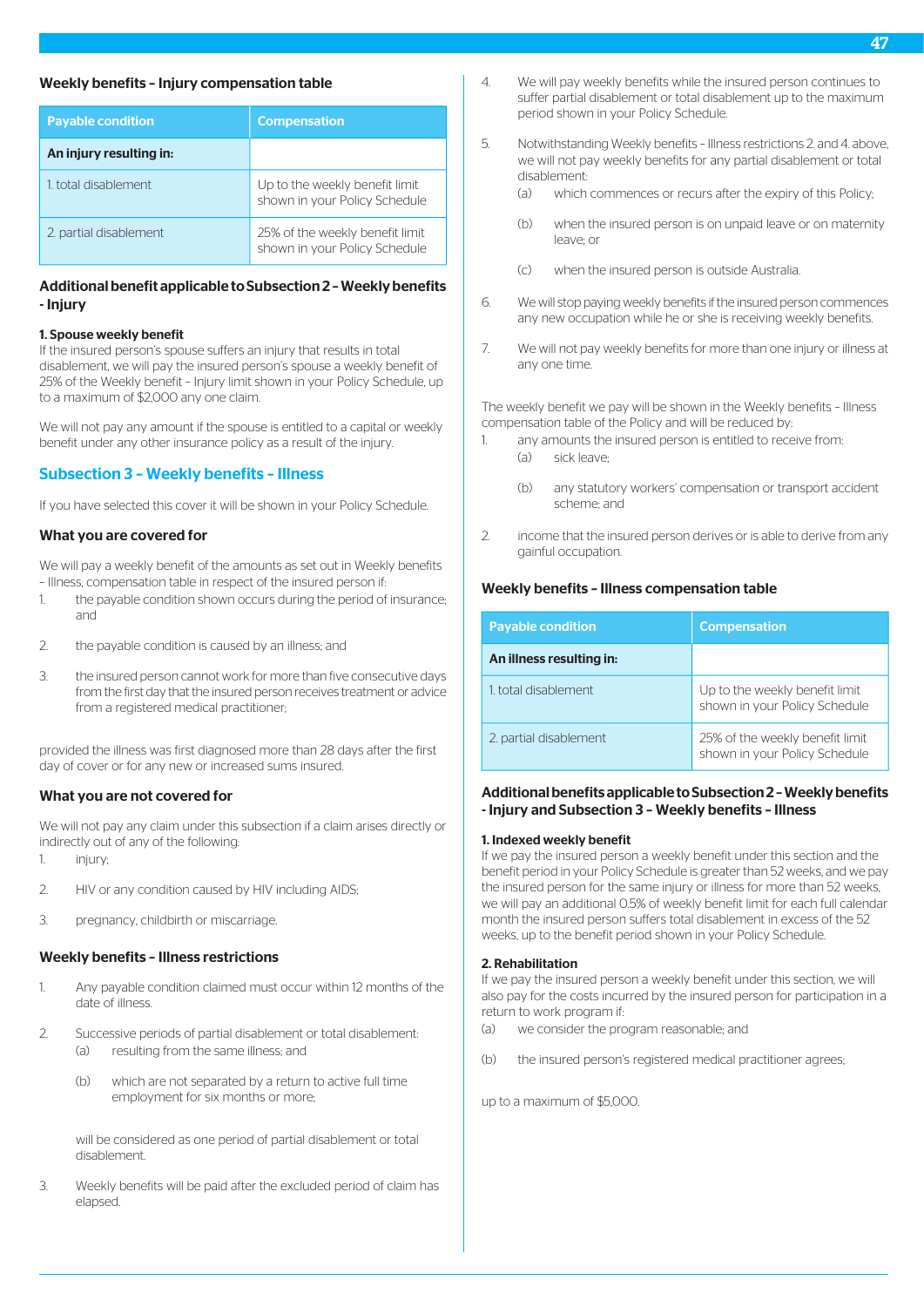### Weekly benefits – Injury compensation table

| <b>Payable condition</b> | <b>Compensation</b>                                              |  |
|--------------------------|------------------------------------------------------------------|--|
| An injury resulting in:  |                                                                  |  |
| 1 total disablement      | Up to the weekly benefit limit<br>shown in your Policy Schedule  |  |
| 2. partial disablement   | 25% of the weekly benefit limit<br>shown in your Policy Schedule |  |

# Additional benefit applicable to Subsection 2 – Weekly benefits - Injury

#### 1. Spouse weekly benefit

If the insured person's spouse suffers an injury that results in total disablement, we will pay the insured person's spouse a weekly benefit of 25% of the Weekly benefit – Injury limit shown in your Policy Schedule, up to a maximum of \$2,000 any one claim.

We will not pay any amount if the spouse is entitled to a capital or weekly benefit under any other insurance policy as a result of the injury.

# Subsection 3 – Weekly benefits – Illness

If you have selected this cover it will be shown in your Policy Schedule.

# What you are covered for

We will pay a weekly benefit of the amounts as set out in Weekly benefits – Illness, compensation table in respect of the insured person if:

- 1. the payable condition shown occurs during the period of insurance; and
- 2. the payable condition is caused by an illness; and
- 3. the insured person cannot work for more than five consecutive days from the first day that the insured person receives treatment or advice from a registered medical practitioner;

provided the illness was first diagnosed more than 28 days after the first day of cover or for any new or increased sums insured.

# What you are not covered for

We will not pay any claim under this subsection if a claim arises directly or indirectly out of any of the following:

- 1. injury;
- 2. HIV or any condition caused by HIV including AIDS;
- 3. pregnancy, childbirth or miscarriage.

# Weekly benefits – Illness restrictions

- 1. Any payable condition claimed must occur within 12 months of the date of illness.
- 2. Successive periods of partial disablement or total disablement: (a) resulting from the same illness; and
	- (b) which are not separated by a return to active full time employment for six months or more;

will be considered as one period of partial disablement or total disablement.

3. Weekly benefits will be paid after the excluded period of claim has elapsed.

- 4. We will pay weekly benefits while the insured person continues to suffer partial disablement or total disablement up to the maximum period shown in your Policy Schedule.
- 5. Notwithstanding Weekly benefits Illness restrictions 2. and 4. above, we will not pay weekly benefits for any partial disablement or total disablement:
	- (a) which commences or recurs after the expiry of this Policy;
	- (b) when the insured person is on unpaid leave or on maternity leave; or
	- (c) when the insured person is outside Australia.
- 6. We will stop paying weekly benefits if the insured person commences any new occupation while he or she is receiving weekly benefits.
- 7. We will not pay weekly benefits for more than one injury or illness at any one time.

The weekly benefit we pay will be shown in the Weekly benefits – Illness compensation table of the Policy and will be reduced by:

- 1. any amounts the insured person is entitled to receive from: (a) sick leave;
	- (b) any statutory workers' compensation or transport accident scheme; and
- 2. income that the insured person derives or is able to derive from any gainful occupation.

# Weekly benefits – Illness compensation table

| <b>Payable condition</b> | <b>Compensation</b>                                              |  |
|--------------------------|------------------------------------------------------------------|--|
| An illness resulting in: |                                                                  |  |
| 1 total disablement      | Up to the weekly benefit limit<br>shown in your Policy Schedule  |  |
| 2. partial disablement   | 25% of the weekly benefit limit<br>shown in your Policy Schedule |  |

# Additional benefits applicable to Subsection 2 – Weekly benefits - Injury and Subsection 3 – Weekly benefits – Illness

### 1. Indexed weekly benefit

If we pay the insured person a weekly benefit under this section and the benefit period in your Policy Schedule is greater than 52 weeks, and we pay the insured person for the same injury or illness for more than 52 weeks, we will pay an additional 0.5% of weekly benefit limit for each full calendar month the insured person suffers total disablement in excess of the 52 weeks, up to the benefit period shown in your Policy Schedule.

### 2. Rehabilitation

If we pay the insured person a weekly benefit under this section, we will also pay for the costs incurred by the insured person for participation in a return to work program if:

- (a) we consider the program reasonable; and
- (b) the insured person's registered medical practitioner agrees;

up to a maximum of \$5,000.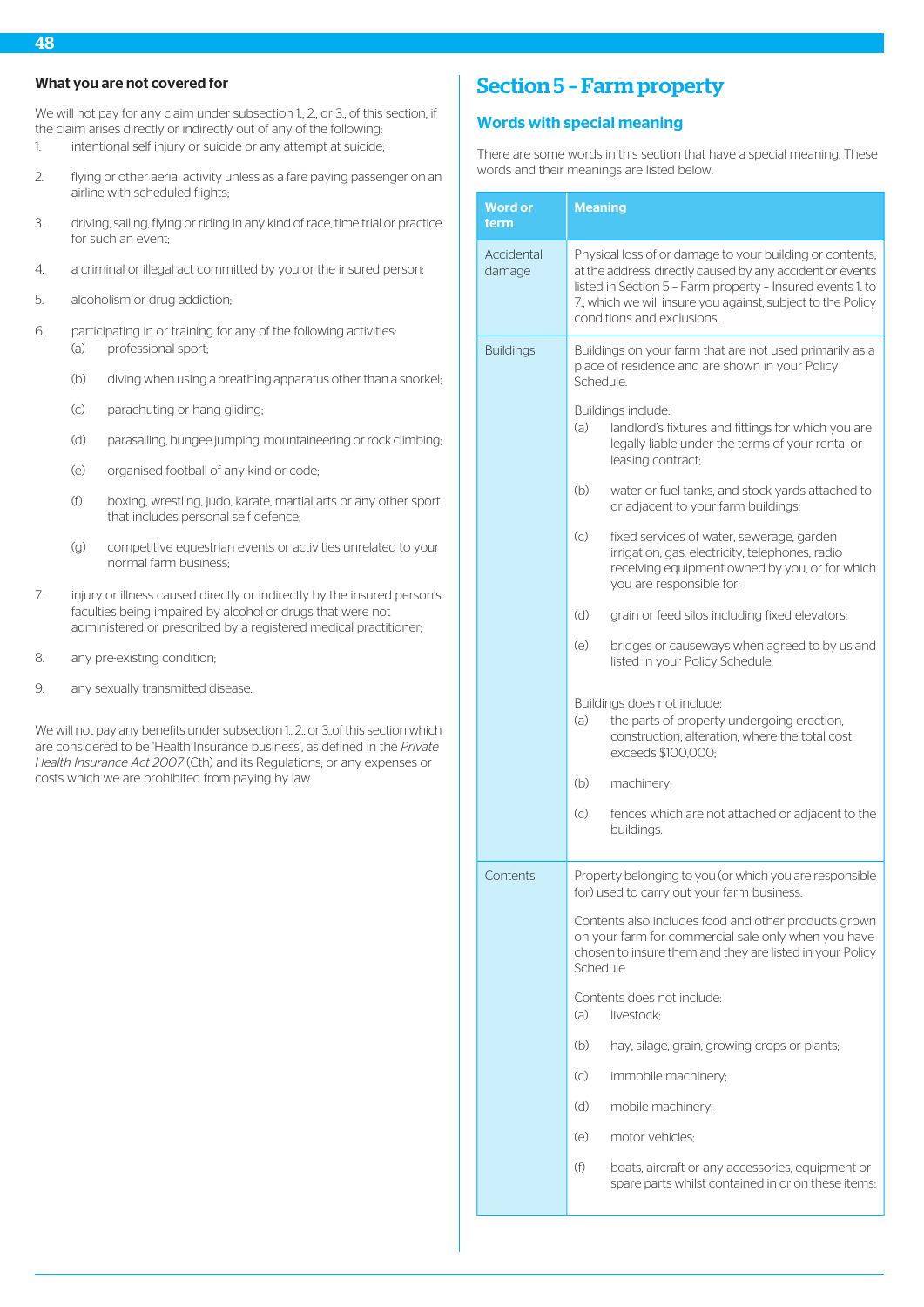# What you are not covered for

We will not pay for any claim under subsection 1, 2, or 3, of this section, if the claim arises directly or indirectly out of any of the following:

- 1. intentional self injury or suicide or any attempt at suicide;
- 2. flying or other aerial activity unless as a fare paying passenger on an airline with scheduled flights;
- 3. driving, sailing, flying or riding in any kind of race, time trial or practice for such an event;
- 4. a criminal or illegal act committed by you or the insured person;
- 5. alcoholism or drug addiction;
- 6. participating in or training for any of the following activities: (a) professional sport;
	- (b) diving when using a breathing apparatus other than a snorkel;
	- (c) parachuting or hang gliding;
	- (d) parasailing, bungee jumping, mountaineering or rock climbing;
	- (e) organised football of any kind or code;
	- (f) boxing, wrestling, judo, karate, martial arts or any other sport that includes personal self defence;
	- (g) competitive equestrian events or activities unrelated to your normal farm business;
- 7. injury or illness caused directly or indirectly by the insured person's faculties being impaired by alcohol or drugs that were not administered or prescribed by a registered medical practitioner;
- 8. any pre-existing condition;
- 9. any sexually transmitted disease.

We will not pay any benefits under subsection 1, 2, or 3, of this section which are considered to be 'Health Insurance business', as defined in the *Private Health Insurance Act 2007* (Cth) and its Regulations; or any expenses or costs which we are prohibited from paying by law.

# Section 5 – Farm property

# Words with special meaning

There are some words in this section that have a special meaning. These words and their meanings are listed below.

| Word or<br>term      | <b>Meaning</b>                                                                                                                                                                                                                                                                  |  |
|----------------------|---------------------------------------------------------------------------------------------------------------------------------------------------------------------------------------------------------------------------------------------------------------------------------|--|
| Accidental<br>damage | Physical loss of or damage to your building or contents,<br>at the address, directly caused by any accident or events<br>listed in Section 5 - Farm property - Insured events 1. to<br>7. which we will insure you against, subject to the Policy<br>conditions and exclusions. |  |
| <b>Buildings</b>     | Buildings on your farm that are not used primarily as a<br>place of residence and are shown in your Policy<br>Schedule.                                                                                                                                                         |  |
|                      | Buildings include:<br>(a)<br>landlord's fixtures and fittings for which you are<br>legally liable under the terms of your rental or<br>leasing contract;                                                                                                                        |  |
|                      | (b)<br>water or fuel tanks, and stock yards attached to<br>or adjacent to your farm buildings;                                                                                                                                                                                  |  |
|                      | $\left( $<br>fixed services of water, sewerage, garden<br>irrigation, gas, electricity, telephones, radio<br>receiving equipment owned by you, or for which<br>you are responsible for;                                                                                         |  |
|                      | (d)<br>grain or feed silos including fixed elevators;                                                                                                                                                                                                                           |  |
|                      | (e)<br>bridges or causeways when agreed to by us and<br>listed in your Policy Schedule.                                                                                                                                                                                         |  |
|                      | Buildings does not include:<br>(a)<br>the parts of property undergoing erection,<br>construction, alteration, where the total cost<br>exceeds \$100,000;                                                                                                                        |  |
|                      | (b)<br>machinery;                                                                                                                                                                                                                                                               |  |
|                      | $\left( c\right)$<br>fences which are not attached or adjacent to the<br>buildings.                                                                                                                                                                                             |  |
| Contents             | Property belonging to you (or which you are responsible<br>for) used to carry out your farm business.                                                                                                                                                                           |  |
|                      | Contents also includes food and other products grown<br>on your farm for commercial sale only when you have<br>chosen to insure them and they are listed in your Policy<br>Schedule.                                                                                            |  |
|                      | Contents does not include:<br>(a)<br>livestock;                                                                                                                                                                                                                                 |  |
|                      | (b)<br>hay, silage, grain, growing crops or plants;                                                                                                                                                                                                                             |  |
|                      | $\left( \circ \right)$<br>immobile machinery;                                                                                                                                                                                                                                   |  |
|                      | (d)<br>mobile machinery;                                                                                                                                                                                                                                                        |  |
|                      | (e)<br>motor vehicles:                                                                                                                                                                                                                                                          |  |
|                      | (f)<br>boats, aircraft or any accessories, equipment or<br>spare parts whilst contained in or on these items;                                                                                                                                                                   |  |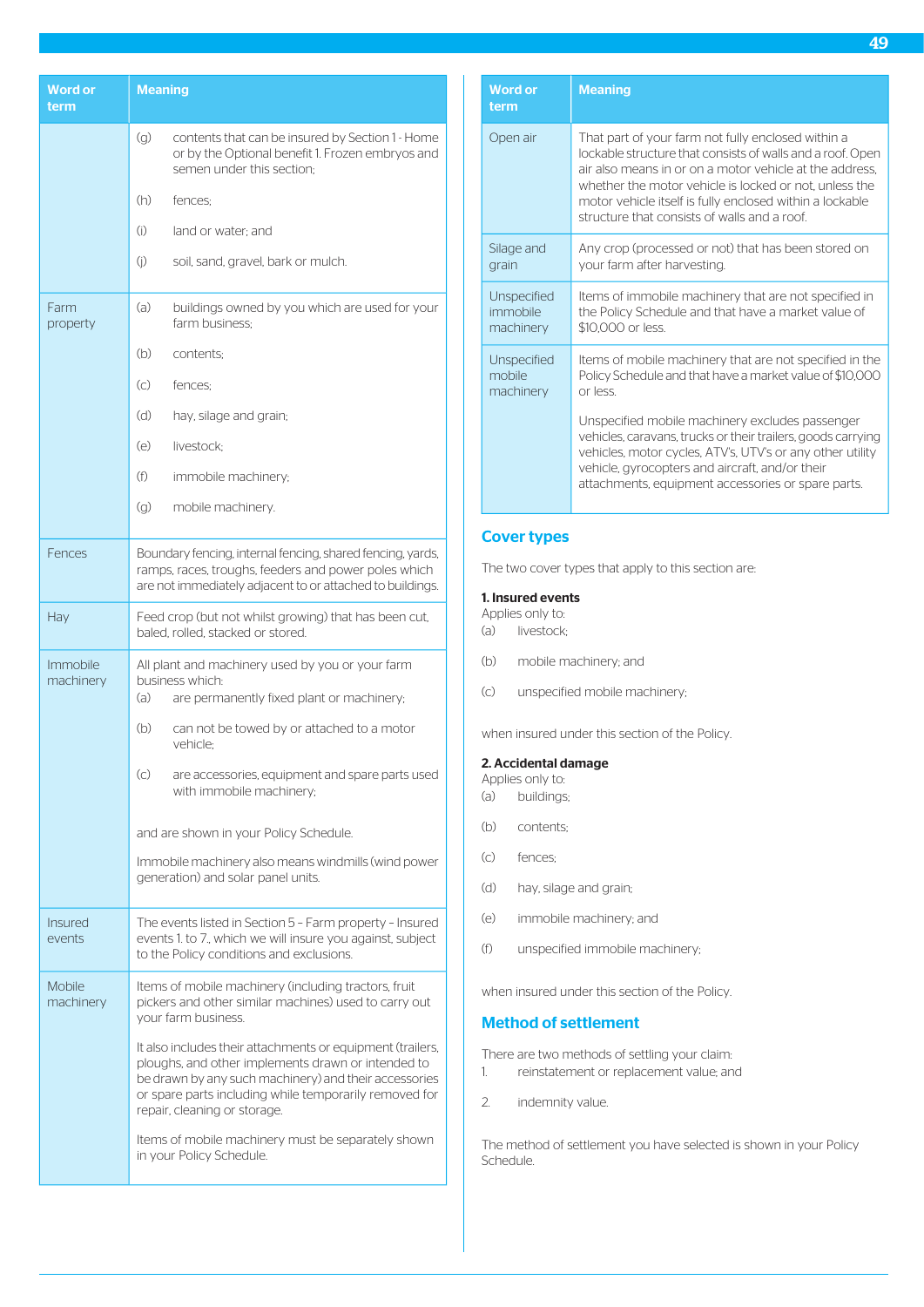| Word or<br>term          | <b>Meaning</b>                                                                                                                                                                                                                                                      |
|--------------------------|---------------------------------------------------------------------------------------------------------------------------------------------------------------------------------------------------------------------------------------------------------------------|
|                          | (g)<br>contents that can be insured by Section 1 - Home<br>or by the Optional benefit 1. Frozen embryos and<br>semen under this section:                                                                                                                            |
|                          | (h)<br>fences:                                                                                                                                                                                                                                                      |
|                          | (i)<br>land or water: and                                                                                                                                                                                                                                           |
|                          | (i)<br>soil, sand, gravel, bark or mulch.                                                                                                                                                                                                                           |
| Farm<br>property         | (a)<br>buildings owned by you which are used for your<br>farm business:                                                                                                                                                                                             |
|                          | (b)<br>contents;                                                                                                                                                                                                                                                    |
|                          | (c)<br>fences:                                                                                                                                                                                                                                                      |
|                          | (d)<br>hay, silage and grain;                                                                                                                                                                                                                                       |
|                          | (e)<br>livestock:                                                                                                                                                                                                                                                   |
|                          | (f)<br>immobile machinery;                                                                                                                                                                                                                                          |
|                          | (g)<br>mobile machinery.                                                                                                                                                                                                                                            |
| Fences                   | Boundary fencing, internal fencing, shared fencing, yards,<br>ramps, races, troughs, feeders and power poles which<br>are not immediately adjacent to or attached to buildings.                                                                                     |
| Hay                      | Feed crop (but not whilst growing) that has been cut,<br>baled, rolled, stacked or stored.                                                                                                                                                                          |
| Immobile<br>machinery    | All plant and machinery used by you or your farm<br>business which:<br>(a)<br>are permanently fixed plant or machinery;                                                                                                                                             |
|                          | (b)<br>can not be towed by or attached to a motor<br>vehicle:                                                                                                                                                                                                       |
|                          | $\left( $<br>are accessories, equipment and spare parts used<br>with immobile machinery;                                                                                                                                                                            |
|                          | and are shown in your Policy Schedule.                                                                                                                                                                                                                              |
|                          | Immobile machinery also means windmills (wind power<br>generation) and solar panel units.                                                                                                                                                                           |
| <b>Insured</b><br>events | The events listed in Section 5 - Farm property - Insured<br>events 1. to 7., which we will insure you against, subject<br>to the Policy conditions and exclusions.                                                                                                  |
| Mobile<br>machinery      | Items of mobile machinery (including tractors, fruit<br>pickers and other similar machines) used to carry out<br>your farm business.                                                                                                                                |
|                          | It also includes their attachments or equipment (trailers,<br>ploughs, and other implements drawn or intended to<br>be drawn by any such machinery) and their accessories<br>or spare parts including while temporarily removed for<br>repair, cleaning or storage. |
|                          | Items of mobile machinery must be separately shown<br>in your Policy Schedule.                                                                                                                                                                                      |

| <b>Word or</b><br>term | <b>Meaning</b>                                                                                                                                                                                                                                                                                                                                    |
|------------------------|---------------------------------------------------------------------------------------------------------------------------------------------------------------------------------------------------------------------------------------------------------------------------------------------------------------------------------------------------|
| Open air               | That part of your farm not fully enclosed within a<br>lockable structure that consists of walls and a roof. Open<br>air also means in or on a motor vehicle at the address.<br>whether the motor vehicle is locked or not, unless the<br>motor vehicle itself is fully enclosed within a lockable<br>structure that consists of walls and a roof. |
| Silage and             | Any crop (processed or not) that has been stored on                                                                                                                                                                                                                                                                                               |
| grain                  | your farm after harvesting.                                                                                                                                                                                                                                                                                                                       |
| Unspecified            | Items of immobile machinery that are not specified in                                                                                                                                                                                                                                                                                             |
| immobile               | the Policy Schedule and that have a market value of                                                                                                                                                                                                                                                                                               |
| machinery              | \$10,000 or less.                                                                                                                                                                                                                                                                                                                                 |
| Unspecified            | Items of mobile machinery that are not specified in the                                                                                                                                                                                                                                                                                           |
| mobile                 | Policy Schedule and that have a market value of \$10,000                                                                                                                                                                                                                                                                                          |
| machinery              | or less                                                                                                                                                                                                                                                                                                                                           |
|                        | Unspecified mobile machinery excludes passenger<br>vehicles, caravans, trucks or their trailers, goods carrying<br>vehicles, motor cycles, ATV's, UTV's or any other utility<br>vehicle, gyrocopters and aircraft, and/or their<br>attachments, equipment accessories or spare parts.                                                             |

# Cover types

The two cover types that apply to this section are:

# 1. Insured events

- Applies only to:
- (a) livestock;
- (b) mobile machinery; and
- (c) unspecified mobile machinery;

when insured under this section of the Policy.

### 2. Accidental damage Applies only to:

- (a) buildings;
- (b) contents;
- (c) fences;
- (d) hay, silage and grain;
- (e) immobile machinery; and
- (f) unspecified immobile machinery;

when insured under this section of the Policy.

# Method of settlement

There are two methods of settling your claim:

- 1. reinstatement or replacement value; and
- 2. indemnity value.

The method of settlement you have selected is shown in your Policy Schedule.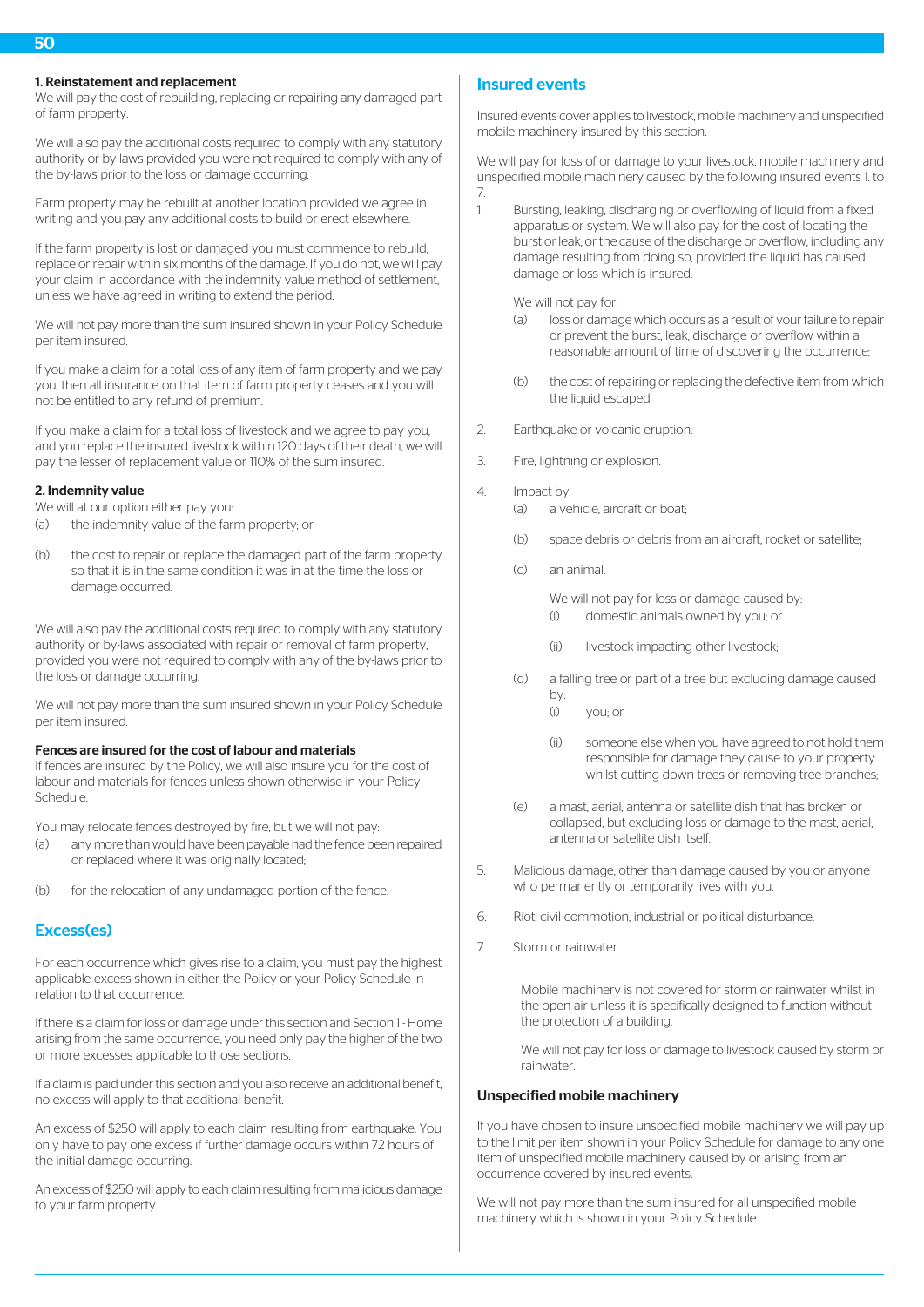# 1. Reinstatement and replacement

We will pay the cost of rebuilding, replacing or repairing any damaged part of farm property.

We will also pay the additional costs required to comply with any statutory authority or by-laws provided you were not required to comply with any of the by-laws prior to the loss or damage occurring.

Farm property may be rebuilt at another location provided we agree in writing and you pay any additional costs to build or erect elsewhere.

If the farm property is lost or damaged you must commence to rebuild, replace or repair within six months of the damage. If you do not, we will pay your claim in accordance with the indemnity value method of settlement, unless we have agreed in writing to extend the period.

We will not pay more than the sum insured shown in your Policy Schedule per item insured.

If you make a claim for a total loss of any item of farm property and we pay you, then all insurance on that item of farm property ceases and you will not be entitled to any refund of premium.

If you make a claim for a total loss of livestock and we agree to pay you, and you replace the insured livestock within 120 days of their death, we will pay the lesser of replacement value or 110% of the sum insured.

#### 2. Indemnity value

We will at our option either pay you:

- (a) the indemnity value of the farm property; or
- (b) the cost to repair or replace the damaged part of the farm property so that it is in the same condition it was in at the time the loss or damage occurred.

We will also pay the additional costs required to comply with any statutory authority or by-laws associated with repair or removal of farm property, provided you were not required to comply with any of the by-laws prior to the loss or damage occurring.

We will not pay more than the sum insured shown in your Policy Schedule per item insured.

### Fences are insured for the cost of labour and materials

If fences are insured by the Policy, we will also insure you for the cost of labour and materials for fences unless shown otherwise in your Policy Schedule.

You may relocate fences destroyed by fire, but we will not pay:

- (a) any more than would have been payable had the fence been repaired or replaced where it was originally located;
- (b) for the relocation of any undamaged portion of the fence.

# Excess(es)

For each occurrence which gives rise to a claim, you must pay the highest applicable excess shown in either the Policy or your Policy Schedule in relation to that occurrence.

If there is a claim for loss or damage under this section and Section 1 - Home arising from the same occurrence, you need only pay the higher of the two or more excesses applicable to those sections.

If a claim is paid under this section and you also receive an additional benefit, no excess will apply to that additional benefit.

An excess of \$250 will apply to each claim resulting from earthquake. You only have to pay one excess if further damage occurs within 72 hours of the initial damage occurring.

An excess of \$250 will apply to each claim resulting from malicious damage to your farm property.

# Insured events

Insured events cover applies to livestock, mobile machinery and unspecified mobile machinery insured by this section.

We will pay for loss of or damage to your livestock, mobile machinery and unspecified mobile machinery caused by the following insured events 1. to 7.

1. Bursting, leaking, discharging or overflowing of liquid from a fixed apparatus or system. We will also pay for the cost of locating the burst or leak, or the cause of the discharge or overflow, including any damage resulting from doing so, provided the liquid has caused damage or loss which is insured.

We will not pay for:

- (a) loss or damage which occurs as a result of your failure to repair or prevent the burst, leak, discharge or overflow within a reasonable amount of time of discovering the occurrence;
- (b) the cost of repairing or replacing the defective item from which the liquid escaped.
- 2. Earthquake or volcanic eruption.
- 3. Fire, lightning or explosion.
- 4. Impact by:
	- (a) a vehicle, aircraft or boat;
	- (b) space debris or debris from an aircraft, rocket or satellite;
	- (c) an animal.

We will not pay for loss or damage caused by: (i) domestic animals owned by you; or

- (ii) livestock impacting other livestock;
- (d) a falling tree or part of a tree but excluding damage caused by:
	- (i) you; or
	- (ii) someone else when you have agreed to not hold them responsible for damage they cause to your property whilst cutting down trees or removing tree branches;
- (e) a mast, aerial, antenna or satellite dish that has broken or collapsed, but excluding loss or damage to the mast, aerial, antenna or satellite dish itself.
- 5. Malicious damage, other than damage caused by you or anyone who permanently or temporarily lives with you.
- 6. Riot, civil commotion, industrial or political disturbance.
- 7. Storm or rainwater.

Mobile machinery is not covered for storm or rainwater whilst in the open air unless it is specifically designed to function without the protection of a building.

We will not pay for loss or damage to livestock caused by storm or rainwater.

# Unspecified mobile machinery

If you have chosen to insure unspecified mobile machinery we will pay up to the limit per item shown in your Policy Schedule for damage to any one item of unspecified mobile machinery caused by or arising from an occurrence covered by insured events.

We will not pay more than the sum insured for all unspecified mobile machinery which is shown in your Policy Schedule.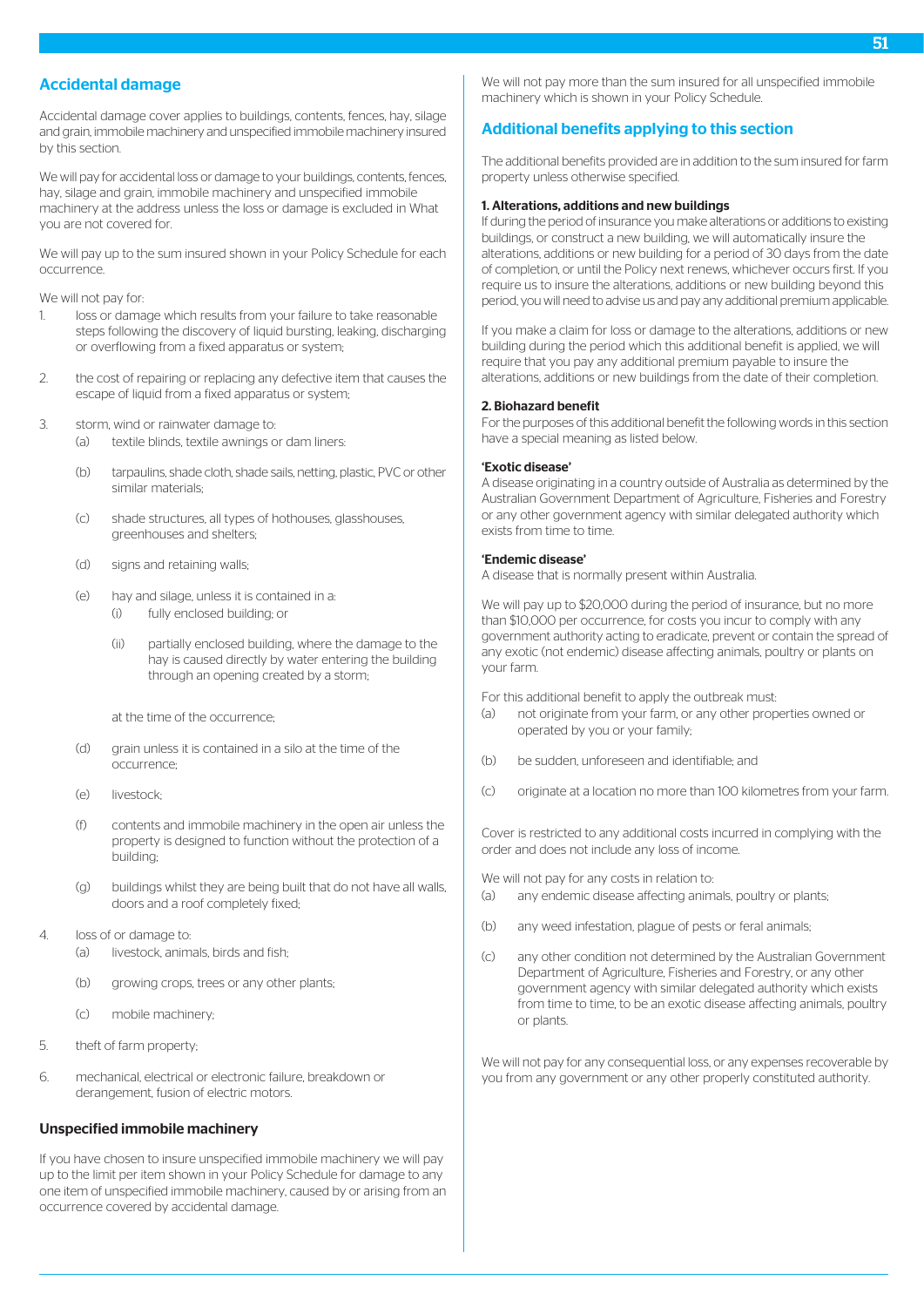# Accidental damage

Accidental damage cover applies to buildings, contents, fences, hay, silage and grain, immobile machinery and unspecified immobile machinery insured by this section.

We will pay for accidental loss or damage to your buildings, contents, fences, hay, silage and grain, immobile machinery and unspecified immobile machinery at the address unless the loss or damage is excluded in What you are not covered for.

We will pay up to the sum insured shown in your Policy Schedule for each occurrence.

We will not pay for:

- 1. loss or damage which results from your failure to take reasonable steps following the discovery of liquid bursting, leaking, discharging or overflowing from a fixed apparatus or system;
- 2. the cost of repairing or replacing any defective item that causes the escape of liquid from a fixed apparatus or system;
- 3. storm, wind or rainwater damage to:
	- (a) textile blinds, textile awnings or dam liners:
	- (b) tarpaulins, shade cloth, shade sails, netting, plastic, PVC or other similar materials;
	- (c) shade structures, all types of hothouses, glasshouses, greenhouses and shelters;
	- (d) signs and retaining walls;
	- (e) hay and silage, unless it is contained in a: (i) fully enclosed building; or
		- (ii) partially enclosed building, where the damage to the hay is caused directly by water entering the building through an opening created by a storm;

at the time of the occurrence;

- (d) grain unless it is contained in a silo at the time of the occurrence;
- $(a)$  livestock
- (f) contents and immobile machinery in the open air unless the property is designed to function without the protection of a building;
- (g) buildings whilst they are being built that do not have all walls, doors and a roof completely fixed;
- 4. loss of or damage to:
	- (a) livestock, animals, birds and fish;
	- (b) growing crops, trees or any other plants;
	- (c) mobile machinery;
- 5. theft of farm property;
- 6. mechanical, electrical or electronic failure, breakdown or derangement, fusion of electric motors.

# Unspecified immobile machinery

If you have chosen to insure unspecified immobile machinery we will pay up to the limit per item shown in your Policy Schedule for damage to any one item of unspecified immobile machinery, caused by or arising from an occurrence covered by accidental damage.

We will not pay more than the sum insured for all unspecified immobile machinery which is shown in your Policy Schedule.

# Additional benefits applying to this section

The additional benefits provided are in addition to the sum insured for farm property unless otherwise specified.

### 1. Alterations, additions and new buildings

If during the period of insurance you make alterations or additions to existing buildings, or construct a new building, we will automatically insure the alterations, additions or new building for a period of 30 days from the date of completion, or until the Policy next renews, whichever occurs first. If you require us to insure the alterations, additions or new building beyond this period, you will need to advise us and pay any additional premium applicable.

If you make a claim for loss or damage to the alterations, additions or new building during the period which this additional benefit is applied, we will require that you pay any additional premium payable to insure the alterations, additions or new buildings from the date of their completion.

#### 2. Biohazard benefit

For the purposes of this additional benefit the following words in this section have a special meaning as listed below.

# 'Exotic disease'

A disease originating in a country outside of Australia as determined by the Australian Government Department of Agriculture, Fisheries and Forestry or any other government agency with similar delegated authority which exists from time to time.

### 'Endemic disease'

A disease that is normally present within Australia.

We will pay up to \$20,000 during the period of insurance, but no more than \$10,000 per occurrence, for costs you incur to comply with any government authority acting to eradicate, prevent or contain the spread of any exotic (not endemic) disease affecting animals, poultry or plants on your farm.

For this additional benefit to apply the outbreak must:

- (a) not originate from your farm, or any other properties owned or operated by you or your family;
- (b) be sudden, unforeseen and identifiable; and
- (c) originate at a location no more than 100 kilometres from your farm.

Cover is restricted to any additional costs incurred in complying with the order and does not include any loss of income.

We will not pay for any costs in relation to:

- (a) any endemic disease affecting animals, poultry or plants;
- (b) any weed infestation, plague of pests or feral animals;
- (c) any other condition not determined by the Australian Government Department of Agriculture, Fisheries and Forestry, or any other government agency with similar delegated authority which exists from time to time, to be an exotic disease affecting animals, poultry or plants.

We will not pay for any consequential loss, or any expenses recoverable by you from any government or any other properly constituted authority.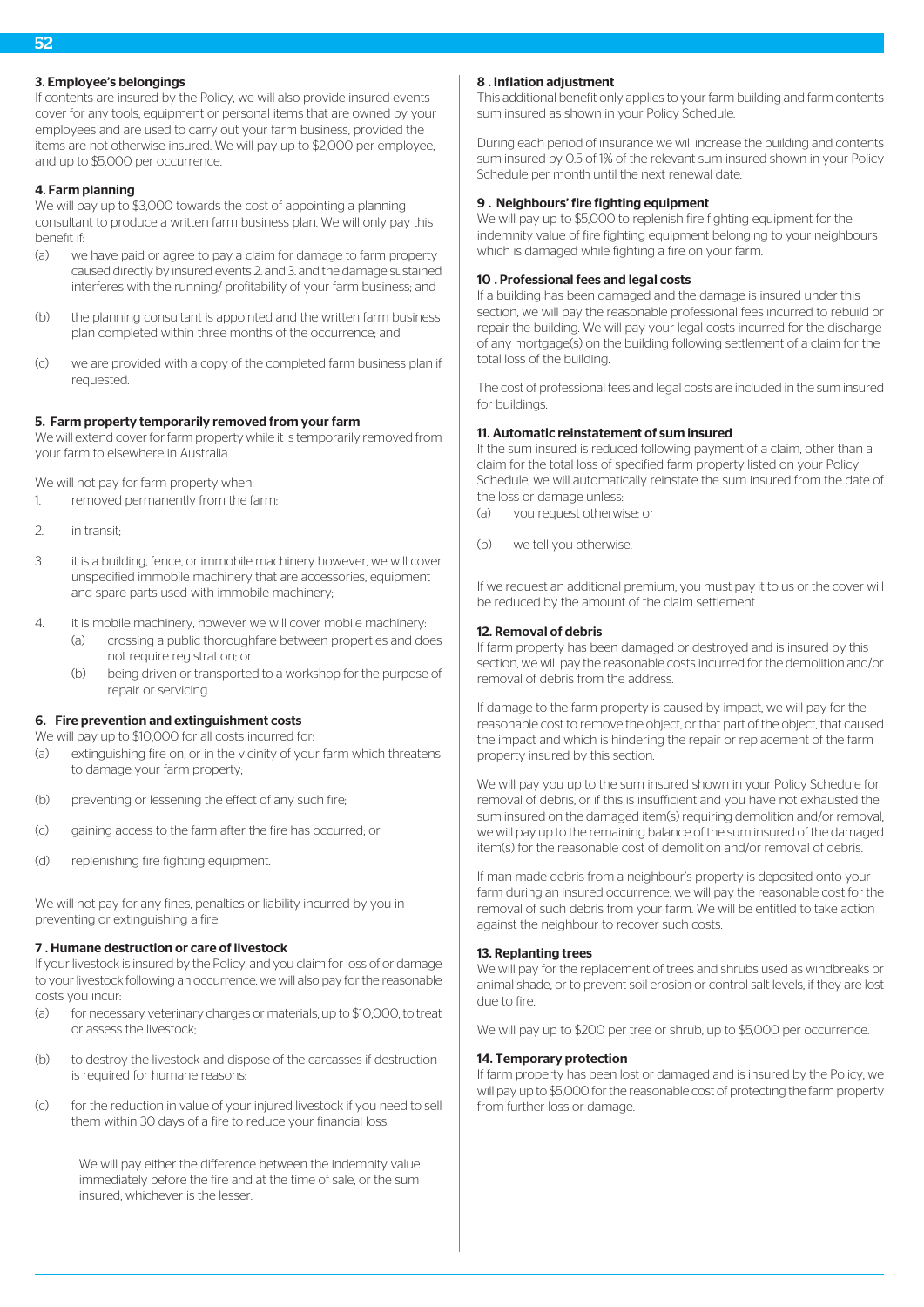# 3. Employee's belongings

If contents are insured by the Policy, we will also provide insured events cover for any tools, equipment or personal items that are owned by your employees and are used to carry out your farm business, provided the items are not otherwise insured. We will pay up to \$2,000 per employee, and up to \$5,000 per occurrence.

# 4. Farm planning

We will pay up to \$3,000 towards the cost of appointing a planning consultant to produce a written farm business plan. We will only pay this benefit if:

- (a) we have paid or agree to pay a claim for damage to farm property caused directly by insured events 2. and 3. and the damage sustained interferes with the running/ profitability of your farm business; and
- (b) the planning consultant is appointed and the written farm business plan completed within three months of the occurrence; and
- (c) we are provided with a copy of the completed farm business plan if requested.

# 5. Farm property temporarily removed from your farm

We will extend cover for farm property while it is temporarily removed from your farm to elsewhere in Australia.

We will not pay for farm property when:

- 1. removed permanently from the farm;
- 2. in transit;
- 3. it is a building, fence, or immobile machinery however, we will cover unspecified immobile machinery that are accessories, equipment and spare parts used with immobile machinery;
- 4. it is mobile machinery, however we will cover mobile machinery:
	- (a) crossing a public thoroughfare between properties and does not require registration; or
	- (b) being driven or transported to a workshop for the purpose of repair or servicing.

# 6. Fire prevention and extinguishment costs

We will pay up to \$10,000 for all costs incurred for:

- (a) extinguishing fire on, or in the vicinity of your farm which threatens to damage your farm property;
- (b) preventing or lessening the effect of any such fire;
- (c) gaining access to the farm after the fire has occurred; or
- (d) replenishing fire fighting equipment.

We will not pay for any fines, penalties or liability incurred by you in preventing or extinguishing a fire.

#### 7 . Humane destruction or care of livestock

If your livestock is insured by the Policy, and you claim for loss of or damage to your livestock following an occurrence, we will also pay for the reasonable costs you incur:

- (a) for necessary veterinary charges or materials, up to \$10,000, to treat or assess the livestock;
- (b) to destroy the livestock and dispose of the carcasses if destruction is required for humane reasons;
- (c) for the reduction in value of your injured livestock if you need to sell them within 30 days of a fire to reduce your financial loss.

We will pay either the difference between the indemnity value immediately before the fire and at the time of sale, or the sum insured, whichever is the lesser.

### 8 . Inflation adjustment

This additional benefit only applies to your farm building and farm contents sum insured as shown in your Policy Schedule.

During each period of insurance we will increase the building and contents sum insured by 0.5 of 1% of the relevant sum insured shown in your Policy Schedule per month until the next renewal date.

### 9 . Neighbours' fire fighting equipment

We will pay up to \$5,000 to replenish fire fighting equipment for the indemnity value of fire fighting equipment belonging to your neighbours which is damaged while fighting a fire on your farm.

### 10 . Professional fees and legal costs

If a building has been damaged and the damage is insured under this section, we will pay the reasonable professional fees incurred to rebuild or repair the building. We will pay your legal costs incurred for the discharge of any mortgage(s) on the building following settlement of a claim for the total loss of the building.

The cost of professional fees and legal costs are included in the sum insured for buildings.

# 11. Automatic reinstatement of sum insured

If the sum insured is reduced following payment of a claim, other than a claim for the total loss of specified farm property listed on your Policy Schedule, we will automatically reinstate the sum insured from the date of the loss or damage unless:

- (a) you request otherwise; or
- (b) we tell you otherwise.

If we request an additional premium, you must pay it to us or the cover will be reduced by the amount of the claim settlement.

#### 12. Removal of debris

If farm property has been damaged or destroyed and is insured by this section, we will pay the reasonable costs incurred for the demolition and/or removal of debris from the address.

If damage to the farm property is caused by impact, we will pay for the reasonable cost to remove the object, or that part of the object, that caused the impact and which is hindering the repair or replacement of the farm property insured by this section.

We will pay you up to the sum insured shown in your Policy Schedule for removal of debris, or if this is insufficient and you have not exhausted the sum insured on the damaged item(s) requiring demolition and/or removal. we will pay up to the remaining balance of the sum insured of the damaged item(s) for the reasonable cost of demolition and/or removal of debris.

If man-made debris from a neighbour's property is deposited onto your farm during an insured occurrence, we will pay the reasonable cost for the removal of such debris from your farm. We will be entitled to take action against the neighbour to recover such costs.

#### 13. Replanting trees

We will pay for the replacement of trees and shrubs used as windbreaks or animal shade, or to prevent soil erosion or control salt levels, if they are lost due to fire.

We will pay up to \$200 per tree or shrub, up to \$5,000 per occurrence.

### 14. Temporary protection

If farm property has been lost or damaged and is insured by the Policy, we will pay up to \$5,000 for the reasonable cost of protecting the farm property from further loss or damage.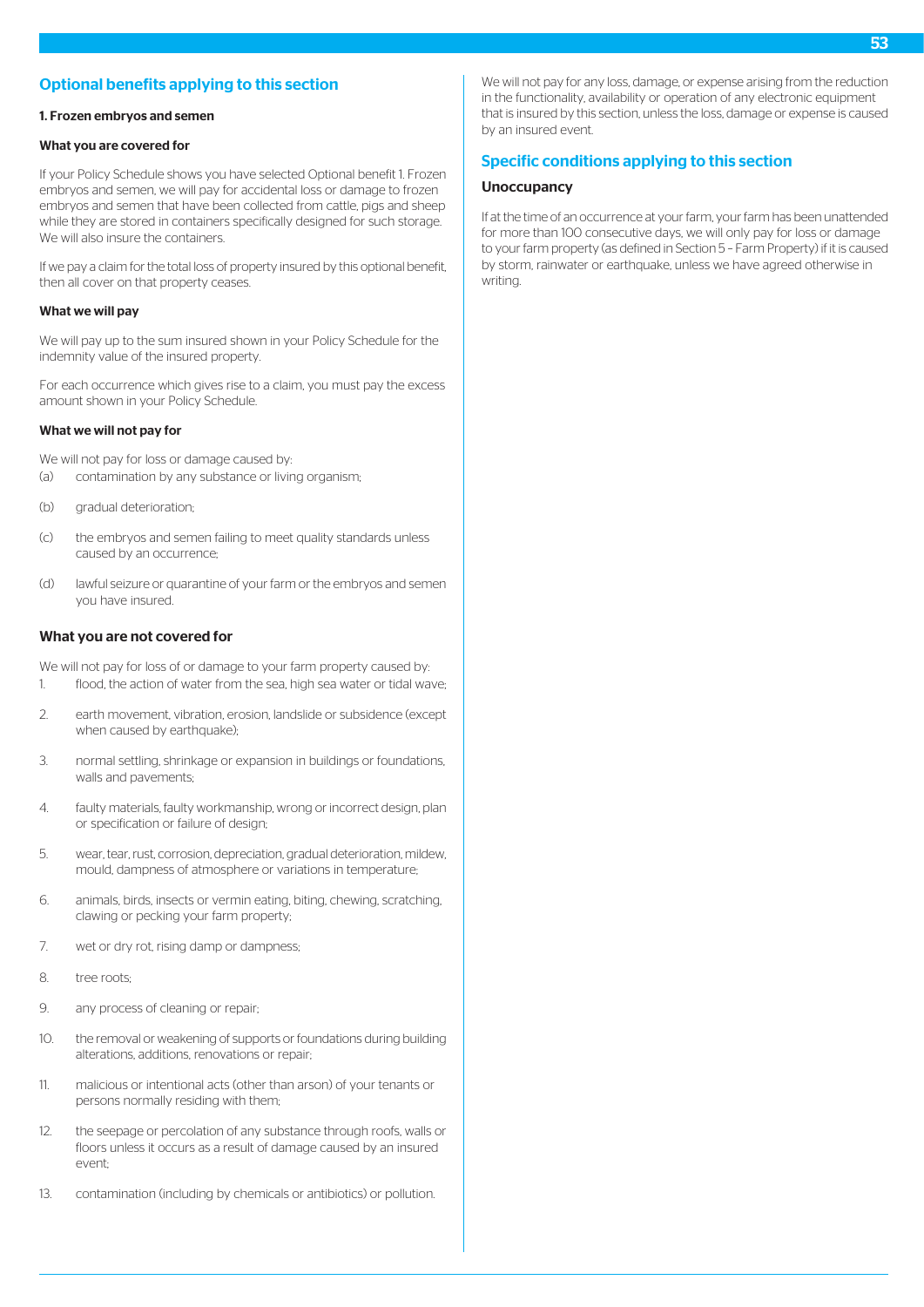# Optional benefits applying to this section

#### 1. Frozen embryos and semen

#### What you are covered for

If your Policy Schedule shows you have selected Optional benefit 1. Frozen embryos and semen, we will pay for accidental loss or damage to frozen embryos and semen that have been collected from cattle, pigs and sheep while they are stored in containers specifically designed for such storage. We will also insure the containers.

If we pay a claim for the total loss of property insured by this optional benefit, then all cover on that property ceases.

#### What we will pay

We will pay up to the sum insured shown in your Policy Schedule for the indemnity value of the insured property.

For each occurrence which gives rise to a claim, you must pay the excess amount shown in your Policy Schedule.

# What we will not pay for

- We will not pay for loss or damage caused by:
- (a) contamination by any substance or living organism;
- (b) gradual deterioration;
- (c) the embryos and semen failing to meet quality standards unless caused by an occurrence;
- (d) lawful seizure or quarantine of your farm or the embryos and semen you have insured.

# What you are not covered for

We will not pay for loss of or damage to your farm property caused by: 1. flood, the action of water from the sea, high sea water or tidal wave;

- 2. earth movement, vibration, erosion, landslide or subsidence (except when caused by earthquake);
- 3. normal settling, shrinkage or expansion in buildings or foundations, walls and pavements;
- 4. faulty materials, faulty workmanship, wrong or incorrect design, plan or specification or failure of design;
- 5. wear, tear, rust, corrosion, depreciation, gradual deterioration, mildew, mould, dampness of atmosphere or variations in temperature;
- 6. animals, birds, insects or vermin eating, biting, chewing, scratching, clawing or pecking your farm property;
- 7. wet or dry rot, rising damp or dampness;
- 8. tree roots;
- 9. any process of cleaning or repair;
- 10. the removal or weakening of supports or foundations during building alterations, additions, renovations or repair;
- 11. malicious or intentional acts (other than arson) of your tenants or persons normally residing with them;
- 12. the seepage or percolation of any substance through roofs, walls or floors unless it occurs as a result of damage caused by an insured event;
- 13. contamination (including by chemicals or antibiotics) or pollution.

We will not pay for any loss, damage, or expense arising from the reduction in the functionality, availability or operation of any electronic equipment that is insured by this section, unless the loss, damage or expense is caused by an insured event.

# Specific conditions applying to this section

#### **Unoccupancy**

If at the time of an occurrence at your farm, your farm has been unattended for more than 100 consecutive days, we will only pay for loss or damage to your farm property (as defined in Section 5 – Farm Property) if it is caused by storm, rainwater or earthquake, unless we have agreed otherwise in writing.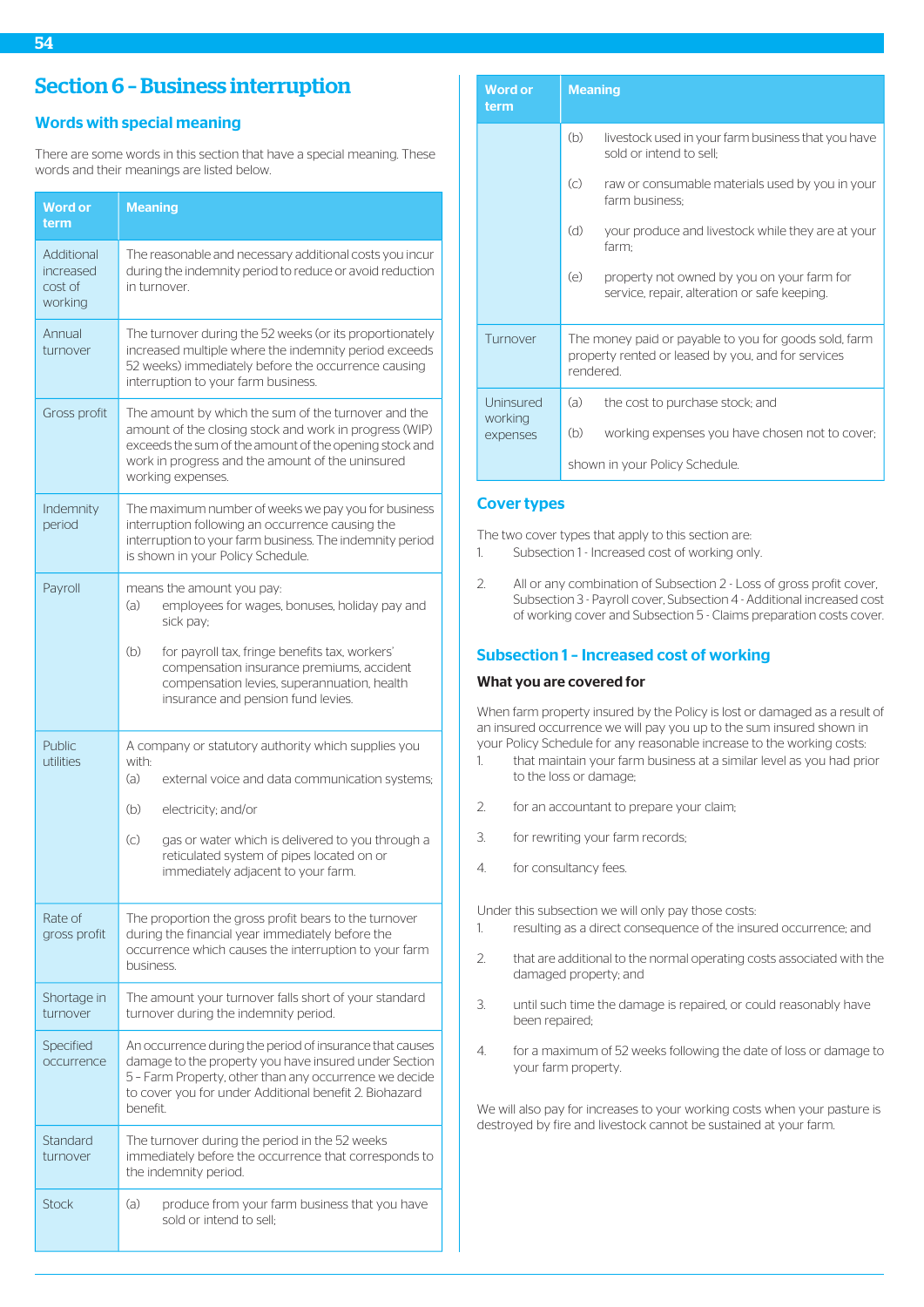# Words with special meaning

There are some words in this section that have a special meaning. These words and their meanings are listed below.

| <b>Word or</b><br>term                        | <b>Meaning</b>                                                                                                                                                                                                                                    |
|-----------------------------------------------|---------------------------------------------------------------------------------------------------------------------------------------------------------------------------------------------------------------------------------------------------|
| Additional<br>increased<br>cost of<br>working | The reasonable and necessary additional costs you incur<br>during the indemnity period to reduce or avoid reduction<br>in turnover.                                                                                                               |
| Annual<br>turnover                            | The turnover during the 52 weeks (or its proportionately<br>increased multiple where the indemnity period exceeds<br>52 weeks) immediately before the occurrence causing<br>interruption to your farm business.                                   |
| Gross profit                                  | The amount by which the sum of the turnover and the<br>amount of the closing stock and work in progress (WIP)<br>exceeds the sum of the amount of the opening stock and<br>work in progress and the amount of the uninsured<br>working expenses.  |
| Indemnity<br>period                           | The maximum number of weeks we pay you for business<br>interruption following an occurrence causing the<br>interruption to your farm business. The indemnity period<br>is shown in your Policy Schedule.                                          |
| Payroll                                       | means the amount you pay:<br>employees for wages, bonuses, holiday pay and<br>(a)<br>sick pay;                                                                                                                                                    |
|                                               | (b)<br>for payroll tax, fringe benefits tax, workers'<br>compensation insurance premiums, accident<br>compensation levies, superannuation, health<br>insurance and pension fund levies.                                                           |
| Public<br>utilities                           | A company or statutory authority which supplies you<br>with:                                                                                                                                                                                      |
|                                               | (a)<br>external voice and data communication systems;<br>(b)                                                                                                                                                                                      |
|                                               | electricity; and/or<br>$\left( c\right)$<br>gas or water which is delivered to you through a<br>reticulated system of pipes located on or<br>immediately adjacent to your farm.                                                                   |
| Rate of<br>gross profit                       | The proportion the gross profit bears to the turnover<br>during the financial year immediately before the<br>occurrence which causes the interruption to your farm<br>business.                                                                   |
| Shortage in<br>turnover                       | The amount your turnover falls short of your standard<br>turnover during the indemnity period.                                                                                                                                                    |
| Specified<br>occurrence                       | An occurrence during the period of insurance that causes<br>damage to the property you have insured under Section<br>5 - Farm Property, other than any occurrence we decide<br>to cover you for under Additional benefit 2. Biohazard<br>benefit. |
| Standard<br>turnover                          | The turnover during the period in the 52 weeks<br>immediately before the occurrence that corresponds to<br>the indemnity period.                                                                                                                  |
| <b>Stock</b>                                  | (a)<br>produce from your farm business that you have<br>sold or intend to sell:                                                                                                                                                                   |

| <b>Word or</b><br>term | <b>Meaning</b>                                                                                                          |
|------------------------|-------------------------------------------------------------------------------------------------------------------------|
|                        | (b)<br>livestock used in your farm business that you have<br>sold or intend to sell:                                    |
|                        | $\left( \circ \right)$<br>raw or consumable materials used by you in your<br>farm business:                             |
|                        | (d)<br>your produce and livestock while they are at your<br>farm;                                                       |
|                        | (e)<br>property not owned by you on your farm for<br>service, repair, alteration or safe keeping.                       |
| Turnover               | The money paid or payable to you for goods sold, farm<br>property rented or leased by you, and for services<br>rendered |
| Uninsured              | (a)<br>the cost to purchase stock; and                                                                                  |
| working<br>expenses    | (b)<br>working expenses you have chosen not to cover;                                                                   |
|                        | shown in your Policy Schedule.                                                                                          |

# Cover types

The two cover types that apply to this section are:

- 1. Subsection 1 Increased cost of working only.
- 2. All or any combination of Subsection 2 Loss of gross profit cover, Subsection 3 - Payroll cover, Subsection 4 - Additional increased cost of working cover and Subsection 5 - Claims preparation costs cover.

# Subsection 1 – Increased cost of working

# What you are covered for

When farm property insured by the Policy is lost or damaged as a result of an insured occurrence we will pay you up to the sum insured shown in your Policy Schedule for any reasonable increase to the working costs:

- 1. that maintain your farm business at a similar level as you had prior to the loss or damage;
- 2. for an accountant to prepare your claim;
- 3. for rewriting your farm records;
- 4. for consultancy fees.

Under this subsection we will only pay those costs:

- 1. resulting as a direct consequence of the insured occurrence; and
- 2. that are additional to the normal operating costs associated with the damaged property; and
- 3. until such time the damage is repaired, or could reasonably have been repaired;
- 4. for a maximum of 52 weeks following the date of loss or damage to your farm property.

We will also pay for increases to your working costs when your pasture is destroyed by fire and livestock cannot be sustained at your farm.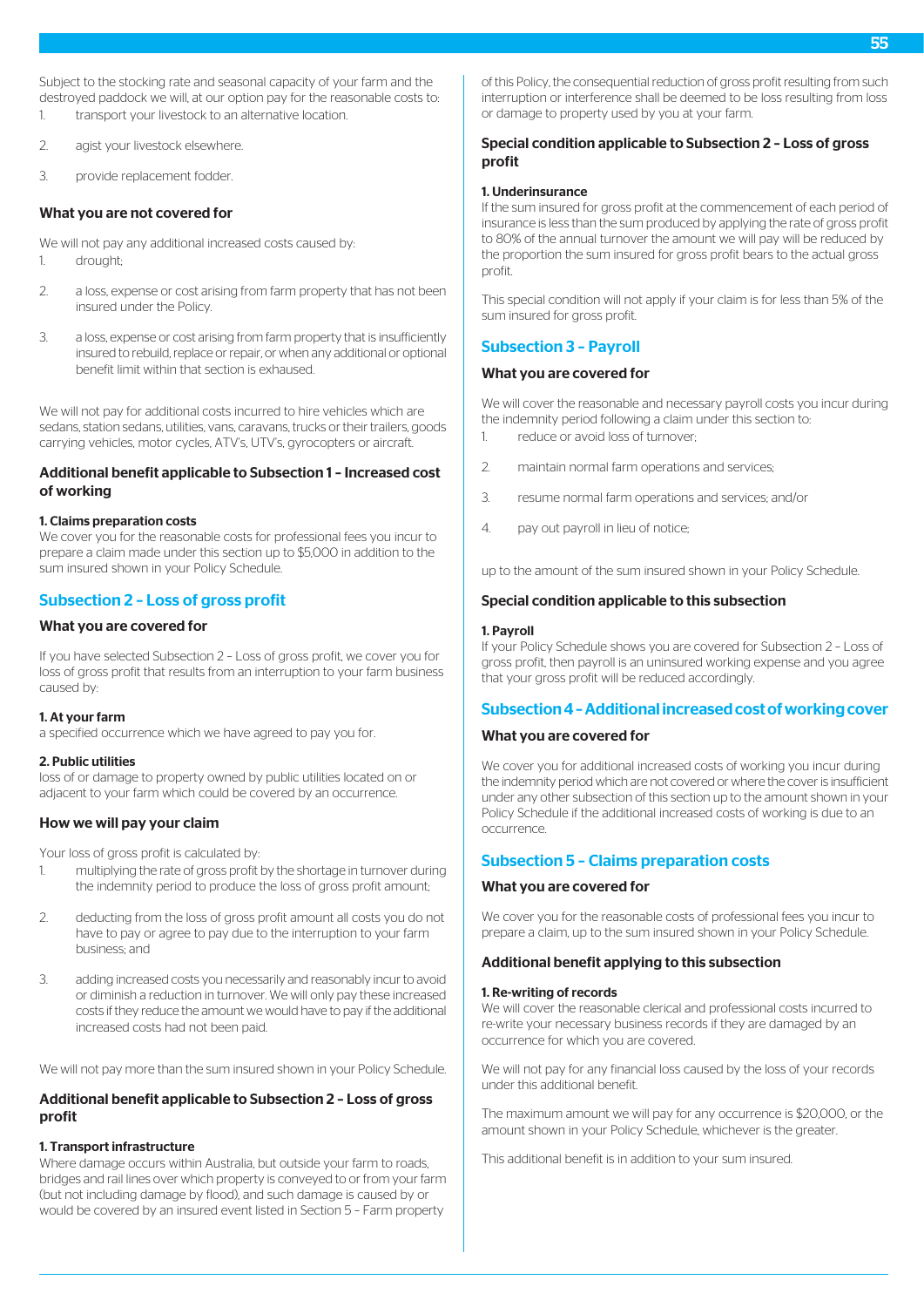Subject to the stocking rate and seasonal capacity of your farm and the destroyed paddock we will, at our option pay for the reasonable costs to:

- 1. transport your livestock to an alternative location.
- 2. agist your livestock elsewhere.
- 3. provide replacement fodder.

# What you are not covered for

We will not pay any additional increased costs caused by: 1. drought;

- 2. a loss, expense or cost arising from farm property that has not been insured under the Policy.
- 3. a loss, expense or cost arising from farm property that is insufficiently insured to rebuild, replace or repair, or when any additional or optional benefit limit within that section is exhaused.

We will not pay for additional costs incurred to hire vehicles which are sedans, station sedans, utilities, vans, caravans, trucks or their trailers, goods carrying vehicles, motor cycles, ATV's, UTV's, gyrocopters or aircraft.

# Additional benefit applicable to Subsection 1 – Increased cost of working

#### 1. Claims preparation costs

We cover you for the reasonable costs for professional fees you incur to prepare a claim made under this section up to \$5,000 in addition to the sum insured shown in your Policy Schedule.

# Subsection 2 – Loss of gross profit

### What you are covered for

If you have selected Subsection 2 – Loss of gross profit, we cover you for loss of gross profit that results from an interruption to your farm business caused by:

#### 1. At your farm

a specified occurrence which we have agreed to pay you for.

#### 2. Public utilities

loss of or damage to property owned by public utilities located on or adiacent to your farm which could be covered by an occurrence.

# How we will pay your claim

Your loss of gross profit is calculated by:

- 1. multiplying the rate of gross profit by the shortage in turnover during the indemnity period to produce the loss of gross profit amount;
- 2. deducting from the loss of gross profit amount all costs you do not have to pay or agree to pay due to the interruption to your farm business; and
- 3. adding increased costs you necessarily and reasonably incur to avoid or diminish a reduction in turnover. We will only pay these increased costs if they reduce the amount we would have to pay if the additional increased costs had not been paid.

We will not pay more than the sum insured shown in your Policy Schedule.

# Additional benefit applicable to Subsection 2 – Loss of gross profit

### 1. Transport infrastructure

Where damage occurs within Australia, but outside your farm to roads, bridges and rail lines over which property is conveyed to or from your farm (but not including damage by flood), and such damage is caused by or would be covered by an insured event listed in Section 5 – Farm property

of this Policy, the consequential reduction of gross profit resulting from such interruption or interference shall be deemed to be loss resulting from loss or damage to property used by you at your farm.

# Special condition applicable to Subsection 2 – Loss of gross profit

### 1. Underinsurance

If the sum insured for gross profit at the commencement of each period of insurance is less than the sum produced by applying the rate of gross profit to 80% of the annual turnover the amount we will pay will be reduced by the proportion the sum insured for gross profit bears to the actual gross profit.

This special condition will not apply if your claim is for less than 5% of the sum insured for gross profit.

# Subsection 3 – Payroll

# What you are covered for

We will cover the reasonable and necessary payroll costs you incur during the indemnity period following a claim under this section to:

- 1. reduce or avoid loss of turnover;
- 2. maintain normal farm operations and services;
- 3. resume normal farm operations and services; and/or
- 4. pay out payroll in lieu of notice;

up to the amount of the sum insured shown in your Policy Schedule.

# Special condition applicable to this subsection

#### 1. Payroll

If your Policy Schedule shows you are covered for Subsection 2 – Loss of gross profit, then payroll is an uninsured working expense and you agree that your gross profit will be reduced accordingly.

# Subsection 4 – Additional increased cost of working cover

#### What you are covered for

We cover you for additional increased costs of working you incur during the indemnity period which are not covered or where the cover is insufficient under any other subsection of this section up to the amount shown in your Policy Schedule if the additional increased costs of working is due to an occurrence.

# Subsection 5 – Claims preparation costs

# What you are covered for

We cover you for the reasonable costs of professional fees you incur to prepare a claim, up to the sum insured shown in your Policy Schedule.

# Additional benefit applying to this subsection

#### 1. Re-writing of records

We will cover the reasonable clerical and professional costs incurred to re-write your necessary business records if they are damaged by an occurrence for which you are covered.

We will not pay for any financial loss caused by the loss of your records under this additional benefit.

The maximum amount we will pay for any occurrence is \$20,000, or the amount shown in your Policy Schedule, whichever is the greater.

This additional benefit is in addition to your sum insured.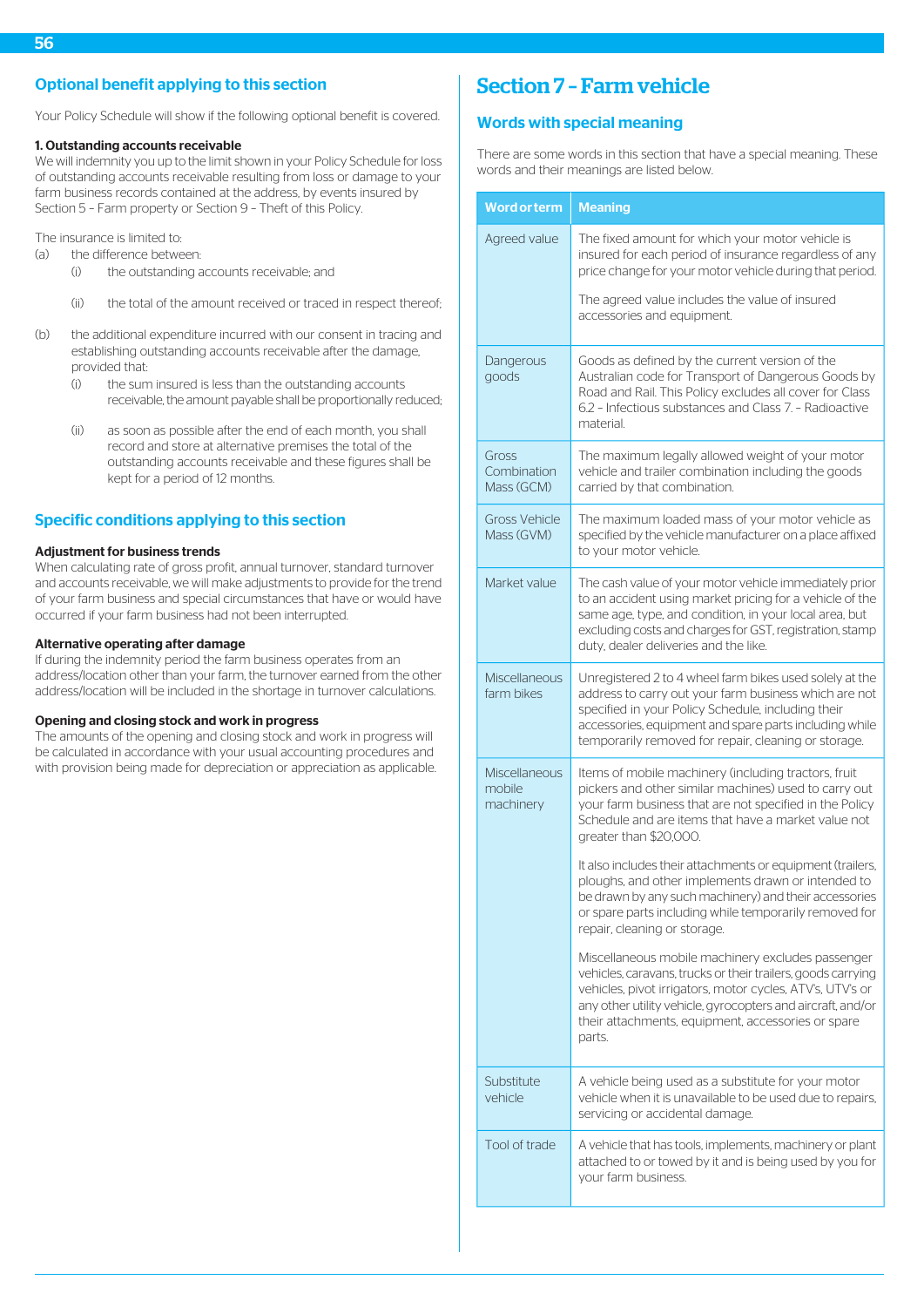# Optional benefit applying to this section

Your Policy Schedule will show if the following optional benefit is covered.

#### 1. Outstanding accounts receivable

We will indemnity you up to the limit shown in your Policy Schedule for loss of outstanding accounts receivable resulting from loss or damage to your farm business records contained at the address, by events insured by Section 5 – Farm property or Section 9 – Theft of this Policy.

The insurance is limited to:

- (a) the difference between:
	- (i) the outstanding accounts receivable; and
	- (ii) the total of the amount received or traced in respect thereof;
- (b) the additional expenditure incurred with our consent in tracing and establishing outstanding accounts receivable after the damage, provided that:
	- (i) the sum insured is less than the outstanding accounts receivable, the amount payable shall be proportionally reduced;
	- (ii) as soon as possible after the end of each month, you shall record and store at alternative premises the total of the outstanding accounts receivable and these figures shall be kept for a period of 12 months.

# Specific conditions applying to this section

### Adjustment for business trends

When calculating rate of gross profit, annual turnover, standard turnover and accounts receivable, we will make adjustments to provide for the trend of your farm business and special circumstances that have or would have occurred if your farm business had not been interrupted.

#### Alternative operating after damage

If during the indemnity period the farm business operates from an address/location other than your farm, the turnover earned from the other address/location will be included in the shortage in turnover calculations.

### Opening and closing stock and work in progress

The amounts of the opening and closing stock and work in progress will be calculated in accordance with your usual accounting procedures and with provision being made for depreciation or appreciation as applicable.

# Section 7 – Farm vehicle

# Words with special meaning

There are some words in this section that have a special meaning. These words and their meanings are listed below.

| <b>Word or term</b>                  | <b>Meaning</b>                                                                                                                                                                                                                                                                                                |
|--------------------------------------|---------------------------------------------------------------------------------------------------------------------------------------------------------------------------------------------------------------------------------------------------------------------------------------------------------------|
| Agreed value                         | The fixed amount for which your motor vehicle is<br>insured for each period of insurance regardless of any<br>price change for your motor vehicle during that period.                                                                                                                                         |
|                                      | The agreed value includes the value of insured<br>accessories and equipment.                                                                                                                                                                                                                                  |
| Dangerous<br>goods                   | Goods as defined by the current version of the<br>Australian code for Transport of Dangerous Goods by<br>Road and Rail. This Policy excludes all cover for Class<br>6.2 - Infectious substances and Class 7. - Radioactive<br>material.                                                                       |
| Gross<br>Combination<br>Mass (GCM)   | The maximum legally allowed weight of your motor<br>vehicle and trailer combination including the goods<br>carried by that combination.                                                                                                                                                                       |
| <b>Gross Vehicle</b><br>Mass (GVM)   | The maximum loaded mass of your motor vehicle as<br>specified by the vehicle manufacturer on a place affixed<br>to your motor vehicle.                                                                                                                                                                        |
| Market value                         | The cash value of your motor vehicle immediately prior<br>to an accident using market pricing for a vehicle of the<br>same age, type, and condition, in your local area, but<br>excluding costs and charges for GST, registration, stamp<br>duty, dealer deliveries and the like.                             |
| Miscellaneous<br>farm bikes          | Unregistered 2 to 4 wheel farm bikes used solely at the<br>address to carry out your farm business which are not<br>specified in your Policy Schedule, including their<br>accessories, equipment and spare parts including while<br>temporarily removed for repair, cleaning or storage.                      |
| Miscellaneous<br>mobile<br>machinery | Items of mobile machinery (including tractors, fruit<br>pickers and other similar machines) used to carry out<br>your farm business that are not specified in the Policy<br>Schedule and are items that have a market value not<br>greater than \$20,000.                                                     |
|                                      | It also includes their attachments or equipment (trailers,<br>ploughs, and other implements drawn or intended to<br>be drawn by any such machinery) and their accessories<br>or spare parts including while temporarily removed for<br>repair, cleaning or storage.                                           |
|                                      | Miscellaneous mobile machinery excludes passenger<br>vehicles, caravans, trucks or their trailers, goods carrying<br>vehicles, pivot irrigators, motor cycles, ATV's, UTV's or<br>any other utility vehicle, gyrocopters and aircraft, and/or<br>their attachments, equipment, accessories or spare<br>parts. |
| Substitute<br>vehicle                | A vehicle being used as a substitute for your motor<br>vehicle when it is unavailable to be used due to repairs,<br>servicing or accidental damage.                                                                                                                                                           |
| Tool of trade                        | A vehicle that has tools, implements, machinery or plant<br>attached to or towed by it and is being used by you for<br>your farm business.                                                                                                                                                                    |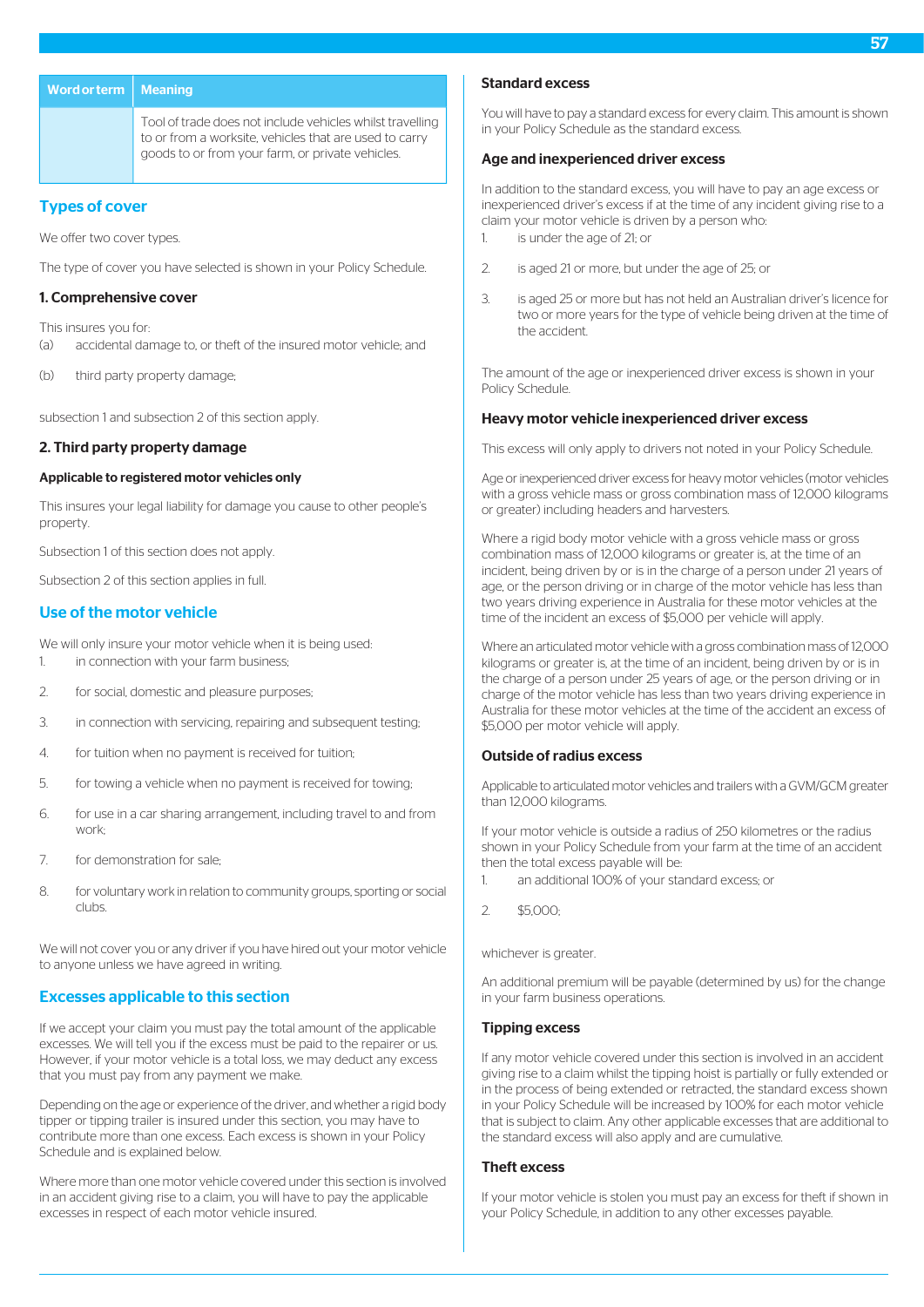| Word or term $\parallel$ Meaning |                                                                                                                     | Standard ex                       |
|----------------------------------|---------------------------------------------------------------------------------------------------------------------|-----------------------------------|
|                                  | Tool of trade does not include vehicles whilst travelling<br>to or from a worksite, vehicles that are used to carry | You will have t<br>in your Policy |
|                                  | goods to or from your farm, or private vehicles.                                                                    | Age and ine                       |

# Types of cover

We offer two cover types.

The type of cover you have selected is shown in your Policy Schedule.

# 1. Comprehensive cover

This insures you for: (a) accidental damage to, or theft of the insured motor vehicle; and

(b) third party property damage;

subsection 1 and subsection 2 of this section apply.

# 2. Third party property damage

### Applicable to registered motor vehicles only

This insures your legal liability for damage you cause to other people's property.

Subsection 1 of this section does not apply.

Subsection 2 of this section applies in full.

# Use of the motor vehicle

We will only insure your motor vehicle when it is being used:

- 1. in connection with your farm business;
- 2. for social, domestic and pleasure purposes;
- 3. in connection with servicing, repairing and subsequent testing;
- 4. for tuition when no payment is received for tuition;
- 5. for towing a vehicle when no payment is received for towing;
- 6. for use in a car sharing arrangement, including travel to and from work;
- 7. for demonstration for sale;
- 8. for voluntary work in relation to community groups, sporting or social clubs.

We will not cover you or any driver if you have hired out your motor vehicle to anyone unless we have agreed in writing.

# Excesses applicable to this section

If we accept your claim you must pay the total amount of the applicable excesses. We will tell you if the excess must be paid to the repairer or us. However, if your motor vehicle is a total loss, we may deduct any excess that you must pay from any payment we make.

Depending on the age or experience of the driver, and whether a rigid body tipper or tipping trailer is insured under this section, you may have to contribute more than one excess. Each excess is shown in your Policy Schedule and is explained below.

Where more than one motor vehicle covered under this section is involved in an accident giving rise to a claim, you will have to pay the applicable excesses in respect of each motor vehicle insured.

### Standard excess

to pay a standard excess for every claim. This amount is shown **Schedule as the standard excess.** 

# Age and inexperienced driver excess

In addition to the standard excess, you will have to pay an age excess or inexperienced driver's excess if at the time of any incident giving rise to a claim your motor vehicle is driven by a person who: 1. is under the age of 21; or

2. is aged 21 or more, but under the age of 25; or

3. is aged 25 or more but has not held an Australian driver's licence for two or more years for the type of vehicle being driven at the time of the accident.

The amount of the age or inexperienced driver excess is shown in your Policy Schedule.

# Heavy motor vehicle inexperienced driver excess

This excess will only apply to drivers not noted in your Policy Schedule.

Age or inexperienced driver excess for heavy motor vehicles (motor vehicles with a gross vehicle mass or gross combination mass of 12,000 kilograms or greater) including headers and harvesters.

Where a rigid body motor vehicle with a gross vehicle mass or gross combination mass of 12,000 kilograms or greater is, at the time of an incident, being driven by or is in the charge of a person under 21 years of age, or the person driving or in charge of the motor vehicle has less than two years driving experience in Australia for these motor vehicles at the time of the incident an excess of \$5,000 per vehicle will apply.

Where an articulated motor vehicle with a gross combination mass of 12,000 kilograms or greater is, at the time of an incident, being driven by or is in the charge of a person under 25 years of age, or the person driving or in charge of the motor vehicle has less than two years driving experience in Australia for these motor vehicles at the time of the accident an excess of \$5,000 per motor vehicle will apply.

# Outside of radius excess

Applicable to articulated motor vehicles and trailers with a GVM/GCM greater than 12,000 kilograms.

If your motor vehicle is outside a radius of 250 kilometres or the radius shown in your Policy Schedule from your farm at the time of an accident then the total excess payable will be:

1. an additional 100% of your standard excess; or

2. \$5,000;

whichever is greater.

An additional premium will be payable (determined by us) for the change in your farm business operations.

# Tipping excess

If any motor vehicle covered under this section is involved in an accident giving rise to a claim whilst the tipping hoist is partially or fully extended or in the process of being extended or retracted, the standard excess shown in your Policy Schedule will be increased by 100% for each motor vehicle that is subject to claim. Any other applicable excesses that are additional to the standard excess will also apply and are cumulative.

# Theft excess

If your motor vehicle is stolen you must pay an excess for theft if shown in your Policy Schedule, in addition to any other excesses payable.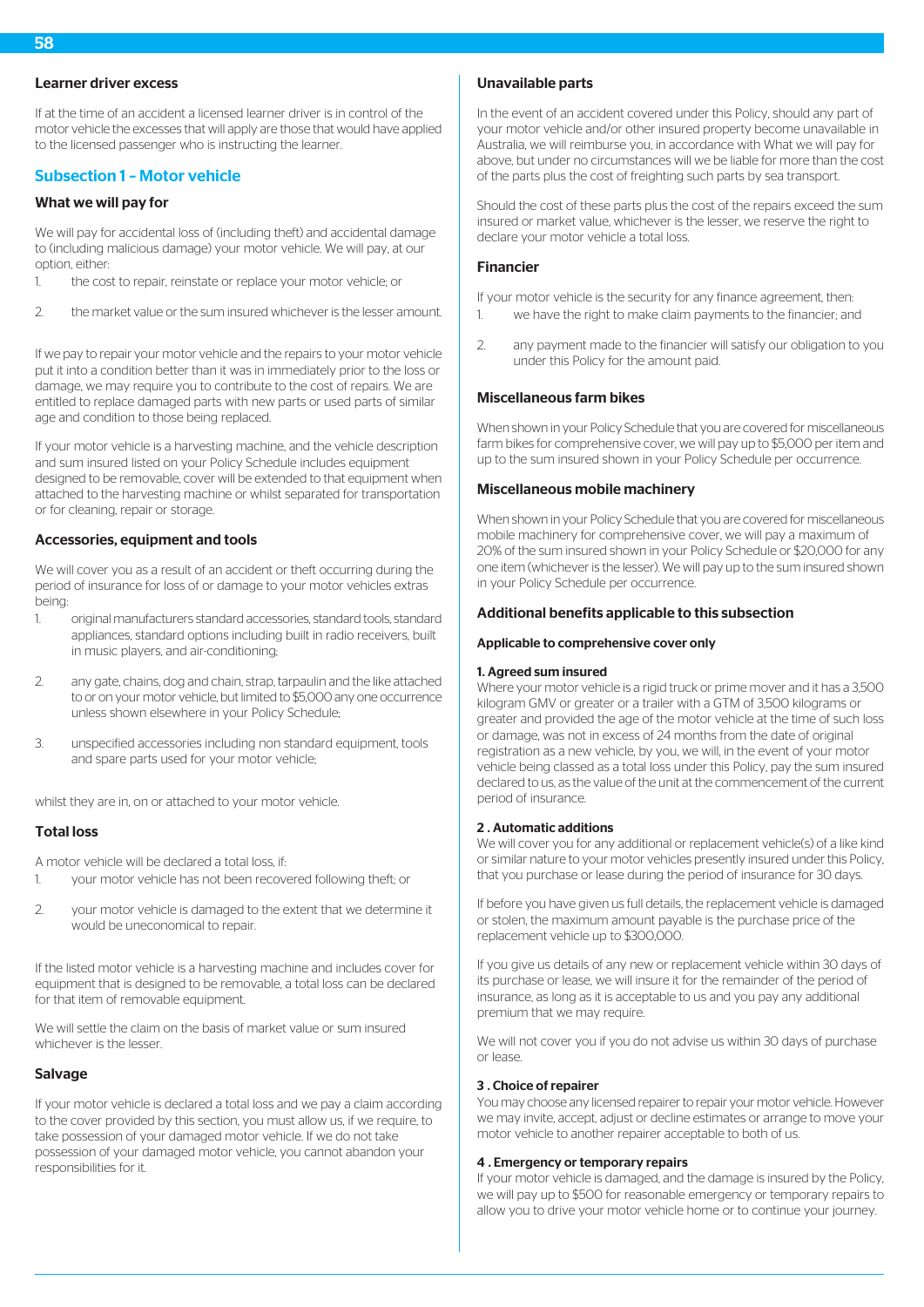# Learner driver excess

If at the time of an accident a licensed learner driver is in control of the motor vehicle the excesses that will apply are those that would have applied to the licensed passenger who is instructing the learner.

# Subsection 1 – Motor vehicle

# What we will pay for

We will pay for accidental loss of (including theft) and accidental damage to (including malicious damage) your motor vehicle. We will pay, at our option, either:

- 1. the cost to repair, reinstate or replace your motor vehicle; or
- 2. the market value or the sum insured whichever is the lesser amount.

If we pay to repair your motor vehicle and the repairs to your motor vehicle put it into a condition better than it was in immediately prior to the loss or damage, we may require you to contribute to the cost of repairs. We are entitled to replace damaged parts with new parts or used parts of similar age and condition to those being replaced.

If your motor vehicle is a harvesting machine, and the vehicle description and sum insured listed on your Policy Schedule includes equipment designed to be removable, cover will be extended to that equipment when attached to the harvesting machine or whilst separated for transportation or for cleaning, repair or storage.

# Accessories, equipment and tools

We will cover you as a result of an accident or theft occurring during the period of insurance for loss of or damage to your motor vehicles extras being:

- 1. original manufacturers standard accessories, standard tools, standard appliances, standard options including built in radio receivers, built in music players, and air-conditioning;
- 2. any gate, chains, dog and chain, strap, tarpaulin and the like attached to or on your motor vehicle, but limited to \$5,000 any one occurrence unless shown elsewhere in your Policy Schedule;
- 3. unspecified accessories including non standard equipment, tools and spare parts used for your motor vehicle;

whilst they are in, on or attached to your motor vehicle.

# Total loss

A motor vehicle will be declared a total loss, if:

- 1. your motor vehicle has not been recovered following theft; or
- 2. your motor vehicle is damaged to the extent that we determine it would be uneconomical to repair.

If the listed motor vehicle is a harvesting machine and includes cover for equipment that is designed to be removable, a total loss can be declared for that item of removable equipment.

We will settle the claim on the basis of market value or sum insured whichever is the lesser.

#### Salvage

If your motor vehicle is declared a total loss and we pay a claim according to the cover provided by this section, you must allow us, if we require, to take possession of your damaged motor vehicle. If we do not take possession of your damaged motor vehicle, you cannot abandon your responsibilities for it.

# Unavailable parts

In the event of an accident covered under this Policy, should any part of your motor vehicle and/or other insured property become unavailable in Australia, we will reimburse you, in accordance with What we will pay for above, but under no circumstances will we be liable for more than the cost of the parts plus the cost of freighting such parts by sea transport.

Should the cost of these parts plus the cost of the repairs exceed the sum insured or market value, whichever is the lesser, we reserve the right to declare your motor vehicle a total loss.

### Financier

If your motor vehicle is the security for any finance agreement, then: 1. we have the right to make claim payments to the financier; and

2. any payment made to the financier will satisfy our obligation to you under this Policy for the amount paid.

# Miscellaneous farm bikes

When shown in your Policy Schedule that you are covered for miscellaneous farm bikes for comprehensive cover, we will pay up to \$5,000 per item and up to the sum insured shown in your Policy Schedule per occurrence.

#### Miscellaneous mobile machinery

When shown in your Policy Schedule that you are covered for miscellaneous mobile machinery for comprehensive cover, we will pay a maximum of 20% of the sum insured shown in your Policy Schedule or \$20,000 for any one item (whichever is the lesser). We will pay up to the sum insured shown in your Policy Schedule per occurrence.

#### Additional benefits applicable to this subsection

#### Applicable to comprehensive cover only

#### 1. Agreed sum insured

Where your motor vehicle is a rigid truck or prime mover and it has a 3,500 kilogram GMV or greater or a trailer with a GTM of 3,500 kilograms or greater and provided the age of the motor vehicle at the time of such loss or damage, was not in excess of 24 months from the date of original registration as a new vehicle, by you, we will, in the event of your motor vehicle being classed as a total loss under this Policy, pay the sum insured declared to us, as the value of the unit at the commencement of the current period of insurance.

#### 2 . Automatic additions

We will cover you for any additional or replacement vehicle(s) of a like kind or similar nature to your motor vehicles presently insured under this Policy, that you purchase or lease during the period of insurance for 30 days.

If before you have given us full details, the replacement vehicle is damaged or stolen, the maximum amount payable is the purchase price of the replacement vehicle up to \$300,000.

If you give us details of any new or replacement vehicle within 30 days of its purchase or lease, we will insure it for the remainder of the period of insurance, as long as it is acceptable to us and you pay any additional premium that we may require.

We will not cover you if you do not advise us within 30 days of purchase or lease.

#### 3 . Choice of repairer

You may choose any licensed repairer to repair your motor vehicle. However we may invite, accept, adjust or decline estimates or arrange to move your motor vehicle to another repairer acceptable to both of us.

# 4 . Emergency or temporary repairs

If your motor vehicle is damaged, and the damage is insured by the Policy, we will pay up to \$500 for reasonable emergency or temporary repairs to allow you to drive your motor vehicle home or to continue your journey.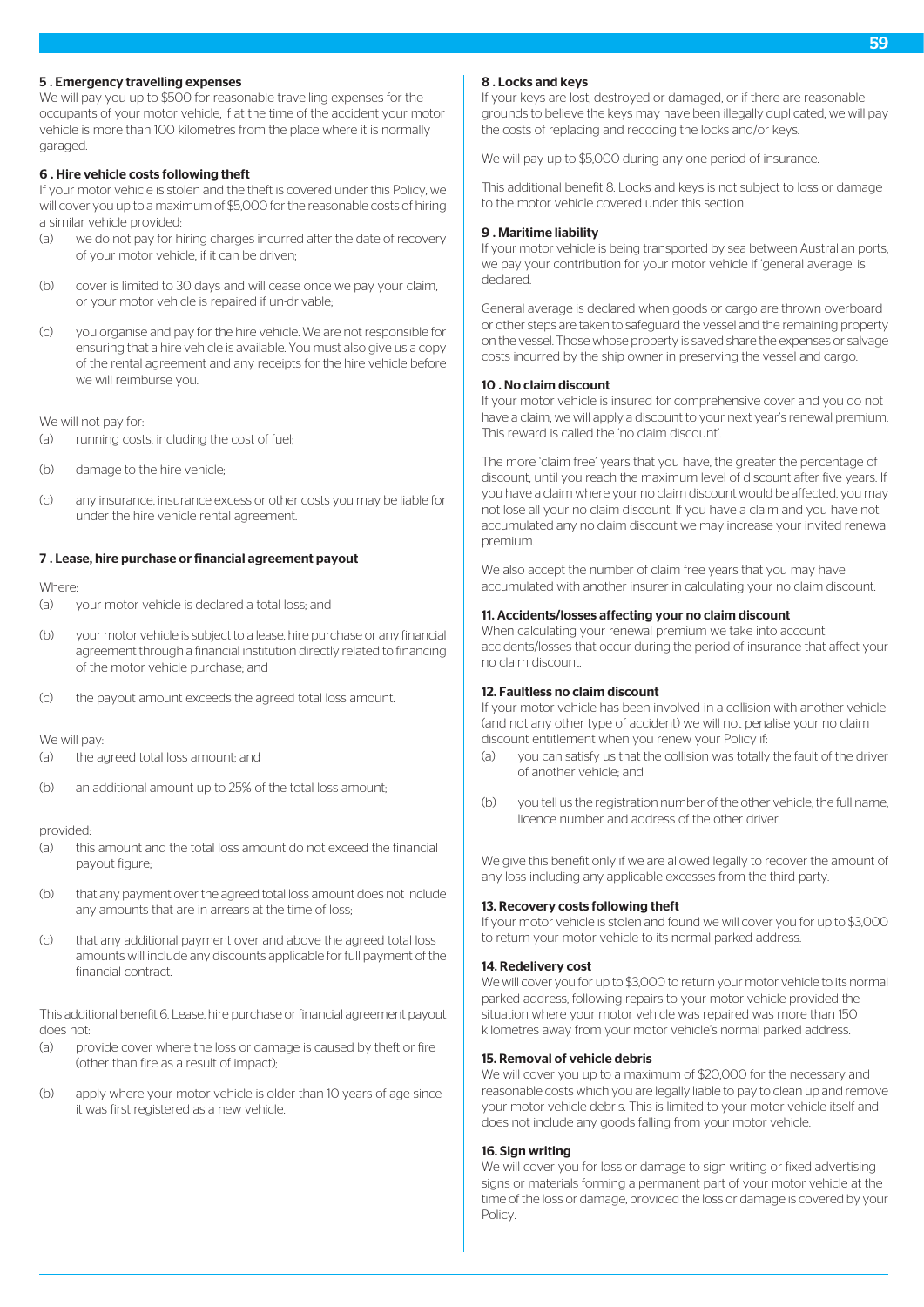# 5 . Emergency travelling expenses

We will pay you up to \$500 for reasonable travelling expenses for the occupants of your motor vehicle, if at the time of the accident your motor vehicle is more than 100 kilometres from the place where it is normally garaged.

### 6 . Hire vehicle costs following theft

If your motor vehicle is stolen and the theft is covered under this Policy, we will cover you up to a maximum of \$5,000 for the reasonable costs of hiring a similar vehicle provided:

- (a) we do not pay for hiring charges incurred after the date of recovery of your motor vehicle, if it can be driven;
- (b) cover is limited to 30 days and will cease once we pay your claim, or your motor vehicle is repaired if un-drivable;
- (c) you organise and pay for the hire vehicle. We are not responsible for ensuring that a hire vehicle is available. You must also give us a copy of the rental agreement and any receipts for the hire vehicle before we will reimburse you.

We will not pay for:

- (a) running costs, including the cost of fuel;
- (b) damage to the hire vehicle;
- (c) any insurance, insurance excess or other costs you may be liable for under the hire vehicle rental agreement.

### 7 . Lease, hire purchase or financial agreement payout

#### Where:

- (a) your motor vehicle is declared a total loss; and
- (b) your motor vehicle is subject to a lease, hire purchase or any financial agreement through a financial institution directly related to financing of the motor vehicle purchase; and
- (c) the payout amount exceeds the agreed total loss amount.

### We will pay:

- (a) the agreed total loss amount; and
- (b) an additional amount up to 25% of the total loss amount;

#### provided:

- (a) this amount and the total loss amount do not exceed the financial payout figure;
- (b) that any payment over the agreed total loss amount does not include any amounts that are in arrears at the time of loss;
- (c) that any additional payment over and above the agreed total loss amounts will include any discounts applicable for full payment of the financial contract.

This additional benefit 6. Lease, hire purchase or financial agreement payout does not:

- (a) provide cover where the loss or damage is caused by theft or fire (other than fire as a result of impact);
- (b) apply where your motor vehicle is older than 10 years of age since it was first registered as a new vehicle.

### 8 . Locks and keys

If your keys are lost, destroyed or damaged, or if there are reasonable grounds to believe the keys may have been illegally duplicated, we will pay the costs of replacing and recoding the locks and/or keys.

We will pay up to \$5,000 during any one period of insurance.

This additional benefit 8. Locks and keys is not subject to loss or damage to the motor vehicle covered under this section.

#### 9 . Maritime liability

If your motor vehicle is being transported by sea between Australian ports, we pay your contribution for your motor vehicle if 'general average' is declared.

General average is declared when goods or cargo are thrown overboard or other steps are taken to safeguard the vessel and the remaining property on the vessel. Those whose property is saved share the expenses or salvage costs incurred by the ship owner in preserving the vessel and cargo.

### 10 . No claim discount

If your motor vehicle is insured for comprehensive cover and you do not have a claim, we will apply a discount to your next year's renewal premium. This reward is called the 'no claim discount'.

The more 'claim free' years that you have, the greater the percentage of discount, until you reach the maximum level of discount after five years. If you have a claim where your no claim discount would be affected, you may not lose all your no claim discount. If you have a claim and you have not accumulated any no claim discount we may increase your invited renewal premium.

We also accept the number of claim free years that you may have accumulated with another insurer in calculating your no claim discount.

# 11. Accidents/losses affecting your no claim discount

When calculating your renewal premium we take into account accidents/losses that occur during the period of insurance that affect your no claim discount.

#### 12. Faultless no claim discount

If your motor vehicle has been involved in a collision with another vehicle (and not any other type of accident) we will not penalise your no claim discount entitlement when you renew your Policy if:

- (a) you can satisfy us that the collision was totally the fault of the driver of another vehicle; and
- (b) you tell us the registration number of the other vehicle, the full name, licence number and address of the other driver.

We give this benefit only if we are allowed legally to recover the amount of any loss including any applicable excesses from the third party.

# 13. Recovery costs following theft

If your motor vehicle is stolen and found we will cover you for up to \$3,000 to return your motor vehicle to its normal parked address.

#### 14. Redelivery cost

We will cover you for up to \$3,000 to return your motor vehicle to its normal parked address, following repairs to your motor vehicle provided the situation where your motor vehicle was repaired was more than 150 kilometres away from your motor vehicle's normal parked address.

# 15. Removal of vehicle debris

We will cover you up to a maximum of \$20,000 for the necessary and reasonable costs which you are legally liable to pay to clean up and remove your motor vehicle debris. This is limited to your motor vehicle itself and does not include any goods falling from your motor vehicle.

# 16. Sign writing

We will cover you for loss or damage to sign writing or fixed advertising signs or materials forming a permanent part of your motor vehicle at the time of the loss or damage, provided the loss or damage is covered by your Policy.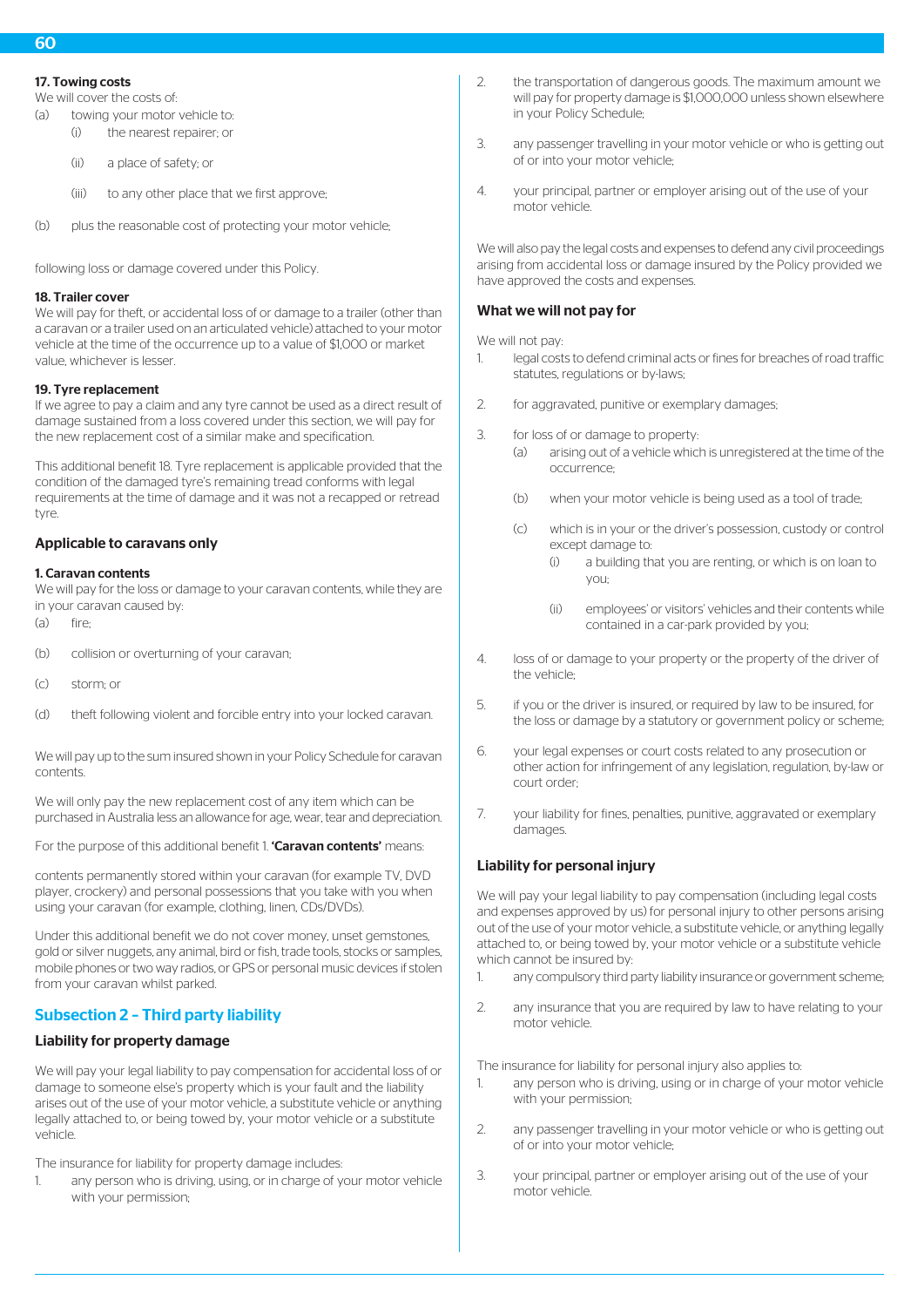# 17. Towing costs

We will cover the costs of:

- (a) towing your motor vehicle to:
	- (i) the nearest repairer; or
		- (ii) a place of safety; or
		- (iii) to any other place that we first approve;
- (b) plus the reasonable cost of protecting your motor vehicle;

following loss or damage covered under this Policy.

### 18. Trailer cover

We will pay for theft, or accidental loss of or damage to a trailer (other than a caravan or a trailer used on an articulated vehicle) attached to your motor vehicle at the time of the occurrence up to a value of \$1,000 or market value, whichever is lesser.

# 19. Tyre replacement

If we agree to pay a claim and any tyre cannot be used as a direct result of damage sustained from a loss covered under this section, we will pay for the new replacement cost of a similar make and specification.

This additional benefit 18. Tyre replacement is applicable provided that the condition of the damaged tyre's remaining tread conforms with legal requirements at the time of damage and it was not a recapped or retread tyre.

# Applicable to caravans only

### 1. Caravan contents

We will pay for the loss or damage to your caravan contents, while they are in your caravan caused by:

(a) fire;

- (b) collision or overturning of your caravan;
- (c) storm; or
- (d) theft following violent and forcible entry into your locked caravan.

We will pay up to the sum insured shown in your Policy Schedule for caravan contents.

We will only pay the new replacement cost of any item which can be purchased in Australia less an allowance for age, wear, tear and depreciation.

For the purpose of this additional benefit 1 **'Caravan contents'** means:

contents permanently stored within your caravan (for example TV, DVD player, crockery) and personal possessions that you take with you when using your caravan (for example, clothing, linen, CDs/DVDs).

Under this additional benefit we do not cover money, unset gemstones, gold or silver nuggets, any animal, bird or fish, trade tools, stocks or samples, mobile phones or two way radios, or GPS or personal music devices if stolen from your caravan whilst parked.

# Subsection 2 – Third party liability

# Liability for property damage

We will pay your legal liability to pay compensation for accidental loss of or damage to someone else's property which is your fault and the liability arises out of the use of your motor vehicle, a substitute vehicle or anything legally attached to, or being towed by, your motor vehicle or a substitute vehicle.

The insurance for liability for property damage includes:

any person who is driving, using, or in charge of your motor vehicle with your permission;

- 2. the transportation of dangerous goods. The maximum amount we will pay for property damage is \$1,000,000 unless shown elsewhere in your Policy Schedule;
- 3. any passenger travelling in your motor vehicle or who is getting out of or into your motor vehicle;
- 4. your principal, partner or employer arising out of the use of your motor vehicle.

We will also pay the legal costs and expenses to defend any civil proceedings arising from accidental loss or damage insured by the Policy provided we have approved the costs and expenses.

# What we will not pay for

We will not pay-

- 1. legal costs to defend criminal acts or fines for breaches of road traffic statutes, regulations or by-laws;
- 2. for aggravated, punitive or exemplary damages:
- 3. for loss of or damage to property:
	- (a) arising out of a vehicle which is unregistered at the time of the occurrence;
	- (b) when your motor vehicle is being used as a tool of trade;
	- (c) which is in your or the driver's possession, custody or control except damage to:
		- (i) a building that you are renting, or which is on loan to you;
		- (ii) employees' or visitors' vehicles and their contents while contained in a car-park provided by you;
- 4. loss of or damage to your property or the property of the driver of the vehicle;
- 5. if you or the driver is insured, or required by law to be insured, for the loss or damage by a statutory or government policy or scheme;
- 6. your legal expenses or court costs related to any prosecution or other action for infringement of any legislation, regulation, by-law or court order;
- 7. your liability for fines, penalties, punitive, aggravated or exemplary damages

# Liability for personal injury

We will pay your legal liability to pay compensation (including legal costs and expenses approved by us) for personal injury to other persons arising out of the use of your motor vehicle, a substitute vehicle, or anything legally attached to, or being towed by, your motor vehicle or a substitute vehicle which cannot be insured by:

- 1. any compulsory third party liability insurance or government scheme;
- 2. any insurance that you are required by law to have relating to your motor vehicle.

The insurance for liability for personal injury also applies to:

- 1. any person who is driving, using or in charge of your motor vehicle with your permission;
- 2. any passenger travelling in your motor vehicle or who is getting out of or into your motor vehicle;
- 3. your principal, partner or employer arising out of the use of your motor vehicle.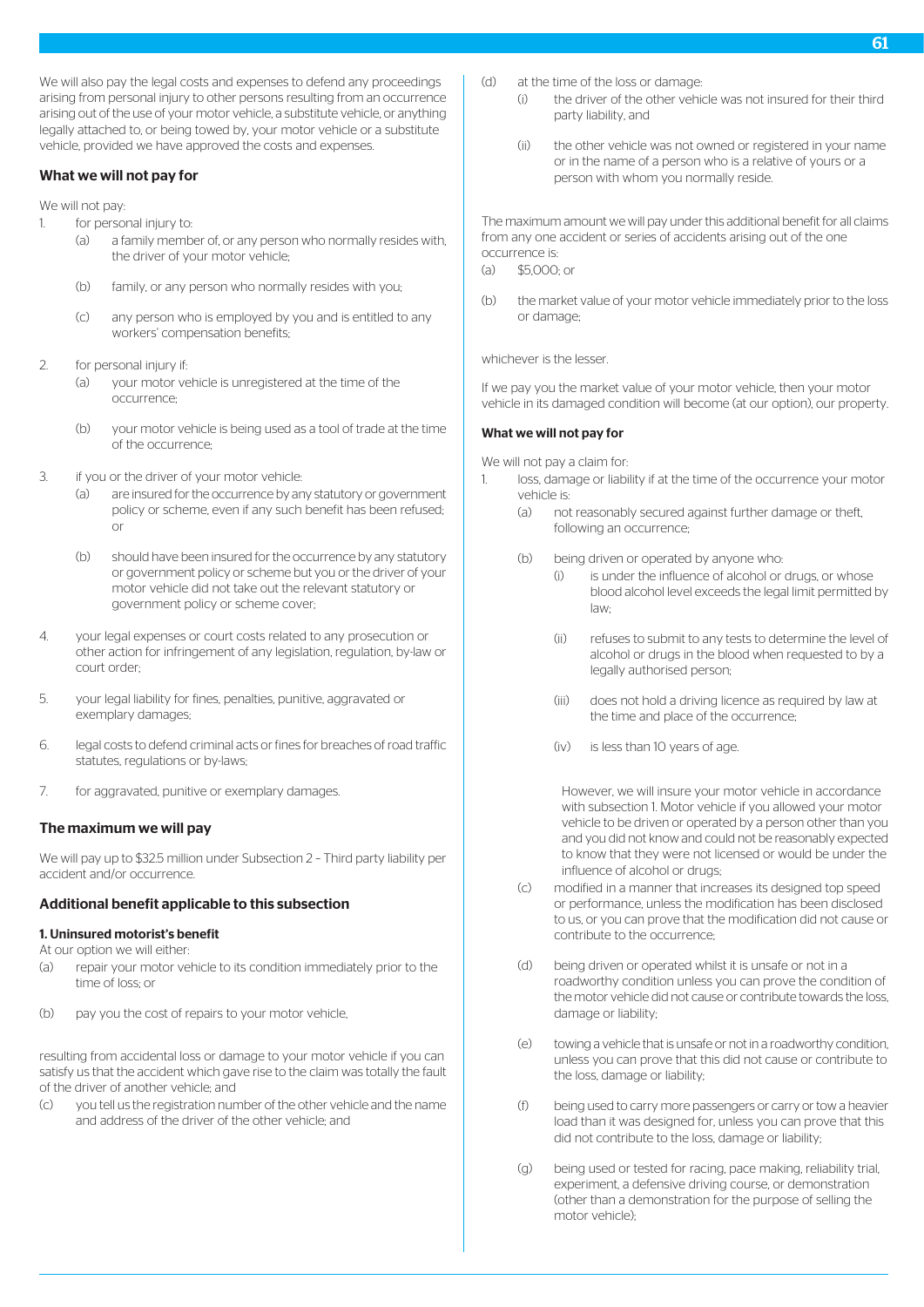We will also pay the legal costs and expenses to defend any proceedings arising from personal injury to other persons resulting from an occurrence arising out of the use of your motor vehicle, a substitute vehicle, or anything legally attached to, or being towed by, your motor vehicle or a substitute vehicle, provided we have approved the costs and expenses.

### What we will not pay for

We will not pay:

- 1. for personal injury to:
	- (a) a family member of, or any person who normally resides with, the driver of your motor vehicle;
	- (b) family, or any person who normally resides with you;
	- (c) any person who is employed by you and is entitled to any workers' compensation benefits;
- 2. for personal injury if:
	- (a) your motor vehicle is unregistered at the time of the occurrence;
	- (b) your motor vehicle is being used as a tool of trade at the time of the occurrence;
- 3. if you or the driver of your motor vehicle:
	- (a) are insured for the occurrence by any statutory or government policy or scheme, even if any such benefit has been refused; or
	- (b) should have been insured for the occurrence by any statutory or government policy or scheme but you or the driver of your motor vehicle did not take out the relevant statutory or government policy or scheme cover;
- 4. your legal expenses or court costs related to any prosecution or other action for infringement of any legislation, regulation, by-law or court order;
- 5. your legal liability for fines, penalties, punitive, aggravated or exemplary damages;
- 6. legal costs to defend criminal acts or fines for breaches of road traffic statutes, regulations or by-laws;
- 7. for aggravated, punitive or exemplary damages.

# The maximum we will pay

We will pay up to \$32.5 million under Subsection 2 – Third party liability per accident and/or occurrence.

# Additional benefit applicable to this subsection

### 1. Uninsured motorist's benefit

- At our option we will either:
- (a) repair your motor vehicle to its condition immediately prior to the time of loss; or
- (b) pay you the cost of repairs to your motor vehicle,

resulting from accidental loss or damage to your motor vehicle if you can satisfy us that the accident which gave rise to the claim was totally the fault of the driver of another vehicle; and

(c) you tell us the registration number of the other vehicle and the name and address of the driver of the other vehicle; and

- (d) at the time of the loss or damage:
	- (i) the driver of the other vehicle was not insured for their third party liability, and
	- (ii) the other vehicle was not owned or registered in your name or in the name of a person who is a relative of yours or a person with whom you normally reside.

The maximum amount we will pay under this additional benefit for all claims from any one accident or series of accidents arising out of the one occurrence is:

- $(a)$  \$5,000; or
- (b) the market value of your motor vehicle immediately prior to the loss or damage;

whichever is the lesser.

If we pay you the market value of your motor vehicle, then your motor vehicle in its damaged condition will become (at our option), our property.

### What we will not pay for

We will not pay a claim for:

- 1. loss, damage or liability if at the time of the occurrence your motor vehicle is:
	- (a) not reasonably secured against further damage or theft, following an occurrence;
	- (b) being driven or operated by anyone who:
		- (i) is under the influence of alcohol or drugs, or whose blood alcohol level exceeds the legal limit permitted by law;
		- (ii) refuses to submit to any tests to determine the level of alcohol or drugs in the blood when requested to by a legally authorised person;
		- (iii) does not hold a driving licence as required by law at the time and place of the occurrence;
		- (iv) is less than 10 years of age.

However, we will insure your motor vehicle in accordance with subsection 1. Motor vehicle if you allowed your motor vehicle to be driven or operated by a person other than you and you did not know and could not be reasonably expected to know that they were not licensed or would be under the influence of alcohol or drugs;

- (c) modified in a manner that increases its designed top speed or performance, unless the modification has been disclosed to us, or you can prove that the modification did not cause or contribute to the occurrence;
- (d) being driven or operated whilst it is unsafe or not in a roadworthy condition unless you can prove the condition of the motor vehicle did not cause or contribute towards the loss, damage or liability;
- (e) towing a vehicle that is unsafe or not in a roadworthy condition, unless you can prove that this did not cause or contribute to the loss, damage or liability;
- (f) being used to carry more passengers or carry or tow a heavier load than it was designed for, unless you can prove that this did not contribute to the loss, damage or liability;
- (g) being used or tested for racing, pace making, reliability trial, experiment, a defensive driving course, or demonstration (other than a demonstration for the purpose of selling the motor vehicle);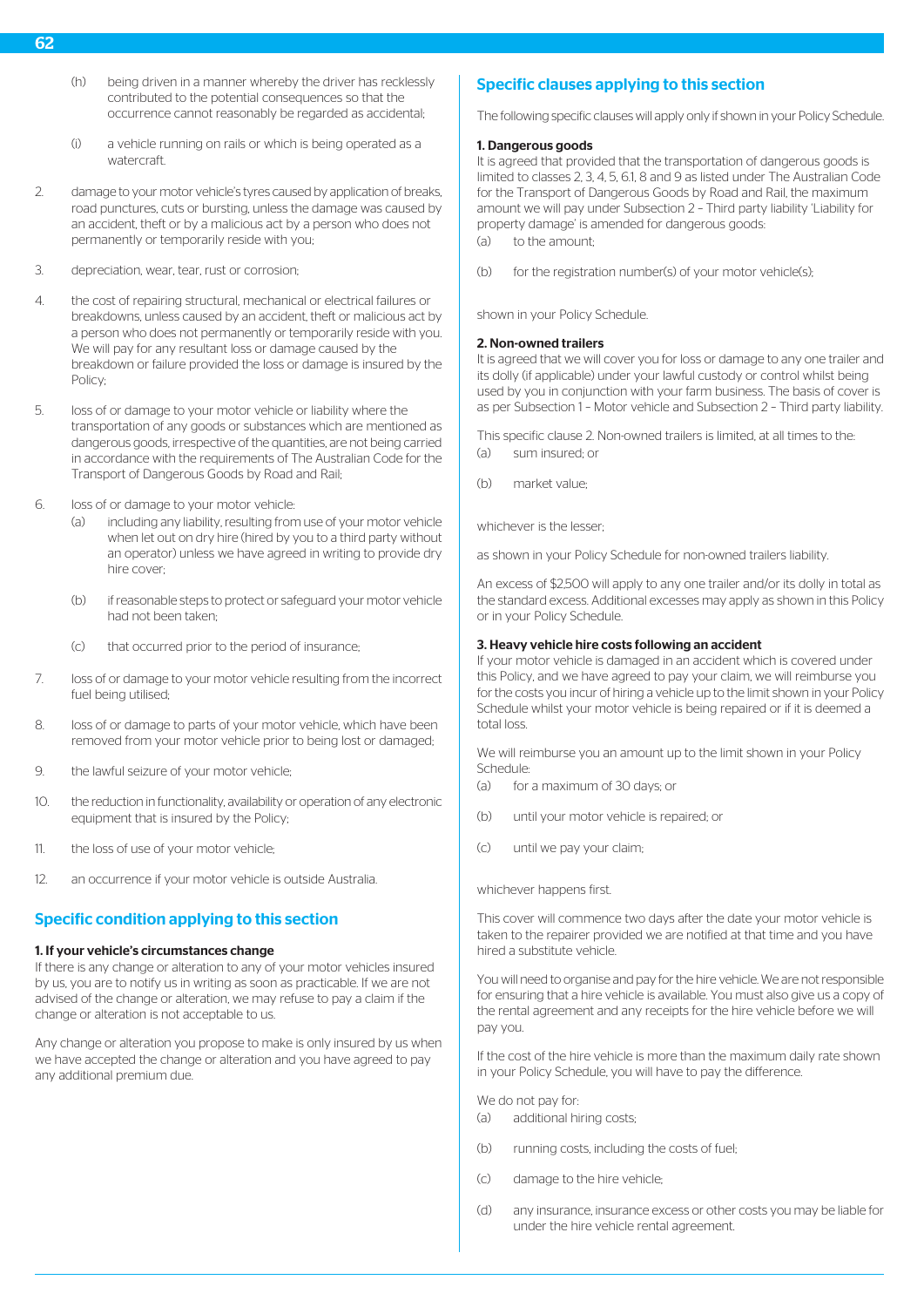- (h) being driven in a manner whereby the driver has recklessly contributed to the potential consequences so that the occurrence cannot reasonably be regarded as accidental;
- (i) a vehicle running on rails or which is being operated as a watercraft.
- 2. damage to your motor vehicle's tyres caused by application of breaks, road punctures, cuts or bursting, unless the damage was caused by an accident, theft or by a malicious act by a person who does not permanently or temporarily reside with you;
- 3. depreciation, wear, tear, rust or corrosion;
- 4. the cost of repairing structural, mechanical or electrical failures or breakdowns, unless caused by an accident, theft or malicious act by a person who does not permanently or temporarily reside with you. We will pay for any resultant loss or damage caused by the breakdown or failure provided the loss or damage is insured by the Policy;
- 5. loss of or damage to your motor vehicle or liability where the transportation of any goods or substances which are mentioned as dangerous goods, irrespective of the quantities, are not being carried in accordance with the requirements of The Australian Code for the Transport of Dangerous Goods by Road and Rail;
- 6. loss of or damage to your motor vehicle:
	- (a) including any liability, resulting from use of your motor vehicle when let out on dry hire (hired by you to a third party without an operator) unless we have agreed in writing to provide dry hire cover;
	- (b) if reasonable steps to protect or safeguard your motor vehicle had not been taken;
	- (c) that occurred prior to the period of insurance;
- 7. loss of or damage to your motor vehicle resulting from the incorrect fuel being utilised;
- 8. loss of or damage to parts of your motor vehicle, which have been removed from your motor vehicle prior to being lost or damaged;
- 9. the lawful seizure of your motor vehicle;
- 10. the reduction in functionality, availability or operation of any electronic equipment that is insured by the Policy;
- 11. the loss of use of your motor vehicle;
- 12. an occurrence if your motor vehicle is outside Australia.

# Specific condition applying to this section

#### 1. If your vehicle's circumstances change

If there is any change or alteration to any of your motor vehicles insured by us, you are to notify us in writing as soon as practicable. If we are not advised of the change or alteration, we may refuse to pay a claim if the change or alteration is not acceptable to us.

Any change or alteration you propose to make is only insured by us when we have accepted the change or alteration and you have agreed to pay any additional premium due.

# Specific clauses applying to this section

The following specific clauses will apply only if shown in your Policy Schedule.

#### 1. Dangerous goods

It is agreed that provided that the transportation of dangerous goods is limited to classes 2, 3, 4, 5, 6.1, 8 and 9 as listed under The Australian Code for the Transport of Dangerous Goods by Road and Rail, the maximum amount we will pay under Subsection 2 – Third party liability 'Liability for property damage' is amended for dangerous goods: (a) to the amount;

(b) for the registration number(s) of your motor vehicle(s);

#### shown in your Policy Schedule.

#### 2. Non-owned trailers

It is agreed that we will cover you for loss or damage to any one trailer and its dolly (if applicable) under your lawful custody or control whilst being used by you in conjunction with your farm business. The basis of cover is as per Subsection 1 – Motor vehicle and Subsection 2 – Third party liability.

This specific clause 2. Non-owned trailers is limited, at all times to the: (a) sum insured; or

(b) market value;

whichever is the lesser-

as shown in your Policy Schedule for non-owned trailers liability.

An excess of \$2,500 will apply to any one trailer and/or its dolly in total as the standard excess. Additional excesses may apply as shown in this Policy or in your Policy Schedule.

### 3. Heavy vehicle hire costs following an accident

If your motor vehicle is damaged in an accident which is covered under this Policy, and we have agreed to pay your claim, we will reimburse you for the costs you incur of hiring a vehicle up to the limit shown in your Policy Schedule whilst your motor vehicle is being repaired or if it is deemed a total loss.

We will reimburse you an amount up to the limit shown in your Policy Schedule:

- (a) for a maximum of 30 days; or
- (b) until your motor vehicle is repaired; or
- (c) until we pay your claim;

#### whichever happens first.

This cover will commence two days after the date your motor vehicle is taken to the repairer provided we are notified at that time and you have hired a substitute vehicle.

You will need to organise and pay for the hire vehicle. We are not responsible for ensuring that a hire vehicle is available. You must also give us a copy of the rental agreement and any receipts for the hire vehicle before we will pay you.

If the cost of the hire vehicle is more than the maximum daily rate shown in your Policy Schedule, you will have to pay the difference.

We do not pay for:

- (a) additional hiring costs;
- (b) running costs, including the costs of fuel;
- (c) damage to the hire vehicle;
- (d) any insurance, insurance excess or other costs you may be liable for under the hire vehicle rental agreement.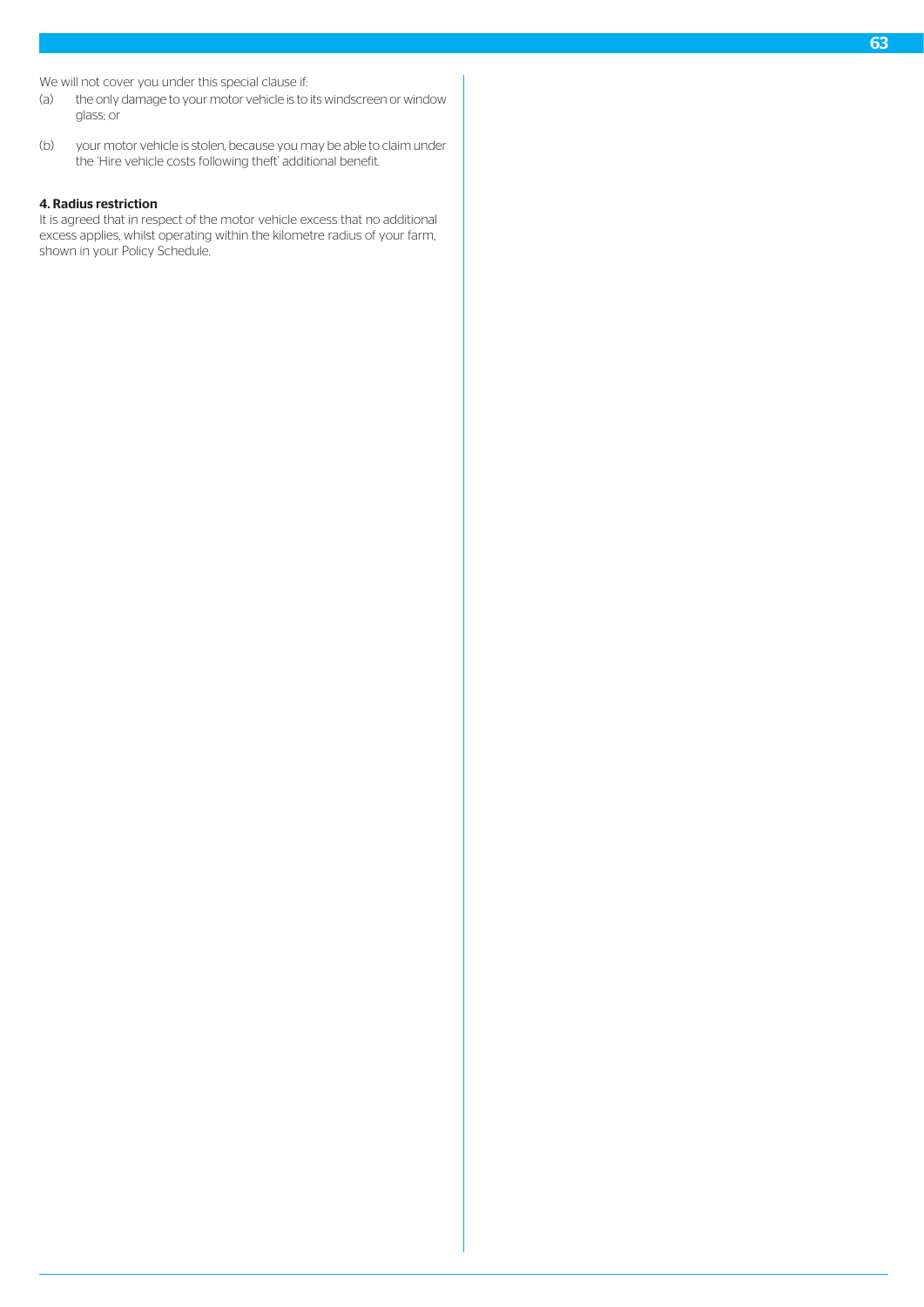We will not cover you under this special clause if:

- (a) the only damage to your motor vehicle is to its windscreen or window glass; or
- (b) your motor vehicle is stolen, because you may be able to claim under the 'Hire vehicle costs following theft' additional benefit.

#### 4. Radius restriction

It is agreed that in respect of the motor vehicle excess that no additional excess applies, whilst operating within the kilometre radius of your farm, shown in your Policy Schedule.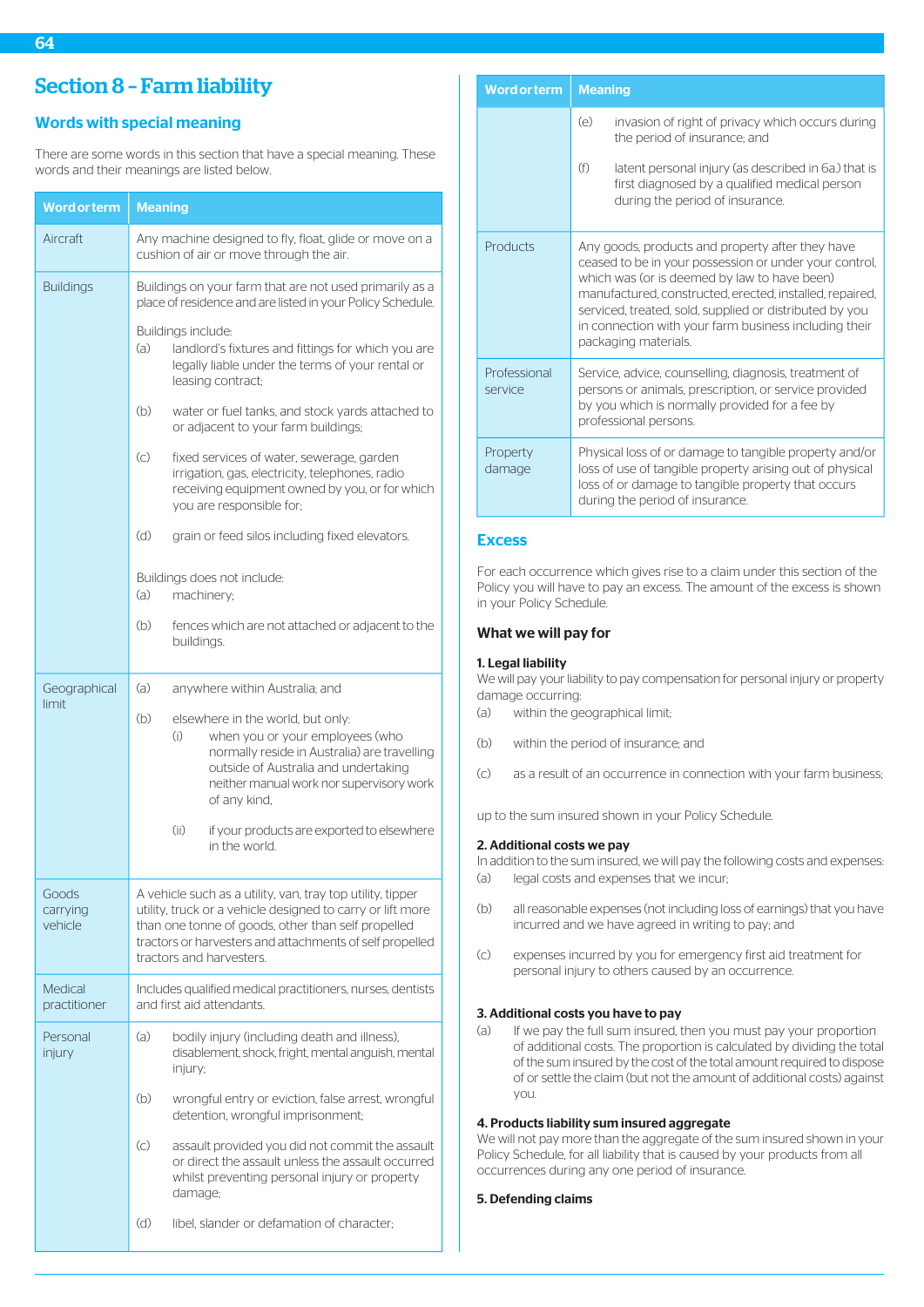# Section 8 – Farm liability

# Words with special meaning

There are some words in this section that have a special meaning. These words and their meanings are listed below.

| <b>Word or term</b>          | <b>Meaning</b>                                                                                                                                                                                                                                                         |  |
|------------------------------|------------------------------------------------------------------------------------------------------------------------------------------------------------------------------------------------------------------------------------------------------------------------|--|
| Aircraft                     | Any machine designed to fly, float, glide or move on a<br>cushion of air or move through the air.                                                                                                                                                                      |  |
| <b>Buildings</b>             | Buildings on your farm that are not used primarily as a<br>place of residence and are listed in your Policy Schedule.                                                                                                                                                  |  |
|                              | Buildings include:<br>(a)<br>landlord's fixtures and fittings for which you are<br>legally liable under the terms of your rental or<br>leasing contract;                                                                                                               |  |
|                              | (b)<br>water or fuel tanks, and stock yards attached to<br>or adjacent to your farm buildings;                                                                                                                                                                         |  |
|                              | $\left( \circ \right)$<br>fixed services of water, sewerage, garden<br>irrigation, gas, electricity, telephones, radio<br>receiving equipment owned by you, or for which<br>you are responsible for;                                                                   |  |
|                              | (d)<br>grain or feed silos including fixed elevators.                                                                                                                                                                                                                  |  |
|                              | Buildings does not include:<br>(a)<br>machinery;                                                                                                                                                                                                                       |  |
|                              | (b)<br>fences which are not attached or adjacent to the<br>buildings.                                                                                                                                                                                                  |  |
| Geographical<br>limit        | (a)<br>anywhere within Australia; and                                                                                                                                                                                                                                  |  |
|                              | (b)<br>elsewhere in the world, but only:<br>(i)<br>when you or your employees (who<br>normally reside in Australia) are travelling<br>outside of Australia and undertaking<br>neither manual work nor supervisory work<br>of any kind,                                 |  |
|                              | (i)<br>if your products are exported to elsewhere<br>in the world.                                                                                                                                                                                                     |  |
| Goods<br>carrying<br>vehicle | A vehicle such as a utility, van, tray top utility, tipper<br>utility, truck or a vehicle designed to carry or lift more<br>than one tonne of goods, other than self propelled<br>tractors or harvesters and attachments of self propelled<br>tractors and harvesters. |  |
| Medical<br>practitioner      | Includes qualified medical practitioners, nurses, dentists<br>and first aid attendants.                                                                                                                                                                                |  |
| Personal<br>injury           | (a)<br>bodily injury (including death and illness),<br>disablement, shock, fright, mental anguish, mental<br>injury;                                                                                                                                                   |  |
|                              | (b)<br>wrongful entry or eviction, false arrest, wrongful<br>detention, wrongful imprisonment;                                                                                                                                                                         |  |
|                              | $\left( c\right)$<br>assault provided you did not commit the assault<br>or direct the assault unless the assault occurred<br>whilst preventing personal injury or property<br>damage;                                                                                  |  |
|                              | (d)<br>libel, slander or defamation of character;                                                                                                                                                                                                                      |  |

| <b>Word or term</b>     | <b>Meaning</b>                                                                                                                                                                                                                                                                                                                                                     |
|-------------------------|--------------------------------------------------------------------------------------------------------------------------------------------------------------------------------------------------------------------------------------------------------------------------------------------------------------------------------------------------------------------|
|                         | (e)<br>invasion of right of privacy which occurs during<br>the period of insurance; and                                                                                                                                                                                                                                                                            |
|                         | (f)<br>latent personal injury (as described in 6a.) that is<br>first diagnosed by a qualified medical person<br>during the period of insurance.                                                                                                                                                                                                                    |
| Products                | Any goods, products and property after they have<br>ceased to be in your possession or under your control,<br>which was (or is deemed by law to have been)<br>manufactured, constructed, erected, installed, repaired,<br>serviced, treated, sold, supplied or distributed by you<br>in connection with your farm business including their<br>packaging materials. |
| Professional<br>service | Service, advice, counselling, diagnosis, treatment of<br>persons or animals, prescription, or service provided<br>by you which is normally provided for a fee by<br>professional persons.                                                                                                                                                                          |
| Property<br>damage      | Physical loss of or damage to tangible property and/or<br>loss of use of tangible property arising out of physical<br>loss of or damage to tangible property that occurs<br>during the period of insurance.                                                                                                                                                        |

# **Excess**

For each occurrence which gives rise to a claim under this section of the Policy you will have to pay an excess. The amount of the excess is shown in your Policy Schedule.

#### What we will pay for

### 1. Legal liability

We will pay your liability to pay compensation for personal injury or property damage occurring:

- (a) within the geographical limit;
- (b) within the period of insurance; and
- (c) as a result of an occurrence in connection with your farm business;

up to the sum insured shown in your Policy Schedule.

### 2. Additional costs we pay

- In addition to the sum insured, we will pay the following costs and expenses: (a) legal costs and expenses that we incur;
- 
- (b) all reasonable expenses (not including loss of earnings) that you have incurred and we have agreed in writing to pay; and
- (c) expenses incurred by you for emergency first aid treatment for personal injury to others caused by an occurrence.

# 3. Additional costs you have to pay

(a) If we pay the full sum insured, then you must pay your proportion of additional costs. The proportion is calculated by dividing the total of the sum insured by the cost of the total amount required to dispose of or settle the claim (but not the amount of additional costs) against you.

# 4. Products liability sum insured aggregate

We will not pay more than the aggregate of the sum insured shown in your Policy Schedule, for all liability that is caused by your products from all occurrences during any one period of insurance.

# 5. Defending claims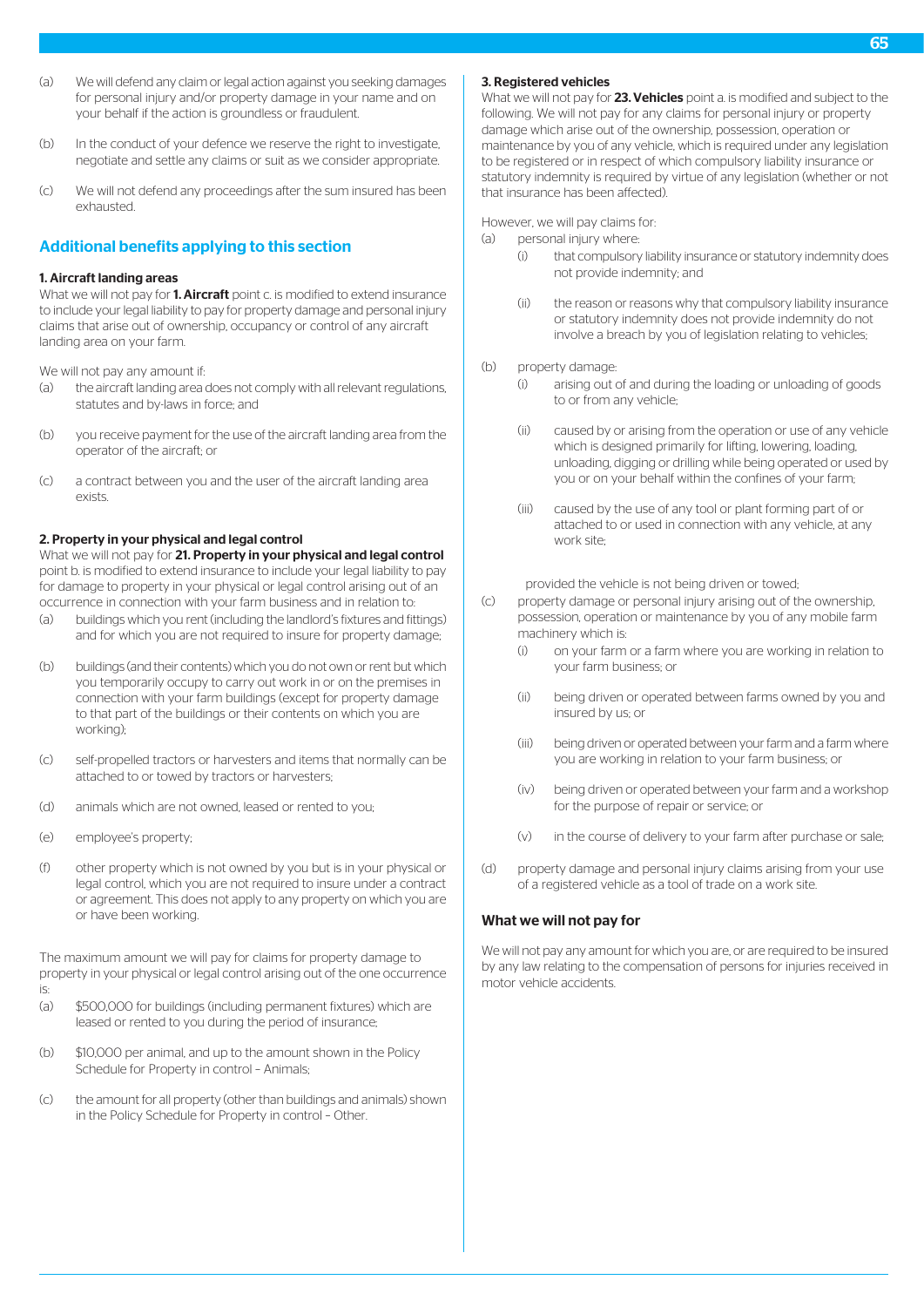- (a) We will defend any claim or legal action against you seeking damages for personal injury and/or property damage in your name and on your behalf if the action is groundless or fraudulent.
- (b) In the conduct of your defence we reserve the right to investigate, negotiate and settle any claims or suit as we consider appropriate.
- (c) We will not defend any proceedings after the sum insured has been exhausted.

# Additional benefits applying to this section

### 1. Aircraft landing areas

What we will not pay for 1. Aircraft point c. is modified to extend insurance to include your legal liability to pay for property damage and personal injury claims that arise out of ownership, occupancy or control of any aircraft landing area on your farm.

We will not pay any amount if:

- (a) the aircraft landing area does not comply with all relevant regulations, statutes and by-laws in force; and
- (b) you receive payment for the use of the aircraft landing area from the operator of the aircraft; or
- (c) a contract between you and the user of the aircraft landing area exists.

#### 2. Property in your physical and legal control

What we will not pay for 21. Property in your physical and legal control point b. is modified to extend insurance to include your legal liability to pay for damage to property in your physical or legal control arising out of an occurrence in connection with your farm business and in relation to:

- (a) buildings which you rent (including the landlord's fixtures and fittings) and for which you are not required to insure for property damage;
- (b) buildings (and their contents) which you do not own or rent but which you temporarily occupy to carry out work in or on the premises in connection with your farm buildings (except for property damage to that part of the buildings or their contents on which you are working);
- (c) self-propelled tractors or harvesters and items that normally can be attached to or towed by tractors or harvesters;
- (d) animals which are not owned, leased or rented to you;
- (e) employee's property;
- (f) other property which is not owned by you but is in your physical or legal control, which you are not required to insure under a contract or agreement. This does not apply to any property on which you are or have been working.

The maximum amount we will pay for claims for property damage to property in your physical or legal control arising out of the one occurrence is:

- 
- (a) \$500,000 for buildings (including permanent fixtures) which are leased or rented to you during the period of insurance;
- (b) \$10,000 per animal, and up to the amount shown in the Policy Schedule for Property in control – Animals;
- (c) the amount for all property (other than buildings and animals) shown in the Policy Schedule for Property in control – Other.

#### 3. Registered vehicles

What we will not pay for 23. Vehicles point a. is modified and subject to the following. We will not pay for any claims for personal injury or property damage which arise out of the ownership, possession, operation or maintenance by you of any vehicle, which is required under any legislation to be registered or in respect of which compulsory liability insurance or statutory indemnity is required by virtue of any legislation (whether or not that insurance has been affected).

However, we will pay claims for:

- (a) personal injury where:
	- (i) that compulsory liability insurance or statutory indemnity does not provide indemnity; and
	- (ii) the reason or reasons why that compulsory liability insurance or statutory indemnity does not provide indemnity do not involve a breach by you of legislation relating to vehicles;
- (b) property damage:
	- (i) arising out of and during the loading or unloading of goods to or from any vehicle;
	- (ii) caused by or arising from the operation or use of any vehicle which is designed primarily for lifting, lowering, loading, unloading, digging or drilling while being operated or used by you or on your behalf within the confines of your farm;
	- (iii) caused by the use of any tool or plant forming part of or attached to or used in connection with any vehicle, at any work site:

provided the vehicle is not being driven or towed;

- (c) property damage or personal injury arising out of the ownership, possession, operation or maintenance by you of any mobile farm machinery which is:
	- (i) on your farm or a farm where you are working in relation to your farm business; or
	- (ii) being driven or operated between farms owned by you and insured by us; or
	- (iii) being driven or operated between your farm and a farm where you are working in relation to your farm business; or
	- (iv) being driven or operated between your farm and a workshop for the purpose of repair or service; or
	- (v) in the course of delivery to your farm after purchase or sale;
- (d) property damage and personal injury claims arising from your use of a registered vehicle as a tool of trade on a work site.

# What we will not pay for

We will not pay any amount for which you are, or are required to be insured by any law relating to the compensation of persons for injuries received in motor vehicle accidents.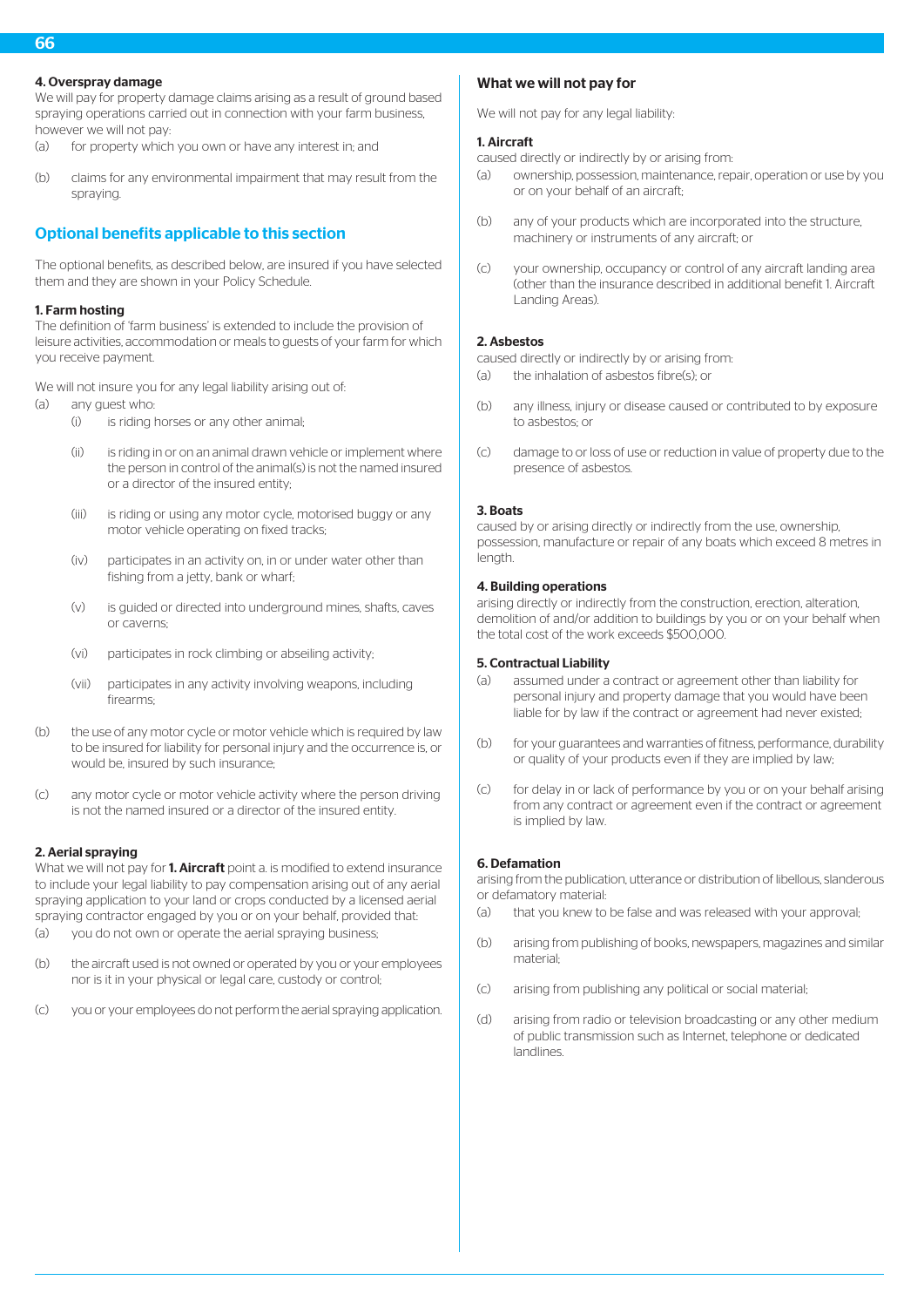# 4. Overspray damage

We will pay for property damage claims arising as a result of ground based spraying operations carried out in connection with your farm business, however we will not pay:

- (a) for property which you own or have any interest in; and
- (b) claims for any environmental impairment that may result from the spraying.

# Optional benefits applicable to this section

The optional benefits, as described below, are insured if you have selected them and they are shown in your Policy Schedule.

# 1. Farm hosting

The definition of 'farm business' is extended to include the provision of leisure activities, accommodation or meals to guests of your farm for which you receive payment.

We will not insure you for any legal liability arising out of:

- (a) any guest who:
	- (i) is riding horses or any other animal;
	- (ii) is riding in or on an animal drawn vehicle or implement where the person in control of the animal(s) is not the named insured or a director of the insured entity;
	- (iii) is riding or using any motor cycle, motorised buggy or any motor vehicle operating on fixed tracks;
	- (iv) participates in an activity on, in or under water other than fishing from a jetty, bank or wharf:
	- (v) is guided or directed into underground mines, shafts, caves or caverns;
	- (vi) participates in rock climbing or abseiling activity;
	- (vii) participates in any activity involving weapons, including firearms;
- (b) the use of any motor cycle or motor vehicle which is required by law to be insured for liability for personal injury and the occurrence is, or would be, insured by such insurance;
- (c) any motor cycle or motor vehicle activity where the person driving is not the named insured or a director of the insured entity.

# 2. Aerial spraying

What we will not pay for **1. Aircraft** point a. is modified to extend insurance to include your legal liability to pay compensation arising out of any aerial spraying application to your land or crops conducted by a licensed aerial spraying contractor engaged by you or on your behalf, provided that:

- (a) you do not own or operate the aerial spraying business;
- (b) the aircraft used is not owned or operated by you or your employees nor is it in your physical or legal care, custody or control;
- (c) you or your employees do not perform the aerial spraying application.

# What we will not pay for

We will not pay for any legal liability:

# 1. Aircraft

caused directly or indirectly by or arising from:

- (a) ownership, possession, maintenance, repair, operation or use by you or on your behalf of an aircraft;
- (b) any of your products which are incorporated into the structure, machinery or instruments of any aircraft; or
- (c) your ownership, occupancy or control of any aircraft landing area (other than the insurance described in additional benefit 1. Aircraft Landing Areas).

# 2. Asbestos

caused directly or indirectly by or arising from: (a) the inhalation of asbestos fibre(s); or

- (b) any illness, injury or disease caused or contributed to by exposure to asbestos; or
- (c) damage to or loss of use or reduction in value of property due to the presence of asbestos.

# 3. Boats

caused by or arising directly or indirectly from the use, ownership, possession, manufacture or repair of any boats which exceed 8 metres in lenath.

# 4. Building operations

arising directly or indirectly from the construction, erection, alteration, demolition of and/or addition to buildings by you or on your behalf when the total cost of the work exceeds \$500,000.

# 5. Contractual Liability

- (a) assumed under a contract or agreement other than liability for personal injury and property damage that you would have been liable for by law if the contract or agreement had never existed;
- (b) for your guarantees and warranties of fitness, performance, durability or quality of your products even if they are implied by law;
- (c) for delay in or lack of performance by you or on your behalf arising from any contract or agreement even if the contract or agreement is implied by law.

# 6. Defamation

arising from the publication, utterance or distribution of libellous, slanderous or defamatory material:

- (a) that you knew to be false and was released with your approval;
- (b) arising from publishing of books, newspapers, magazines and similar material;
- (c) arising from publishing any political or social material;
- (d) arising from radio or television broadcasting or any other medium of public transmission such as Internet, telephone or dedicated landlines.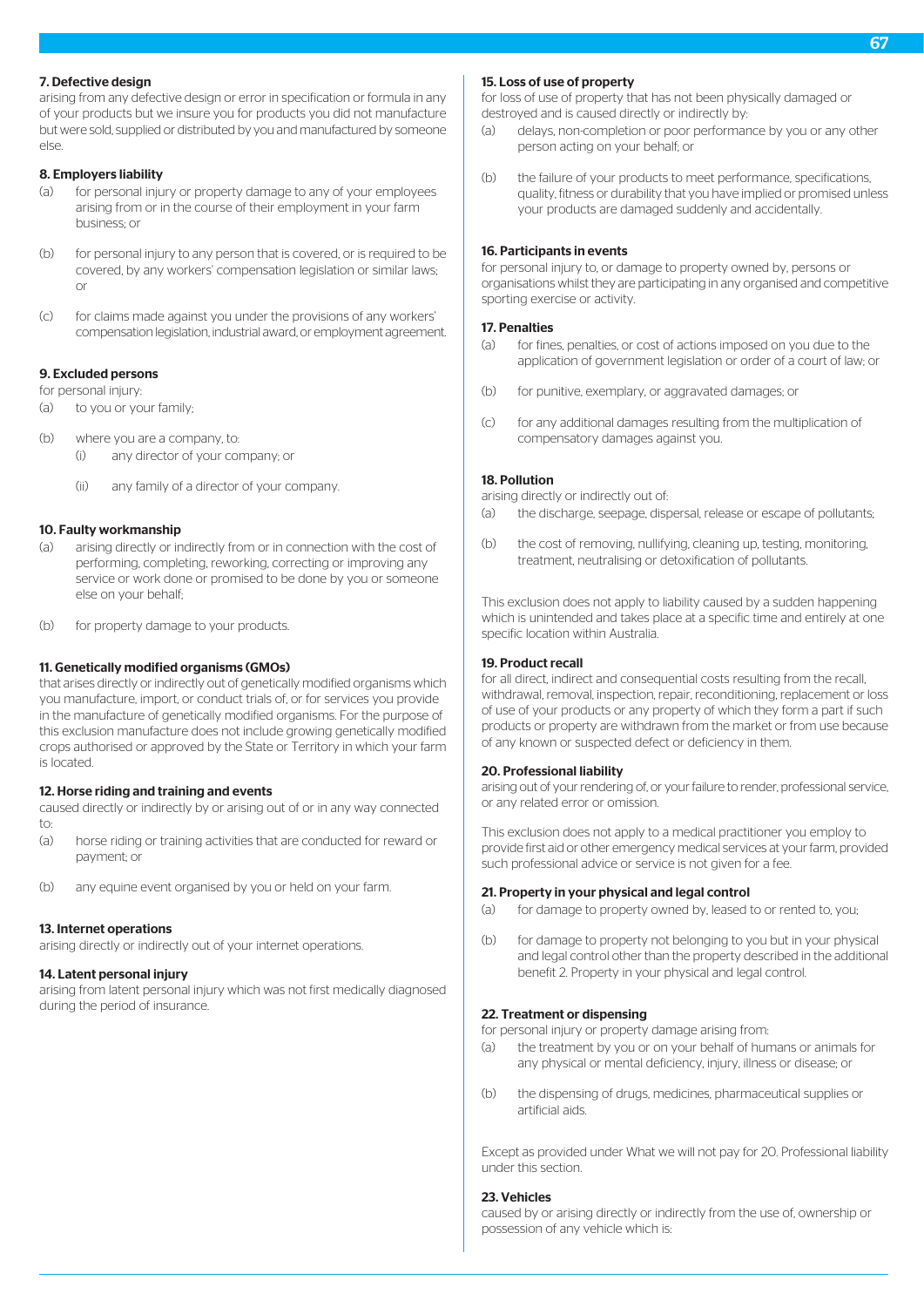# 7. Defective design

arising from any defective design or error in specification or formula in any of your products but we insure you for products you did not manufacture but were sold, supplied or distributed by you and manufactured by someone else.

# 8. Employers liability

- (a) for personal injury or property damage to any of your employees arising from or in the course of their employment in your farm business; or
- (b) for personal injury to any person that is covered, or is required to be covered, by any workers' compensation legislation or similar laws; or
- (c) for claims made against you under the provisions of any workers' compensation legislation, industrial award, or employment agreement.

# 9. Excluded persons

for personal injury:

- (a) to you or your family;
- (b) where you are a company, to: (i) any director of your company; or
	- (ii) any family of a director of your company.

# 10. Faulty workmanship

- (a) arising directly or indirectly from or in connection with the cost of performing, completing, reworking, correcting or improving any service or work done or promised to be done by you or someone else on your behalf;
- (b) for property damage to your products.

# 11. Genetically modified organisms (GMOs)

that arises directly or indirectly out of genetically modified organisms which you manufacture, import, or conduct trials of, or for services you provide in the manufacture of genetically modified organisms. For the purpose of this exclusion manufacture does not include growing genetically modified crops authorised or approved by the State or Territory in which your farm is located.

# 12. Horse riding and training and events

caused directly or indirectly by or arising out of or in any way connected to:

- (a) horse riding or training activities that are conducted for reward or payment; or
- (b) any equine event organised by you or held on your farm.

# 13. Internet operations

arising directly or indirectly out of your internet operations.

# 14. Latent personal injury

arising from latent personal injury which was not first medically diagnosed during the period of insurance.

# 15. Loss of use of property

for loss of use of property that has not been physically damaged or destroyed and is caused directly or indirectly by:

- (a) delays, non-completion or poor performance by you or any other person acting on your behalf; or
- (b) the failure of your products to meet performance, specifications, quality, fitness or durability that you have implied or promised unless your products are damaged suddenly and accidentally.

### 16. Participants in events

for personal injury to, or damage to property owned by, persons or organisations whilst they are participating in any organised and competitive sporting exercise or activity.

# 17. Penalties

- (a) for fines, penalties, or cost of actions imposed on you due to the application of government legislation or order of a court of law; or
- (b) for punitive, exemplary, or aggravated damages; or
- (c) for any additional damages resulting from the multiplication of compensatory damages against you.

# 18. Pollution

arising directly or indirectly out of:

- (a) the discharge, seepage, dispersal, release or escape of pollutants;
- (b) the cost of removing, nullifying, cleaning up, testing, monitoring, treatment, neutralising or detoxification of pollutants.

This exclusion does not apply to liability caused by a sudden happening which is unintended and takes place at a specific time and entirely at one specific location within Australia.

# 19. Product recall

for all direct, indirect and consequential costs resulting from the recall, withdrawal, removal, inspection, repair, reconditioning, replacement or loss of use of your products or any property of which they form a part if such products or property are withdrawn from the market or from use because of any known or suspected defect or deficiency in them.

# 20. Professional liability

arising out of your rendering of, or your failure to render, professional service, or any related error or omission.

This exclusion does not apply to a medical practitioner you employ to provide first aid or other emergency medical services at your farm, provided such professional advice or service is not given for a fee.

#### 21. Property in your physical and legal control

- (a) for damage to property owned by, leased to or rented to, you;
- (b) for damage to property not belonging to you but in your physical and legal control other than the property described in the additional benefit 2. Property in your physical and legal control.

# 22. Treatment or dispensing

for personal injury or property damage arising from:

- (a) the treatment by you or on your behalf of humans or animals for any physical or mental deficiency, injury, illness or disease; or
- (b) the dispensing of drugs, medicines, pharmaceutical supplies or artificial aids.

Except as provided under What we will not pay for 20. Professional liability under this section.

# 23. Vehicles

caused by or arising directly or indirectly from the use of, ownership or possession of any vehicle which is: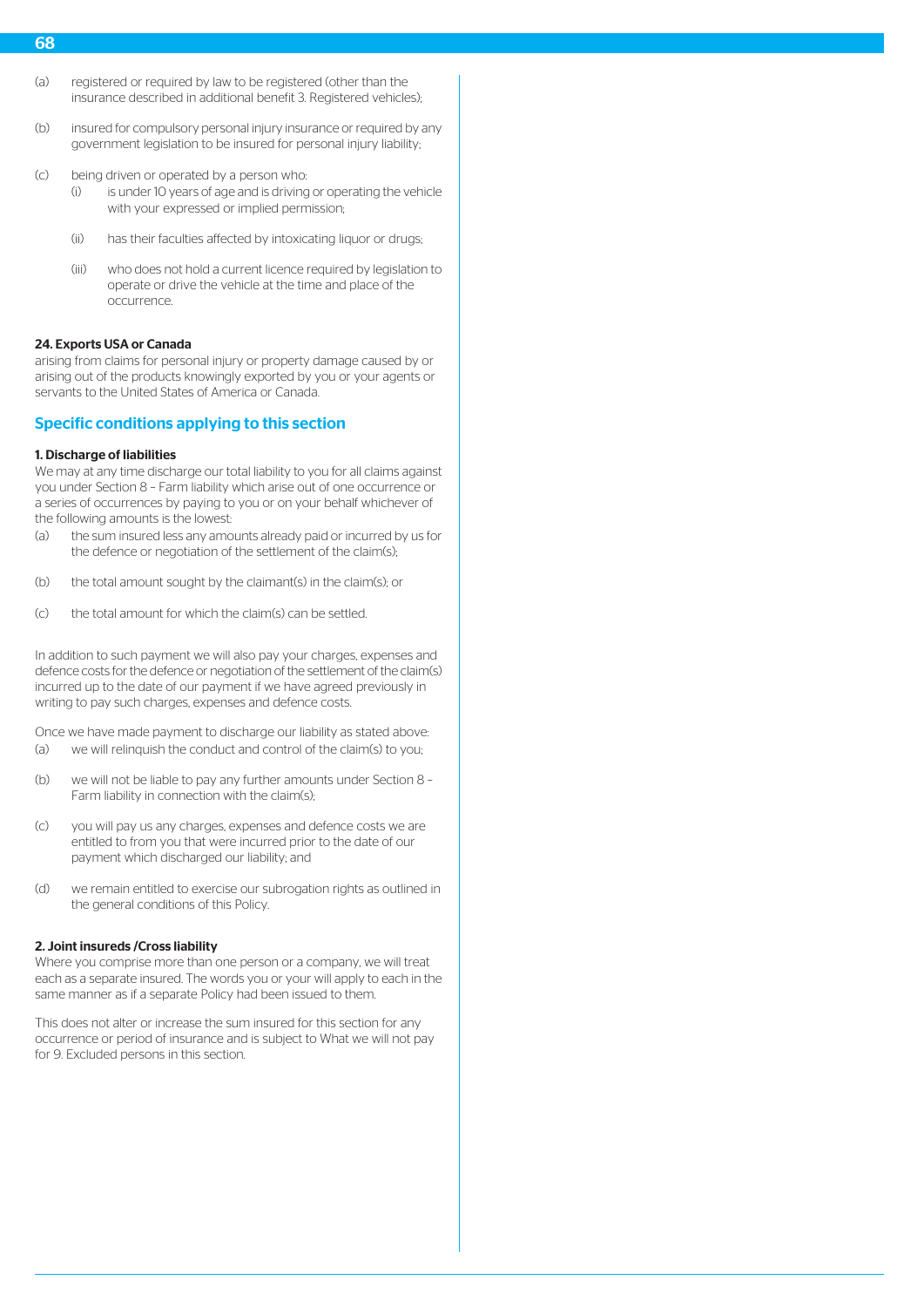- 68
- (a) registered or required by law to be registered (other than the insurance described in additional benefit 3. Registered vehicles);
- (b) insured for compulsory personal injury insurance or required by any government legislation to be insured for personal injury liability;
- (c) being driven or operated by a person who:
	- (i) is under 10 years of age and is driving or operating the vehicle with your expressed or implied permission;
	- (ii) has their faculties affected by intoxicating liquor or drugs;
	- (iii) who does not hold a current licence required by legislation to operate or drive the vehicle at the time and place of the occurrence.

#### 24. Exports USA or Canada

arising from claims for personal injury or property damage caused by or arising out of the products knowingly exported by you or your agents or servants to the United States of America or Canada.

# Specific conditions applying to this section

#### 1. Discharge of liabilities

We may at any time discharge our total liability to you for all claims against you under Section 8 – Farm liability which arise out of one occurrence or a series of occurrences by paying to you or on your behalf whichever of the following amounts is the lowest:

- (a) the sum insured less any amounts already paid or incurred by us for the defence or negotiation of the settlement of the claim(s);
- (b) the total amount sought by the claimant(s) in the claim(s); or
- (c) the total amount for which the claim(s) can be settled.

In addition to such payment we will also pay your charges, expenses and defence costs for the defence or negotiation of the settlement of the claim(s) incurred up to the date of our payment if we have agreed previously in writing to pay such charges, expenses and defence costs.

Once we have made payment to discharge our liability as stated above: (a) we will relinquish the conduct and control of the claim(s) to you;

- (b) we will not be liable to pay any further amounts under Section 8 Farm liability in connection with the claim(s);
- (c) you will pay us any charges, expenses and defence costs we are entitled to from you that were incurred prior to the date of our payment which discharged our liability; and
- (d) we remain entitled to exercise our subrogation rights as outlined in the general conditions of this Policy.

### 2. Joint insureds /Cross liability

Where you comprise more than one person or a company, we will treat each as a separate insured. The words you or your will apply to each in the same manner as if a separate Policy had been issued to them.

This does not alter or increase the sum insured for this section for any occurrence or period of insurance and is subject to What we will not pay for 9. Excluded persons in this section.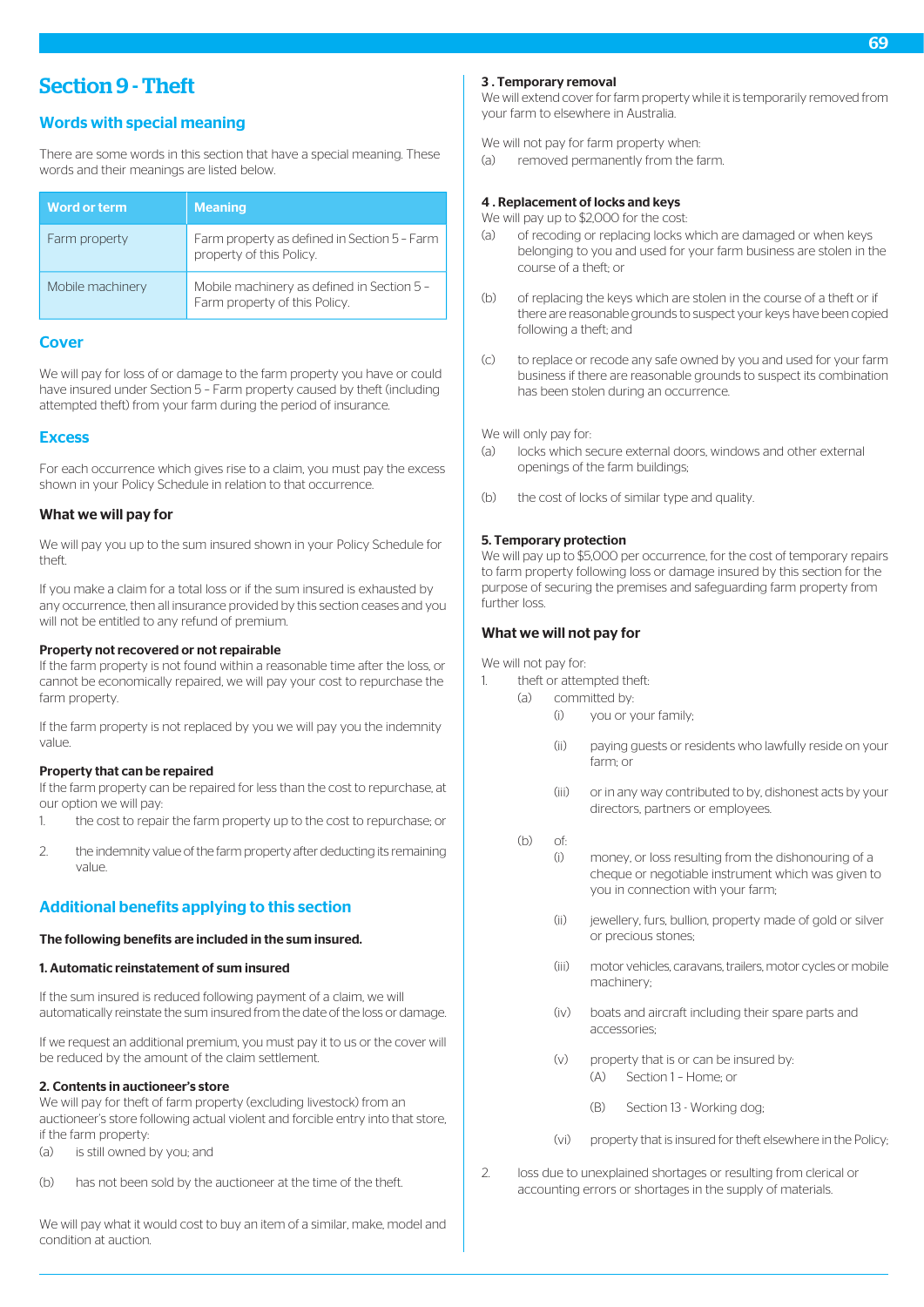# Section 9 - Theft

# Words with special meaning

There are some words in this section that have a special meaning. These words and their meanings are listed below.

| <b>Word or term</b> | <b>Meaning</b>                                                              |
|---------------------|-----------------------------------------------------------------------------|
| Farm property       | Farm property as defined in Section 5 - Farm<br>property of this Policy.    |
| Mobile machinery    | Mobile machinery as defined in Section 5 -<br>Farm property of this Policy. |

# Cover

We will pay for loss of or damage to the farm property you have or could have insured under Section 5 – Farm property caused by theft (including attempted theft) from your farm during the period of insurance.

# **Excess**

For each occurrence which gives rise to a claim, you must pay the excess shown in your Policy Schedule in relation to that occurrence.

# What we will pay for

We will pay you up to the sum insured shown in your Policy Schedule for theft.

If you make a claim for a total loss or if the sum insured is exhausted by any occurrence, then all insurance provided by this section ceases and you will not be entitled to any refund of premium.

### Property not recovered or not repairable

If the farm property is not found within a reasonable time after the loss, or cannot be economically repaired, we will pay your cost to repurchase the farm property.

If the farm property is not replaced by you we will pay you the indemnity value.

# Property that can be repaired

If the farm property can be repaired for less than the cost to repurchase, at our option we will pay:

- 1. the cost to repair the farm property up to the cost to repurchase; or
- 2. the indemnity value of the farm property after deducting its remaining value.

# Additional benefits applying to this section

# The following benefits are included in the sum insured.

# 1. Automatic reinstatement of sum insured

If the sum insured is reduced following payment of a claim, we will automatically reinstate the sum insured from the date of the loss or damage.

If we request an additional premium, you must pay it to us or the cover will be reduced by the amount of the claim settlement.

# 2. Contents in auctioneer's store

We will pay for theft of farm property (excluding livestock) from an auctioneer's store following actual violent and forcible entry into that store, if the farm property:

- (a) is still owned by you; and
- (b) has not been sold by the auctioneer at the time of the theft.

We will pay what it would cost to buy an item of a similar, make, model and condition at auction.

### 3 . Temporary removal

We will extend cover for farm property while it is temporarily removed from your farm to elsewhere in Australia.

We will not pay for farm property when:

(a) removed permanently from the farm.

# 4 . Replacement of locks and keys

We will pay up to \$2,000 for the cost:

- (a) of recoding or replacing locks which are damaged or when keys belonging to you and used for your farm business are stolen in the course of a theft; or
- (b) of replacing the keys which are stolen in the course of a theft or if there are reasonable grounds to suspect your keys have been copied following a theft; and
- (c) to replace or recode any safe owned by you and used for your farm business if there are reasonable grounds to suspect its combination has been stolen during an occurrence.

We will only pay for:

- (a) locks which secure external doors, windows and other external openings of the farm buildings;
- (b) the cost of locks of similar type and quality.

# 5. Temporary protection

We will pay up to \$5,000 per occurrence, for the cost of temporary repairs to farm property following loss or damage insured by this section for the purpose of securing the premises and safeguarding farm property from further loss.

# What we will not pay for

We will not pay for:

- 1. theft or attempted theft:
	- (a) committed by:
		- (i) you or your family;
		- (ii) paying guests or residents who lawfully reside on your farm; or
		- (iii) or in any way contributed to by, dishonest acts by your directors, partners or employees.
		- (b) of:
			- (i) money, or loss resulting from the dishonouring of a cheque or negotiable instrument which was given to you in connection with your farm;
			- (ii) jewellery, furs, bullion, property made of gold or silver or precious stones;
			- (iii) motor vehicles, caravans, trailers, motor cycles or mobile machinery;
			- (iv) boats and aircraft including their spare parts and accessories;
			- (v) property that is or can be insured by: (A) Section 1 – Home; or
				- (B) Section 13 Working dog;
			- (vi) property that is insured for theft elsewhere in the Policy;
- 2. loss due to unexplained shortages or resulting from clerical or accounting errors or shortages in the supply of materials.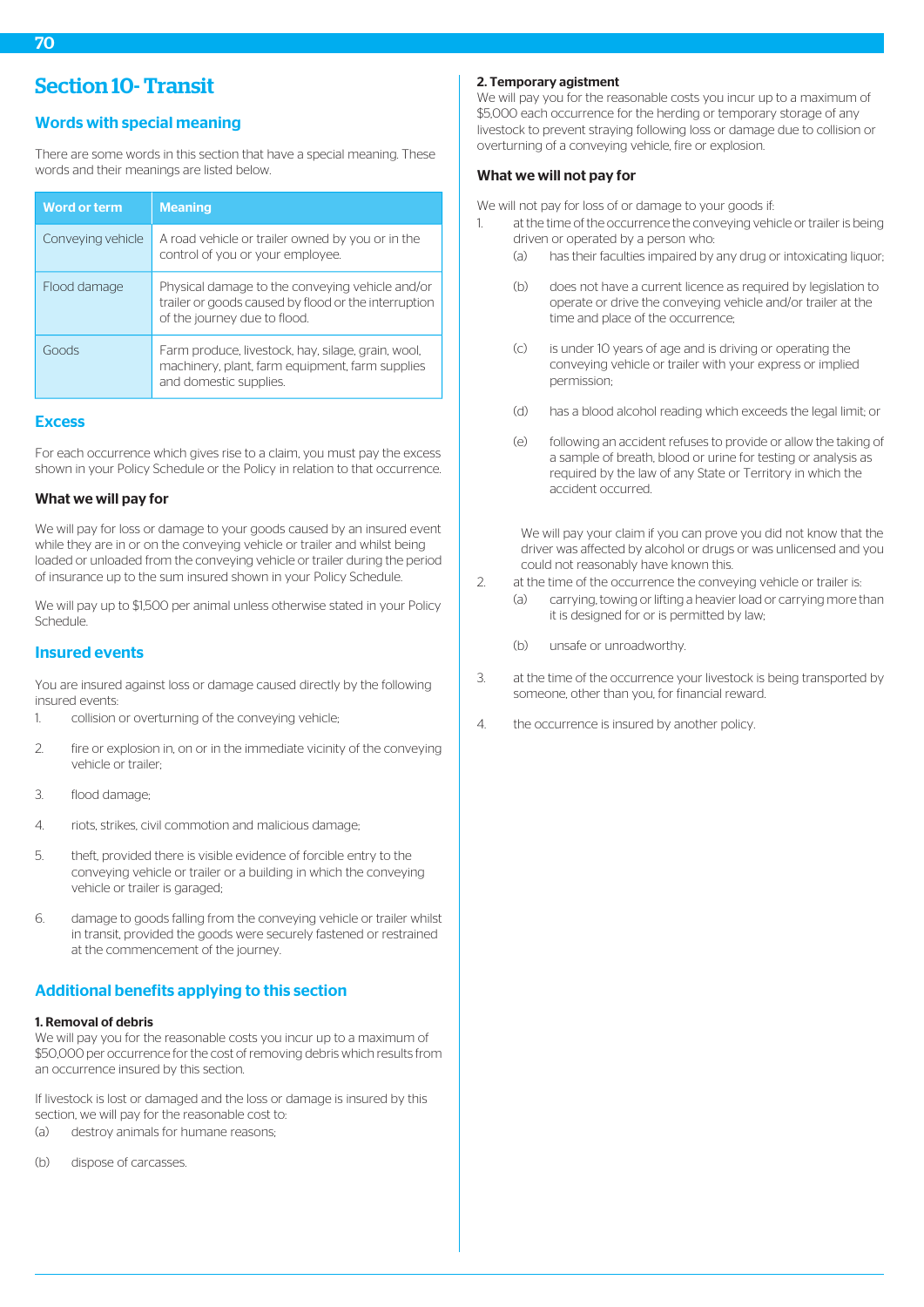# Words with special meaning

There are some words in this section that have a special meaning. These words and their meanings are listed below.

| <b>Word or term</b> | <b>Meaning</b>                                                                                                                          |
|---------------------|-----------------------------------------------------------------------------------------------------------------------------------------|
| Conveying vehicle   | A road vehicle or trailer owned by you or in the<br>control of you or your employee.                                                    |
| Flood damage        | Physical damage to the conveying vehicle and/or<br>trailer or goods caused by flood or the interruption<br>of the journey due to flood. |
| Goods               | Farm produce, livestock, hay, silage, grain, wool,<br>machinery, plant, farm equipment, farm supplies<br>and domestic supplies.         |

# **Excess**

For each occurrence which gives rise to a claim, you must pay the excess shown in your Policy Schedule or the Policy in relation to that occurrence.

# What we will pay for

We will pay for loss or damage to your goods caused by an insured event while they are in or on the conveying vehicle or trailer and whilst being loaded or unloaded from the conveying vehicle or trailer during the period of insurance up to the sum insured shown in your Policy Schedule.

We will pay up to \$1,500 per animal unless otherwise stated in your Policy Schedule.

# Insured events

You are insured against loss or damage caused directly by the following insured events:

- 1. collision or overturning of the conveying vehicle;
- 2. fire or explosion in, on or in the immediate vicinity of the conveying vehicle or trailer;
- 3. flood damage;
- 4. riots, strikes, civil commotion and malicious damage;
- 5. theft, provided there is visible evidence of forcible entry to the conveying vehicle or trailer or a building in which the conveying vehicle or trailer is garaged;
- 6. damage to goods falling from the conveying vehicle or trailer whilst in transit, provided the goods were securely fastened or restrained at the commencement of the journey.

# Additional benefits applying to this section

# 1. Removal of debris

We will pay you for the reasonable costs you incur up to a maximum of \$50,000 per occurrence for the cost of removing debris which results from an occurrence insured by this section.

If livestock is lost or damaged and the loss or damage is insured by this section, we will pay for the reasonable cost to: (a) destroy animals for humane reasons;

(b) dispose of carcasses.

# 2. Temporary agistment

We will pay you for the reasonable costs you incur up to a maximum of \$5,000 each occurrence for the herding or temporary storage of any livestock to prevent straying following loss or damage due to collision or overturning of a conveying vehicle, fire or explosion.

# What we will not pay for

We will not pay for loss of or damage to your goods if:

- 1. at the time of the occurrence the conveying vehicle or trailer is being driven or operated by a person who:
	- (a) has their faculties impaired by any drug or intoxicating liquor;
	- (b) does not have a current licence as required by legislation to operate or drive the conveying vehicle and/or trailer at the time and place of the occurrence;
	- (c) is under 10 years of age and is driving or operating the conveying vehicle or trailer with your express or implied permission;
	- (d) has a blood alcohol reading which exceeds the legal limit; or
	- (e) following an accident refuses to provide or allow the taking of a sample of breath, blood or urine for testing or analysis as required by the law of any State or Territory in which the accident occurred.

We will pay your claim if you can prove you did not know that the driver was affected by alcohol or drugs or was unlicensed and you could not reasonably have known this.

- 2. at the time of the occurrence the conveying vehicle or trailer is:
	- (a) carrying, towing or lifting a heavier load or carrying more than it is designed for or is permitted by law;
	- (b) unsafe or unroadworthy.
- 3. at the time of the occurrence your livestock is being transported by someone, other than you, for financial reward.
- 4. the occurrence is insured by another policy.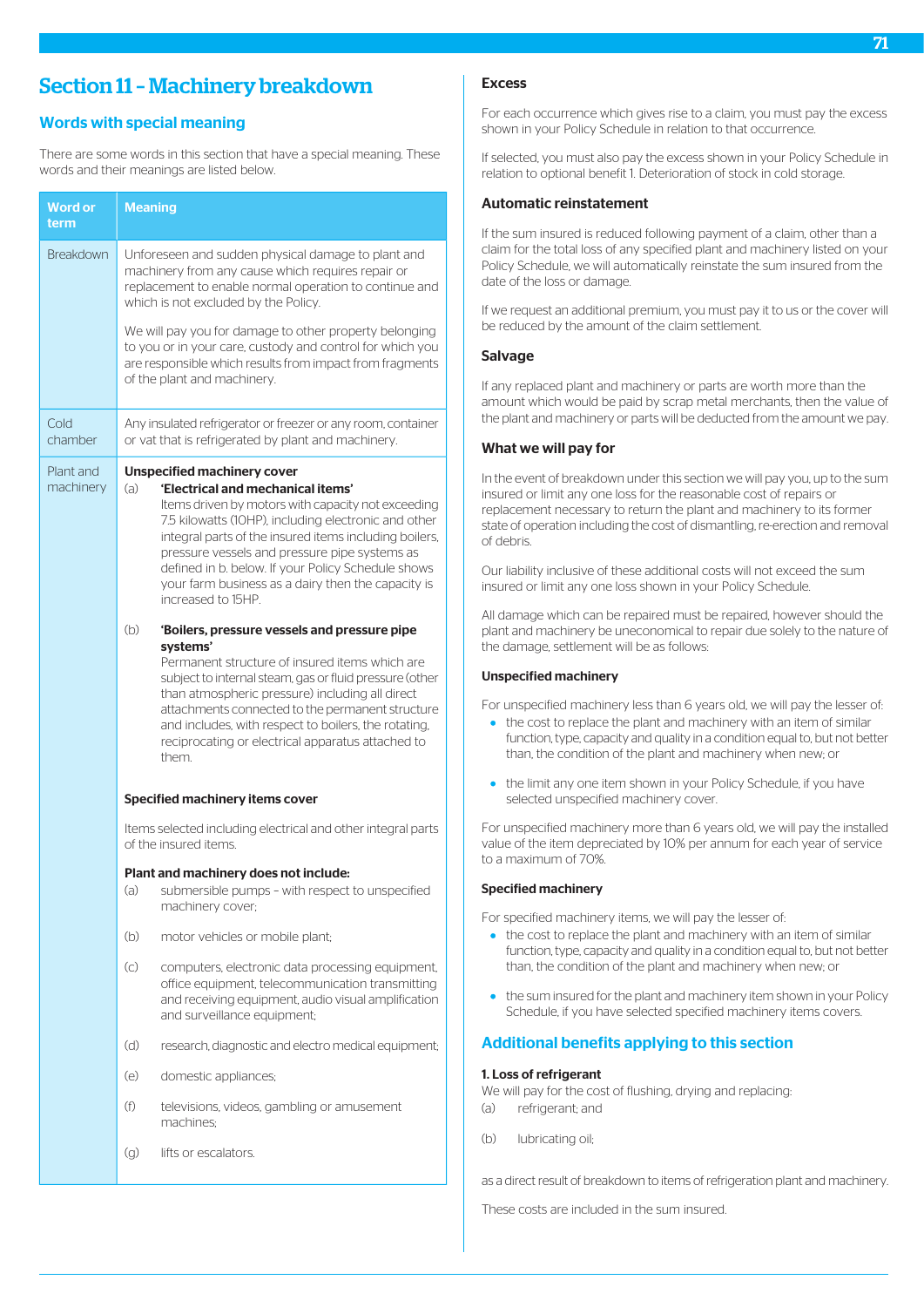# Section 11 – Machinery breakdown

# Words with special meaning

There are some words in this section that have a special meaning. These words and their meanings are listed below.

| <b>Word or</b><br>term | <b>Meaning</b>                                                                                                                                                                                                                                                                                                                                                                                                                            |
|------------------------|-------------------------------------------------------------------------------------------------------------------------------------------------------------------------------------------------------------------------------------------------------------------------------------------------------------------------------------------------------------------------------------------------------------------------------------------|
| <b>Breakdown</b>       | Unforeseen and sudden physical damage to plant and<br>machinery from any cause which requires repair or<br>replacement to enable normal operation to continue and<br>which is not excluded by the Policy.                                                                                                                                                                                                                                 |
|                        | We will pay you for damage to other property belonging<br>to you or in your care, custody and control for which you<br>are responsible which results from impact from fragments<br>of the plant and machinery.                                                                                                                                                                                                                            |
| Cold<br>chamber        | Any insulated refrigerator or freezer or any room, container<br>or vat that is refrigerated by plant and machinery.                                                                                                                                                                                                                                                                                                                       |
| Plant and<br>machinery | <b>Unspecified machinery cover</b><br>'Electrical and mechanical items'<br>(a)<br>Items driven by motors with capacity not exceeding<br>7.5 kilowatts (10HP), including electronic and other<br>integral parts of the insured items including boilers,<br>pressure vessels and pressure pipe systems as<br>defined in b. below. If your Policy Schedule shows<br>your farm business as a dairy then the capacity is<br>increased to 15HP. |
|                        | (b)<br>'Boilers, pressure vessels and pressure pipe<br>systems'<br>Permanent structure of insured items which are<br>subject to internal steam, gas or fluid pressure (other<br>than atmospheric pressure) including all direct<br>attachments connected to the permanent structure<br>and includes, with respect to boilers, the rotating,<br>reciprocating or electrical apparatus attached to<br>them.                                 |
|                        | <b>Specified machinery items cover</b>                                                                                                                                                                                                                                                                                                                                                                                                    |
|                        | Items selected including electrical and other integral parts<br>of the insured items.                                                                                                                                                                                                                                                                                                                                                     |
|                        | Plant and machinery does not include:<br>(a)<br>submersible pumps - with respect to unspecified<br>machinery cover;                                                                                                                                                                                                                                                                                                                       |
|                        | (b)<br>motor vehicles or mobile plant;                                                                                                                                                                                                                                                                                                                                                                                                    |
|                        | $\left( c\right)$<br>computers, electronic data processing equipment,<br>office equipment, telecommunication transmitting<br>and receiving equipment, audio visual amplification<br>and surveillance equipment;                                                                                                                                                                                                                           |
|                        | (d)<br>research, diagnostic and electro medical equipment;                                                                                                                                                                                                                                                                                                                                                                                |
|                        | (e)<br>domestic appliances;                                                                                                                                                                                                                                                                                                                                                                                                               |
|                        | (f)<br>televisions, videos, gambling or amusement<br>machines;                                                                                                                                                                                                                                                                                                                                                                            |
|                        | lifts or escalators.<br>(g)                                                                                                                                                                                                                                                                                                                                                                                                               |

# Excess

For each occurrence which gives rise to a claim, you must pay the excess shown in your Policy Schedule in relation to that occurrence.

If selected, you must also pay the excess shown in your Policy Schedule in relation to optional benefit 1. Deterioration of stock in cold storage.

### Automatic reinstatement

If the sum insured is reduced following payment of a claim, other than a claim for the total loss of any specified plant and machinery listed on your Policy Schedule, we will automatically reinstate the sum insured from the date of the loss or damage.

If we request an additional premium, you must pay it to us or the cover will be reduced by the amount of the claim settlement.

# Salvage

If any replaced plant and machinery or parts are worth more than the amount which would be paid by scrap metal merchants, then the value of the plant and machinery or parts will be deducted from the amount we pay.

### What we will pay for

In the event of breakdown under this section we will pay you, up to the sum insured or limit any one loss for the reasonable cost of repairs or replacement necessary to return the plant and machinery to its former state of operation including the cost of dismantling, re-erection and removal of debris.

Our liability inclusive of these additional costs will not exceed the sum insured or limit any one loss shown in your Policy Schedule.

All damage which can be repaired must be repaired, however should the plant and machinery be uneconomical to repair due solely to the nature of the damage, settlement will be as follows:

# Unspecified machinery

For unspecified machinery less than 6 years old, we will pay the lesser of:

- the cost to replace the plant and machinery with an item of similar function, type, capacity and quality in a condition equal to, but not better than, the condition of the plant and machinery when new; or
- the limit any one item shown in your Policy Schedule, if you have selected unspecified machinery cover.

For unspecified machinery more than 6 years old, we will pay the installed value of the item depreciated by 10% per annum for each year of service to a maximum of 70%.

### Specified machinery

For specified machinery items, we will pay the lesser of:

- the cost to replace the plant and machinery with an item of similar function, type, capacity and quality in a condition equal to, but not better than, the condition of the plant and machinery when new; or
- the sum insured for the plant and machinery item shown in your Policy Schedule, if you have selected specified machinery items covers.

# Additional benefits applying to this section

### 1. Loss of refrigerant

We will pay for the cost of flushing, drying and replacing: (a) refrigerant; and

(b) lubricating oil;

as a direct result of breakdown to items of refrigeration plant and machinery.

These costs are included in the sum insured.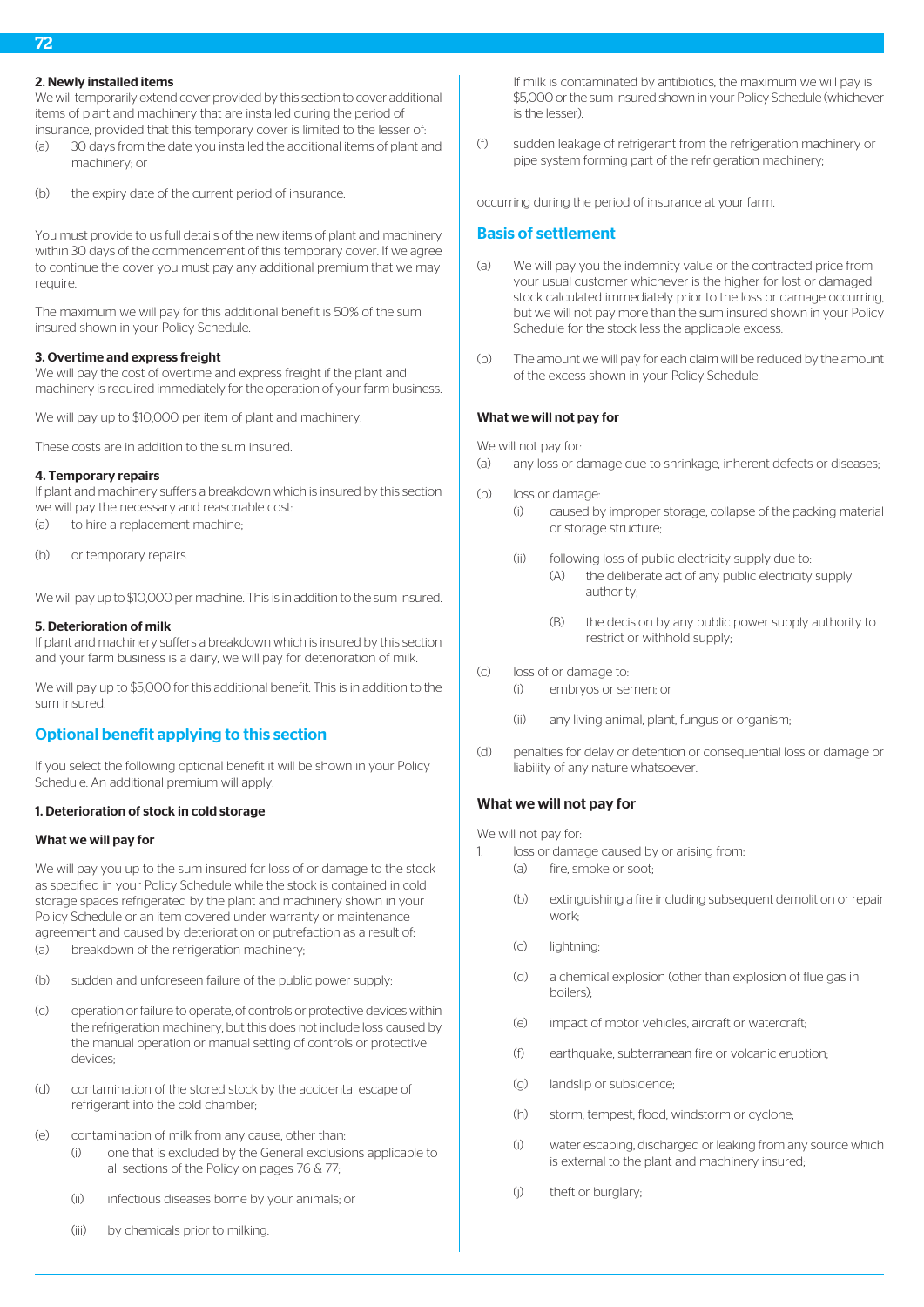## 2. Newly installed items

We will temporarily extend cover provided by this section to cover additional items of plant and machinery that are installed during the period of insurance, provided that this temporary cover is limited to the lesser of:

- (a) 30 days from the date you installed the additional items of plant and machinery; or
- (b) the expiry date of the current period of insurance.

You must provide to us full details of the new items of plant and machinery within 30 days of the commencement of this temporary cover. If we agree to continue the cover you must pay any additional premium that we may require.

The maximum we will pay for this additional benefit is 50% of the sum insured shown in your Policy Schedule.

# 3. Overtime and express freight

We will pay the cost of overtime and express freight if the plant and machinery is required immediately for the operation of your farm business.

We will pay up to \$10,000 per item of plant and machinery.

These costs are in addition to the sum insured.

# 4. Temporary repairs

If plant and machinery suffers a breakdown which is insured by this section we will pay the necessary and reasonable cost:

- (a) to hire a replacement machine;
- (b) or temporary repairs.

We will pay up to \$10,000 per machine. This is in addition to the sum insured.

#### 5. Deterioration of milk

If plant and machinery suffers a breakdown which is insured by this section and your farm business is a dairy, we will pay for deterioration of milk.

We will pay up to \$5,000 for this additional benefit. This is in addition to the sum insured.

# Optional benefit applying to this section

If you select the following optional benefit it will be shown in your Policy Schedule. An additional premium will apply.

#### 1. Deterioration of stock in cold storage

#### What we will pay for

We will pay you up to the sum insured for loss of or damage to the stock as specified in your Policy Schedule while the stock is contained in cold storage spaces refrigerated by the plant and machinery shown in your Policy Schedule or an item covered under warranty or maintenance agreement and caused by deterioration or putrefaction as a result of: (a) breakdown of the refrigeration machinery;

- (b) sudden and unforeseen failure of the public power supply;
- (c) operation or failure to operate, of controls or protective devices within the refrigeration machinery, but this does not include loss caused by the manual operation or manual setting of controls or protective devices;
- (d) contamination of the stored stock by the accidental escape of refrigerant into the cold chamber;
- (e) contamination of milk from any cause, other than:
	- (i) one that is excluded by the General exclusions applicable to all sections of the Policy on pages 76 & 77;
	- (ii) infectious diseases borne by your animals; or
	- (iii) by chemicals prior to milking.

If milk is contaminated by antibiotics, the maximum we will pay is \$5,000 or the sum insured shown in your Policy Schedule (whichever is the lesser).

(f) sudden leakage of refrigerant from the refrigeration machinery or pipe system forming part of the refrigeration machinery;

occurring during the period of insurance at your farm.

## Basis of settlement

- (a) We will pay you the indemnity value or the contracted price from your usual customer whichever is the higher for lost or damaged stock calculated immediately prior to the loss or damage occurring, but we will not pay more than the sum insured shown in your Policy Schedule for the stock less the applicable excess.
- (b) The amount we will pay for each claim will be reduced by the amount of the excess shown in your Policy Schedule.

#### What we will not pay for

We will not pay for:

- (a) any loss or damage due to shrinkage, inherent defects or diseases;
- (b) loss or damage:
	- (i) caused by improper storage, collapse of the packing material or storage structure;
	- (ii) following loss of public electricity supply due to: (A) the deliberate act of any public electricity supply authority;
		- (B) the decision by any public power supply authority to restrict or withhold supply;
- (c) loss of or damage to:
	- (i) embryos or semen; or
	- (ii) any living animal, plant, fungus or organism;
- (d) penalties for delay or detention or consequential loss or damage or liability of any nature whatsoever.

#### What we will not pay for

We will not pay for:

- 1. loss or damage caused by or arising from:
	- (a) fire, smoke or soot;
	- (b) extinguishing a fire including subsequent demolition or repair work;
	- (c) lightning;
	- (d) a chemical explosion (other than explosion of flue gas in boilers);
	- (e) impact of motor vehicles, aircraft or watercraft;
	- (f) earthquake, subterranean fire or volcanic eruption;
	- (g) landslip or subsidence;
	- (h) storm, tempest, flood, windstorm or cyclone;
	- (i) water escaping, discharged or leaking from any source which is external to the plant and machinery insured;
	- (j) theft or burglary;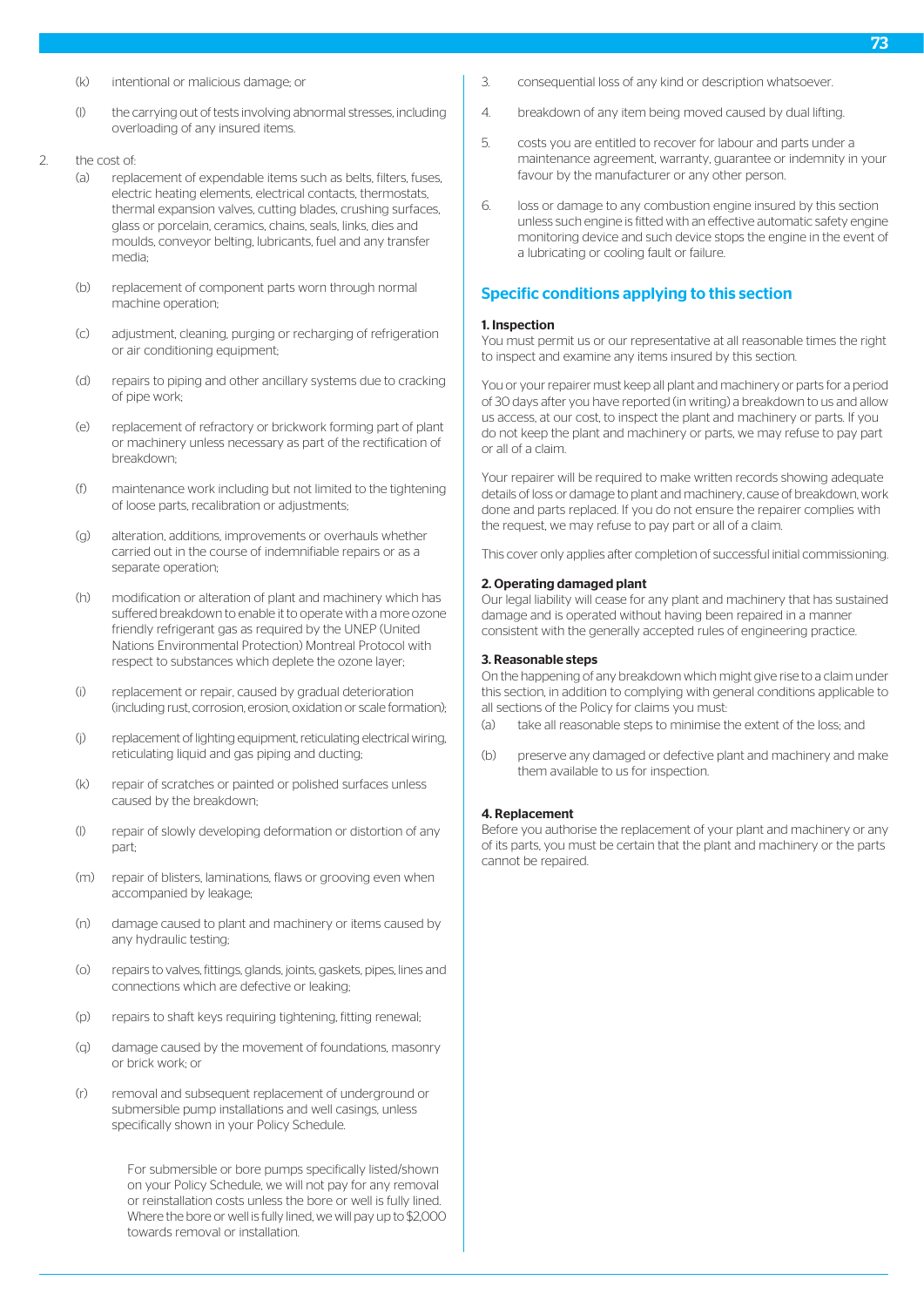- (k) intentional or malicious damage; or
- (l) the carrying out of tests involving abnormal stresses, including overloading of any insured items.
- 2. the cost of:
	- (a) replacement of expendable items such as belts, filters, fuses, electric heating elements, electrical contacts, thermostats, thermal expansion valves, cutting blades, crushing surfaces, glass or porcelain, ceramics, chains, seals, links, dies and moulds, conveyor belting, lubricants, fuel and any transfer media;
	- (b) replacement of component parts worn through normal machine operation;
	- (c) adjustment, cleaning, purging or recharging of refrigeration or air conditioning equipment;
	- (d) repairs to piping and other ancillary systems due to cracking of pipe work;
	- (e) replacement of refractory or brickwork forming part of plant or machinery unless necessary as part of the rectification of breakdown;
	- (f) maintenance work including but not limited to the tightening of loose parts, recalibration or adjustments;
	- (g) alteration, additions, improvements or overhauls whether carried out in the course of indemnifiable repairs or as a separate operation;
	- (h) modification or alteration of plant and machinery which has suffered breakdown to enable it to operate with a more ozone friendly refrigerant gas as required by the UNEP (United Nations Environmental Protection) Montreal Protocol with respect to substances which deplete the ozone layer;
	- (i) replacement or repair, caused by gradual deterioration (including rust, corrosion, erosion, oxidation or scale formation);
	- (j) replacement of lighting equipment, reticulating electrical wiring, reticulating liquid and gas piping and ducting;
	- (k) repair of scratches or painted or polished surfaces unless caused by the breakdown;
	- (l) repair of slowly developing deformation or distortion of any part;
	- (m) repair of blisters, laminations, flaws or grooving even when accompanied by leakage;
	- (n) damage caused to plant and machinery or items caused by any hydraulic testing;
	- (o) repairs to valves, fittings, glands, joints, gaskets, pipes, lines and connections which are defective or leaking;
	- (p) repairs to shaft keys requiring tightening, fitting renewal;
	- (q) damage caused by the movement of foundations, masonry or brick work; or
	- (r) removal and subsequent replacement of underground or submersible pump installations and well casings, unless specifically shown in your Policy Schedule.

For submersible or bore pumps specifically listed/shown on your Policy Schedule, we will not pay for any removal or reinstallation costs unless the bore or well is fully lined. Where the bore or well is fully lined, we will pay up to \$2,000 towards removal or installation.

- 3. consequential loss of any kind or description whatsoever.
- 4. breakdown of any item being moved caused by dual lifting.
- 5. costs you are entitled to recover for labour and parts under a maintenance agreement, warranty, guarantee or indemnity in your favour by the manufacturer or any other person.
- 6. loss or damage to any combustion engine insured by this section unless such engine is fitted with an effective automatic safety engine monitoring device and such device stops the engine in the event of a lubricating or cooling fault or failure.

## Specific conditions applying to this section

#### 1. Inspection

You must permit us or our representative at all reasonable times the right to inspect and examine any items insured by this section.

You or your repairer must keep all plant and machinery or parts for a period of 30 days after you have reported (in writing) a breakdown to us and allow us access, at our cost, to inspect the plant and machinery or parts. If you do not keep the plant and machinery or parts, we may refuse to pay part or all of a claim.

Your repairer will be required to make written records showing adequate details of loss or damage to plant and machinery, cause of breakdown, work done and parts replaced. If you do not ensure the repairer complies with the request, we may refuse to pay part or all of a claim.

This cover only applies after completion of successful initial commissioning.

#### 2. Operating damaged plant

Our legal liability will cease for any plant and machinery that has sustained damage and is operated without having been repaired in a manner consistent with the generally accepted rules of engineering practice.

#### 3. Reasonable steps

On the happening of any breakdown which might give rise to a claim under this section, in addition to complying with general conditions applicable to all sections of the Policy for claims you must:

- (a) take all reasonable steps to minimise the extent of the loss; and
- (b) preserve any damaged or defective plant and machinery and make them available to us for inspection.

#### 4. Replacement

Before you authorise the replacement of your plant and machinery or any of its parts, you must be certain that the plant and machinery or the parts cannot be repaired.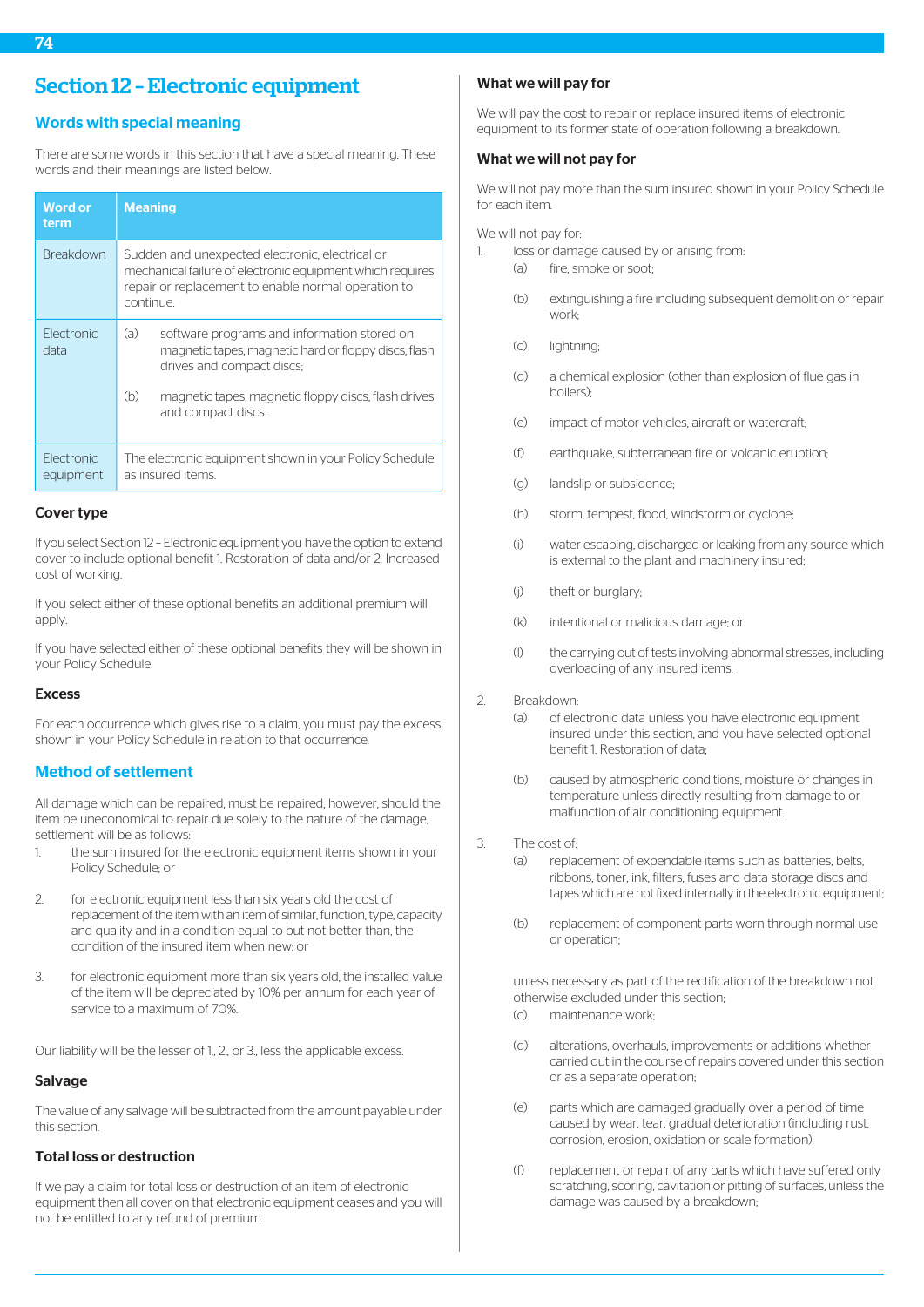# Words with special meaning

There are some words in this section that have a special meaning. These words and their meanings are listed below.

| <b>Word or</b><br>term   | <b>Meaning</b>                                                                                                                                                                   |  |  |
|--------------------------|----------------------------------------------------------------------------------------------------------------------------------------------------------------------------------|--|--|
| <b>Breakdown</b>         | Sudden and unexpected electronic, electrical or<br>mechanical failure of electronic equipment which requires<br>repair or replacement to enable normal operation to<br>continue. |  |  |
| Flectronic<br>data       | (a)<br>software programs and information stored on<br>magnetic tapes, magnetic hard or floppy discs, flash<br>drives and compact discs;                                          |  |  |
|                          | (b)<br>magnetic tapes, magnetic floppy discs, flash drives<br>and compact discs.                                                                                                 |  |  |
| Flectronic.<br>equipment | The electronic equipment shown in your Policy Schedule<br>as insured items.                                                                                                      |  |  |

## Cover type

If you select Section 12 – Electronic equipment you have the option to extend cover to include optional benefit 1. Restoration of data and/or 2. Increased cost of working.

If you select either of these optional benefits an additional premium will apply

If you have selected either of these optional benefits they will be shown in your Policy Schedule.

#### Excess

For each occurrence which gives rise to a claim, you must pay the excess shown in your Policy Schedule in relation to that occurrence.

# Method of settlement

All damage which can be repaired, must be repaired, however, should the item be uneconomical to repair due solely to the nature of the damage, settlement will be as follows:

- the sum insured for the electronic equipment items shown in your Policy Schedule; or
- 2. for electronic equipment less than six years old the cost of replacement of the item with an item of similar, function, type, capacity and quality and in a condition equal to but not better than, the condition of the insured item when new; or
- 3. for electronic equipment more than six years old, the installed value of the item will be depreciated by 10% per annum for each year of service to a maximum of 70%.

Our liability will be the lesser of 1., 2., or 3., less the applicable excess.

#### **Salvage**

The value of any salvage will be subtracted from the amount payable under this section.

# Total loss or destruction

If we pay a claim for total loss or destruction of an item of electronic equipment then all cover on that electronic equipment ceases and you will not be entitled to any refund of premium.

## What we will pay for

We will pay the cost to repair or replace insured items of electronic equipment to its former state of operation following a breakdown.

## What we will not pay for

We will not pay more than the sum insured shown in your Policy Schedule for each item.

We will not pay for:

- 1. loss or damage caused by or arising from:
	- (a) fire, smoke or soot;
	- (b) extinguishing a fire including subsequent demolition or repair work;
	- (c) lightning;
	- (d) a chemical explosion (other than explosion of flue gas in boilers);
	- (e) impact of motor vehicles, aircraft or watercraft;
	- (f) earthquake, subterranean fire or volcanic eruption;
	- (g) landslip or subsidence;
	- (h) storm, tempest, flood, windstorm or cyclone;
	- (i) water escaping, discharged or leaking from any source which is external to the plant and machinery insured;
	- (j) theft or burglary;
	- (k) intentional or malicious damage; or
	- (l) the carrying out of tests involving abnormal stresses, including overloading of any insured items.
- 2. Breakdown:
	- (a) of electronic data unless you have electronic equipment insured under this section, and you have selected optional benefit 1. Restoration of data;
	- (b) caused by atmospheric conditions, moisture or changes in temperature unless directly resulting from damage to or malfunction of air conditioning equipment.

#### 3. The cost of:

- (a) replacement of expendable items such as batteries, belts, ribbons, toner, ink, filters, fuses and data storage discs and tapes which are not fixed internally in the electronic equipment;
- (b) replacement of component parts worn through normal use or operation;

unless necessary as part of the rectification of the breakdown not otherwise excluded under this section;

- (c) maintenance work;
- (d) alterations, overhauls, improvements or additions whether carried out in the course of repairs covered under this section or as a separate operation;
- (e) parts which are damaged gradually over a period of time caused by wear, tear, gradual deterioration (including rust, corrosion, erosion, oxidation or scale formation);
- (f) replacement or repair of any parts which have suffered only scratching, scoring, cavitation or pitting of surfaces, unless the damage was caused by a breakdown;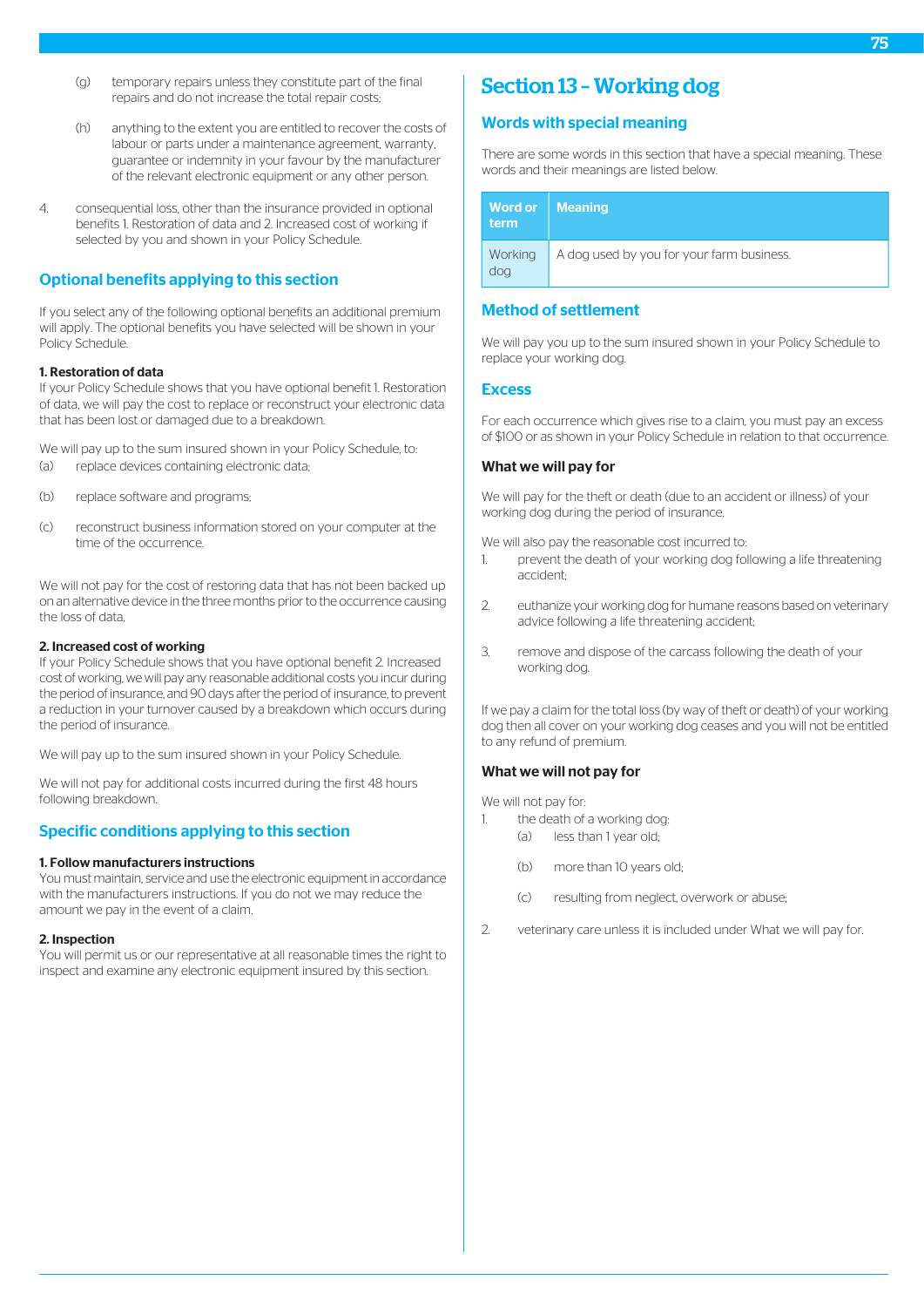- (g) temporary repairs unless they constitute part of the final repairs and do not increase the total repair costs;
- (h) anything to the extent you are entitled to recover the costs of labour or parts under a maintenance agreement, warranty, guarantee or indemnity in your favour by the manufacturer of the relevant electronic equipment or any other person.
- 4. consequential loss, other than the insurance provided in optional benefits 1. Restoration of data and 2. Increased cost of working if selected by you and shown in your Policy Schedule.

# Optional benefits applying to this section

If you select any of the following optional benefits an additional premium will apply. The optional benefits you have selected will be shown in your Policy Schedule.

#### 1. Restoration of data

If your Policy Schedule shows that you have optional benefit 1. Restoration of data, we will pay the cost to replace or reconstruct your electronic data that has been lost or damaged due to a breakdown.

We will pay up to the sum insured shown in your Policy Schedule, to: (a) replace devices containing electronic data;

- (b) replace software and programs;
- (c) reconstruct business information stored on your computer at the time of the occurrence.

We will not pay for the cost of restoring data that has not been backed up on an alternative device in the three months prior to the occurrence causing the loss of data.

#### 2. Increased cost of working

If your Policy Schedule shows that you have optional benefit 2. Increased cost of working, we will pay any reasonable additional costs you incur during the period of insurance, and 90 days after the period of insurance, to prevent a reduction in your turnover caused by a breakdown which occurs during the period of insurance.

We will pay up to the sum insured shown in your Policy Schedule.

We will not pay for additional costs incurred during the first 48 hours following breakdown.

# Specific conditions applying to this section

#### 1. Follow manufacturers instructions

You must maintain, service and use the electronic equipment in accordance with the manufacturers instructions. If you do not we may reduce the amount we pay in the event of a claim.

#### 2. Inspection

You will permit us or our representative at all reasonable times the right to inspect and examine any electronic equipment insured by this section.

# Section 13 – Working dog

## Words with special meaning

There are some words in this section that have a special meaning. These words and their meanings are listed below.

| Word or   Meaning<br>term |                                           |
|---------------------------|-------------------------------------------|
| Working<br>dog            | A dog used by you for your farm business. |

# Method of settlement

We will pay you up to the sum insured shown in your Policy Schedule to replace your working dog.

#### **Excess**

For each occurrence which gives rise to a claim, you must pay an excess of \$100 or as shown in your Policy Schedule in relation to that occurrence.

## What we will pay for

We will pay for the theft or death (due to an accident or illness) of your working dog during the period of insurance.

We will also pay the reasonable cost incurred to:

- 1. prevent the death of your working dog following a life threatening accident;
- 2. euthanize your working dog for humane reasons based on veterinary advice following a life threatening accident;
- 3. remove and dispose of the carcass following the death of your working dog.

If we pay a claim for the total loss (by way of theft or death) of your working dog then all cover on your working dog ceases and you will not be entitled to any refund of premium.

### What we will not pay for

We will not pay for:

- 1. the death of a working dog: (a) less than 1 year old;
	- (b) more than 10 years old;
	- (c) resulting from neglect, overwork or abuse;
- 2. veterinary care unless it is included under What we will pay for.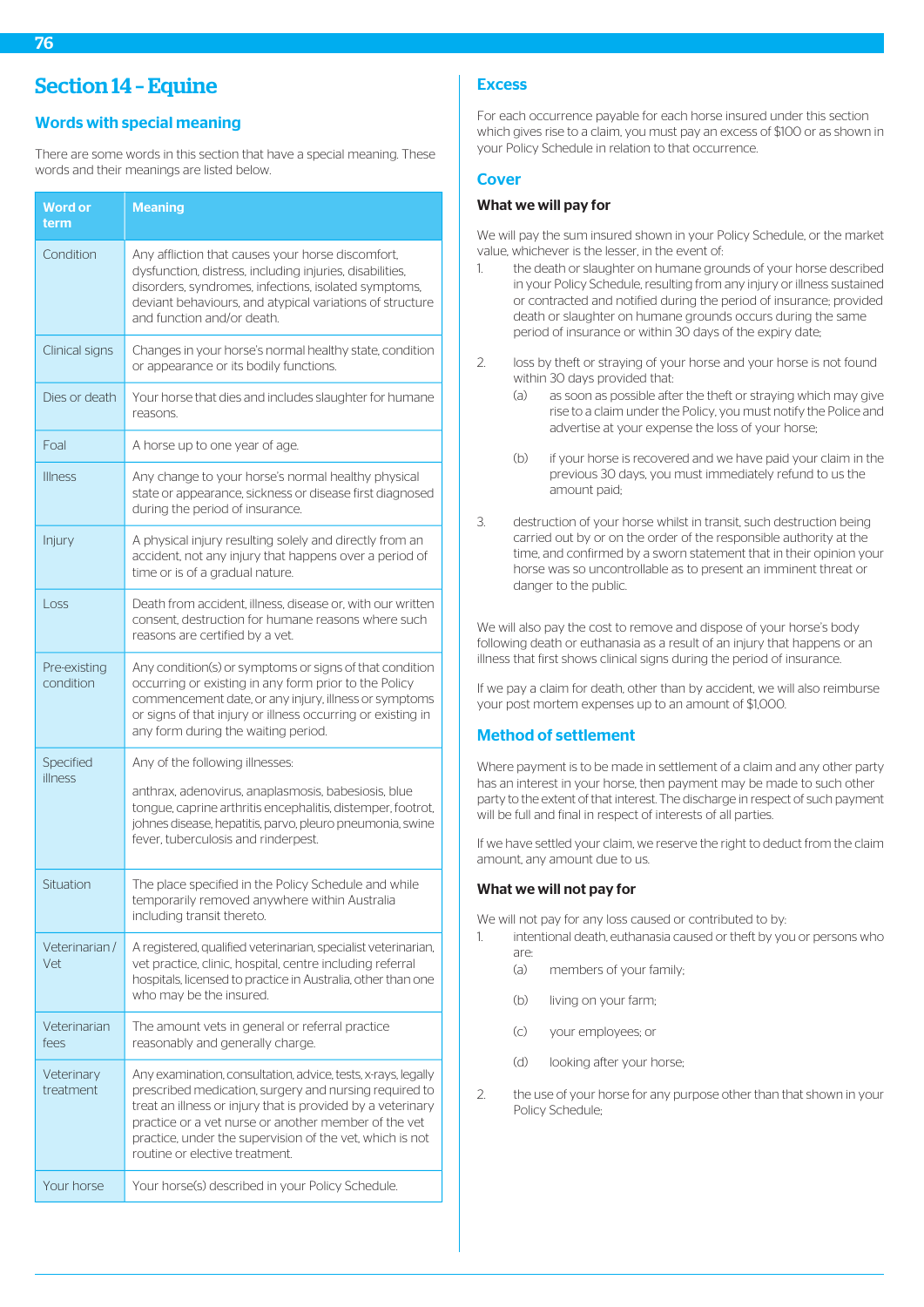76

# Section 14 – Equine

# Words with special meaning

There are some words in this section that have a special meaning. These words and their meanings are listed below.

| <b>Word or</b><br>term    | <b>Meaning</b>                                                                                                                                                                                                                                                                                                                               |  |  |
|---------------------------|----------------------------------------------------------------------------------------------------------------------------------------------------------------------------------------------------------------------------------------------------------------------------------------------------------------------------------------------|--|--|
| Condition                 | Any affliction that causes your horse discomfort,<br>dysfunction, distress, including injuries, disabilities,<br>disorders, syndromes, infections, isolated symptoms,<br>deviant behaviours, and atypical variations of structure<br>and function and/or death.                                                                              |  |  |
| Clinical signs            | Changes in your horse's normal healthy state, condition<br>or appearance or its bodily functions.                                                                                                                                                                                                                                            |  |  |
| Dies or death             | Your horse that dies and includes slaughter for humane<br>reasons.                                                                                                                                                                                                                                                                           |  |  |
| Foal                      | A horse up to one year of age.                                                                                                                                                                                                                                                                                                               |  |  |
| <b>Illness</b>            | Any change to your horse's normal healthy physical<br>state or appearance, sickness or disease first diagnosed<br>during the period of insurance.                                                                                                                                                                                            |  |  |
| Injury                    | A physical injury resulting solely and directly from an<br>accident, not any injury that happens over a period of<br>time or is of a gradual nature.                                                                                                                                                                                         |  |  |
| Loss                      | Death from accident, illness, disease or, with our written<br>consent, destruction for humane reasons where such<br>reasons are certified by a vet.                                                                                                                                                                                          |  |  |
| Pre-existing<br>condition | Any condition(s) or symptoms or signs of that condition<br>occurring or existing in any form prior to the Policy<br>commencement date, or any injury, illness or symptoms<br>or signs of that injury or illness occurring or existing in<br>any form during the waiting period.                                                              |  |  |
| Specified<br>illness      | Any of the following illnesses:                                                                                                                                                                                                                                                                                                              |  |  |
|                           | anthrax, adenovirus, anaplasmosis, babesiosis, blue<br>tongue, caprine arthritis encephalitis, distemper, footrot,<br>johnes disease, hepatitis, parvo, pleuro pneumonia, swine<br>fever, tuberculosis and rinderpest.                                                                                                                       |  |  |
| Situation                 | The place specified in the Policy Schedule and while<br>temporarily removed anywhere within Australia<br>including transit thereto.                                                                                                                                                                                                          |  |  |
| Veterinarian/<br>Vet      | A registered, qualified veterinarian, specialist veterinarian,<br>vet practice, clinic, hospital, centre including referral<br>hospitals, licensed to practice in Australia, other than one<br>who may be the insured.                                                                                                                       |  |  |
| Veterinarian<br>fees      | The amount vets in general or referral practice<br>reasonably and generally charge.                                                                                                                                                                                                                                                          |  |  |
| Veterinary<br>treatment   | Any examination, consultation, advice, tests, x-rays, legally<br>prescribed medication, surgery and nursing required to<br>treat an illness or injury that is provided by a veterinary<br>practice or a vet nurse or another member of the vet<br>practice, under the supervision of the vet, which is not<br>routine or elective treatment. |  |  |
| Your horse                | Your horse(s) described in your Policy Schedule.                                                                                                                                                                                                                                                                                             |  |  |

# **Excess**

For each occurrence payable for each horse insured under this section which gives rise to a claim, you must pay an excess of \$100 or as shown in your Policy Schedule in relation to that occurrence.

# **Cover**

# What we will pay for

We will pay the sum insured shown in your Policy Schedule, or the market value, whichever is the lesser, in the event of:

- 1. the death or slaughter on humane grounds of your horse described in your Policy Schedule, resulting from any injury or illness sustained or contracted and notified during the period of insurance; provided death or slaughter on humane grounds occurs during the same period of insurance or within 30 days of the expiry date;
- 2. loss by theft or straying of your horse and your horse is not found within 30 days provided that:
	- (a) as soon as possible after the theft or straying which may give rise to a claim under the Policy, you must notify the Police and advertise at your expense the loss of your horse;
	- (b) if your horse is recovered and we have paid your claim in the previous 30 days, you must immediately refund to us the amount paid;
- 3. destruction of your horse whilst in transit, such destruction being carried out by or on the order of the responsible authority at the time, and confirmed by a sworn statement that in their opinion your horse was so uncontrollable as to present an imminent threat or danger to the public.

We will also pay the cost to remove and dispose of your horse's body following death or euthanasia as a result of an injury that happens or an illness that first shows clinical signs during the period of insurance.

If we pay a claim for death, other than by accident, we will also reimburse your post mortem expenses up to an amount of \$1,000.

# Method of settlement

Where payment is to be made in settlement of a claim and any other party has an interest in your horse, then payment may be made to such other party to the extent of that interest. The discharge in respect of such payment will be full and final in respect of interests of all parties.

If we have settled your claim, we reserve the right to deduct from the claim amount, any amount due to us.

# What we will not pay for

We will not pay for any loss caused or contributed to by:

- 1. intentional death, euthanasia caused or theft by you or persons who are:
	- (a) members of your family;
	- (b) living on your farm;
	- (c) your employees; or
	- (d) looking after your horse;
- 2. the use of your horse for any purpose other than that shown in your Policy Schedule;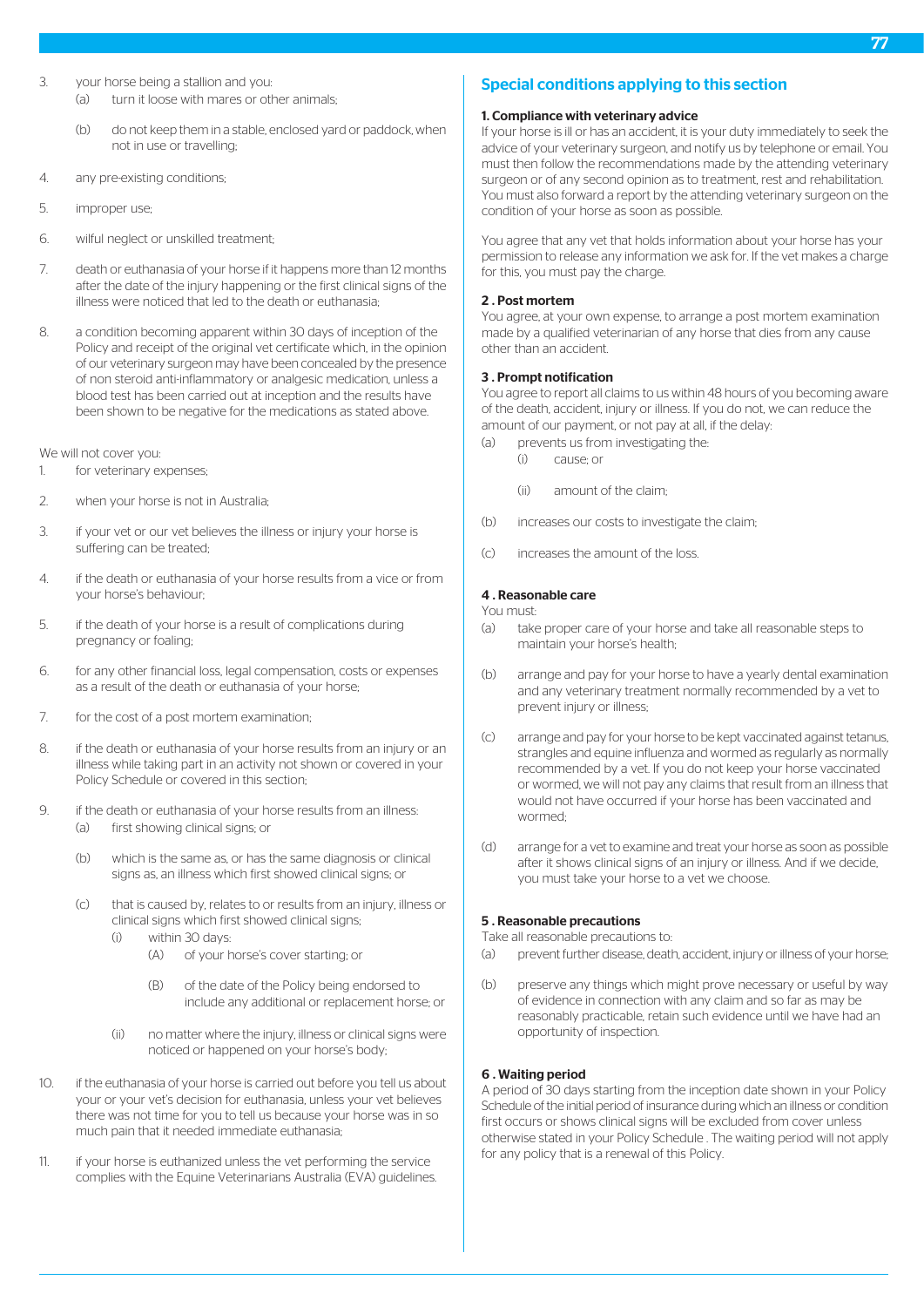- 3. your horse being a stallion and you: (a) turn it loose with mares or other animals;
	- (b) do not keep them in a stable, enclosed yard or paddock, when not in use or travelling;
- 4. any pre-existing conditions;
- 5. improper use;
- 6. wilful neglect or unskilled treatment;
- 7. death or euthanasia of your horse if it happens more than 12 months after the date of the injury happening or the first clinical signs of the illness were noticed that led to the death or euthanasia;
- 8. a condition becoming apparent within 30 days of inception of the Policy and receipt of the original vet certificate which, in the opinion of our veterinary surgeon may have been concealed by the presence of non steroid anti-inflammatory or analgesic medication, unless a blood test has been carried out at inception and the results have been shown to be negative for the medications as stated above.

We will not cover you:

- 1. for veterinary expenses;
- 2. when your horse is not in Australia;
- 3. if your vet or our vet believes the illness or injury your horse is suffering can be treated;
- 4. if the death or euthanasia of your horse results from a vice or from your horse's behaviour;
- 5. if the death of your horse is a result of complications during pregnancy or foaling;
- 6. for any other financial loss, legal compensation, costs or expenses as a result of the death or euthanasia of your horse;
- 7. for the cost of a post mortem examination;
- 8. if the death or euthanasia of your horse results from an injury or an illness while taking part in an activity not shown or covered in your Policy Schedule or covered in this section;
- 9. if the death or euthanasia of your horse results from an illness: (a) first showing clinical signs; or
	- (b) which is the same as, or has the same diagnosis or clinical signs as, an illness which first showed clinical signs; or
	- (c) that is caused by, relates to or results from an injury, illness or clinical signs which first showed clinical signs;
		- (i) within 30 days:
			- (A) of your horse's cover starting; or
			- (B) of the date of the Policy being endorsed to include any additional or replacement horse; or
		- (ii) no matter where the injury, illness or clinical signs were noticed or happened on your horse's body;
- 10. if the euthanasia of your horse is carried out before you tell us about your or your vet's decision for euthanasia, unless your vet believes there was not time for you to tell us because your horse was in so much pain that it needed immediate euthanasia;
- 11. if your horse is euthanized unless the vet performing the service complies with the Equine Veterinarians Australia (EVA) guidelines.

# Special conditions applying to this section

#### 1. Compliance with veterinary advice

If your horse is ill or has an accident, it is your duty immediately to seek the advice of your veterinary surgeon, and notify us by telephone or email. You must then follow the recommendations made by the attending veterinary surgeon or of any second opinion as to treatment, rest and rehabilitation. You must also forward a report by the attending veterinary surgeon on the condition of your horse as soon as possible.

You agree that any vet that holds information about your horse has your permission to release any information we ask for. If the vet makes a charge for this, you must pay the charge.

### 2 . Post mortem

You agree, at your own expense, to arrange a post mortem examination made by a qualified veterinarian of any horse that dies from any cause other than an accident.

#### 3 . Prompt notification

You agree to report all claims to us within 48 hours of you becoming aware of the death, accident, injury or illness. If you do not, we can reduce the amount of our payment, or not pay at all, if the delay:

- (a) prevents us from investigating the:
	- (i) cause; or
	- (ii) amount of the claim;
- (b) increases our costs to investigate the claim;
- (c) increases the amount of the loss.

#### 4 . Reasonable care

#### You must:

- (a) take proper care of your horse and take all reasonable steps to maintain your horse's health;
- (b) arrange and pay for your horse to have a yearly dental examination and any veterinary treatment normally recommended by a vet to prevent injury or illness;
- (c) arrange and pay for your horse to be kept vaccinated against tetanus, strangles and equine influenza and wormed as regularly as normally recommended by a vet. If you do not keep your horse vaccinated or wormed, we will not pay any claims that result from an illness that would not have occurred if your horse has been vaccinated and wormed;
- (d) arrange for a vet to examine and treat your horse as soon as possible after it shows clinical signs of an injury or illness. And if we decide, you must take your horse to a vet we choose.

#### 5 . Reasonable precautions

Take all reasonable precautions to:

- (a) prevent further disease, death, accident, injury or illness of your horse;
- (b) preserve any things which might prove necessary or useful by way of evidence in connection with any claim and so far as may be reasonably practicable, retain such evidence until we have had an opportunity of inspection.

#### 6 . Waiting period

A period of 30 days starting from the inception date shown in your Policy Schedule of the initial period of insurance during which an illness or condition first occurs or shows clinical signs will be excluded from cover unless otherwise stated in your Policy Schedule . The waiting period will not apply for any policy that is a renewal of this Policy.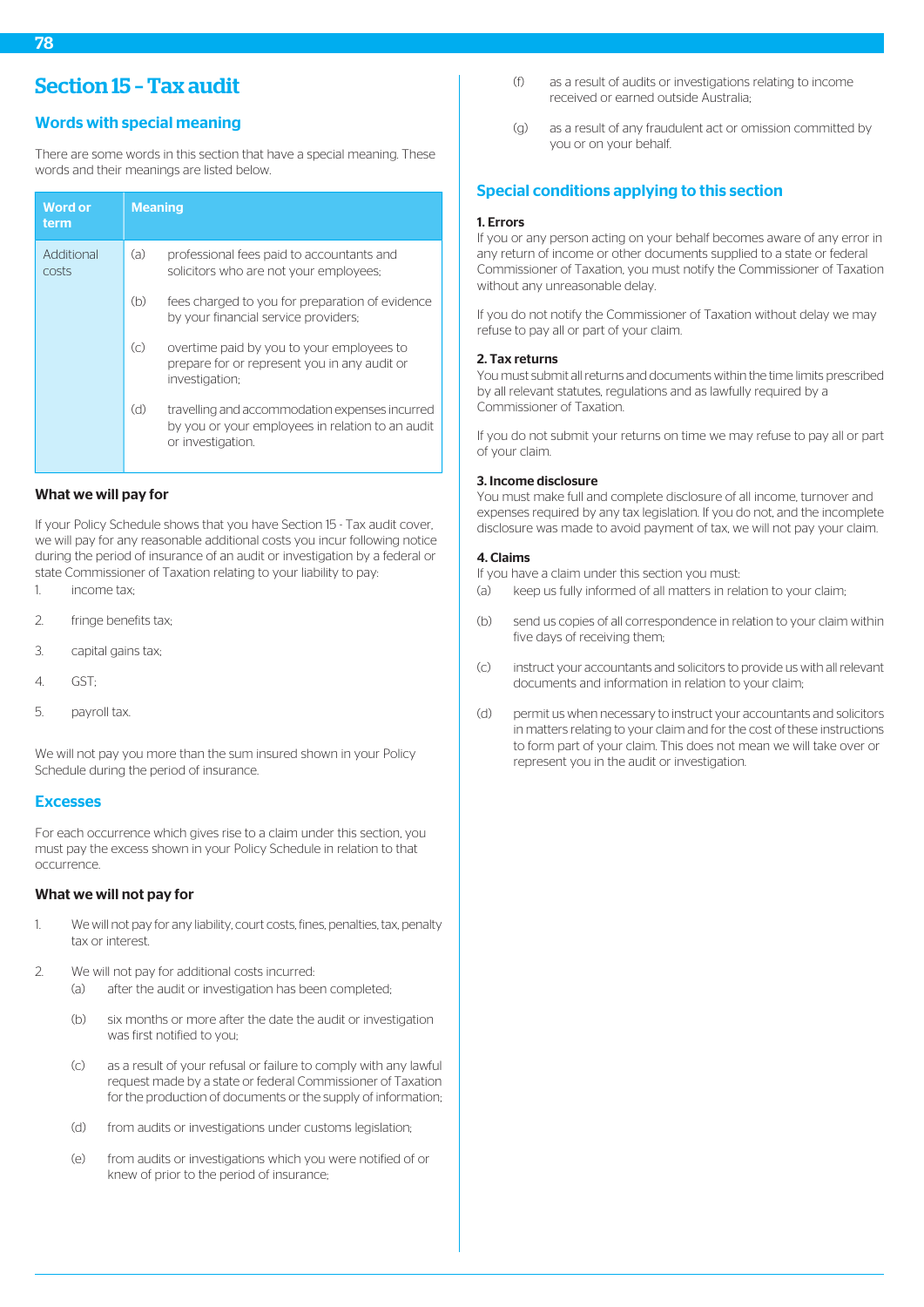# Words with special meaning

There are some words in this section that have a special meaning. These words and their meanings are listed below.

| <b>Word or</b><br>term | <b>Meaning</b>    |                                                                                                                         |
|------------------------|-------------------|-------------------------------------------------------------------------------------------------------------------------|
| Additional<br>costs    | (a)               | professional fees paid to accountants and<br>solicitors who are not your employees;                                     |
|                        | (b)               | fees charged to you for preparation of evidence<br>by your financial service providers;                                 |
|                        | $\left( c\right)$ | overtime paid by you to your employees to<br>prepare for or represent you in any audit or<br>investigation;             |
|                        | (d)               | travelling and accommodation expenses incurred<br>by you or your employees in relation to an audit<br>or investigation. |

# What we will pay for

If your Policy Schedule shows that you have Section 15 - Tax audit cover, we will pay for any reasonable additional costs you incur following notice during the period of insurance of an audit or investigation by a federal or state Commissioner of Taxation relating to your liability to pay:

- 1. income tax;
- 2. fringe benefits tax;
- 3. capital gains tax;
- 4. GST;
- 5. payroll tax.

We will not pay you more than the sum insured shown in your Policy Schedule during the period of insurance.

#### Excesses

For each occurrence which gives rise to a claim under this section, you must pay the excess shown in your Policy Schedule in relation to that occurrence.

## What we will not pay for

- 1. We will not pay for any liability, court costs, fines, penalties, tax, penalty tax or interest.
- 2. We will not pay for additional costs incurred:
	- (a) after the audit or investigation has been completed;
	- (b) six months or more after the date the audit or investigation was first notified to you;
	- (c) as a result of your refusal or failure to comply with any lawful request made by a state or federal Commissioner of Taxation for the production of documents or the supply of information;
	- (d) from audits or investigations under customs legislation;
	- (e) from audits or investigations which you were notified of or knew of prior to the period of insurance;
- (f) as a result of audits or investigations relating to income received or earned outside Australia;
- (g) as a result of any fraudulent act or omission committed by you or on your behalf.

# Special conditions applying to this section

#### 1. Errors

If you or any person acting on your behalf becomes aware of any error in any return of income or other documents supplied to a state or federal Commissioner of Taxation, you must notify the Commissioner of Taxation without any unreasonable delay.

If you do not notify the Commissioner of Taxation without delay we may refuse to pay all or part of your claim.

#### 2. Tax returns

You must submit all returns and documents within the time limits prescribed by all relevant statutes, regulations and as lawfully required by a Commissioner of Taxation.

If you do not submit your returns on time we may refuse to pay all or part of your claim.

#### 3. Income disclosure

You must make full and complete disclosure of all income, turnover and expenses required by any tax legislation. If you do not, and the incomplete disclosure was made to avoid payment of tax, we will not pay your claim.

#### 4. Claims

If you have a claim under this section you must:

- (a) keep us fully informed of all matters in relation to your claim;
- (b) send us copies of all correspondence in relation to your claim within five days of receiving them;
- (c) instruct your accountants and solicitors to provide us with all relevant documents and information in relation to your claim;
- (d) permit us when necessary to instruct your accountants and solicitors in matters relating to your claim and for the cost of these instructions to form part of your claim. This does not mean we will take over or represent you in the audit or investigation.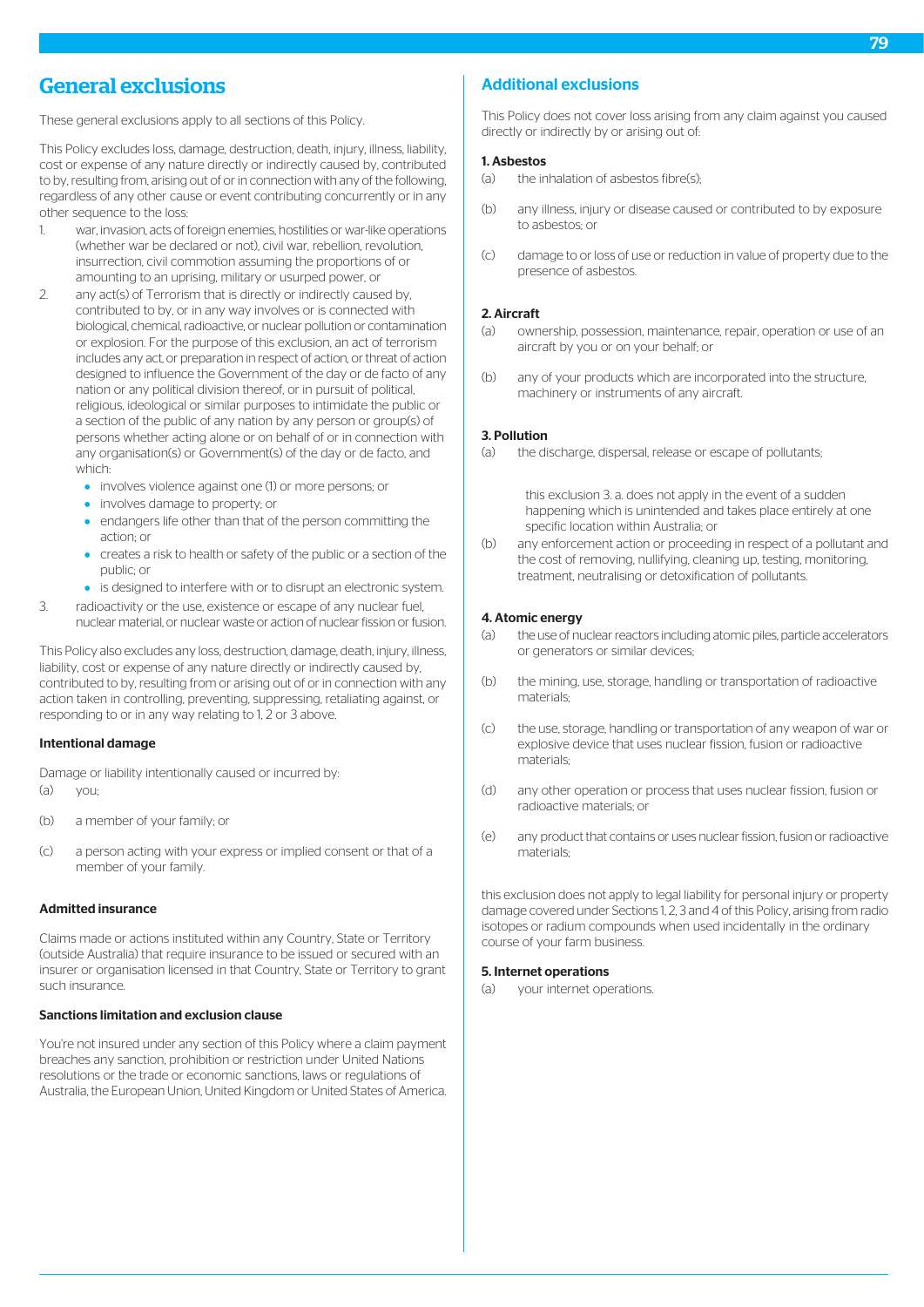# General exclusions

These general exclusions apply to all sections of this Policy.

This Policy excludes loss, damage, destruction, death, injury, illness, liability, cost or expense of any nature directly or indirectly caused by, contributed to by, resulting from, arising out of or in connection with any of the following, regardless of any other cause or event contributing concurrently or in any other sequence to the loss:

- 1. war, invasion, acts of foreign enemies, hostilities or war-like operations (whether war be declared or not), civil war, rebellion, revolution, insurrection, civil commotion assuming the proportions of or amounting to an uprising, military or usurped power, or
- 2. any act(s) of Terrorism that is directly or indirectly caused by, contributed to by, or in any way involves or is connected with biological, chemical, radioactive, or nuclear pollution or contamination or explosion. For the purpose of this exclusion, an act of terrorism includes any act, or preparation in respect of action, or threat of action designed to influence the Government of the day or de facto of any nation or any political division thereof, or in pursuit of political, religious, ideological or similar purposes to intimidate the public or a section of the public of any nation by any person or group(s) of persons whether acting alone or on behalf of or in connection with any organisation(s) or Government(s) of the day or de facto, and which:
	- involves violence against one (1) or more persons; or
	- **•** involves damage to property; or
	- **•** endangers life other than that of the person committing the action; or
	- creates a risk to health or safety of the public or a section of the public; or
	- **•** is designed to interfere with or to disrupt an electronic system.
- 3. radioactivity or the use, existence or escape of any nuclear fuel, nuclear material, or nuclear waste or action of nuclear fission or fusion.

This Policy also excludes any loss, destruction, damage, death, injury, illness, liability, cost or expense of any nature directly or indirectly caused by, contributed to by, resulting from or arising out of or in connection with any action taken in controlling, preventing, suppressing, retaliating against, or responding to or in any way relating to 1, 2 or 3 above.

#### Intentional damage

Damage or liability intentionally caused or incurred by:  $(a)$  vou:

- (b) a member of your family; or
- (c) a person acting with your express or implied consent or that of a member of your family.

#### Admitted insurance

Claims made or actions instituted within any Country, State or Territory (outside Australia) that require insurance to be issued or secured with an insurer or organisation licensed in that Country, State or Territory to grant such insurance.

#### Sanctions limitation and exclusion clause

You're not insured under any section of this Policy where a claim payment breaches any sanction, prohibition or restriction under United Nations resolutions or the trade or economic sanctions, laws or regulations of Australia, the European Union, United Kingdom or United States of America.

# Additional exclusions

This Policy does not cover loss arising from any claim against you caused directly or indirectly by or arising out of:

## 1. Asbestos

- (a) the inhalation of asbestos fibre(s);
- (b) any illness, injury or disease caused or contributed to by exposure to asbestos; or
- (c) damage to or loss of use or reduction in value of property due to the presence of asbestos.

#### 2. Aircraft

- (a) ownership, possession, maintenance, repair, operation or use of an aircraft by you or on your behalf; or
- (b) any of your products which are incorporated into the structure, machinery or instruments of any aircraft.

#### 3. Pollution

(a) the discharge, dispersal, release or escape of pollutants;

this exclusion 3. a. does not apply in the event of a sudden happening which is unintended and takes place entirely at one specific location within Australia; or

(b) any enforcement action or proceeding in respect of a pollutant and the cost of removing, nullifying, cleaning up, testing, monitoring, treatment, neutralising or detoxification of pollutants.

#### 4. Atomic energy

- (a) the use of nuclear reactors including atomic piles, particle accelerators or generators or similar devices;
- (b) the mining, use, storage, handling or transportation of radioactive materials;
- (c) the use, storage, handling or transportation of any weapon of war or explosive device that uses nuclear fission, fusion or radioactive materials;
- (d) any other operation or process that uses nuclear fission, fusion or radioactive materials; or
- (e) any product that contains or uses nuclear fission, fusion or radioactive materials;

this exclusion does not apply to legal liability for personal injury or property damage covered under Sections 1, 2, 3 and 4 of this Policy, arising from radio isotopes or radium compounds when used incidentally in the ordinary course of your farm business.

#### 5. Internet operations

(a) your internet operations.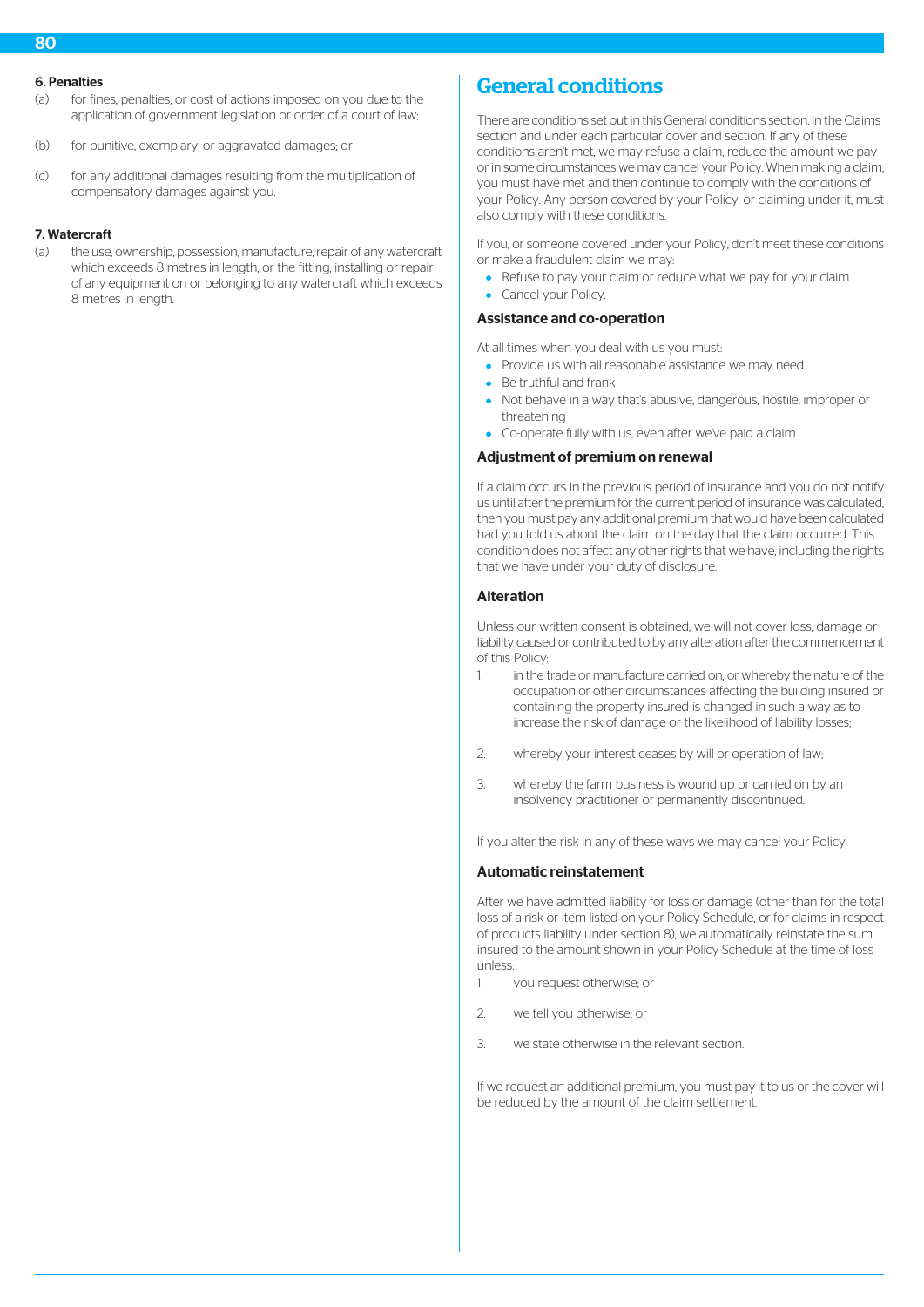- (a) for fines, penalties, or cost of actions imposed on you due to the application of government legislation or order of a court of law;
- (b) for punitive, exemplary, or aggravated damages; or
- (c) for any additional damages resulting from the multiplication of compensatory damages against you.

# 7. Watercraft

(a) the use, ownership, possession, manufacture, repair of any watercraft which exceeds 8 metres in length, or the fitting, installing or repair of any equipment on or belonging to any watercraft which exceeds 8 metres in length.

# General conditions

There are conditions set out in this General conditions section, in the Claims section and under each particular cover and section. If any of these conditions aren't met, we may refuse a claim, reduce the amount we pay or in some circumstances we may cancel your Policy. When making a claim, you must have met and then continue to comply with the conditions of your Policy. Any person covered by your Policy, or claiming under it, must also comply with these conditions.

If you, or someone covered under your Policy, don't meet these conditions or make a fraudulent claim we may:

- Refuse to pay your claim or reduce what we pay for your claim
- Cancel your Policy. ò

# Assistance and co-operation

At all times when you deal with us you must:

- Provide us with all reasonable assistance we may need
- Be truthful and frank
- Not behave in a way that's abusive, dangerous, hostile, improper or threatening
- Co-operate fully with us, even after we've paid a claim.

# Adjustment of premium on renewal

If a claim occurs in the previous period of insurance and you do not notify us until after the premium for the current period of insurance was calculated, then you must pay any additional premium that would have been calculated had you told us about the claim on the day that the claim occurred. This condition does not affect any other rights that we have, including the rights that we have under your duty of disclosure.

#### Alteration

Unless our written consent is obtained, we will not cover loss, damage or liability caused or contributed to by any alteration after the commencement of this Policy:

- 1. in the trade or manufacture carried on, or whereby the nature of the occupation or other circumstances affecting the building insured or containing the property insured is changed in such a way as to increase the risk of damage or the likelihood of liability losses;
- 2. whereby your interest ceases by will or operation of law;
- 3. whereby the farm business is wound up or carried on by an insolvency practitioner or permanently discontinued.

If you alter the risk in any of these ways we may cancel your Policy.

# Automatic reinstatement

After we have admitted liability for loss or damage (other than for the total loss of a risk or item listed on your Policy Schedule, or for claims in respect of products liability under section 8), we automatically reinstate the sum insured to the amount shown in your Policy Schedule at the time of loss unless:

- 1. you request otherwise; or
- 2. we tell you otherwise; or
- 3. we state otherwise in the relevant section.

If we request an additional premium, you must pay it to us or the cover will be reduced by the amount of the claim settlement.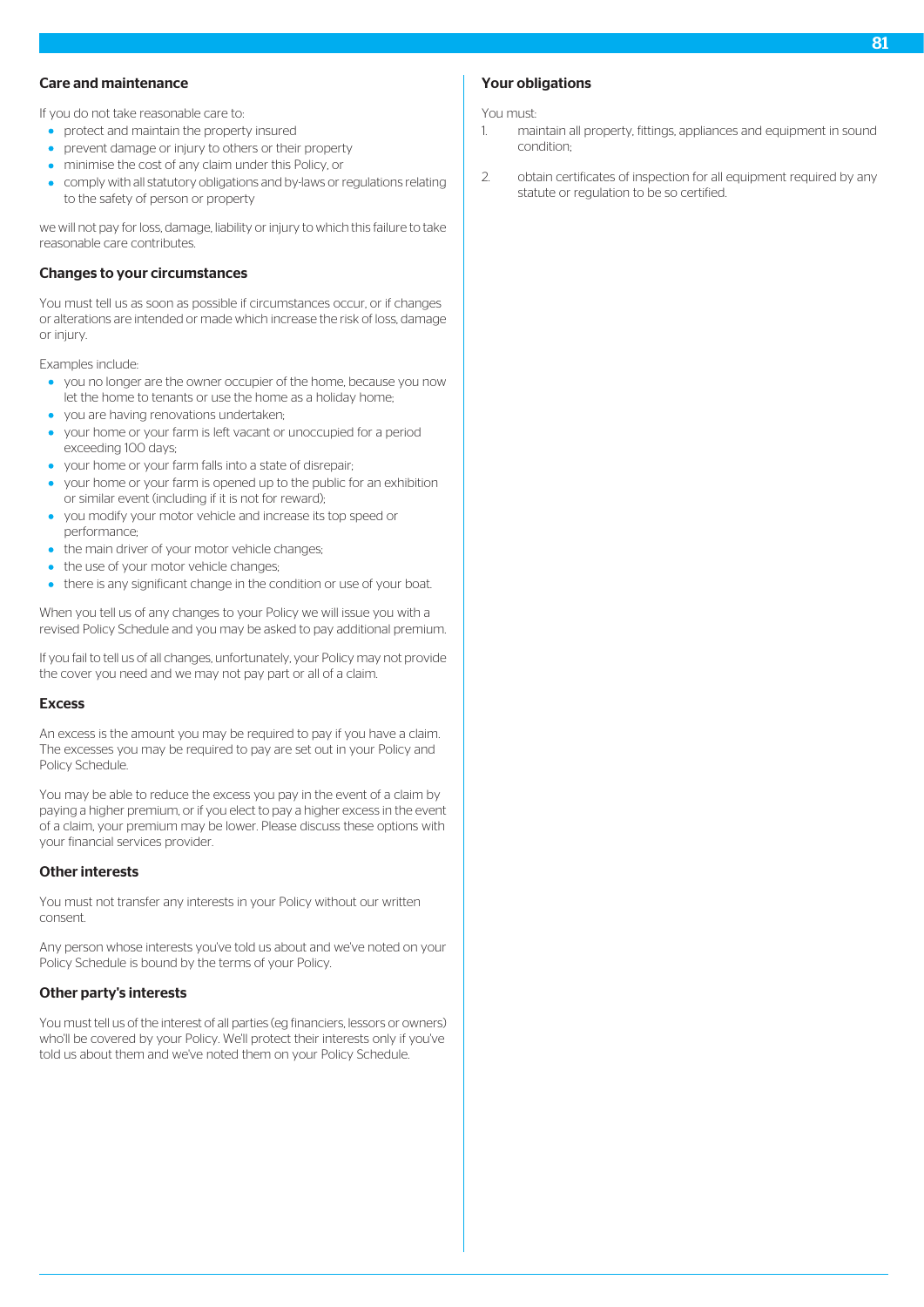#### Care and maintenance

If you do not take reasonable care to:

- **•** protect and maintain the property insured
- prevent damage or injury to others or their property
- minimise the cost of any claim under this Policy, or
- comply with all statutory obligations and by-laws or regulations relating to the safety of person or property

we will not pay for loss, damage, liability or injury to which this failure to take reasonable care contributes.

#### Changes to your circumstances

You must tell us as soon as possible if circumstances occur, or if changes or alterations are intended or made which increase the risk of loss, damage or injury.

Examples include:

- you no longer are the owner occupier of the home, because you now let the home to tenants or use the home as a holiday home;
- you are having renovations undertaken;
- your home or your farm is left vacant or unoccupied for a period exceeding 100 days;
- your home or your farm falls into a state of disrepair;
- your home or your farm is opened up to the public for an exhibition or similar event (including if it is not for reward);
- you modify your motor vehicle and increase its top speed or performance;
- the main driver of your motor vehicle changes;
- the use of your motor vehicle changes;
- there is any significant change in the condition or use of your boat.

When you tell us of any changes to your Policy we will issue you with a revised Policy Schedule and you may be asked to pay additional premium.

If you fail to tell us of all changes, unfortunately, your Policy may not provide the cover you need and we may not pay part or all of a claim.

#### Excess

An excess is the amount you may be required to pay if you have a claim. The excesses you may be required to pay are set out in your Policy and Policy Schedule.

You may be able to reduce the excess you pay in the event of a claim by paying a higher premium, or if you elect to pay a higher excess in the event of a claim, your premium may be lower. Please discuss these options with your financial services provider.

## Other interests

You must not transfer any interests in your Policy without our written consent.

Any person whose interests you've told us about and we've noted on your Policy Schedule is bound by the terms of your Policy.

#### Other party's interests

You must tell us of the interest of all parties (eg financiers, lessors or owners) who'll be covered by your Policy. We'll protect their interests only if you've told us about them and we've noted them on your Policy Schedule.

# Your obligations

You must:

- 1. maintain all property, fittings, appliances and equipment in sound condition;
- 2. obtain certificates of inspection for all equipment required by any statute or regulation to be so certified.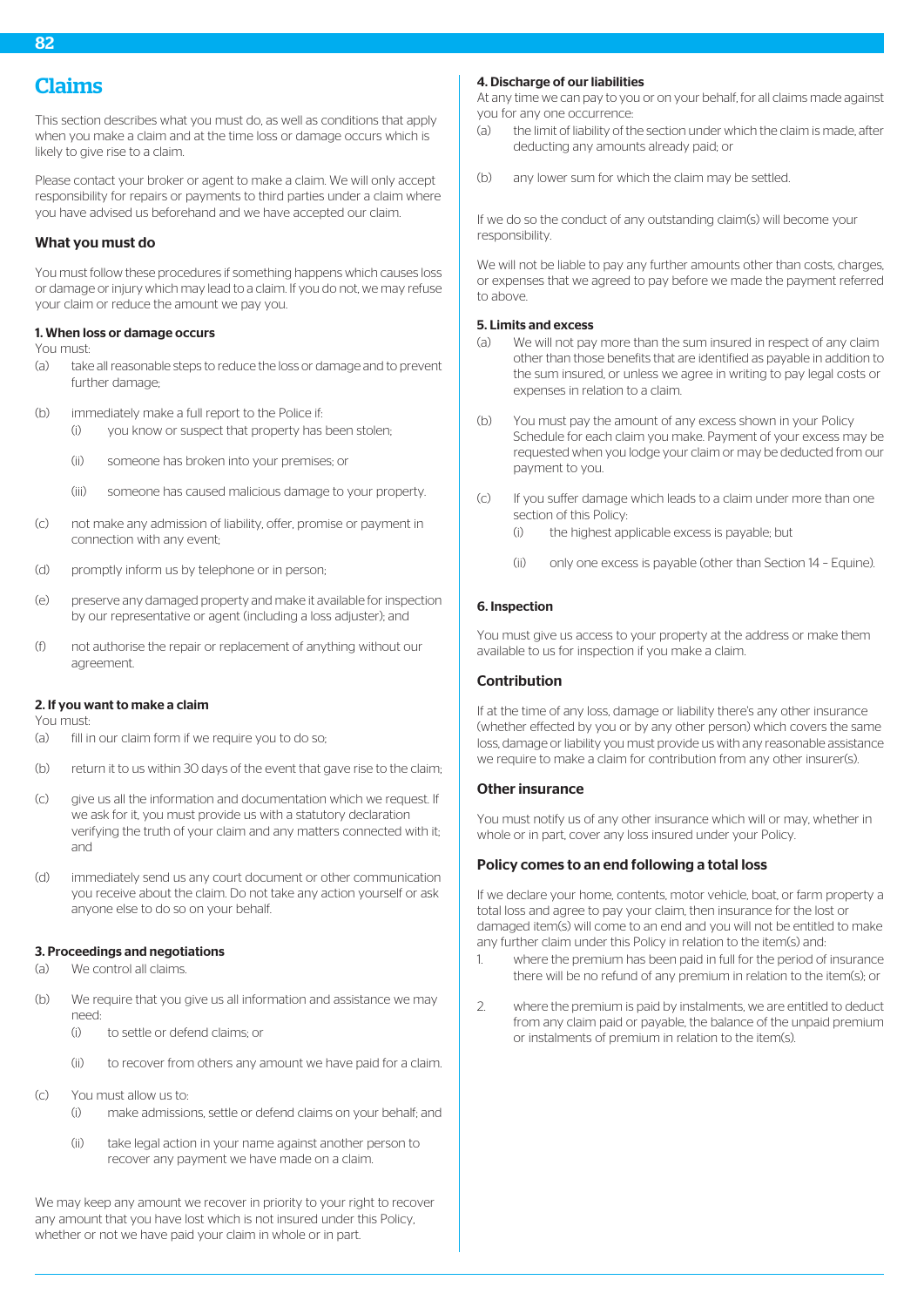# Claims

This section describes what you must do, as well as conditions that apply when you make a claim and at the time loss or damage occurs which is likely to give rise to a claim.

Please contact your broker or agent to make a claim. We will only accept responsibility for repairs or payments to third parties under a claim where you have advised us beforehand and we have accepted our claim.

## What you must do

You must follow these procedures if something happens which causes loss or damage or injury which may lead to a claim. If you do not, we may refuse your claim or reduce the amount we pay you.

#### 1. When loss or damage occurs

You must:

(a) take all reasonable steps to reduce the loss or damage and to prevent further damage-

(b) immediately make a full report to the Police if:

- (i) you know or suspect that property has been stolen;
- (ii) someone has broken into your premises; or
- (iii) someone has caused malicious damage to your property.
- (c) not make any admission of liability, offer, promise or payment in connection with any event;
- (d) promptly inform us by telephone or in person;
- (e) preserve any damaged property and make it available for inspection by our representative or agent (including a loss adjuster); and
- (f) not authorise the repair or replacement of anything without our agreement.

#### 2. If you want to make a claim

You must:

- (a) fill in our claim form if we require you to do so:
- (b) return it to us within 30 days of the event that gave rise to the claim;
- (c) give us all the information and documentation which we request. If we ask for it, you must provide us with a statutory declaration verifying the truth of your claim and any matters connected with it; and
- (d) immediately send us any court document or other communication you receive about the claim. Do not take any action yourself or ask anyone else to do so on your behalf.

#### 3. Proceedings and negotiations

- (a) We control all claims.
- (b) We require that you give us all information and assistance we may need:
	- (i) to settle or defend claims; or
	- (ii) to recover from others any amount we have paid for a claim.
- (c) You must allow us to:
	- (i) make admissions, settle or defend claims on your behalf; and
	- (ii) take legal action in your name against another person to recover any payment we have made on a claim.

We may keep any amount we recover in priority to your right to recover any amount that you have lost which is not insured under this Policy, whether or not we have paid your claim in whole or in part.

#### 4. Discharge of our liabilities

At any time we can pay to you or on your behalf, for all claims made against you for any one occurrence:

- (a) the limit of liability of the section under which the claim is made, after deducting any amounts already paid; or
- (b) any lower sum for which the claim may be settled.

If we do so the conduct of any outstanding claim(s) will become your responsibility.

We will not be liable to pay any further amounts other than costs, charges, or expenses that we agreed to pay before we made the payment referred to above.

#### 5. Limits and excess

- (a) We will not pay more than the sum insured in respect of any claim other than those benefits that are identified as payable in addition to the sum insured, or unless we agree in writing to pay legal costs or expenses in relation to a claim.
- (b) You must pay the amount of any excess shown in your Policy Schedule for each claim you make. Payment of your excess may be requested when you lodge your claim or may be deducted from our payment to you.
- (c) If you suffer damage which leads to a claim under more than one section of this Policy:
	- (i) the highest applicable excess is payable; but
	- (ii) only one excess is payable (other than Section 14 Equine).

#### 6. Inspection

You must give us access to your property at the address or make them available to us for inspection if you make a claim.

#### Contribution

If at the time of any loss, damage or liability there's any other insurance (whether effected by you or by any other person) which covers the same loss, damage or liability you must provide us with any reasonable assistance we require to make a claim for contribution from any other insurer(s).

#### Other insurance

You must notify us of any other insurance which will or may, whether in whole or in part, cover any loss insured under your Policy.

#### Policy comes to an end following a total loss

If we declare your home, contents, motor vehicle, boat, or farm property a total loss and agree to pay your claim, then insurance for the lost or damaged item(s) will come to an end and you will not be entitled to make any further claim under this Policy in relation to the item(s) and:

- 1. where the premium has been paid in full for the period of insurance there will be no refund of any premium in relation to the item(s); or
- 2. where the premium is paid by instalments, we are entitled to deduct from any claim paid or payable, the balance of the unpaid premium or instalments of premium in relation to the item(s).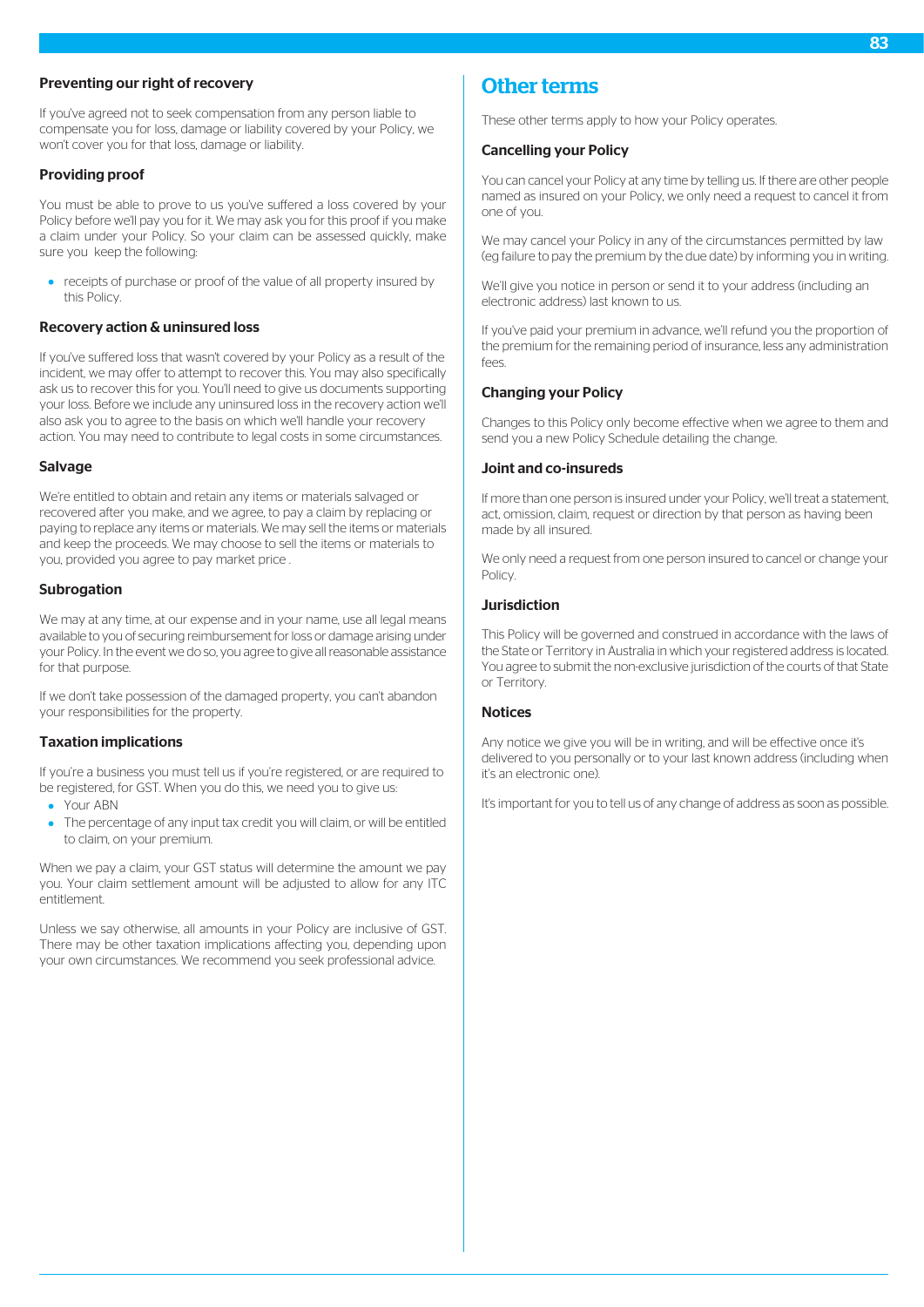## Preventing our right of recovery

If you've agreed not to seek compensation from any person liable to compensate you for loss, damage or liability covered by your Policy, we won't cover you for that loss, damage or liability.

# Providing proof

You must be able to prove to us you've suffered a loss covered by your Policy before we'll pay you for it. We may ask you for this proof if you make a claim under your Policy. So your claim can be assessed quickly, make sure you keep the following:

• receipts of purchase or proof of the value of all property insured by this Policy.

#### Recovery action & uninsured loss

If you've suffered loss that wasn't covered by your Policy as a result of the incident, we may offer to attempt to recover this. You may also specifically ask us to recover this for you. You'll need to give us documents supporting your loss. Before we include any uninsured loss in the recovery action we'll also ask you to agree to the basis on which we'll handle your recovery action. You may need to contribute to legal costs in some circumstances.

#### Salvage

We're entitled to obtain and retain any items or materials salvaged or recovered after you make, and we agree, to pay a claim by replacing or paying to replace any items or materials. We may sell the items or materials and keep the proceeds. We may choose to sell the items or materials to you, provided you agree to pay market price .

#### **Subrogation**

We may at any time, at our expense and in your name, use all legal means available to you of securing reimbursement for loss or damage arising under your Policy. In the event we do so, you agree to give all reasonable assistance for that purpose.

If we don't take possession of the damaged property, you can't abandon your responsibilities for the property.

#### Taxation implications

If you're a business you must tell us if you're registered, or are required to be registered, for GST. When you do this, we need you to give us:

- Your ABN
- The percentage of any input tax credit you will claim, or will be entitled to claim, on your premium.

When we pay a claim, your GST status will determine the amount we pay you. Your claim settlement amount will be adjusted to allow for any ITC entitlement.

Unless we say otherwise, all amounts in your Policy are inclusive of GST. There may be other taxation implications affecting you, depending upon your own circumstances. We recommend you seek professional advice.

# Other terms

These other terms apply to how your Policy operates.

#### Cancelling your Policy

You can cancel your Policy at any time by telling us. If there are other people named as insured on your Policy, we only need a request to cancel it from one of you.

We may cancel your Policy in any of the circumstances permitted by law (eg failure to pay the premium by the due date) by informing you in writing.

We'll give you notice in person or send it to your address (including an electronic address) last known to us.

If you've paid your premium in advance, we'll refund you the proportion of the premium for the remaining period of insurance, less any administration fees.

## Changing your Policy

Changes to this Policy only become effective when we agree to them and send you a new Policy Schedule detailing the change.

## Joint and co-insureds

If more than one person is insured under your Policy, we'll treat a statement, act, omission, claim, request or direction by that person as having been made by all insured.

We only need a request from one person insured to cancel or change your **Policy** 

# Jurisdiction

This Policy will be governed and construed in accordance with the laws of the State or Territory in Australia in which your registered address is located. You agree to submit the non-exclusive jurisdiction of the courts of that State or Territory.

## **Notices**

Any notice we give you will be in writing, and will be effective once it's delivered to you personally or to your last known address (including when it's an electronic one).

It's important for you to tell us of any change of address as soon as possible.